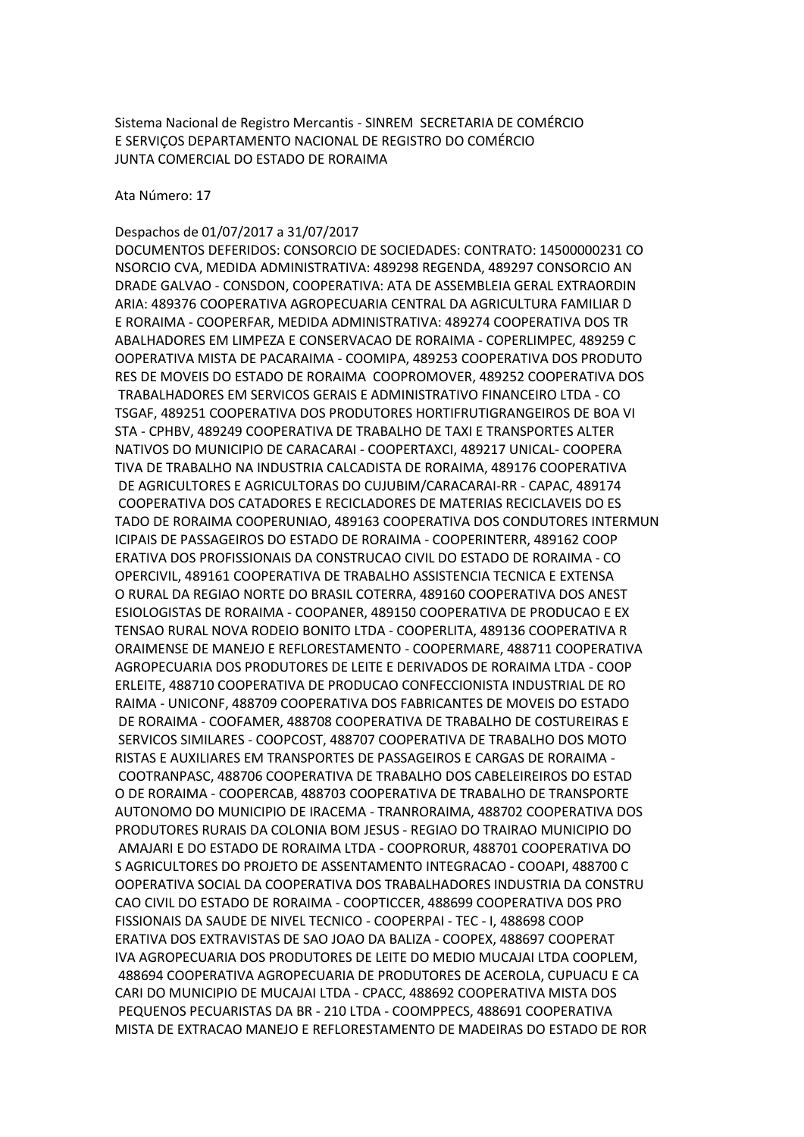Sistema Nacional de Registro Mercantis - SINREM SECRETARIA DE COMÉRCIO E SERVIÇOS DEPARTAMENTO NACIONAL DE REGISTRO DO COMÉRCIO JUNTA COMERCIAL DO ESTADO DE RORAIMA

Ata Número: 17

## Despachos de 01/07/2017 a 31/07/2017

DOCUMENTOS DEFERIDOS: CONSORCIO DE SOCIEDADES: CONTRATO: 14500000231 CO NSORCIO CVA, MEDIDA ADMINISTRATIVA: 489298 REGENDA, 489297 CONSORCIO AN DRADE GALVAO - CONSDON, COOPERATIVA: ATA DE ASSEMBLEIA GERAL EXTRAORDIN ARIA: 489376 COOPERATIVA AGROPECUARIA CENTRAL DA AGRICULTURA FAMILIAR D E RORAIMA - COOPERFAR, MEDIDA ADMINISTRATIVA: 489274 COOPERATIVA DOS TR ABALHADORES EM LIMPEZA E CONSERVACAO DE RORAIMA - COPERLIMPEC, 489259 C OOPERATIVA MISTA DE PACARAIMA - COOMIPA, 489253 COOPERATIVA DOS PRODUTO RES DE MOVEIS DO ESTADO DE RORAIMA COOPROMOVER, 489252 COOPERATIVA DOS TRABALHADORES EM SERVICOS GERAIS E ADMINISTRATIVO FINANCEIRO LTDA - CO TSGAF, 489251 COOPERATIVA DOS PRODUTORES HORTIFRUTIGRANGEIROS DE BOA VI STA - CPHBV, 489249 COOPERATIVA DE TRABALHO DE TAXI E TRANSPORTES ALTER NATIVOS DO MUNICIPIO DE CARACARAI - COOPERTAXCI, 489217 UNICAL- COOPERA TIVA DE TRABALHO NA INDUSTRIA CALCADISTA DE RORAIMA, 489176 COOPERATIVA DE AGRICULTORES E AGRICULTORAS DO CUJUBIM/CARACARAI-RR - CAPAC, 489174 COOPERATIVA DOS CATADORES E RECICLADORES DE MATERIAS RECICLAVEIS DO ES TADO DE RORAIMA COOPERUNIAO, 489163 COOPERATIVA DOS CONDUTORES INTERMUN ICIPAIS DE PASSAGEIROS DO ESTADO DE RORAIMA - COOPERINTERR, 489162 COOP ERATIVA DOS PROFISSIONAIS DA CONSTRUCAO CIVIL DO ESTADO DE RORAIMA - CO OPERCIVIL, 489161 COOPERATIVA DE TRABALHO ASSISTENCIA TECNICA E EXTENSA O RURAL DA REGIAO NORTE DO BRASIL COTERRA, 489160 COOPERATIVA DOS ANEST ESIOLOGISTAS DE RORAIMA - COOPANER, 489150 COOPERATIVA DE PRODUCAO E EX TENSAO RURAL NOVA RODEIO BONITO LTDA - COOPERLITA, 489136 COOPERATIVA R ORAIMENSE DE MANEJO E REFLORESTAMENTO - COOPERMARE, 488711 COOPERATIVA AGROPECUARIA DOS PRODUTORES DE LEITE E DERIVADOS DE RORAIMA LTDA - COOP ERLEITE, 488710 COOPERATIVA DE PRODUCAO CONFECCIONISTA INDUSTRIAL DE RO RAIMA - UNICONF, 488709 COOPERATIVA DOS FABRICANTES DE MOVEIS DO ESTADO DE RORAIMA - COOFAMER, 488708 COOPERATIVA DE TRABALHO DE COSTUREIRAS E SERVICOS SIMILARES - COOPCOST, 488707 COOPERATIVA DE TRABALHO DOS MOTO RISTAS E AUXILIARES EM TRANSPORTES DE PASSAGEIROS E CARGAS DE RORAIMA - COOTRANPASC, 488706 COOPERATIVA DE TRABALHO DOS CABELEIREIROS DO ESTAD O DE RORAIMA - COOPERCAB, 488703 COOPERATIVA DE TRABALHO DE TRANSPORTE AUTONOMO DO MUNICIPIO DE IRACEMA - TRANRORAIMA, 488702 COOPERATIVA DOS PRODUTORES RURAIS DA COLONIA BOM JESUS - REGIAO DO TRAIRAO MUNICIPIO DO AMAJARI E DO ESTADO DE RORAIMA LTDA - COOPRORUR, 488701 COOPERATIVA DO S AGRICULTORES DO PROJETO DE ASSENTAMENTO INTEGRACAO - COOAPI, 488700 C OOPERATIVA SOCIAL DA COOPERATIVA DOS TRABALHADORES INDUSTRIA DA CONSTRU CAO CIVIL DO ESTADO DE RORAIMA - COOPTICCER, 488699 COOPERATIVA DOS PRO FISSIONAIS DA SAUDE DE NIVEL TECNICO - COOPERPAI - TEC - I, 488698 COOP ERATIVA DOS EXTRAVISTAS DE SAO JOAO DA BALIZA - COOPEX, 488697 COOPERAT IVA AGROPECUARIA DOS PRODUTORES DE LEITE DO MEDIO MUCAJAI LTDA COOPLEM, 488694 COOPERATIVA AGROPECUARIA DE PRODUTORES DE ACEROLA, CUPUACU E CA CARI DO MUNICIPIO DE MUCAJAI LTDA - CPACC, 488692 COOPERATIVA MISTA DOS PEQUENOS PECUARISTAS DA BR - 210 LTDA - COOMPPECS, 488691 COOPERATIVA MISTA DE EXTRACAO MANEJO E REFLORESTAMENTO DE MADEIRAS DO ESTADO DE ROR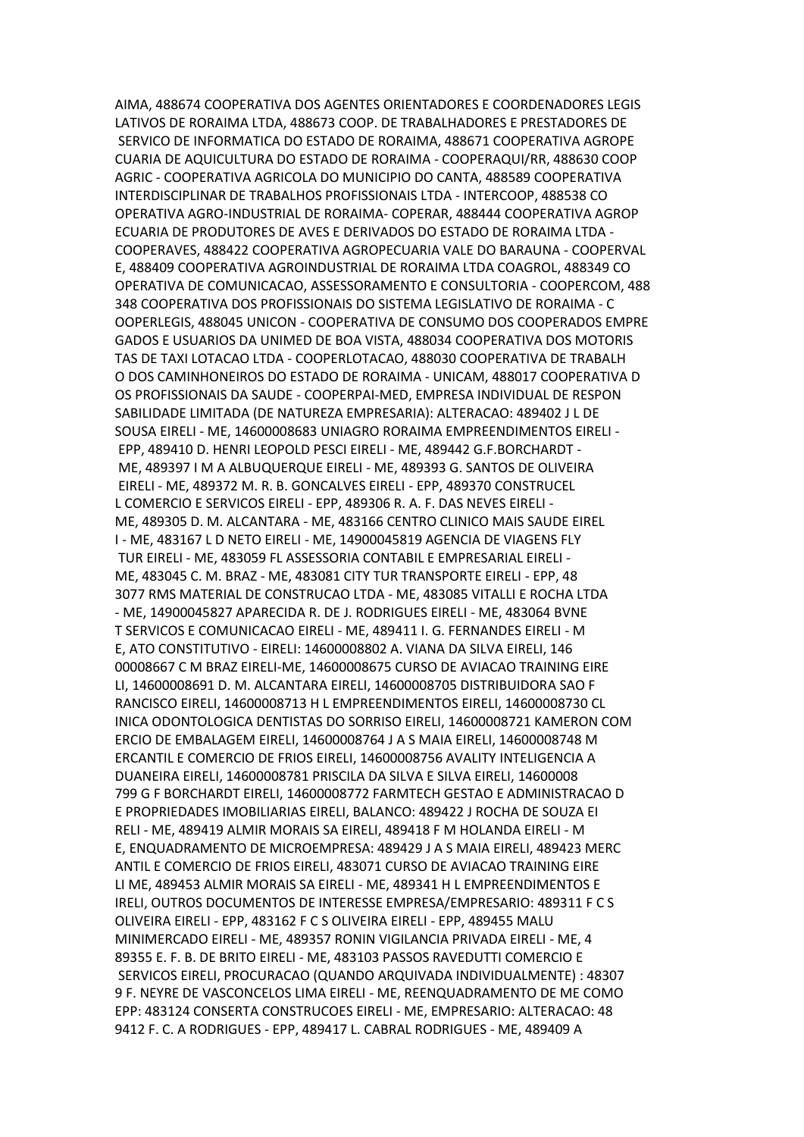AIMA, 488674 COOPERATIVA DOS AGENTES ORIENTADORES E COORDENADORES LEGIS LATIVOS DE RORAIMA LTDA, 488673 COOP. DE TRABALHADORES E PRESTADORES DE SERVICO DE INFORMATICA DO ESTADO DE RORAIMA, 488671 COOPERATIVA AGROPE CUARIA DE AQUICULTURA DO ESTADO DE RORAIMA - COOPERAQUI/RR, 488630 COOP AGRIC - COOPERATIVA AGRICOLA DO MUNICIPIO DO CANTA, 488589 COOPERATIVA INTERDISCIPLINAR DE TRABALHOS PROFISSIONAIS LTDA - INTERCOOP, 488538 CO OPERATIVA AGRO-INDUSTRIAL DE RORAIMA- COPERAR, 488444 COOPERATIVA AGROP ECUARIA DE PRODUTORES DE AVES E DERIVADOS DO ESTADO DE RORAIMA LTDA - COOPERAVES, 488422 COOPERATIVA AGROPECUARIA VALE DO BARAUNA - COOPERVAL E, 488409 COOPERATIVA AGROINDUSTRIAL DE RORAIMA LTDA COAGROL, 488349 CO OPERATIVA DE COMUNICACAO, ASSESSORAMENTO E CONSULTORIA - COOPERCOM, 488 348 COOPERATIVA DOS PROFISSIONAIS DO SISTEMA LEGISLATIVO DE RORAIMA - C OOPERLEGIS, 488045 UNICON - COOPERATIVA DE CONSUMO DOS COOPERADOS EMPRE GADOS E USUARIOS DA UNIMED DE BOA VISTA, 488034 COOPERATIVA DOS MOTORIS TAS DE TAXI LOTACAO LTDA - COOPERLOTACAO, 488030 COOPERATIVA DE TRABALH O DOS CAMINHONEIROS DO ESTADO DE RORAIMA - UNICAM, 488017 COOPERATIVA D OS PROFISSIONAIS DA SAUDE - COOPERPAI-MED, EMPRESA INDIVIDUAL DE RESPON SABILIDADE LIMITADA (DE NATUREZA EMPRESARIA): ALTERACAO: 489402 J L DE SOUSA EIRELI - ME, 14600008683 UNIAGRO RORAIMA EMPREENDIMENTOS EIRELI - EPP, 489410 D. HENRI LEOPOLD PESCI EIRELI - ME, 489442 G.F.BORCHARDT - ME, 489397 I M A ALBUQUERQUE EIRELI - ME, 489393 G. SANTOS DE OLIVEIRA EIRELI - ME, 489372 M. R. B. GONCALVES EIRELI - EPP, 489370 CONSTRUCEL L COMERCIO E SERVICOS EIRELI - EPP, 489306 R. A. F. DAS NEVES EIRELI - ME, 489305 D. M. ALCANTARA - ME, 483166 CENTRO CLINICO MAIS SAUDE EIREL I - ME, 483167 L D NETO EIRELI - ME, 14900045819 AGENCIA DE VIAGENS FLY TUR EIRELI - ME, 483059 FL ASSESSORIA CONTABIL E EMPRESARIAL EIRELI - ME, 483045 C. M. BRAZ - ME, 483081 CITY TUR TRANSPORTE EIRELI - EPP, 48 3077 RMS MATERIAL DE CONSTRUCAO LTDA - ME, 483085 VITALLI E ROCHA LTDA - ME, 14900045827 APARECIDA R. DE J. RODRIGUES EIRELI - ME, 483064 BVNE T SERVICOS E COMUNICACAO EIRELI - ME, 489411 I. G. FERNANDES EIRELI - M E, ATO CONSTITUTIVO - EIRELI: 14600008802 A. VIANA DA SILVA EIRELI, 146 00008667 C M BRAZ EIRELI-ME, 14600008675 CURSO DE AVIACAO TRAINING EIRE LI, 14600008691 D. M. ALCANTARA EIRELI, 14600008705 DISTRIBUIDORA SAO F RANCISCO EIRELI, 14600008713 H L EMPREENDIMENTOS EIRELI, 14600008730 CL INICA ODONTOLOGICA DENTISTAS DO SORRISO EIRELI, 14600008721 KAMERON COM ERCIO DE EMBALAGEM EIRELI, 14600008764 J A S MAIA EIRELI, 14600008748 M ERCANTIL E COMERCIO DE FRIOS EIRELI, 14600008756 AVALITY INTELIGENCIA A DUANEIRA EIRELI, 14600008781 PRISCILA DA SILVA E SILVA EIRELI, 14600008 799 G F BORCHARDT EIRELI, 14600008772 FARMTECH GESTAO E ADMINISTRACAO D E PROPRIEDADES IMOBILIARIAS EIRELI, BALANCO: 489422 J ROCHA DE SOUZA EI RELI - ME, 489419 ALMIR MORAIS SA EIRELI, 489418 F M HOLANDA EIRELI - M E, ENQUADRAMENTO DE MICROEMPRESA: 489429 J A S MAIA EIRELI, 489423 MERC ANTIL E COMERCIO DE FRIOS EIRELI, 483071 CURSO DE AVIACAO TRAINING EIRE LI ME, 489453 ALMIR MORAIS SA EIRELI - ME, 489341 H L EMPREENDIMENTOS E IRELI, OUTROS DOCUMENTOS DE INTERESSE EMPRESA/EMPRESARIO: 489311 F C S OLIVEIRA EIRELI - EPP, 483162 F C S OLIVEIRA EIRELI - EPP, 489455 MALU MINIMERCADO EIRELI - ME, 489357 RONIN VIGILANCIA PRIVADA EIRELI - ME, 4 89355 E. F. B. DE BRITO EIRELI - ME, 483103 PASSOS RAVEDUTTI COMERCIO E SERVICOS EIRELI, PROCURACAO (QUANDO ARQUIVADA INDIVIDUALMENTE) : 48307 9 F. NEYRE DE VASCONCELOS LIMA EIRELI - ME, REENQUADRAMENTO DE ME COMO EPP: 483124 CONSERTA CONSTRUCOES EIRELI - ME, EMPRESARIO: ALTERACAO: 48 9412 F. C. A RODRIGUES - EPP, 489417 L. CABRAL RODRIGUES - ME, 489409 A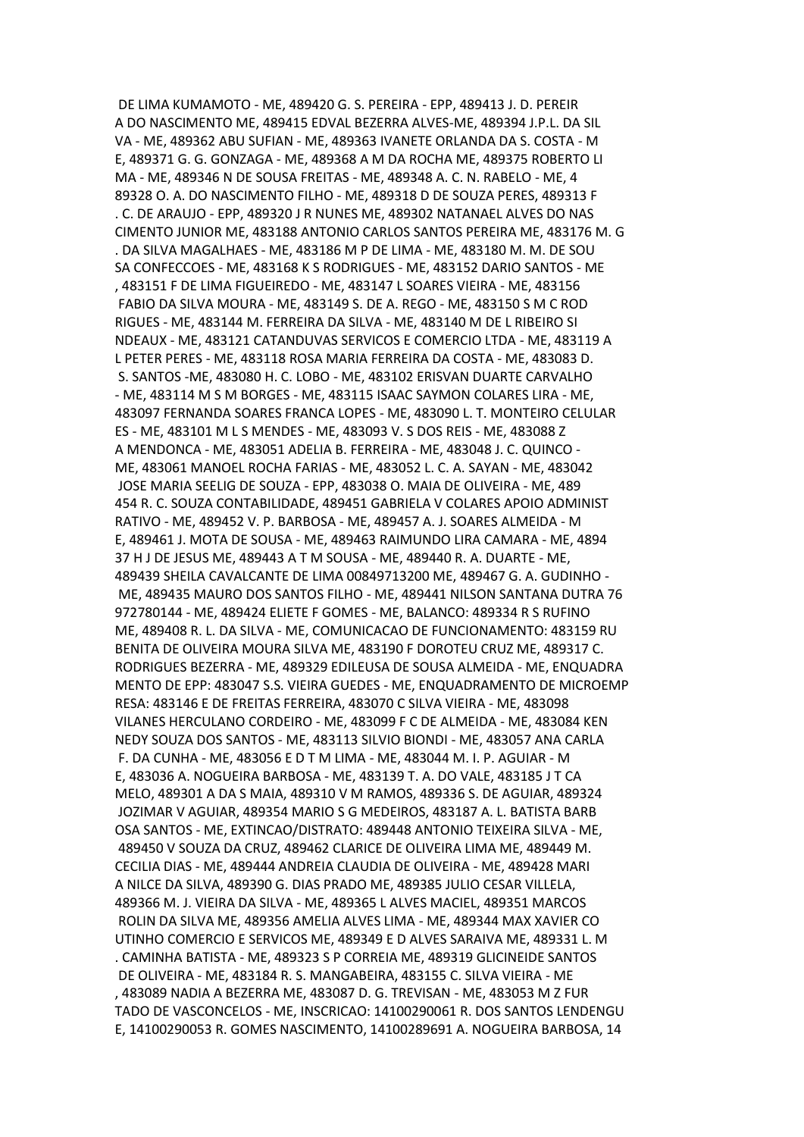DE LIMA KUMAMOTO - ME, 489420 G. S. PEREIRA - EPP, 489413 J. D. PEREIR A DO NASCIMENTO ME, 489415 EDVAL BEZERRA ALVES-ME, 489394 J.P.L. DA SIL VA - ME, 489362 ABU SUFIAN - ME, 489363 IVANETE ORLANDA DA S. COSTA - M E, 489371 G. G. GONZAGA - ME, 489368 A M DA ROCHA ME, 489375 ROBERTO LI MA - ME, 489346 N DE SOUSA FREITAS - ME, 489348 A. C. N. RABELO - ME, 4 89328 O. A. DO NASCIMENTO FILHO - ME, 489318 D DE SOUZA PERES, 489313 F . C. DE ARAUJO - EPP, 489320 J R NUNES ME, 489302 NATANAEL ALVES DO NAS CIMENTO JUNIOR ME, 483188 ANTONIO CARLOS SANTOS PEREIRA ME, 483176 M. G . DA SILVA MAGALHAES - ME, 483186 M P DE LIMA - ME, 483180 M. M. DE SOU SA CONFECCOES - ME, 483168 K S RODRIGUES - ME, 483152 DARIO SANTOS - ME , 483151 F DE LIMA FIGUEIREDO - ME, 483147 L SOARES VIEIRA - ME, 483156 FABIO DA SILVA MOURA - ME, 483149 S. DE A. REGO - ME, 483150 S M C ROD RIGUES - ME, 483144 M. FERREIRA DA SILVA - ME, 483140 M DE L RIBEIRO SI NDEAUX - ME, 483121 CATANDUVAS SERVICOS E COMERCIO LTDA - ME, 483119 A L PETER PERES - ME, 483118 ROSA MARIA FERREIRA DA COSTA - ME, 483083 D. S. SANTOS -ME, 483080 H. C. LOBO - ME, 483102 ERISVAN DUARTE CARVALHO - ME, 483114 M S M BORGES - ME, 483115 ISAAC SAYMON COLARES LIRA - ME, 483097 FERNANDA SOARES FRANCA LOPES - ME, 483090 L. T. MONTEIRO CELULAR ES - ME, 483101 M L S MENDES - ME, 483093 V. S DOS REIS - ME, 483088 Z A MENDONCA - ME, 483051 ADELIA B. FERREIRA - ME, 483048 J. C. QUINCO - ME, 483061 MANOEL ROCHA FARIAS - ME, 483052 L. C. A. SAYAN - ME, 483042 JOSE MARIA SEELIG DE SOUZA - EPP, 483038 O. MAIA DE OLIVEIRA - ME, 489 454 R. C. SOUZA CONTABILIDADE, 489451 GABRIELA V COLARES APOIO ADMINIST RATIVO - ME, 489452 V. P. BARBOSA - ME, 489457 A. J. SOARES ALMEIDA - M E, 489461 J. MOTA DE SOUSA - ME, 489463 RAIMUNDO LIRA CAMARA - ME, 4894 37 H J DE JESUS ME, 489443 A T M SOUSA - ME, 489440 R. A. DUARTE - ME, 489439 SHEILA CAVALCANTE DE LIMA 00849713200 ME, 489467 G. A. GUDINHO - ME, 489435 MAURO DOS SANTOS FILHO - ME, 489441 NILSON SANTANA DUTRA 76 972780144 - ME, 489424 ELIETE F GOMES - ME, BALANCO: 489334 R S RUFINO ME, 489408 R. L. DA SILVA - ME, COMUNICACAO DE FUNCIONAMENTO: 483159 RU BENITA DE OLIVEIRA MOURA SILVA ME, 483190 F DOROTEU CRUZ ME, 489317 C. RODRIGUES BEZERRA - ME, 489329 EDILEUSA DE SOUSA ALMEIDA - ME, ENQUADRA MENTO DE EPP: 483047 S.S. VIEIRA GUEDES - ME, ENQUADRAMENTO DE MICROEMP RESA: 483146 E DE FREITAS FERREIRA, 483070 C SILVA VIEIRA - ME, 483098 VILANES HERCULANO CORDEIRO - ME, 483099 F C DE ALMEIDA - ME, 483084 KEN NEDY SOUZA DOS SANTOS - ME, 483113 SILVIO BIONDI - ME, 483057 ANA CARLA F. DA CUNHA - ME, 483056 E D T M LIMA - ME, 483044 M. I. P. AGUIAR - M E, 483036 A. NOGUEIRA BARBOSA - ME, 483139 T. A. DO VALE, 483185 J T CA MELO, 489301 A DA S MAIA, 489310 V M RAMOS, 489336 S. DE AGUIAR, 489324 JOZIMAR V AGUIAR, 489354 MARIO S G MEDEIROS, 483187 A. L. BATISTA BARB OSA SANTOS - ME, EXTINCAO/DISTRATO: 489448 ANTONIO TEIXEIRA SILVA - ME, 489450 V SOUZA DA CRUZ, 489462 CLARICE DE OLIVEIRA LIMA ME, 489449 M. CECILIA DIAS - ME, 489444 ANDREIA CLAUDIA DE OLIVEIRA - ME, 489428 MARI A NILCE DA SILVA, 489390 G. DIAS PRADO ME, 489385 JULIO CESAR VILLELA, 489366 M. J. VIEIRA DA SILVA - ME, 489365 L ALVES MACIEL, 489351 MARCOS ROLIN DA SILVA ME, 489356 AMELIA ALVES LIMA - ME, 489344 MAX XAVIER CO UTINHO COMERCIO E SERVICOS ME, 489349 E D ALVES SARAIVA ME, 489331 L. M . CAMINHA BATISTA - ME, 489323 S P CORREIA ME, 489319 GLICINEIDE SANTOS DE OLIVEIRA - ME, 483184 R. S. MANGABEIRA, 483155 C. SILVA VIEIRA - ME , 483089 NADIA A BEZERRA ME, 483087 D. G. TREVISAN - ME, 483053 M Z FUR TADO DE VASCONCELOS - ME, INSCRICAO: 14100290061 R. DOS SANTOS LENDENGU E, 14100290053 R. GOMES NASCIMENTO, 14100289691 A. NOGUEIRA BARBOSA, 14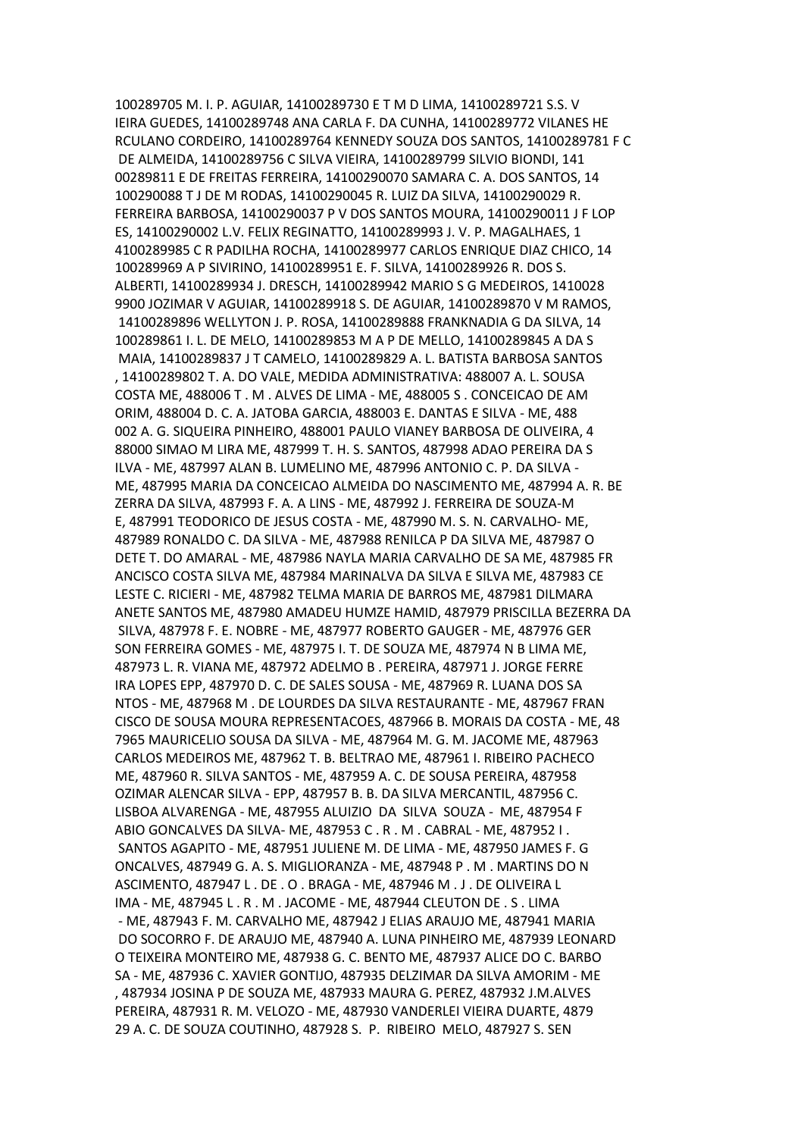100289705 M. I. P. AGUIAR, 14100289730 E T M D LIMA, 14100289721 S.S. V IEIRA GUEDES, 14100289748 ANA CARLA F. DA CUNHA, 14100289772 VILANES HE RCULANO CORDEIRO, 14100289764 KENNEDY SOUZA DOS SANTOS, 14100289781 F C DE ALMEIDA, 14100289756 C SILVA VIEIRA, 14100289799 SILVIO BIONDI, 141 00289811 E DE FREITAS FERREIRA, 14100290070 SAMARA C. A. DOS SANTOS, 14 100290088 T J DE M RODAS, 14100290045 R. LUIZ DA SILVA, 14100290029 R. FERREIRA BARBOSA, 14100290037 P V DOS SANTOS MOURA, 14100290011 J F LOP ES, 14100290002 L.V. FELIX REGINATTO, 14100289993 J. V. P. MAGALHAES, 1 4100289985 C R PADILHA ROCHA, 14100289977 CARLOS ENRIQUE DIAZ CHICO, 14 100289969 A P SIVIRINO, 14100289951 E. F. SILVA, 14100289926 R. DOS S. ALBERTI, 14100289934 J. DRESCH, 14100289942 MARIO S G MEDEIROS, 1410028 9900 JOZIMAR V AGUIAR, 14100289918 S. DE AGUIAR, 14100289870 V M RAMOS, 14100289896 WELLYTON J. P. ROSA, 14100289888 FRANKNADIA G DA SILVA, 14 100289861 I. L. DE MELO, 14100289853 M A P DE MELLO, 14100289845 A DA S MAIA, 14100289837 J T CAMELO, 14100289829 A. L. BATISTA BARBOSA SANTOS , 14100289802 T. A. DO VALE, MEDIDA ADMINISTRATIVA: 488007 A. L. SOUSA COSTA ME, 488006 T . M . ALVES DE LIMA - ME, 488005 S . CONCEICAO DE AM ORIM, 488004 D. C. A. JATOBA GARCIA, 488003 E. DANTAS E SILVA - ME, 488 002 A. G. SIQUEIRA PINHEIRO, 488001 PAULO VIANEY BARBOSA DE OLIVEIRA, 4 88000 SIMAO M LIRA ME, 487999 T. H. S. SANTOS, 487998 ADAO PEREIRA DA S ILVA - ME, 487997 ALAN B. LUMELINO ME, 487996 ANTONIO C. P. DA SILVA - ME, 487995 MARIA DA CONCEICAO ALMEIDA DO NASCIMENTO ME, 487994 A. R. BE ZERRA DA SILVA, 487993 F. A. A LINS - ME, 487992 J. FERREIRA DE SOUZA-M E, 487991 TEODORICO DE JESUS COSTA - ME, 487990 M. S. N. CARVALHO- ME, 487989 RONALDO C. DA SILVA - ME, 487988 RENILCA P DA SILVA ME, 487987 O DETE T. DO AMARAL - ME, 487986 NAYLA MARIA CARVALHO DE SA ME, 487985 FR ANCISCO COSTA SILVA ME, 487984 MARINALVA DA SILVA E SILVA ME, 487983 CE LESTE C. RICIERI - ME, 487982 TELMA MARIA DE BARROS ME, 487981 DILMARA ANETE SANTOS ME, 487980 AMADEU HUMZE HAMID, 487979 PRISCILLA BEZERRA DA SILVA, 487978 F. E. NOBRE - ME, 487977 ROBERTO GAUGER - ME, 487976 GER SON FERREIRA GOMES - ME, 487975 I. T. DE SOUZA ME, 487974 N B LIMA ME, 487973 L. R. VIANA ME, 487972 ADELMO B . PEREIRA, 487971 J. JORGE FERRE IRA LOPES EPP, 487970 D. C. DE SALES SOUSA - ME, 487969 R. LUANA DOS SA NTOS - ME, 487968 M . DE LOURDES DA SILVA RESTAURANTE - ME, 487967 FRAN CISCO DE SOUSA MOURA REPRESENTACOES, 487966 B. MORAIS DA COSTA - ME, 48 7965 MAURICELIO SOUSA DA SILVA - ME, 487964 M. G. M. JACOME ME, 487963 CARLOS MEDEIROS ME, 487962 T. B. BELTRAO ME, 487961 I. RIBEIRO PACHECO ME, 487960 R. SILVA SANTOS - ME, 487959 A. C. DE SOUSA PEREIRA, 487958 OZIMAR ALENCAR SILVA - EPP, 487957 B. B. DA SILVA MERCANTIL, 487956 C. LISBOA ALVARENGA - ME, 487955 ALUIZIO DA SILVA SOUZA - ME, 487954 F ABIO GONCALVES DA SILVA- ME, 487953 C . R . M . CABRAL - ME, 487952 I . SANTOS AGAPITO - ME, 487951 JULIENE M. DE LIMA - ME, 487950 JAMES F. G ONCALVES, 487949 G. A. S. MIGLIORANZA - ME, 487948 P . M . MARTINS DO N ASCIMENTO, 487947 L . DE . O . BRAGA - ME, 487946 M . J . DE OLIVEIRA L IMA - ME, 487945 L . R . M . JACOME - ME, 487944 CLEUTON DE . S . LIMA - ME, 487943 F. M. CARVALHO ME, 487942 J ELIAS ARAUJO ME, 487941 MARIA DO SOCORRO F. DE ARAUJO ME, 487940 A. LUNA PINHEIRO ME, 487939 LEONARD O TEIXEIRA MONTEIRO ME, 487938 G. C. BENTO ME, 487937 ALICE DO C. BARBO SA - ME, 487936 C. XAVIER GONTIJO, 487935 DELZIMAR DA SILVA AMORIM - ME , 487934 JOSINA P DE SOUZA ME, 487933 MAURA G. PEREZ, 487932 J.M.ALVES PEREIRA, 487931 R. M. VELOZO - ME, 487930 VANDERLEI VIEIRA DUARTE, 4879 29 A. C. DE SOUZA COUTINHO, 487928 S. P. RIBEIRO MELO, 487927 S. SEN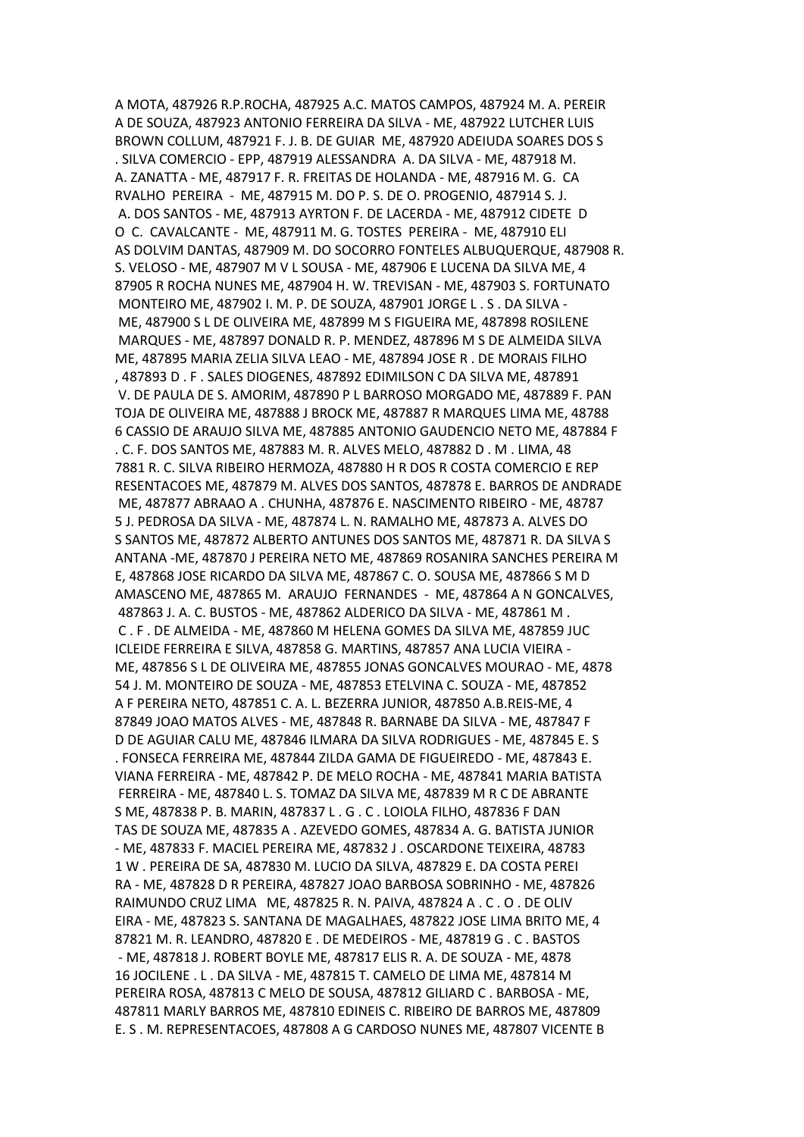A MOTA, 487926 R.P.ROCHA, 487925 A.C. MATOS CAMPOS, 487924 M. A. PEREIR A DE SOUZA, 487923 ANTONIO FERREIRA DA SILVA - ME, 487922 LUTCHER LUIS BROWN COLLUM, 487921 F. J. B. DE GUIAR ME, 487920 ADEIUDA SOARES DOS S . SILVA COMERCIO - EPP, 487919 ALESSANDRA A. DA SILVA - ME, 487918 M. A. ZANATTA - ME, 487917 F. R. FREITAS DE HOLANDA - ME, 487916 M. G. CA RVALHO PEREIRA - ME, 487915 M. DO P. S. DE O. PROGENIO, 487914 S. J. A. DOS SANTOS - ME, 487913 AYRTON F. DE LACERDA - ME, 487912 CIDETE D O C. CAVALCANTE - ME, 487911 M. G. TOSTES PEREIRA - ME, 487910 ELI AS DOLVIM DANTAS, 487909 M. DO SOCORRO FONTELES ALBUQUERQUE, 487908 R. S. VELOSO - ME, 487907 M V L SOUSA - ME, 487906 E LUCENA DA SILVA ME, 4 87905 R ROCHA NUNES ME, 487904 H. W. TREVISAN - ME, 487903 S. FORTUNATO MONTEIRO ME, 487902 I. M. P. DE SOUZA, 487901 JORGE L . S . DA SILVA - ME, 487900 S L DE OLIVEIRA ME, 487899 M S FIGUEIRA ME, 487898 ROSILENE MARQUES - ME, 487897 DONALD R. P. MENDEZ, 487896 M S DE ALMEIDA SILVA ME, 487895 MARIA ZELIA SILVA LEAO - ME, 487894 JOSE R . DE MORAIS FILHO , 487893 D . F . SALES DIOGENES, 487892 EDIMILSON C DA SILVA ME, 487891 V. DE PAULA DE S. AMORIM, 487890 P L BARROSO MORGADO ME, 487889 F. PAN TOJA DE OLIVEIRA ME, 487888 J BROCK ME, 487887 R MARQUES LIMA ME, 48788 6 CASSIO DE ARAUJO SILVA ME, 487885 ANTONIO GAUDENCIO NETO ME, 487884 F . C. F. DOS SANTOS ME, 487883 M. R. ALVES MELO, 487882 D . M . LIMA, 48 7881 R. C. SILVA RIBEIRO HERMOZA, 487880 H R DOS R COSTA COMERCIO E REP RESENTACOES ME, 487879 M. ALVES DOS SANTOS, 487878 E. BARROS DE ANDRADE ME, 487877 ABRAAO A . CHUNHA, 487876 E. NASCIMENTO RIBEIRO - ME, 48787 5 J. PEDROSA DA SILVA - ME, 487874 L. N. RAMALHO ME, 487873 A. ALVES DO S SANTOS ME, 487872 ALBERTO ANTUNES DOS SANTOS ME, 487871 R. DA SILVA S ANTANA -ME, 487870 J PEREIRA NETO ME, 487869 ROSANIRA SANCHES PEREIRA M E, 487868 JOSE RICARDO DA SILVA ME, 487867 C. O. SOUSA ME, 487866 S M D AMASCENO ME, 487865 M. ARAUJO FERNANDES - ME, 487864 A N GONCALVES, 487863 J. A. C. BUSTOS - ME, 487862 ALDERICO DA SILVA - ME, 487861 M . C . F . DE ALMEIDA - ME, 487860 M HELENA GOMES DA SILVA ME, 487859 JUC ICLEIDE FERREIRA E SILVA, 487858 G. MARTINS, 487857 ANA LUCIA VIEIRA - ME, 487856 S L DE OLIVEIRA ME, 487855 JONAS GONCALVES MOURAO - ME, 4878 54 J. M. MONTEIRO DE SOUZA - ME, 487853 ETELVINA C. SOUZA - ME, 487852 A F PEREIRA NETO, 487851 C. A. L. BEZERRA JUNIOR, 487850 A.B.REIS-ME, 4 87849 JOAO MATOS ALVES - ME, 487848 R. BARNABE DA SILVA - ME, 487847 F D DE AGUIAR CALU ME, 487846 ILMARA DA SILVA RODRIGUES - ME, 487845 E. S . FONSECA FERREIRA ME, 487844 ZILDA GAMA DE FIGUEIREDO - ME, 487843 E. VIANA FERREIRA - ME, 487842 P. DE MELO ROCHA - ME, 487841 MARIA BATISTA FERREIRA - ME, 487840 L. S. TOMAZ DA SILVA ME, 487839 M R C DE ABRANTE S ME, 487838 P. B. MARIN, 487837 L . G . C . LOIOLA FILHO, 487836 F DAN TAS DE SOUZA ME, 487835 A . AZEVEDO GOMES, 487834 A. G. BATISTA JUNIOR - ME, 487833 F. MACIEL PEREIRA ME, 487832 J . OSCARDONE TEIXEIRA, 48783 1 W . PEREIRA DE SA, 487830 M. LUCIO DA SILVA, 487829 E. DA COSTA PEREI RA - ME, 487828 D R PEREIRA, 487827 JOAO BARBOSA SOBRINHO - ME, 487826 RAIMUNDO CRUZ LIMA ME, 487825 R. N. PAIVA, 487824 A . C . O . DE OLIV EIRA - ME, 487823 S. SANTANA DE MAGALHAES, 487822 JOSE LIMA BRITO ME, 4 87821 M. R. LEANDRO, 487820 E . DE MEDEIROS - ME, 487819 G . C . BASTOS - ME, 487818 J. ROBERT BOYLE ME, 487817 ELIS R. A. DE SOUZA - ME, 4878 16 JOCILENE . L . DA SILVA - ME, 487815 T. CAMELO DE LIMA ME, 487814 M PEREIRA ROSA, 487813 C MELO DE SOUSA, 487812 GILIARD C . BARBOSA - ME, 487811 MARLY BARROS ME, 487810 EDINEIS C. RIBEIRO DE BARROS ME, 487809 E. S . M. REPRESENTACOES, 487808 A G CARDOSO NUNES ME, 487807 VICENTE B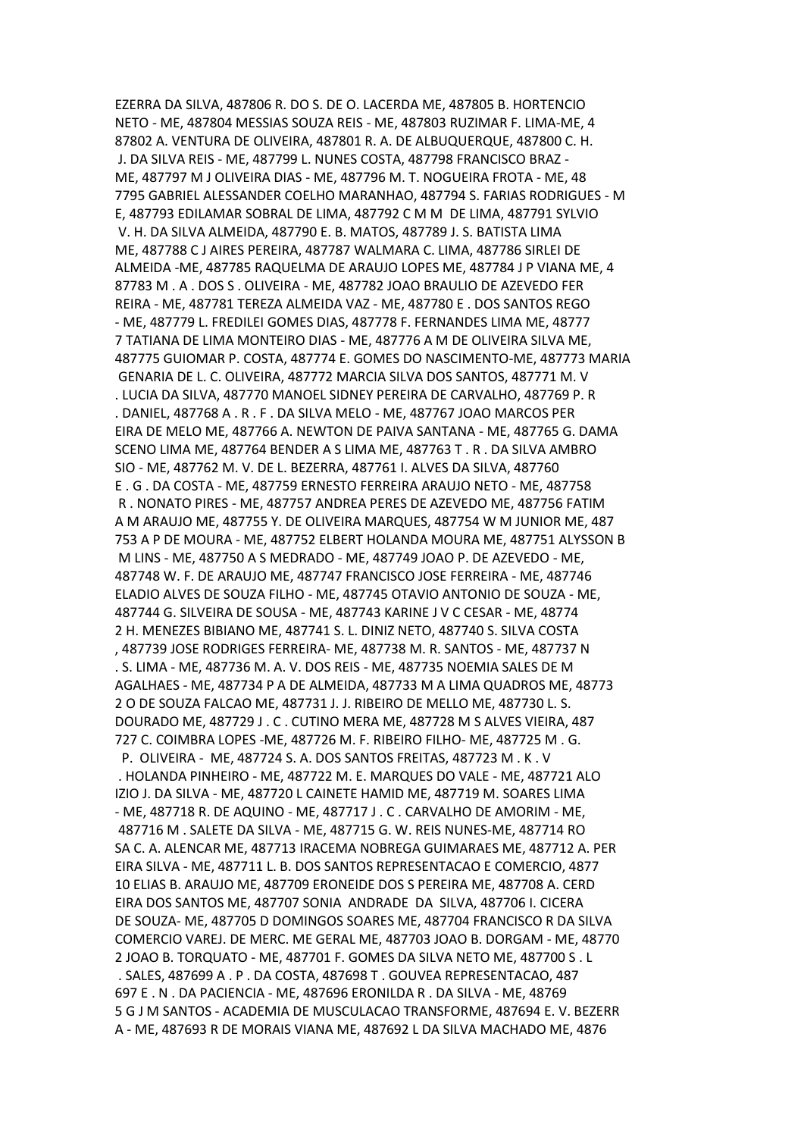EZERRA DA SILVA, 487806 R. DO S. DE O. LACERDA ME, 487805 B. HORTENCIO NETO - ME, 487804 MESSIAS SOUZA REIS - ME, 487803 RUZIMAR F. LIMA-ME, 4 87802 A. VENTURA DE OLIVEIRA, 487801 R. A. DE ALBUQUERQUE, 487800 C. H. J. DA SILVA REIS - ME, 487799 L. NUNES COSTA, 487798 FRANCISCO BRAZ - ME, 487797 M J OLIVEIRA DIAS - ME, 487796 M. T. NOGUEIRA FROTA - ME, 48 7795 GABRIEL ALESSANDER COELHO MARANHAO, 487794 S. FARIAS RODRIGUES - M E, 487793 EDILAMAR SOBRAL DE LIMA, 487792 C M M DE LIMA, 487791 SYLVIO V. H. DA SILVA ALMEIDA, 487790 E. B. MATOS, 487789 J. S. BATISTA LIMA ME, 487788 C J AIRES PEREIRA, 487787 WALMARA C. LIMA, 487786 SIRLEI DE ALMEIDA -ME, 487785 RAQUELMA DE ARAUJO LOPES ME, 487784 J P VIANA ME, 4 87783 M . A . DOS S . OLIVEIRA - ME, 487782 JOAO BRAULIO DE AZEVEDO FER REIRA - ME, 487781 TEREZA ALMEIDA VAZ - ME, 487780 E . DOS SANTOS REGO - ME, 487779 L. FREDILEI GOMES DIAS, 487778 F. FERNANDES LIMA ME, 48777 7 TATIANA DE LIMA MONTEIRO DIAS - ME, 487776 A M DE OLIVEIRA SILVA ME, 487775 GUIOMAR P. COSTA, 487774 E. GOMES DO NASCIMENTO-ME, 487773 MARIA GENARIA DE L. C. OLIVEIRA, 487772 MARCIA SILVA DOS SANTOS, 487771 M. V . LUCIA DA SILVA, 487770 MANOEL SIDNEY PEREIRA DE CARVALHO, 487769 P. R . DANIEL, 487768 A . R . F . DA SILVA MELO - ME, 487767 JOAO MARCOS PER EIRA DE MELO ME, 487766 A. NEWTON DE PAIVA SANTANA - ME, 487765 G. DAMA SCENO LIMA ME, 487764 BENDER A S LIMA ME, 487763 T . R . DA SILVA AMBRO SIO - ME, 487762 M. V. DE L. BEZERRA, 487761 I. ALVES DA SILVA, 487760 E . G . DA COSTA - ME, 487759 ERNESTO FERREIRA ARAUJO NETO - ME, 487758 R . NONATO PIRES - ME, 487757 ANDREA PERES DE AZEVEDO ME, 487756 FATIM A M ARAUJO ME, 487755 Y. DE OLIVEIRA MARQUES, 487754 W M JUNIOR ME, 487 753 A P DE MOURA - ME, 487752 ELBERT HOLANDA MOURA ME, 487751 ALYSSON B M LINS - ME, 487750 A S MEDRADO - ME, 487749 JOAO P. DE AZEVEDO - ME, 487748 W. F. DE ARAUJO ME, 487747 FRANCISCO JOSE FERREIRA - ME, 487746 ELADIO ALVES DE SOUZA FILHO - ME, 487745 OTAVIO ANTONIO DE SOUZA - ME, 487744 G. SILVEIRA DE SOUSA - ME, 487743 KARINE J V C CESAR - ME, 48774 2 H. MENEZES BIBIANO ME, 487741 S. L. DINIZ NETO, 487740 S. SILVA COSTA , 487739 JOSE RODRIGES FERREIRA- ME, 487738 M. R. SANTOS - ME, 487737 N . S. LIMA - ME, 487736 M. A. V. DOS REIS - ME, 487735 NOEMIA SALES DE M AGALHAES - ME, 487734 P A DE ALMEIDA, 487733 M A LIMA QUADROS ME, 48773 2 O DE SOUZA FALCAO ME, 487731 J. J. RIBEIRO DE MELLO ME, 487730 L. S. DOURADO ME, 487729 J . C . CUTINO MERA ME, 487728 M S ALVES VIEIRA, 487 727 C. COIMBRA LOPES -ME, 487726 M. F. RIBEIRO FILHO- ME, 487725 M . G. P. OLIVEIRA - ME, 487724 S. A. DOS SANTOS FREITAS, 487723 M . K . V . HOLANDA PINHEIRO - ME, 487722 M. E. MARQUES DO VALE - ME, 487721 ALO IZIO J. DA SILVA - ME, 487720 L CAINETE HAMID ME, 487719 M. SOARES LIMA - ME, 487718 R. DE AQUINO - ME, 487717 J . C . CARVALHO DE AMORIM - ME, 487716 M . SALETE DA SILVA - ME, 487715 G. W. REIS NUNES-ME, 487714 RO SA C. A. ALENCAR ME, 487713 IRACEMA NOBREGA GUIMARAES ME, 487712 A. PER EIRA SILVA - ME, 487711 L. B. DOS SANTOS REPRESENTACAO E COMERCIO, 4877 10 ELIAS B. ARAUJO ME, 487709 ERONEIDE DOS S PEREIRA ME, 487708 A. CERD EIRA DOS SANTOS ME, 487707 SONIA ANDRADE DA SILVA, 487706 I. CICERA DE SOUZA- ME, 487705 D DOMINGOS SOARES ME, 487704 FRANCISCO R DA SILVA COMERCIO VAREJ. DE MERC. ME GERAL ME, 487703 JOAO B. DORGAM - ME, 48770 2 JOAO B. TORQUATO - ME, 487701 F. GOMES DA SILVA NETO ME, 487700 S . L . SALES, 487699 A . P . DA COSTA, 487698 T . GOUVEA REPRESENTACAO, 487 697 E . N . DA PACIENCIA - ME, 487696 ERONILDA R . DA SILVA - ME, 48769 5 G J M SANTOS - ACADEMIA DE MUSCULACAO TRANSFORME, 487694 E. V. BEZERR A - ME, 487693 R DE MORAIS VIANA ME, 487692 L DA SILVA MACHADO ME, 4876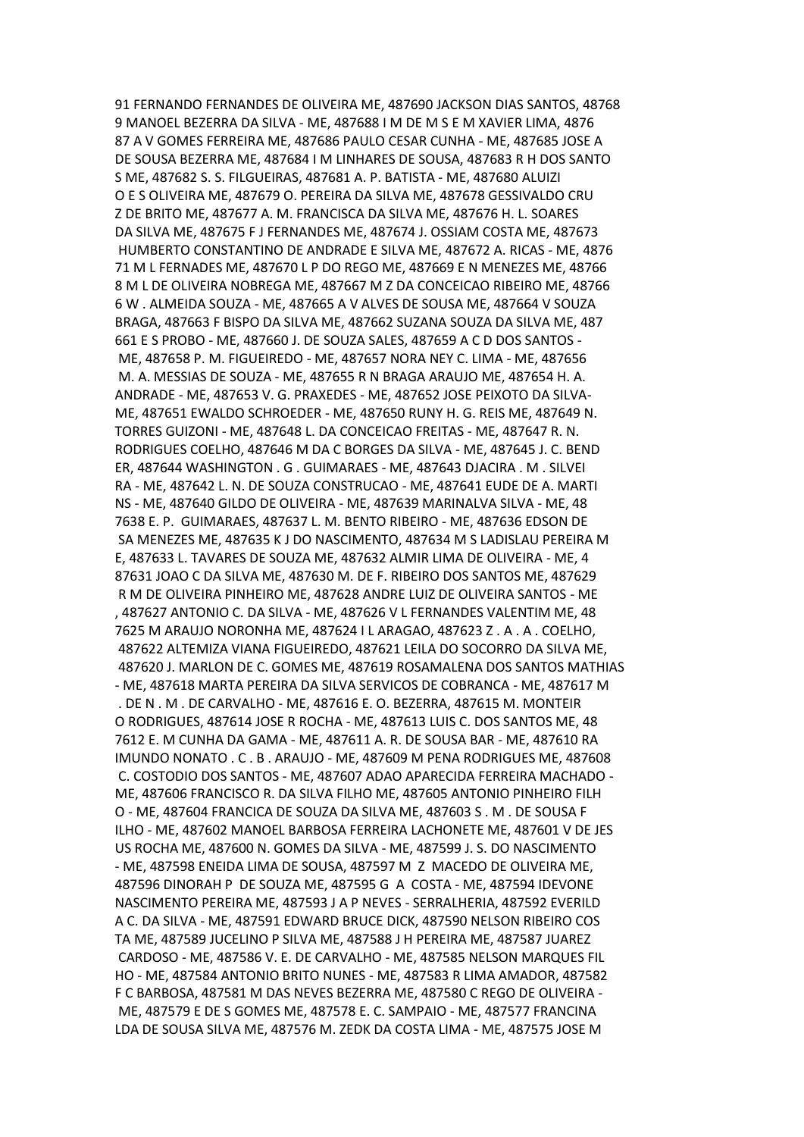91 FERNANDO FERNANDES DE OLIVEIRA ME, 487690 JACKSON DIAS SANTOS, 48768 9 MANOEL BEZERRA DA SILVA - ME, 487688 I M DE M S E M XAVIER LIMA, 4876 87 A V GOMES FERREIRA ME, 487686 PAULO CESAR CUNHA - ME, 487685 JOSE A DE SOUSA BEZERRA ME, 487684 I M LINHARES DE SOUSA, 487683 R H DOS SANTO S ME, 487682 S. S. FILGUEIRAS, 487681 A. P. BATISTA - ME, 487680 ALUIZI O E S OLIVEIRA ME, 487679 O. PEREIRA DA SILVA ME, 487678 GESSIVALDO CRU Z DE BRITO ME, 487677 A. M. FRANCISCA DA SILVA ME, 487676 H. L. SOARES DA SILVA ME, 487675 F J FERNANDES ME, 487674 J. OSSIAM COSTA ME, 487673 HUMBERTO CONSTANTINO DE ANDRADE E SILVA ME, 487672 A. RICAS - ME, 4876 71 M L FERNADES ME, 487670 L P DO REGO ME, 487669 E N MENEZES ME, 48766 8 M L DE OLIVEIRA NOBREGA ME, 487667 M Z DA CONCEICAO RIBEIRO ME, 48766 6 W . ALMEIDA SOUZA - ME, 487665 A V ALVES DE SOUSA ME, 487664 V SOUZA BRAGA, 487663 F BISPO DA SILVA ME, 487662 SUZANA SOUZA DA SILVA ME, 487 661 E S PROBO - ME, 487660 J. DE SOUZA SALES, 487659 A C D DOS SANTOS - ME, 487658 P. M. FIGUEIREDO - ME, 487657 NORA NEY C. LIMA - ME, 487656 M. A. MESSIAS DE SOUZA - ME, 487655 R N BRAGA ARAUJO ME, 487654 H. A. ANDRADE - ME, 487653 V. G. PRAXEDES - ME, 487652 JOSE PEIXOTO DA SILVA-ME, 487651 EWALDO SCHROEDER - ME, 487650 RUNY H. G. REIS ME, 487649 N. TORRES GUIZONI - ME, 487648 L. DA CONCEICAO FREITAS - ME, 487647 R. N. RODRIGUES COELHO, 487646 M DA C BORGES DA SILVA - ME, 487645 J. C. BEND ER, 487644 WASHINGTON . G . GUIMARAES - ME, 487643 DJACIRA . M . SILVEI RA - ME, 487642 L. N. DE SOUZA CONSTRUCAO - ME, 487641 EUDE DE A. MARTI NS - ME, 487640 GILDO DE OLIVEIRA - ME, 487639 MARINALVA SILVA - ME, 48 7638 E. P. GUIMARAES, 487637 L. M. BENTO RIBEIRO - ME, 487636 EDSON DE SA MENEZES ME, 487635 K J DO NASCIMENTO, 487634 M S LADISLAU PEREIRA M E, 487633 L. TAVARES DE SOUZA ME, 487632 ALMIR LIMA DE OLIVEIRA - ME, 4 87631 JOAO C DA SILVA ME, 487630 M. DE F. RIBEIRO DOS SANTOS ME, 487629 R M DE OLIVEIRA PINHEIRO ME, 487628 ANDRE LUIZ DE OLIVEIRA SANTOS - ME , 487627 ANTONIO C. DA SILVA - ME, 487626 V L FERNANDES VALENTIM ME, 48 7625 M ARAUJO NORONHA ME, 487624 I L ARAGAO, 487623 Z . A . A . COELHO, 487622 ALTEMIZA VIANA FIGUEIREDO, 487621 LEILA DO SOCORRO DA SILVA ME, 487620 J. MARLON DE C. GOMES ME, 487619 ROSAMALENA DOS SANTOS MATHIAS - ME, 487618 MARTA PEREIRA DA SILVA SERVICOS DE COBRANCA - ME, 487617 M . DE N . M . DE CARVALHO - ME, 487616 E. O. BEZERRA, 487615 M. MONTEIR O RODRIGUES, 487614 JOSE R ROCHA - ME, 487613 LUIS C. DOS SANTOS ME, 48 7612 E. M CUNHA DA GAMA - ME, 487611 A. R. DE SOUSA BAR - ME, 487610 RA IMUNDO NONATO . C . B . ARAUJO - ME, 487609 M PENA RODRIGUES ME, 487608 C. COSTODIO DOS SANTOS - ME, 487607 ADAO APARECIDA FERREIRA MACHADO - ME, 487606 FRANCISCO R. DA SILVA FILHO ME, 487605 ANTONIO PINHEIRO FILH O - ME, 487604 FRANCICA DE SOUZA DA SILVA ME, 487603 S . M . DE SOUSA F ILHO - ME, 487602 MANOEL BARBOSA FERREIRA LACHONETE ME, 487601 V DE JES US ROCHA ME, 487600 N. GOMES DA SILVA - ME, 487599 J. S. DO NASCIMENTO - ME, 487598 ENEIDA LIMA DE SOUSA, 487597 M Z MACEDO DE OLIVEIRA ME, 487596 DINORAH P DE SOUZA ME, 487595 G A COSTA - ME, 487594 IDEVONE NASCIMENTO PEREIRA ME, 487593 J A P NEVES - SERRALHERIA, 487592 EVERILD A C. DA SILVA - ME, 487591 EDWARD BRUCE DICK, 487590 NELSON RIBEIRO COS TA ME, 487589 JUCELINO P SILVA ME, 487588 J H PEREIRA ME, 487587 JUAREZ CARDOSO - ME, 487586 V. E. DE CARVALHO - ME, 487585 NELSON MARQUES FIL HO - ME, 487584 ANTONIO BRITO NUNES - ME, 487583 R LIMA AMADOR, 487582 F C BARBOSA, 487581 M DAS NEVES BEZERRA ME, 487580 C REGO DE OLIVEIRA - ME, 487579 E DE S GOMES ME, 487578 E. C. SAMPAIO - ME, 487577 FRANCINA LDA DE SOUSA SILVA ME, 487576 M. ZEDK DA COSTA LIMA - ME, 487575 JOSE M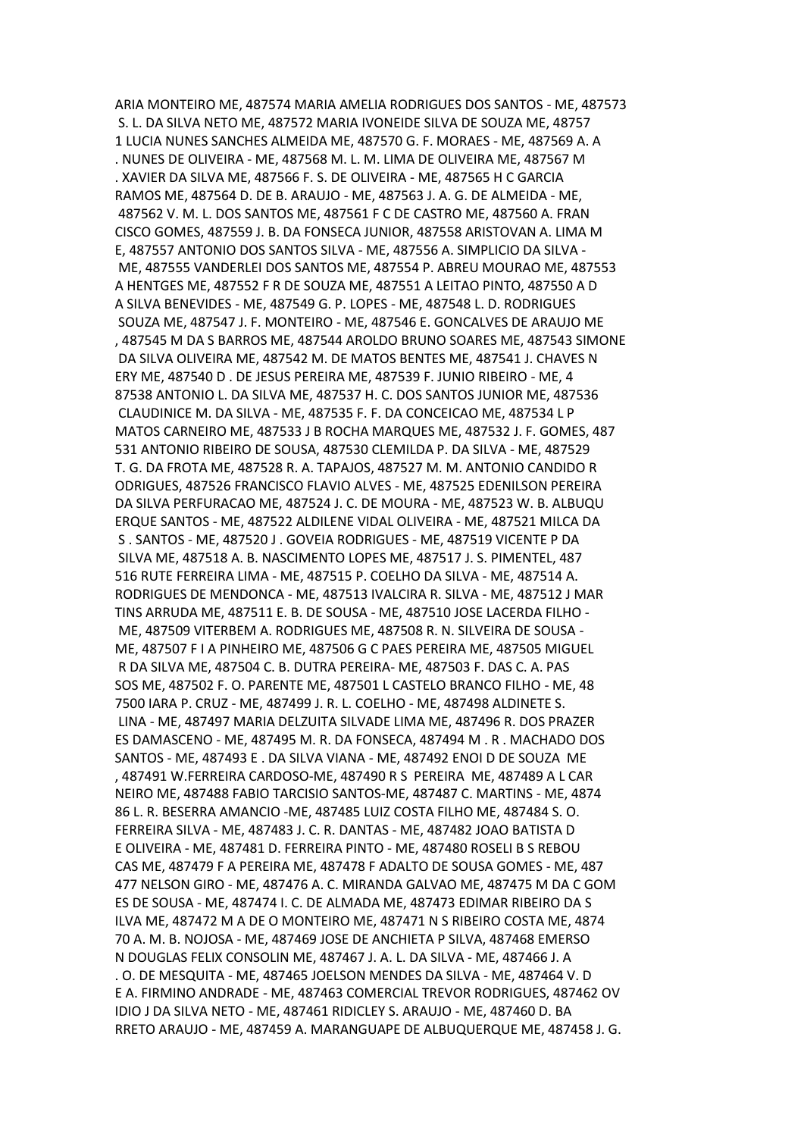ARIA MONTEIRO ME, 487574 MARIA AMELIA RODRIGUES DOS SANTOS - ME, 487573 S. L. DA SILVA NETO ME, 487572 MARIA IVONEIDE SILVA DE SOUZA ME, 48757 1 LUCIA NUNES SANCHES ALMEIDA ME, 487570 G. F. MORAES - ME, 487569 A. A . NUNES DE OLIVEIRA - ME, 487568 M. L. M. LIMA DE OLIVEIRA ME, 487567 M . XAVIER DA SILVA ME, 487566 F. S. DE OLIVEIRA - ME, 487565 H C GARCIA RAMOS ME, 487564 D. DE B. ARAUJO - ME, 487563 J. A. G. DE ALMEIDA - ME, 487562 V. M. L. DOS SANTOS ME, 487561 F C DE CASTRO ME, 487560 A. FRAN CISCO GOMES, 487559 J. B. DA FONSECA JUNIOR, 487558 ARISTOVAN A. LIMA M E, 487557 ANTONIO DOS SANTOS SILVA - ME, 487556 A. SIMPLICIO DA SILVA - ME, 487555 VANDERLEI DOS SANTOS ME, 487554 P. ABREU MOURAO ME, 487553 A HENTGES ME, 487552 F R DE SOUZA ME, 487551 A LEITAO PINTO, 487550 A D A SILVA BENEVIDES - ME, 487549 G. P. LOPES - ME, 487548 L. D. RODRIGUES SOUZA ME, 487547 J. F. MONTEIRO - ME, 487546 E. GONCALVES DE ARAUJO ME , 487545 M DA S BARROS ME, 487544 AROLDO BRUNO SOARES ME, 487543 SIMONE DA SILVA OLIVEIRA ME, 487542 M. DE MATOS BENTES ME, 487541 J. CHAVES N ERY ME, 487540 D . DE JESUS PEREIRA ME, 487539 F. JUNIO RIBEIRO - ME, 4 87538 ANTONIO L. DA SILVA ME, 487537 H. C. DOS SANTOS JUNIOR ME, 487536 CLAUDINICE M. DA SILVA - ME, 487535 F. F. DA CONCEICAO ME, 487534 L P MATOS CARNEIRO ME, 487533 J B ROCHA MARQUES ME, 487532 J. F. GOMES, 487 531 ANTONIO RIBEIRO DE SOUSA, 487530 CLEMILDA P. DA SILVA - ME, 487529 T. G. DA FROTA ME, 487528 R. A. TAPAJOS, 487527 M. M. ANTONIO CANDIDO R ODRIGUES, 487526 FRANCISCO FLAVIO ALVES - ME, 487525 EDENILSON PEREIRA DA SILVA PERFURACAO ME, 487524 J. C. DE MOURA - ME, 487523 W. B. ALBUQU ERQUE SANTOS - ME, 487522 ALDILENE VIDAL OLIVEIRA - ME, 487521 MILCA DA S . SANTOS - ME, 487520 J . GOVEIA RODRIGUES - ME, 487519 VICENTE P DA SILVA ME, 487518 A. B. NASCIMENTO LOPES ME, 487517 J. S. PIMENTEL, 487 516 RUTE FERREIRA LIMA - ME, 487515 P. COELHO DA SILVA - ME, 487514 A. RODRIGUES DE MENDONCA - ME, 487513 IVALCIRA R. SILVA - ME, 487512 J MAR TINS ARRUDA ME, 487511 E. B. DE SOUSA - ME, 487510 JOSE LACERDA FILHO - ME, 487509 VITERBEM A. RODRIGUES ME, 487508 R. N. SILVEIRA DE SOUSA - ME, 487507 F I A PINHEIRO ME, 487506 G C PAES PEREIRA ME, 487505 MIGUEL R DA SILVA ME, 487504 C. B. DUTRA PEREIRA- ME, 487503 F. DAS C. A. PAS SOS ME, 487502 F. O. PARENTE ME, 487501 L CASTELO BRANCO FILHO - ME, 48 7500 IARA P. CRUZ - ME, 487499 J. R. L. COELHO - ME, 487498 ALDINETE S. LINA - ME, 487497 MARIA DELZUITA SILVADE LIMA ME, 487496 R. DOS PRAZER ES DAMASCENO - ME, 487495 M. R. DA FONSECA, 487494 M . R . MACHADO DOS SANTOS - ME, 487493 E . DA SILVA VIANA - ME, 487492 ENOI D DE SOUZA ME , 487491 W.FERREIRA CARDOSO-ME, 487490 R S PEREIRA ME, 487489 A L CAR NEIRO ME, 487488 FABIO TARCISIO SANTOS-ME, 487487 C. MARTINS - ME, 4874 86 L. R. BESERRA AMANCIO -ME, 487485 LUIZ COSTA FILHO ME, 487484 S. O. FERREIRA SILVA - ME, 487483 J. C. R. DANTAS - ME, 487482 JOAO BATISTA D E OLIVEIRA - ME, 487481 D. FERREIRA PINTO - ME, 487480 ROSELI B S REBOU CAS ME, 487479 F A PEREIRA ME, 487478 F ADALTO DE SOUSA GOMES - ME, 487 477 NELSON GIRO - ME, 487476 A. C. MIRANDA GALVAO ME, 487475 M DA C GOM ES DE SOUSA - ME, 487474 I. C. DE ALMADA ME, 487473 EDIMAR RIBEIRO DA S ILVA ME, 487472 M A DE O MONTEIRO ME, 487471 N S RIBEIRO COSTA ME, 4874 70 A. M. B. NOJOSA - ME, 487469 JOSE DE ANCHIETA P SILVA, 487468 EMERSO N DOUGLAS FELIX CONSOLIN ME, 487467 J. A. L. DA SILVA - ME, 487466 J. A . O. DE MESQUITA - ME, 487465 JOELSON MENDES DA SILVA - ME, 487464 V. D E A. FIRMINO ANDRADE - ME, 487463 COMERCIAL TREVOR RODRIGUES, 487462 OV IDIO J DA SILVA NETO - ME, 487461 RIDICLEY S. ARAUJO - ME, 487460 D. BA RRETO ARAUJO - ME, 487459 A. MARANGUAPE DE ALBUQUERQUE ME, 487458 J. G.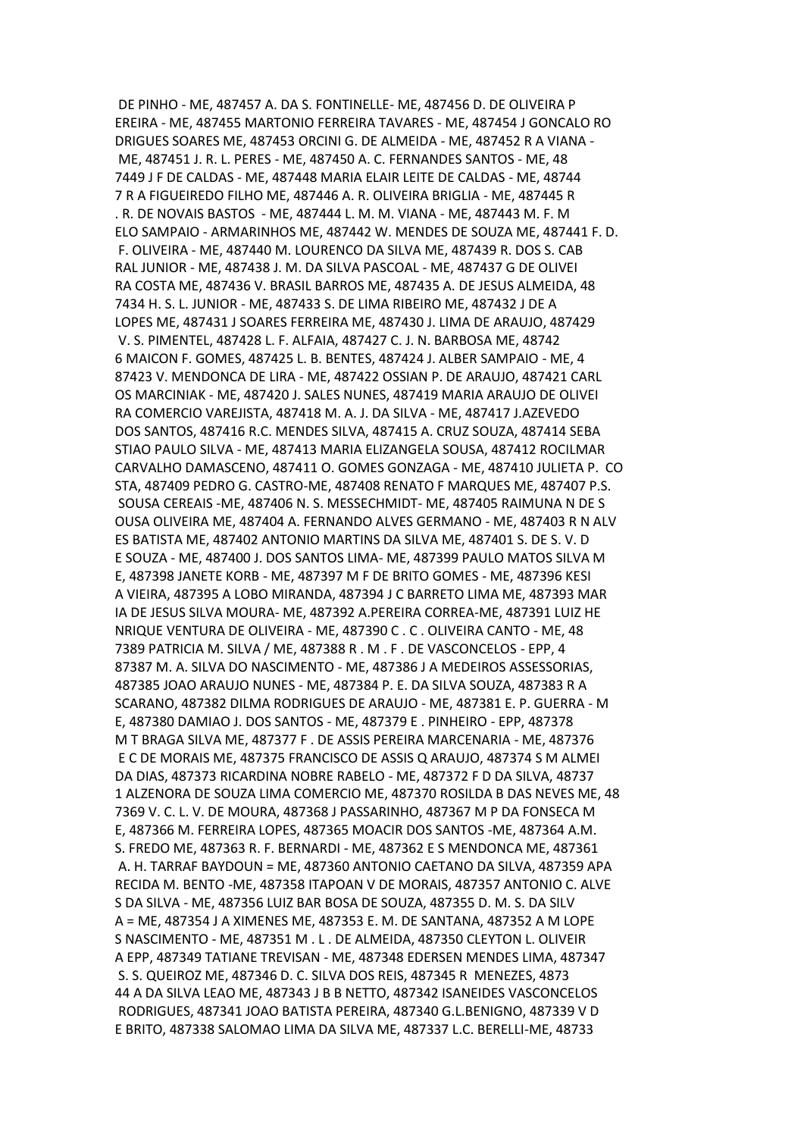DE PINHO - ME, 487457 A. DA S. FONTINELLE- ME, 487456 D. DE OLIVEIRA P EREIRA - ME, 487455 MARTONIO FERREIRA TAVARES - ME, 487454 J GONCALO RO DRIGUES SOARES ME, 487453 ORCINI G. DE ALMEIDA - ME, 487452 R A VIANA - ME, 487451 J. R. L. PERES - ME, 487450 A. C. FERNANDES SANTOS - ME, 48 7449 J F DE CALDAS - ME, 487448 MARIA ELAIR LEITE DE CALDAS - ME, 48744 7 R A FIGUEIREDO FILHO ME, 487446 A. R. OLIVEIRA BRIGLIA - ME, 487445 R . R. DE NOVAIS BASTOS - ME, 487444 L. M. M. VIANA - ME, 487443 M. F. M ELO SAMPAIO - ARMARINHOS ME, 487442 W. MENDES DE SOUZA ME, 487441 F. D. F. OLIVEIRA - ME, 487440 M. LOURENCO DA SILVA ME, 487439 R. DOS S. CAB RAL JUNIOR - ME, 487438 J. M. DA SILVA PASCOAL - ME, 487437 G DE OLIVEI RA COSTA ME, 487436 V. BRASIL BARROS ME, 487435 A. DE JESUS ALMEIDA, 48 7434 H. S. L. JUNIOR - ME, 487433 S. DE LIMA RIBEIRO ME, 487432 J DE A LOPES ME, 487431 J SOARES FERREIRA ME, 487430 J. LIMA DE ARAUJO, 487429 V. S. PIMENTEL, 487428 L. F. ALFAIA, 487427 C. J. N. BARBOSA ME, 48742 6 MAICON F. GOMES, 487425 L. B. BENTES, 487424 J. ALBER SAMPAIO - ME, 4 87423 V. MENDONCA DE LIRA - ME, 487422 OSSIAN P. DE ARAUJO, 487421 CARL OS MARCINIAK - ME, 487420 J. SALES NUNES, 487419 MARIA ARAUJO DE OLIVEI RA COMERCIO VAREJISTA, 487418 M. A. J. DA SILVA - ME, 487417 J.AZEVEDO DOS SANTOS, 487416 R.C. MENDES SILVA, 487415 A. CRUZ SOUZA, 487414 SEBA STIAO PAULO SILVA - ME, 487413 MARIA ELIZANGELA SOUSA, 487412 ROCILMAR CARVALHO DAMASCENO, 487411 O. GOMES GONZAGA - ME, 487410 JULIETA P. CO STA, 487409 PEDRO G. CASTRO-ME, 487408 RENATO F MARQUES ME, 487407 P.S. SOUSA CEREAIS -ME, 487406 N. S. MESSECHMIDT- ME, 487405 RAIMUNA N DE S OUSA OLIVEIRA ME, 487404 A. FERNANDO ALVES GERMANO - ME, 487403 R N ALV ES BATISTA ME, 487402 ANTONIO MARTINS DA SILVA ME, 487401 S. DE S. V. D E SOUZA - ME, 487400 J. DOS SANTOS LIMA- ME, 487399 PAULO MATOS SILVA M E, 487398 JANETE KORB - ME, 487397 M F DE BRITO GOMES - ME, 487396 KESI A VIEIRA, 487395 A LOBO MIRANDA, 487394 J C BARRETO LIMA ME, 487393 MAR IA DE JESUS SILVA MOURA- ME, 487392 A.PEREIRA CORREA-ME, 487391 LUIZ HE NRIQUE VENTURA DE OLIVEIRA - ME, 487390 C . C . OLIVEIRA CANTO - ME, 48 7389 PATRICIA M. SILVA / ME, 487388 R . M . F . DE VASCONCELOS - EPP, 4 87387 M. A. SILVA DO NASCIMENTO - ME, 487386 J A MEDEIROS ASSESSORIAS, 487385 JOAO ARAUJO NUNES - ME, 487384 P. E. DA SILVA SOUZA, 487383 R A SCARANO, 487382 DILMA RODRIGUES DE ARAUJO - ME, 487381 E. P. GUERRA - M E, 487380 DAMIAO J. DOS SANTOS - ME, 487379 E . PINHEIRO - EPP, 487378 M T BRAGA SILVA ME, 487377 F . DE ASSIS PEREIRA MARCENARIA - ME, 487376 E C DE MORAIS ME, 487375 FRANCISCO DE ASSIS Q ARAUJO, 487374 S M ALMEI DA DIAS, 487373 RICARDINA NOBRE RABELO - ME, 487372 F D DA SILVA, 48737 1 ALZENORA DE SOUZA LIMA COMERCIO ME, 487370 ROSILDA B DAS NEVES ME, 48 7369 V. C. L. V. DE MOURA, 487368 J PASSARINHO, 487367 M P DA FONSECA M E, 487366 M. FERREIRA LOPES, 487365 MOACIR DOS SANTOS -ME, 487364 A.M. S. FREDO ME, 487363 R. F. BERNARDI - ME, 487362 E S MENDONCA ME, 487361 A. H. TARRAF BAYDOUN = ME, 487360 ANTONIO CAETANO DA SILVA, 487359 APA RECIDA M. BENTO -ME, 487358 ITAPOAN V DE MORAIS, 487357 ANTONIO C. ALVE S DA SILVA - ME, 487356 LUIZ BAR BOSA DE SOUZA, 487355 D. M. S. DA SILV A = ME, 487354 J A XIMENES ME, 487353 E. M. DE SANTANA, 487352 A M LOPE S NASCIMENTO - ME, 487351 M . L . DE ALMEIDA, 487350 CLEYTON L. OLIVEIR A EPP, 487349 TATIANE TREVISAN - ME, 487348 EDERSEN MENDES LIMA, 487347 S. S. QUEIROZ ME, 487346 D. C. SILVA DOS REIS, 487345 R MENEZES, 4873 44 A DA SILVA LEAO ME, 487343 J B B NETTO, 487342 ISANEIDES VASCONCELOS RODRIGUES, 487341 JOAO BATISTA PEREIRA, 487340 G.L.BENIGNO, 487339 V D E BRITO, 487338 SALOMAO LIMA DA SILVA ME, 487337 L.C. BERELLI-ME, 48733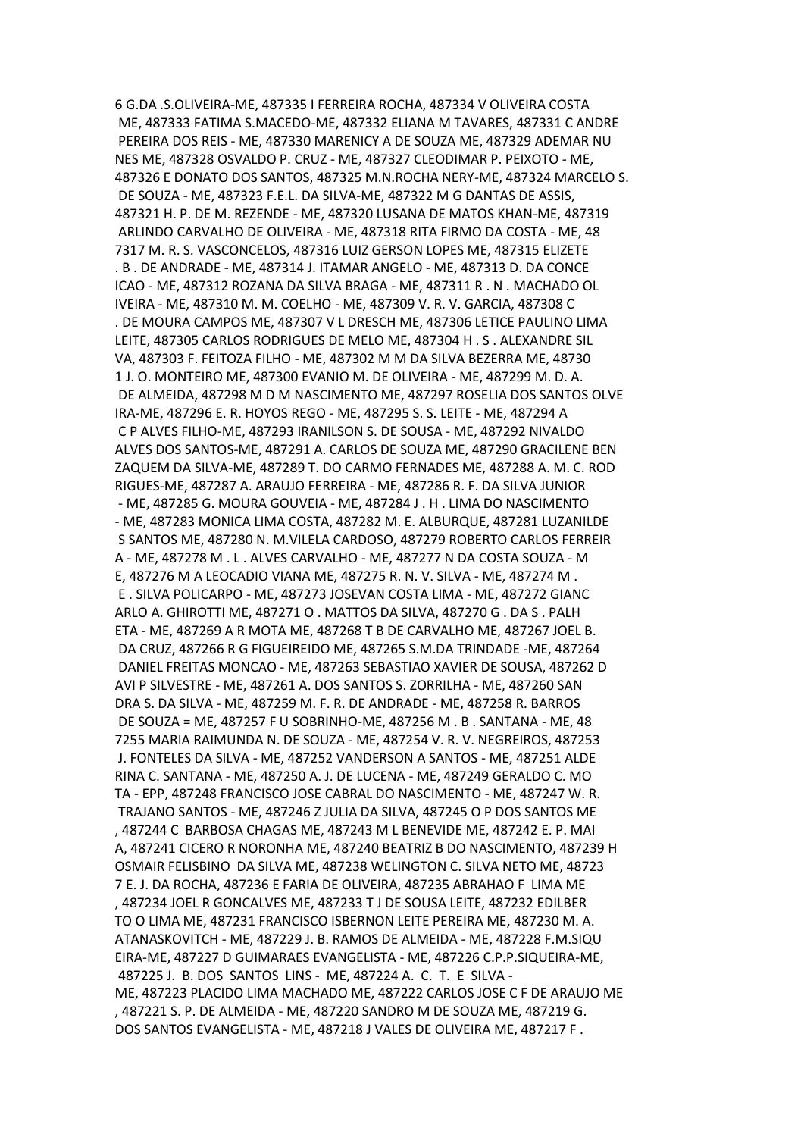6 G.DA .S.OLIVEIRA-ME, 487335 I FERREIRA ROCHA, 487334 V OLIVEIRA COSTA ME, 487333 FATIMA S.MACEDO-ME, 487332 ELIANA M TAVARES, 487331 C ANDRE PEREIRA DOS REIS - ME, 487330 MARENICY A DE SOUZA ME, 487329 ADEMAR NU NES ME, 487328 OSVALDO P. CRUZ - ME, 487327 CLEODIMAR P. PEIXOTO - ME, 487326 E DONATO DOS SANTOS, 487325 M.N.ROCHA NERY-ME, 487324 MARCELO S. DE SOUZA - ME, 487323 F.E.L. DA SILVA-ME, 487322 M G DANTAS DE ASSIS, 487321 H. P. DE M. REZENDE - ME, 487320 LUSANA DE MATOS KHAN-ME, 487319 ARLINDO CARVALHO DE OLIVEIRA - ME, 487318 RITA FIRMO DA COSTA - ME, 48 7317 M. R. S. VASCONCELOS, 487316 LUIZ GERSON LOPES ME, 487315 ELIZETE . B . DE ANDRADE - ME, 487314 J. ITAMAR ANGELO - ME, 487313 D. DA CONCE ICAO - ME, 487312 ROZANA DA SILVA BRAGA - ME, 487311 R . N . MACHADO OL IVEIRA - ME, 487310 M. M. COELHO - ME, 487309 V. R. V. GARCIA, 487308 C . DE MOURA CAMPOS ME, 487307 V L DRESCH ME, 487306 LETICE PAULINO LIMA LEITE, 487305 CARLOS RODRIGUES DE MELO ME, 487304 H . S . ALEXANDRE SIL VA, 487303 F. FEITOZA FILHO - ME, 487302 M M DA SILVA BEZERRA ME, 48730 1 J. O. MONTEIRO ME, 487300 EVANIO M. DE OLIVEIRA - ME, 487299 M. D. A. DE ALMEIDA, 487298 M D M NASCIMENTO ME, 487297 ROSELIA DOS SANTOS OLVE IRA-ME, 487296 E. R. HOYOS REGO - ME, 487295 S. S. LEITE - ME, 487294 A C P ALVES FILHO-ME, 487293 IRANILSON S. DE SOUSA - ME, 487292 NIVALDO ALVES DOS SANTOS-ME, 487291 A. CARLOS DE SOUZA ME, 487290 GRACILENE BEN ZAQUEM DA SILVA-ME, 487289 T. DO CARMO FERNADES ME, 487288 A. M. C. ROD RIGUES-ME, 487287 A. ARAUJO FERREIRA - ME, 487286 R. F. DA SILVA JUNIOR - ME, 487285 G. MOURA GOUVEIA - ME, 487284 J . H . LIMA DO NASCIMENTO - ME, 487283 MONICA LIMA COSTA, 487282 M. E. ALBURQUE, 487281 LUZANILDE S SANTOS ME, 487280 N. M.VILELA CARDOSO, 487279 ROBERTO CARLOS FERREIR A - ME, 487278 M . L . ALVES CARVALHO - ME, 487277 N DA COSTA SOUZA - M E, 487276 M A LEOCADIO VIANA ME, 487275 R. N. V. SILVA - ME, 487274 M . E . SILVA POLICARPO - ME, 487273 JOSEVAN COSTA LIMA - ME, 487272 GIANC ARLO A. GHIROTTI ME, 487271 O . MATTOS DA SILVA, 487270 G . DA S . PALH ETA - ME, 487269 A R MOTA ME, 487268 T B DE CARVALHO ME, 487267 JOEL B. DA CRUZ, 487266 R G FIGUEIREIDO ME, 487265 S.M.DA TRINDADE -ME, 487264 DANIEL FREITAS MONCAO - ME, 487263 SEBASTIAO XAVIER DE SOUSA, 487262 D AVI P SILVESTRE - ME, 487261 A. DOS SANTOS S. ZORRILHA - ME, 487260 SAN DRA S. DA SILVA - ME, 487259 M. F. R. DE ANDRADE - ME, 487258 R. BARROS DE SOUZA = ME, 487257 F U SOBRINHO-ME, 487256 M . B . SANTANA - ME, 48 7255 MARIA RAIMUNDA N. DE SOUZA - ME, 487254 V. R. V. NEGREIROS, 487253 J. FONTELES DA SILVA - ME, 487252 VANDERSON A SANTOS - ME, 487251 ALDE RINA C. SANTANA - ME, 487250 A. J. DE LUCENA - ME, 487249 GERALDO C. MO TA - EPP, 487248 FRANCISCO JOSE CABRAL DO NASCIMENTO - ME, 487247 W. R. TRAJANO SANTOS - ME, 487246 Z JULIA DA SILVA, 487245 O P DOS SANTOS ME , 487244 C BARBOSA CHAGAS ME, 487243 M L BENEVIDE ME, 487242 E. P. MAI A, 487241 CICERO R NORONHA ME, 487240 BEATRIZ B DO NASCIMENTO, 487239 H OSMAIR FELISBINO DA SILVA ME, 487238 WELINGTON C. SILVA NETO ME, 48723 7 E. J. DA ROCHA, 487236 E FARIA DE OLIVEIRA, 487235 ABRAHAO F LIMA ME , 487234 JOEL R GONCALVES ME, 487233 T J DE SOUSA LEITE, 487232 EDILBER TO O LIMA ME, 487231 FRANCISCO ISBERNON LEITE PEREIRA ME, 487230 M. A. ATANASKOVITCH - ME, 487229 J. B. RAMOS DE ALMEIDA - ME, 487228 F.M.SIQU EIRA-ME, 487227 D GUIMARAES EVANGELISTA - ME, 487226 C.P.P.SIQUEIRA-ME, 487225 J. B. DOS SANTOS LINS - ME, 487224 A. C. T. E SILVA - ME, 487223 PLACIDO LIMA MACHADO ME, 487222 CARLOS JOSE C F DE ARAUJO ME , 487221 S. P. DE ALMEIDA - ME, 487220 SANDRO M DE SOUZA ME, 487219 G. DOS SANTOS EVANGELISTA - ME, 487218 J VALES DE OLIVEIRA ME, 487217 F .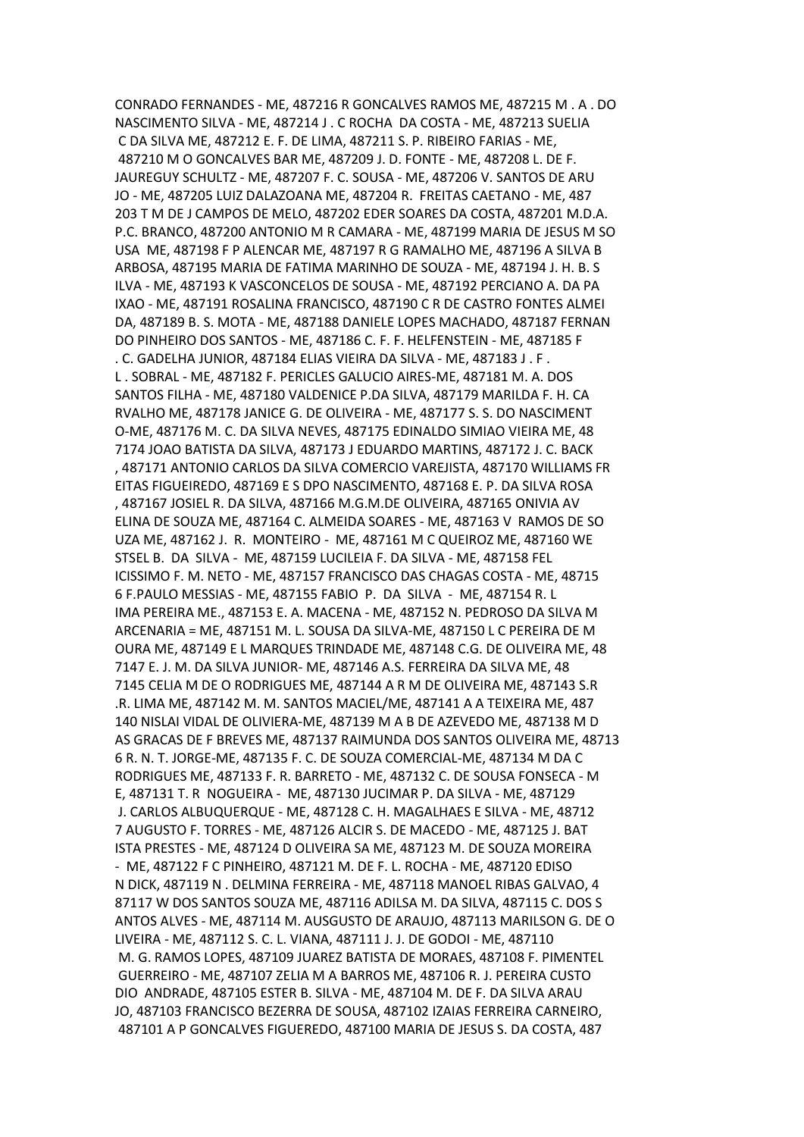CONRADO FERNANDES - ME, 487216 R GONCALVES RAMOS ME, 487215 M . A . DO NASCIMENTO SILVA - ME, 487214 J . C ROCHA DA COSTA - ME, 487213 SUELIA C DA SILVA ME, 487212 E. F. DE LIMA, 487211 S. P. RIBEIRO FARIAS - ME, 487210 M O GONCALVES BAR ME, 487209 J. D. FONTE - ME, 487208 L. DE F. JAUREGUY SCHULTZ - ME, 487207 F. C. SOUSA - ME, 487206 V. SANTOS DE ARU JO - ME, 487205 LUIZ DALAZOANA ME, 487204 R. FREITAS CAETANO - ME, 487 203 T M DE J CAMPOS DE MELO, 487202 EDER SOARES DA COSTA, 487201 M.D.A. P.C. BRANCO, 487200 ANTONIO M R CAMARA - ME, 487199 MARIA DE JESUS M SO USA ME, 487198 F P ALENCAR ME, 487197 R G RAMALHO ME, 487196 A SILVA B ARBOSA, 487195 MARIA DE FATIMA MARINHO DE SOUZA - ME, 487194 J. H. B. S ILVA - ME, 487193 K VASCONCELOS DE SOUSA - ME, 487192 PERCIANO A. DA PA IXAO - ME, 487191 ROSALINA FRANCISCO, 487190 C R DE CASTRO FONTES ALMEI DA, 487189 B. S. MOTA - ME, 487188 DANIELE LOPES MACHADO, 487187 FERNAN DO PINHEIRO DOS SANTOS - ME, 487186 C. F. F. HELFENSTEIN - ME, 487185 F . C. GADELHA JUNIOR, 487184 ELIAS VIEIRA DA SILVA - ME, 487183 J . F . L . SOBRAL - ME, 487182 F. PERICLES GALUCIO AIRES-ME, 487181 M. A. DOS SANTOS FILHA - ME, 487180 VALDENICE P.DA SILVA, 487179 MARILDA F. H. CA RVALHO ME, 487178 JANICE G. DE OLIVEIRA - ME, 487177 S. S. DO NASCIMENT O-ME, 487176 M. C. DA SILVA NEVES, 487175 EDINALDO SIMIAO VIEIRA ME, 48 7174 JOAO BATISTA DA SILVA, 487173 J EDUARDO MARTINS, 487172 J. C. BACK , 487171 ANTONIO CARLOS DA SILVA COMERCIO VAREJISTA, 487170 WILLIAMS FR EITAS FIGUEIREDO, 487169 E S DPO NASCIMENTO, 487168 E. P. DA SILVA ROSA , 487167 JOSIEL R. DA SILVA, 487166 M.G.M.DE OLIVEIRA, 487165 ONIVIA AV ELINA DE SOUZA ME, 487164 C. ALMEIDA SOARES - ME, 487163 V RAMOS DE SO UZA ME, 487162 J. R. MONTEIRO - ME, 487161 M C QUEIROZ ME, 487160 WE STSEL B. DA SILVA - ME, 487159 LUCILEIA F. DA SILVA - ME, 487158 FEL ICISSIMO F. M. NETO - ME, 487157 FRANCISCO DAS CHAGAS COSTA - ME, 48715 6 F.PAULO MESSIAS - ME, 487155 FABIO P. DA SILVA - ME, 487154 R. L IMA PEREIRA ME., 487153 E. A. MACENA - ME, 487152 N. PEDROSO DA SILVA M ARCENARIA = ME, 487151 M. L. SOUSA DA SILVA-ME, 487150 L C PEREIRA DE M OURA ME, 487149 E L MARQUES TRINDADE ME, 487148 C.G. DE OLIVEIRA ME, 48 7147 E. J. M. DA SILVA JUNIOR- ME, 487146 A.S. FERREIRA DA SILVA ME, 48 7145 CELIA M DE O RODRIGUES ME, 487144 A R M DE OLIVEIRA ME, 487143 S.R .R. LIMA ME, 487142 M. M. SANTOS MACIEL/ME, 487141 A A TEIXEIRA ME, 487 140 NISLAI VIDAL DE OLIVIERA-ME, 487139 M A B DE AZEVEDO ME, 487138 M D AS GRACAS DE F BREVES ME, 487137 RAIMUNDA DOS SANTOS OLIVEIRA ME, 48713 6 R. N. T. JORGE-ME, 487135 F. C. DE SOUZA COMERCIAL-ME, 487134 M DA C RODRIGUES ME, 487133 F. R. BARRETO - ME, 487132 C. DE SOUSA FONSECA - M E, 487131 T. R NOGUEIRA - ME, 487130 JUCIMAR P. DA SILVA - ME, 487129 J. CARLOS ALBUQUERQUE - ME, 487128 C. H. MAGALHAES E SILVA - ME, 48712 7 AUGUSTO F. TORRES - ME, 487126 ALCIR S. DE MACEDO - ME, 487125 J. BAT ISTA PRESTES - ME, 487124 D OLIVEIRA SA ME, 487123 M. DE SOUZA MOREIRA - ME, 487122 F C PINHEIRO, 487121 M. DE F. L. ROCHA - ME, 487120 EDISO N DICK, 487119 N . DELMINA FERREIRA - ME, 487118 MANOEL RIBAS GALVAO, 4 87117 W DOS SANTOS SOUZA ME, 487116 ADILSA M. DA SILVA, 487115 C. DOS S ANTOS ALVES - ME, 487114 M. AUSGUSTO DE ARAUJO, 487113 MARILSON G. DE O LIVEIRA - ME, 487112 S. C. L. VIANA, 487111 J. J. DE GODOI - ME, 487110 M. G. RAMOS LOPES, 487109 JUAREZ BATISTA DE MORAES, 487108 F. PIMENTEL GUERREIRO - ME, 487107 ZELIA M A BARROS ME, 487106 R. J. PEREIRA CUSTO DIO ANDRADE, 487105 ESTER B. SILVA - ME, 487104 M. DE F. DA SILVA ARAU JO, 487103 FRANCISCO BEZERRA DE SOUSA, 487102 IZAIAS FERREIRA CARNEIRO, 487101 A P GONCALVES FIGUEREDO, 487100 MARIA DE JESUS S. DA COSTA, 487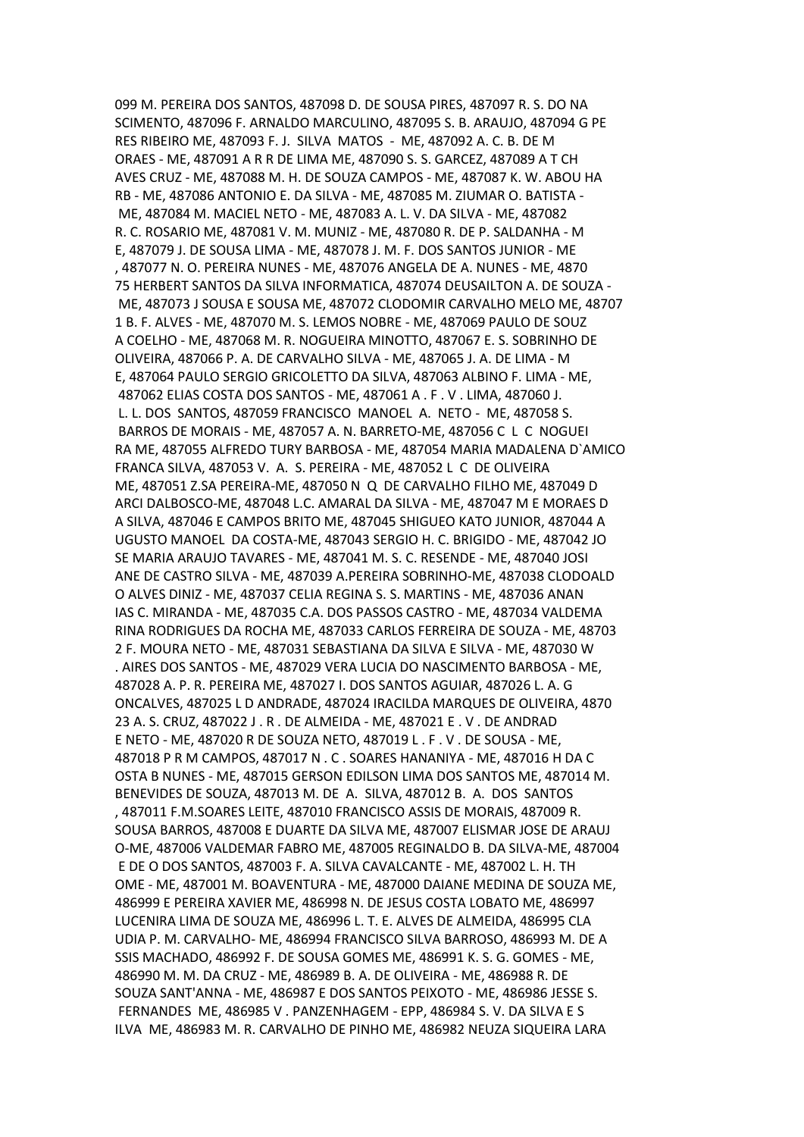099 M. PEREIRA DOS SANTOS, 487098 D. DE SOUSA PIRES, 487097 R. S. DO NA SCIMENTO, 487096 F. ARNALDO MARCULINO, 487095 S. B. ARAUJO, 487094 G PE RES RIBEIRO ME, 487093 F. J. SILVA MATOS - ME, 487092 A. C. B. DE M ORAES - ME, 487091 A R R DE LIMA ME, 487090 S. S. GARCEZ, 487089 A T CH AVES CRUZ - ME, 487088 M. H. DE SOUZA CAMPOS - ME, 487087 K. W. ABOU HA RB - ME, 487086 ANTONIO E. DA SILVA - ME, 487085 M. ZIUMAR O. BATISTA - ME, 487084 M. MACIEL NETO - ME, 487083 A. L. V. DA SILVA - ME, 487082 R. C. ROSARIO ME, 487081 V. M. MUNIZ - ME, 487080 R. DE P. SALDANHA - M E, 487079 J. DE SOUSA LIMA - ME, 487078 J. M. F. DOS SANTOS JUNIOR - ME , 487077 N. O. PEREIRA NUNES - ME, 487076 ANGELA DE A. NUNES - ME, 4870 75 HERBERT SANTOS DA SILVA INFORMATICA, 487074 DEUSAILTON A. DE SOUZA - ME, 487073 J SOUSA E SOUSA ME, 487072 CLODOMIR CARVALHO MELO ME, 48707 1 B. F. ALVES - ME, 487070 M. S. LEMOS NOBRE - ME, 487069 PAULO DE SOUZ A COELHO - ME, 487068 M. R. NOGUEIRA MINOTTO, 487067 E. S. SOBRINHO DE OLIVEIRA, 487066 P. A. DE CARVALHO SILVA - ME, 487065 J. A. DE LIMA - M E, 487064 PAULO SERGIO GRICOLETTO DA SILVA, 487063 ALBINO F. LIMA - ME, 487062 ELIAS COSTA DOS SANTOS - ME, 487061 A . F . V . LIMA, 487060 J. L. L. DOS SANTOS, 487059 FRANCISCO MANOEL A. NETO - ME, 487058 S. BARROS DE MORAIS - ME, 487057 A. N. BARRETO-ME, 487056 C L C NOGUEI RA ME, 487055 ALFREDO TURY BARBOSA - ME, 487054 MARIA MADALENA D`AMICO FRANCA SILVA, 487053 V. A. S. PEREIRA - ME, 487052 L C DE OLIVEIRA ME, 487051 Z.SA PEREIRA-ME, 487050 N Q DE CARVALHO FILHO ME, 487049 D ARCI DALBOSCO-ME, 487048 L.C. AMARAL DA SILVA - ME, 487047 M E MORAES D A SILVA, 487046 E CAMPOS BRITO ME, 487045 SHIGUEO KATO JUNIOR, 487044 A UGUSTO MANOEL DA COSTA-ME, 487043 SERGIO H. C. BRIGIDO - ME, 487042 JO SE MARIA ARAUJO TAVARES - ME, 487041 M. S. C. RESENDE - ME, 487040 JOSI ANE DE CASTRO SILVA - ME, 487039 A.PEREIRA SOBRINHO-ME, 487038 CLODOALD O ALVES DINIZ - ME, 487037 CELIA REGINA S. S. MARTINS - ME, 487036 ANAN IAS C. MIRANDA - ME, 487035 C.A. DOS PASSOS CASTRO - ME, 487034 VALDEMA RINA RODRIGUES DA ROCHA ME, 487033 CARLOS FERREIRA DE SOUZA - ME, 48703 2 F. MOURA NETO - ME, 487031 SEBASTIANA DA SILVA E SILVA - ME, 487030 W . AIRES DOS SANTOS - ME, 487029 VERA LUCIA DO NASCIMENTO BARBOSA - ME, 487028 A. P. R. PEREIRA ME, 487027 I. DOS SANTOS AGUIAR, 487026 L. A. G ONCALVES, 487025 L D ANDRADE, 487024 IRACILDA MARQUES DE OLIVEIRA, 4870 23 A. S. CRUZ, 487022 J . R . DE ALMEIDA - ME, 487021 E . V . DE ANDRAD E NETO - ME, 487020 R DE SOUZA NETO, 487019 L . F . V . DE SOUSA - ME, 487018 P R M CAMPOS, 487017 N . C . SOARES HANANIYA - ME, 487016 H DA C OSTA B NUNES - ME, 487015 GERSON EDILSON LIMA DOS SANTOS ME, 487014 M. BENEVIDES DE SOUZA, 487013 M. DE A. SILVA, 487012 B. A. DOS SANTOS , 487011 F.M.SOARES LEITE, 487010 FRANCISCO ASSIS DE MORAIS, 487009 R. SOUSA BARROS, 487008 E DUARTE DA SILVA ME, 487007 ELISMAR JOSE DE ARAUJ O-ME, 487006 VALDEMAR FABRO ME, 487005 REGINALDO B. DA SILVA-ME, 487004 E DE O DOS SANTOS, 487003 F. A. SILVA CAVALCANTE - ME, 487002 L. H. TH OME - ME, 487001 M. BOAVENTURA - ME, 487000 DAIANE MEDINA DE SOUZA ME, 486999 E PEREIRA XAVIER ME, 486998 N. DE JESUS COSTA LOBATO ME, 486997 LUCENIRA LIMA DE SOUZA ME, 486996 L. T. E. ALVES DE ALMEIDA, 486995 CLA UDIA P. M. CARVALHO- ME, 486994 FRANCISCO SILVA BARROSO, 486993 M. DE A SSIS MACHADO, 486992 F. DE SOUSA GOMES ME, 486991 K. S. G. GOMES - ME, 486990 M. M. DA CRUZ - ME, 486989 B. A. DE OLIVEIRA - ME, 486988 R. DE SOUZA SANT'ANNA - ME, 486987 E DOS SANTOS PEIXOTO - ME, 486986 JESSE S. FERNANDES ME, 486985 V . PANZENHAGEM - EPP, 486984 S. V. DA SILVA E S ILVA ME, 486983 M. R. CARVALHO DE PINHO ME, 486982 NEUZA SIQUEIRA LARA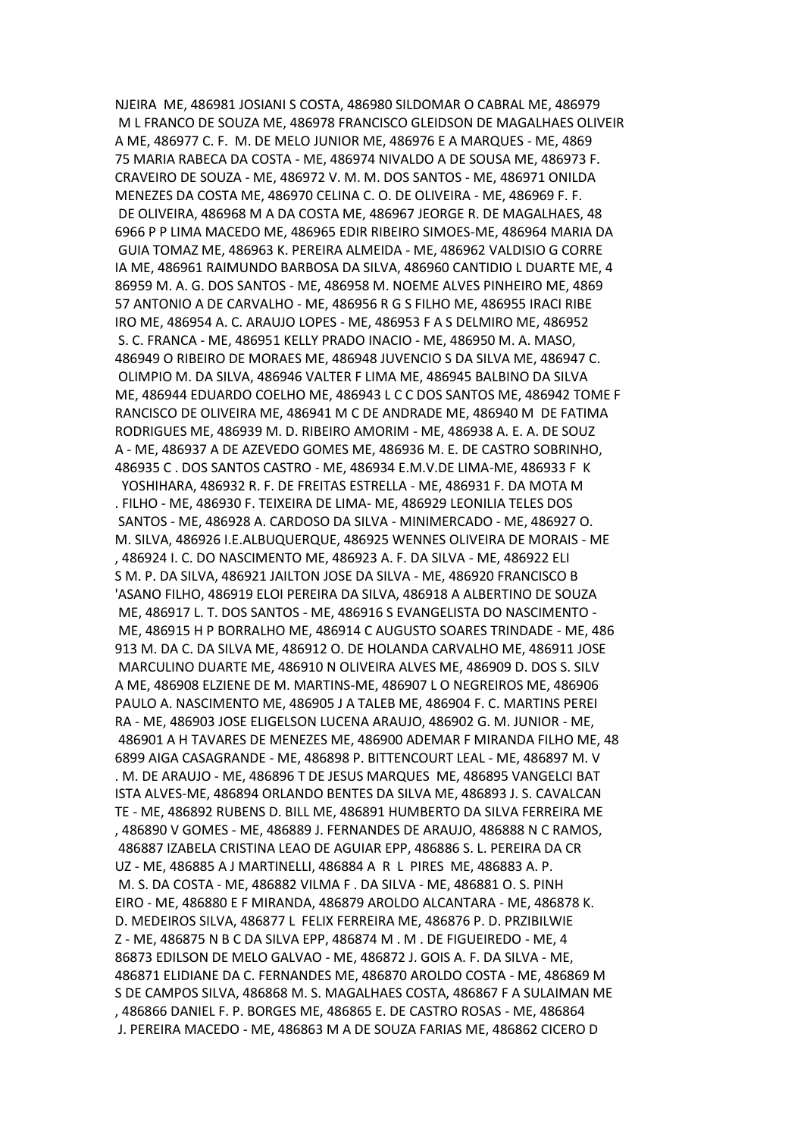NJEIRA ME, 486981 JOSIANI S COSTA, 486980 SILDOMAR O CABRAL ME, 486979 M L FRANCO DE SOUZA ME, 486978 FRANCISCO GLEIDSON DE MAGALHAES OLIVEIR A ME, 486977 C. F. M. DE MELO JUNIOR ME, 486976 E A MARQUES - ME, 4869 75 MARIA RABECA DA COSTA - ME, 486974 NIVALDO A DE SOUSA ME, 486973 F. CRAVEIRO DE SOUZA - ME, 486972 V. M. M. DOS SANTOS - ME, 486971 ONILDA MENEZES DA COSTA ME, 486970 CELINA C. O. DE OLIVEIRA - ME, 486969 F. F. DE OLIVEIRA, 486968 M A DA COSTA ME, 486967 JEORGE R. DE MAGALHAES, 48 6966 P P LIMA MACEDO ME, 486965 EDIR RIBEIRO SIMOES-ME, 486964 MARIA DA GUIA TOMAZ ME, 486963 K. PEREIRA ALMEIDA - ME, 486962 VALDISIO G CORRE IA ME, 486961 RAIMUNDO BARBOSA DA SILVA, 486960 CANTIDIO L DUARTE ME, 4 86959 M. A. G. DOS SANTOS - ME, 486958 M. NOEME ALVES PINHEIRO ME, 4869 57 ANTONIO A DE CARVALHO - ME, 486956 R G S FILHO ME, 486955 IRACI RIBE IRO ME, 486954 A. C. ARAUJO LOPES - ME, 486953 F A S DELMIRO ME, 486952 S. C. FRANCA - ME, 486951 KELLY PRADO INACIO - ME, 486950 M. A. MASO, 486949 O RIBEIRO DE MORAES ME, 486948 JUVENCIO S DA SILVA ME, 486947 C. OLIMPIO M. DA SILVA, 486946 VALTER F LIMA ME, 486945 BALBINO DA SILVA ME, 486944 EDUARDO COELHO ME, 486943 L C C DOS SANTOS ME, 486942 TOME F RANCISCO DE OLIVEIRA ME, 486941 M C DE ANDRADE ME, 486940 M DE FATIMA RODRIGUES ME, 486939 M. D. RIBEIRO AMORIM - ME, 486938 A. E. A. DE SOUZ A - ME, 486937 A DE AZEVEDO GOMES ME, 486936 M. E. DE CASTRO SOBRINHO, 486935 C . DOS SANTOS CASTRO - ME, 486934 E.M.V.DE LIMA-ME, 486933 F K YOSHIHARA, 486932 R. F. DE FREITAS ESTRELLA - ME, 486931 F. DA MOTA M . FILHO - ME, 486930 F. TEIXEIRA DE LIMA- ME, 486929 LEONILIA TELES DOS SANTOS - ME, 486928 A. CARDOSO DA SILVA - MINIMERCADO - ME, 486927 O. M. SILVA, 486926 I.E.ALBUQUERQUE, 486925 WENNES OLIVEIRA DE MORAIS - ME , 486924 I. C. DO NASCIMENTO ME, 486923 A. F. DA SILVA - ME, 486922 ELI S M. P. DA SILVA, 486921 JAILTON JOSE DA SILVA - ME, 486920 FRANCISCO B 'ASANO FILHO, 486919 ELOI PEREIRA DA SILVA, 486918 A ALBERTINO DE SOUZA ME, 486917 L. T. DOS SANTOS - ME, 486916 S EVANGELISTA DO NASCIMENTO - ME, 486915 H P BORRALHO ME, 486914 C AUGUSTO SOARES TRINDADE - ME, 486 913 M. DA C. DA SILVA ME, 486912 O. DE HOLANDA CARVALHO ME, 486911 JOSE MARCULINO DUARTE ME, 486910 N OLIVEIRA ALVES ME, 486909 D. DOS S. SILV A ME, 486908 ELZIENE DE M. MARTINS-ME, 486907 L O NEGREIROS ME, 486906 PAULO A. NASCIMENTO ME, 486905 J A TALEB ME, 486904 F. C. MARTINS PEREI RA - ME, 486903 JOSE ELIGELSON LUCENA ARAUJO, 486902 G. M. JUNIOR - ME, 486901 A H TAVARES DE MENEZES ME, 486900 ADEMAR F MIRANDA FILHO ME, 48 6899 AIGA CASAGRANDE - ME, 486898 P. BITTENCOURT LEAL - ME, 486897 M. V . M. DE ARAUJO - ME, 486896 T DE JESUS MARQUES ME, 486895 VANGELCI BAT ISTA ALVES-ME, 486894 ORLANDO BENTES DA SILVA ME, 486893 J. S. CAVALCAN TE - ME, 486892 RUBENS D. BILL ME, 486891 HUMBERTO DA SILVA FERREIRA ME , 486890 V GOMES - ME, 486889 J. FERNANDES DE ARAUJO, 486888 N C RAMOS, 486887 IZABELA CRISTINA LEAO DE AGUIAR EPP, 486886 S. L. PEREIRA DA CR UZ - ME, 486885 A J MARTINELLI, 486884 A R L PIRES ME, 486883 A. P. M. S. DA COSTA - ME, 486882 VILMA F . DA SILVA - ME, 486881 O. S. PINH EIRO - ME, 486880 E F MIRANDA, 486879 AROLDO ALCANTARA - ME, 486878 K. D. MEDEIROS SILVA, 486877 L FELIX FERREIRA ME, 486876 P. D. PRZIBILWIE Z - ME, 486875 N B C DA SILVA EPP, 486874 M . M . DE FIGUEIREDO - ME, 4 86873 EDILSON DE MELO GALVAO - ME, 486872 J. GOIS A. F. DA SILVA - ME, 486871 ELIDIANE DA C. FERNANDES ME, 486870 AROLDO COSTA - ME, 486869 M S DE CAMPOS SILVA, 486868 M. S. MAGALHAES COSTA, 486867 F A SULAIMAN ME , 486866 DANIEL F. P. BORGES ME, 486865 E. DE CASTRO ROSAS - ME, 486864 J. PEREIRA MACEDO - ME, 486863 M A DE SOUZA FARIAS ME, 486862 CICERO D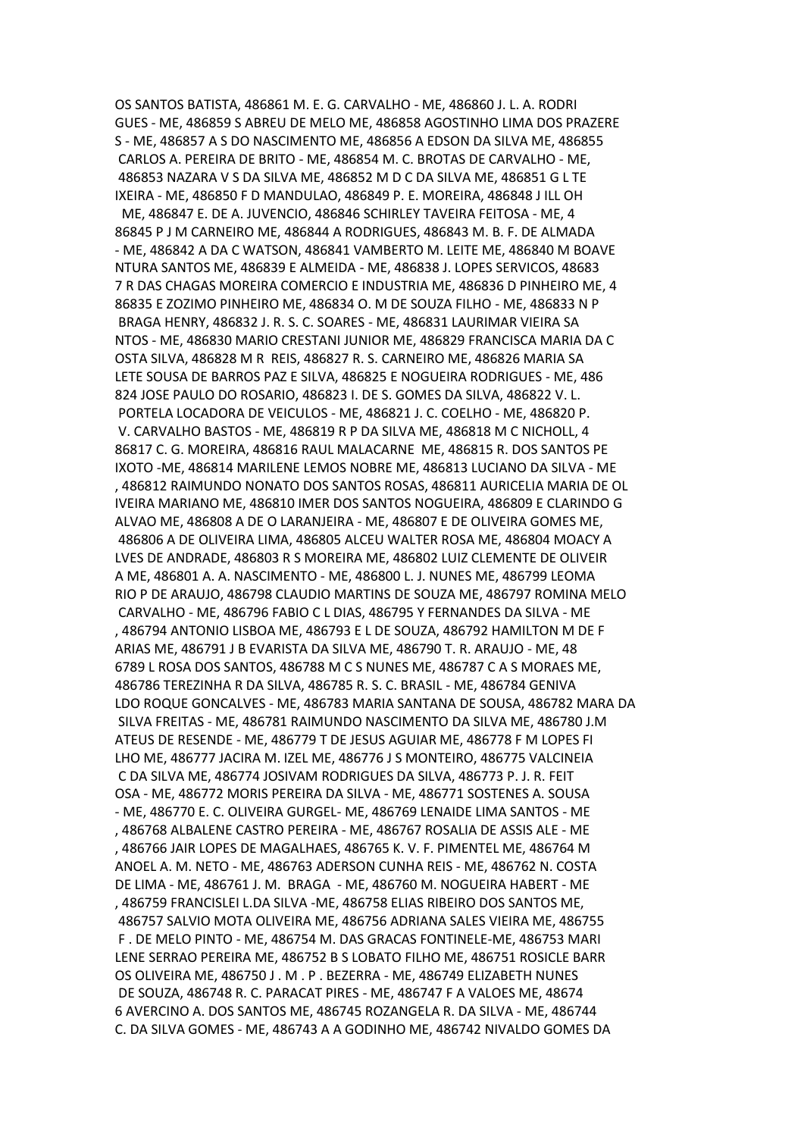OS SANTOS BATISTA, 486861 M. E. G. CARVALHO - ME, 486860 J. L. A. RODRI GUES - ME, 486859 S ABREU DE MELO ME, 486858 AGOSTINHO LIMA DOS PRAZERE S - ME, 486857 A S DO NASCIMENTO ME, 486856 A EDSON DA SILVA ME, 486855 CARLOS A. PEREIRA DE BRITO - ME, 486854 M. C. BROTAS DE CARVALHO - ME, 486853 NAZARA V S DA SILVA ME, 486852 M D C DA SILVA ME, 486851 G L TE IXEIRA - ME, 486850 F D MANDULAO, 486849 P. E. MOREIRA, 486848 J ILL OH ME, 486847 E. DE A. JUVENCIO, 486846 SCHIRLEY TAVEIRA FEITOSA - ME, 4 86845 P J M CARNEIRO ME, 486844 A RODRIGUES, 486843 M. B. F. DE ALMADA - ME, 486842 A DA C WATSON, 486841 VAMBERTO M. LEITE ME, 486840 M BOAVE NTURA SANTOS ME, 486839 E ALMEIDA - ME, 486838 J. LOPES SERVICOS, 48683 7 R DAS CHAGAS MOREIRA COMERCIO E INDUSTRIA ME, 486836 D PINHEIRO ME, 4 86835 E ZOZIMO PINHEIRO ME, 486834 O. M DE SOUZA FILHO - ME, 486833 N P BRAGA HENRY, 486832 J. R. S. C. SOARES - ME, 486831 LAURIMAR VIEIRA SA NTOS - ME, 486830 MARIO CRESTANI JUNIOR ME, 486829 FRANCISCA MARIA DA C OSTA SILVA, 486828 M R REIS, 486827 R. S. CARNEIRO ME, 486826 MARIA SA LETE SOUSA DE BARROS PAZ E SILVA, 486825 E NOGUEIRA RODRIGUES - ME, 486 824 JOSE PAULO DO ROSARIO, 486823 I. DE S. GOMES DA SILVA, 486822 V. L. PORTELA LOCADORA DE VEICULOS - ME, 486821 J. C. COELHO - ME, 486820 P. V. CARVALHO BASTOS - ME, 486819 R P DA SILVA ME, 486818 M C NICHOLL, 4 86817 C. G. MOREIRA, 486816 RAUL MALACARNE ME, 486815 R. DOS SANTOS PE IXOTO -ME, 486814 MARILENE LEMOS NOBRE ME, 486813 LUCIANO DA SILVA - ME , 486812 RAIMUNDO NONATO DOS SANTOS ROSAS, 486811 AURICELIA MARIA DE OL IVEIRA MARIANO ME, 486810 IMER DOS SANTOS NOGUEIRA, 486809 E CLARINDO G ALVAO ME, 486808 A DE O LARANJEIRA - ME, 486807 E DE OLIVEIRA GOMES ME, 486806 A DE OLIVEIRA LIMA, 486805 ALCEU WALTER ROSA ME, 486804 MOACY A LVES DE ANDRADE, 486803 R S MOREIRA ME, 486802 LUIZ CLEMENTE DE OLIVEIR A ME, 486801 A. A. NASCIMENTO - ME, 486800 L. J. NUNES ME, 486799 LEOMA RIO P DE ARAUJO, 486798 CLAUDIO MARTINS DE SOUZA ME, 486797 ROMINA MELO CARVALHO - ME, 486796 FABIO C L DIAS, 486795 Y FERNANDES DA SILVA - ME , 486794 ANTONIO LISBOA ME, 486793 E L DE SOUZA, 486792 HAMILTON M DE F ARIAS ME, 486791 J B EVARISTA DA SILVA ME, 486790 T. R. ARAUJO - ME, 48 6789 L ROSA DOS SANTOS, 486788 M C S NUNES ME, 486787 C A S MORAES ME, 486786 TEREZINHA R DA SILVA, 486785 R. S. C. BRASIL - ME, 486784 GENIVA LDO ROQUE GONCALVES - ME, 486783 MARIA SANTANA DE SOUSA, 486782 MARA DA SILVA FREITAS - ME, 486781 RAIMUNDO NASCIMENTO DA SILVA ME, 486780 J.M ATEUS DE RESENDE - ME, 486779 T DE JESUS AGUIAR ME, 486778 F M LOPES FI LHO ME, 486777 JACIRA M. IZEL ME, 486776 J S MONTEIRO, 486775 VALCINEIA C DA SILVA ME, 486774 JOSIVAM RODRIGUES DA SILVA, 486773 P. J. R. FEIT OSA - ME, 486772 MORIS PEREIRA DA SILVA - ME, 486771 SOSTENES A. SOUSA - ME, 486770 E. C. OLIVEIRA GURGEL- ME, 486769 LENAIDE LIMA SANTOS - ME , 486768 ALBALENE CASTRO PEREIRA - ME, 486767 ROSALIA DE ASSIS ALE - ME , 486766 JAIR LOPES DE MAGALHAES, 486765 K. V. F. PIMENTEL ME, 486764 M ANOEL A. M. NETO - ME, 486763 ADERSON CUNHA REIS - ME, 486762 N. COSTA DE LIMA - ME, 486761 J. M. BRAGA - ME, 486760 M. NOGUEIRA HABERT - ME , 486759 FRANCISLEI L.DA SILVA -ME, 486758 ELIAS RIBEIRO DOS SANTOS ME, 486757 SALVIO MOTA OLIVEIRA ME, 486756 ADRIANA SALES VIEIRA ME, 486755 F . DE MELO PINTO - ME, 486754 M. DAS GRACAS FONTINELE-ME, 486753 MARI LENE SERRAO PEREIRA ME, 486752 B S LOBATO FILHO ME, 486751 ROSICLE BARR OS OLIVEIRA ME, 486750 J . M . P . BEZERRA - ME, 486749 ELIZABETH NUNES DE SOUZA, 486748 R. C. PARACAT PIRES - ME, 486747 F A VALOES ME, 48674 6 AVERCINO A. DOS SANTOS ME, 486745 ROZANGELA R. DA SILVA - ME, 486744 C. DA SILVA GOMES - ME, 486743 A A GODINHO ME, 486742 NIVALDO GOMES DA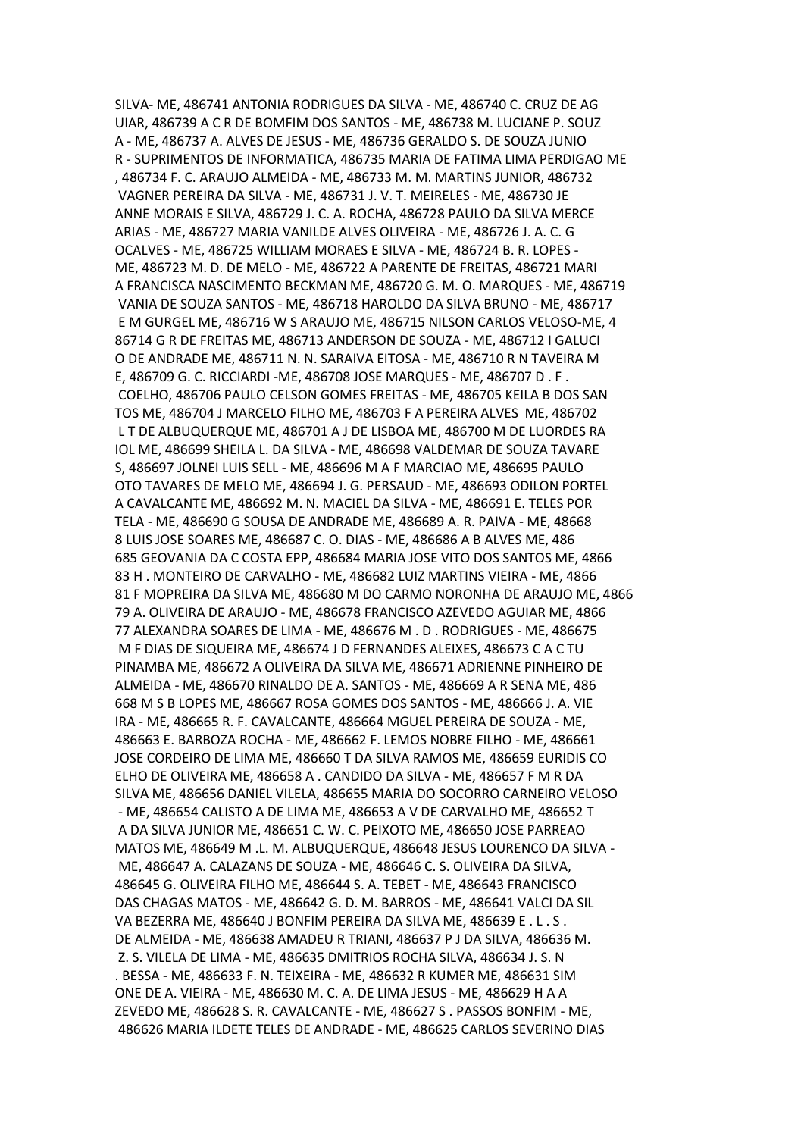SILVA- ME, 486741 ANTONIA RODRIGUES DA SILVA - ME, 486740 C. CRUZ DE AG UIAR, 486739 A C R DE BOMFIM DOS SANTOS - ME, 486738 M. LUCIANE P. SOUZ A - ME, 486737 A. ALVES DE JESUS - ME, 486736 GERALDO S. DE SOUZA JUNIO R - SUPRIMENTOS DE INFORMATICA, 486735 MARIA DE FATIMA LIMA PERDIGAO ME , 486734 F. C. ARAUJO ALMEIDA - ME, 486733 M. M. MARTINS JUNIOR, 486732 VAGNER PEREIRA DA SILVA - ME, 486731 J. V. T. MEIRELES - ME, 486730 JE ANNE MORAIS E SILVA, 486729 J. C. A. ROCHA, 486728 PAULO DA SILVA MERCE ARIAS - ME, 486727 MARIA VANILDE ALVES OLIVEIRA - ME, 486726 J. A. C. G OCALVES - ME, 486725 WILLIAM MORAES E SILVA - ME, 486724 B. R. LOPES - ME, 486723 M. D. DE MELO - ME, 486722 A PARENTE DE FREITAS, 486721 MARI A FRANCISCA NASCIMENTO BECKMAN ME, 486720 G. M. O. MARQUES - ME, 486719 VANIA DE SOUZA SANTOS - ME, 486718 HAROLDO DA SILVA BRUNO - ME, 486717 E M GURGEL ME, 486716 W S ARAUJO ME, 486715 NILSON CARLOS VELOSO-ME, 4 86714 G R DE FREITAS ME, 486713 ANDERSON DE SOUZA - ME, 486712 I GALUCI O DE ANDRADE ME, 486711 N. N. SARAIVA EITOSA - ME, 486710 R N TAVEIRA M E, 486709 G. C. RICCIARDI -ME, 486708 JOSE MARQUES - ME, 486707 D . F . COELHO, 486706 PAULO CELSON GOMES FREITAS - ME, 486705 KEILA B DOS SAN TOS ME, 486704 J MARCELO FILHO ME, 486703 F A PEREIRA ALVES ME, 486702 L T DE ALBUQUERQUE ME, 486701 A J DE LISBOA ME, 486700 M DE LUORDES RA IOL ME, 486699 SHEILA L. DA SILVA - ME, 486698 VALDEMAR DE SOUZA TAVARE S, 486697 JOLNEI LUIS SELL - ME, 486696 M A F MARCIAO ME, 486695 PAULO OTO TAVARES DE MELO ME, 486694 J. G. PERSAUD - ME, 486693 ODILON PORTEL A CAVALCANTE ME, 486692 M. N. MACIEL DA SILVA - ME, 486691 E. TELES POR TELA - ME, 486690 G SOUSA DE ANDRADE ME, 486689 A. R. PAIVA - ME, 48668 8 LUIS JOSE SOARES ME, 486687 C. O. DIAS - ME, 486686 A B ALVES ME, 486 685 GEOVANIA DA C COSTA EPP, 486684 MARIA JOSE VITO DOS SANTOS ME, 4866 83 H . MONTEIRO DE CARVALHO - ME, 486682 LUIZ MARTINS VIEIRA - ME, 4866 81 F MOPREIRA DA SILVA ME, 486680 M DO CARMO NORONHA DE ARAUJO ME, 4866 79 A. OLIVEIRA DE ARAUJO - ME, 486678 FRANCISCO AZEVEDO AGUIAR ME, 4866 77 ALEXANDRA SOARES DE LIMA - ME, 486676 M . D . RODRIGUES - ME, 486675 M F DIAS DE SIQUEIRA ME, 486674 J D FERNANDES ALEIXES, 486673 C A C TU PINAMBA ME, 486672 A OLIVEIRA DA SILVA ME, 486671 ADRIENNE PINHEIRO DE ALMEIDA - ME, 486670 RINALDO DE A. SANTOS - ME, 486669 A R SENA ME, 486 668 M S B LOPES ME, 486667 ROSA GOMES DOS SANTOS - ME, 486666 J. A. VIE IRA - ME, 486665 R. F. CAVALCANTE, 486664 MGUEL PEREIRA DE SOUZA - ME, 486663 E. BARBOZA ROCHA - ME, 486662 F. LEMOS NOBRE FILHO - ME, 486661 JOSE CORDEIRO DE LIMA ME, 486660 T DA SILVA RAMOS ME, 486659 EURIDIS CO ELHO DE OLIVEIRA ME, 486658 A . CANDIDO DA SILVA - ME, 486657 F M R DA SILVA ME, 486656 DANIEL VILELA, 486655 MARIA DO SOCORRO CARNEIRO VELOSO - ME, 486654 CALISTO A DE LIMA ME, 486653 A V DE CARVALHO ME, 486652 T A DA SILVA JUNIOR ME, 486651 C. W. C. PEIXOTO ME, 486650 JOSE PARREAO MATOS ME, 486649 M .L. M. ALBUQUERQUE, 486648 JESUS LOURENCO DA SILVA - ME, 486647 A. CALAZANS DE SOUZA - ME, 486646 C. S. OLIVEIRA DA SILVA, 486645 G. OLIVEIRA FILHO ME, 486644 S. A. TEBET - ME, 486643 FRANCISCO DAS CHAGAS MATOS - ME, 486642 G. D. M. BARROS - ME, 486641 VALCI DA SIL VA BEZERRA ME, 486640 J BONFIM PEREIRA DA SILVA ME, 486639 E . L . S . DE ALMEIDA - ME, 486638 AMADEU R TRIANI, 486637 P J DA SILVA, 486636 M. Z. S. VILELA DE LIMA - ME, 486635 DMITRIOS ROCHA SILVA, 486634 J. S. N . BESSA - ME, 486633 F. N. TEIXEIRA - ME, 486632 R KUMER ME, 486631 SIM ONE DE A. VIEIRA - ME, 486630 M. C. A. DE LIMA JESUS - ME, 486629 H A A ZEVEDO ME, 486628 S. R. CAVALCANTE - ME, 486627 S . PASSOS BONFIM - ME, 486626 MARIA ILDETE TELES DE ANDRADE - ME, 486625 CARLOS SEVERINO DIAS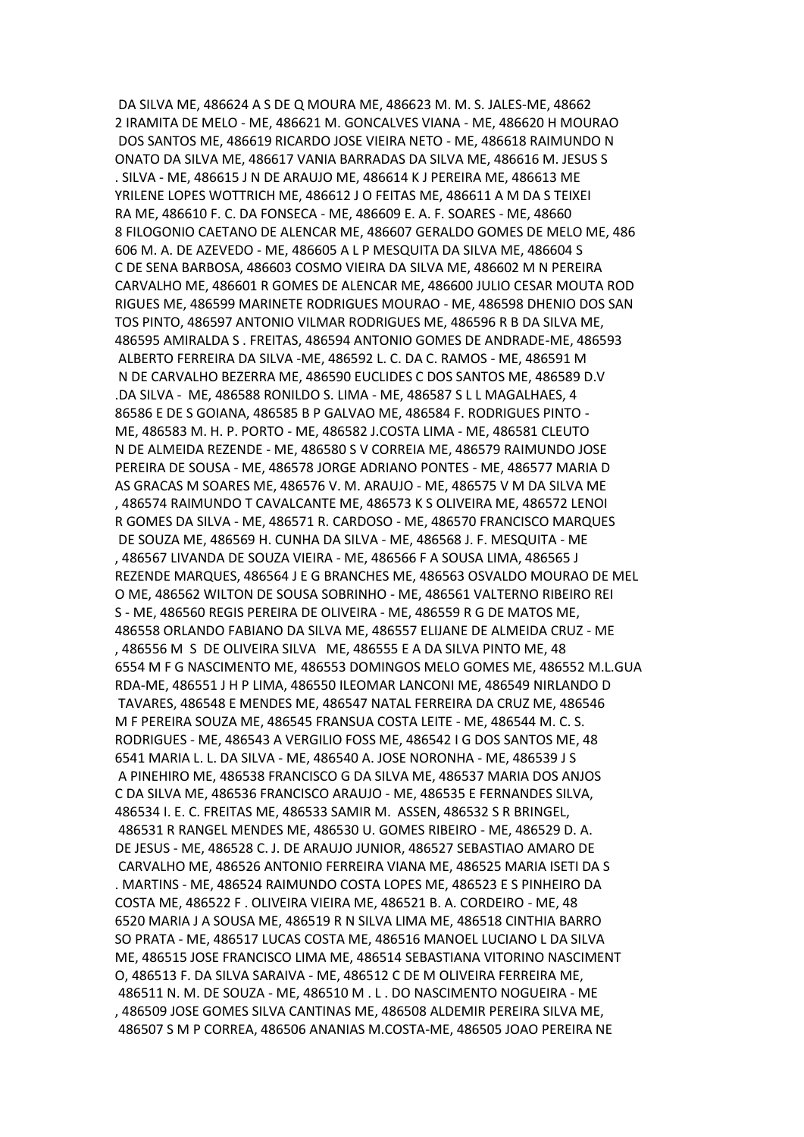DA SILVA ME, 486624 A S DE Q MOURA ME, 486623 M. M. S. JALES-ME, 48662 2 IRAMITA DE MELO - ME, 486621 M. GONCALVES VIANA - ME, 486620 H MOURAO DOS SANTOS ME, 486619 RICARDO JOSE VIEIRA NETO - ME, 486618 RAIMUNDO N ONATO DA SILVA ME, 486617 VANIA BARRADAS DA SILVA ME, 486616 M. JESUS S . SILVA - ME, 486615 J N DE ARAUJO ME, 486614 K J PEREIRA ME, 486613 ME YRILENE LOPES WOTTRICH ME, 486612 J O FEITAS ME, 486611 A M DA S TEIXEI RA ME, 486610 F. C. DA FONSECA - ME, 486609 E. A. F. SOARES - ME, 48660 8 FILOGONIO CAETANO DE ALENCAR ME, 486607 GERALDO GOMES DE MELO ME, 486 606 M. A. DE AZEVEDO - ME, 486605 A L P MESQUITA DA SILVA ME, 486604 S C DE SENA BARBOSA, 486603 COSMO VIEIRA DA SILVA ME, 486602 M N PEREIRA CARVALHO ME, 486601 R GOMES DE ALENCAR ME, 486600 JULIO CESAR MOUTA ROD RIGUES ME, 486599 MARINETE RODRIGUES MOURAO - ME, 486598 DHENIO DOS SAN TOS PINTO, 486597 ANTONIO VILMAR RODRIGUES ME, 486596 R B DA SILVA ME, 486595 AMIRALDA S . FREITAS, 486594 ANTONIO GOMES DE ANDRADE-ME, 486593 ALBERTO FERREIRA DA SILVA -ME, 486592 L. C. DA C. RAMOS - ME, 486591 M N DE CARVALHO BEZERRA ME, 486590 EUCLIDES C DOS SANTOS ME, 486589 D.V .DA SILVA - ME, 486588 RONILDO S. LIMA - ME, 486587 S L L MAGALHAES, 4 86586 E DE S GOIANA, 486585 B P GALVAO ME, 486584 F. RODRIGUES PINTO - ME, 486583 M. H. P. PORTO - ME, 486582 J.COSTA LIMA - ME, 486581 CLEUTO N DE ALMEIDA REZENDE - ME, 486580 S V CORREIA ME, 486579 RAIMUNDO JOSE PEREIRA DE SOUSA - ME, 486578 JORGE ADRIANO PONTES - ME, 486577 MARIA D AS GRACAS M SOARES ME, 486576 V. M. ARAUJO - ME, 486575 V M DA SILVA ME , 486574 RAIMUNDO T CAVALCANTE ME, 486573 K S OLIVEIRA ME, 486572 LENOI R GOMES DA SILVA - ME, 486571 R. CARDOSO - ME, 486570 FRANCISCO MARQUES DE SOUZA ME, 486569 H. CUNHA DA SILVA - ME, 486568 J. F. MESQUITA - ME , 486567 LIVANDA DE SOUZA VIEIRA - ME, 486566 F A SOUSA LIMA, 486565 J REZENDE MARQUES, 486564 J E G BRANCHES ME, 486563 OSVALDO MOURAO DE MEL O ME, 486562 WILTON DE SOUSA SOBRINHO - ME, 486561 VALTERNO RIBEIRO REI S - ME, 486560 REGIS PEREIRA DE OLIVEIRA - ME, 486559 R G DE MATOS ME, 486558 ORLANDO FABIANO DA SILVA ME, 486557 ELIJANE DE ALMEIDA CRUZ - ME , 486556 M S DE OLIVEIRA SILVA ME, 486555 E A DA SILVA PINTO ME, 48 6554 M F G NASCIMENTO ME, 486553 DOMINGOS MELO GOMES ME, 486552 M.L.GUA RDA-ME, 486551 J H P LIMA, 486550 ILEOMAR LANCONI ME, 486549 NIRLANDO D TAVARES, 486548 E MENDES ME, 486547 NATAL FERREIRA DA CRUZ ME, 486546 M F PEREIRA SOUZA ME, 486545 FRANSUA COSTA LEITE - ME, 486544 M. C. S. RODRIGUES - ME, 486543 A VERGILIO FOSS ME, 486542 I G DOS SANTOS ME, 48 6541 MARIA L. L. DA SILVA - ME, 486540 A. JOSE NORONHA - ME, 486539 J S A PINEHIRO ME, 486538 FRANCISCO G DA SILVA ME, 486537 MARIA DOS ANJOS C DA SILVA ME, 486536 FRANCISCO ARAUJO - ME, 486535 E FERNANDES SILVA, 486534 I. E. C. FREITAS ME, 486533 SAMIR M. ASSEN, 486532 S R BRINGEL, 486531 R RANGEL MENDES ME, 486530 U. GOMES RIBEIRO - ME, 486529 D. A. DE JESUS - ME, 486528 C. J. DE ARAUJO JUNIOR, 486527 SEBASTIAO AMARO DE CARVALHO ME, 486526 ANTONIO FERREIRA VIANA ME, 486525 MARIA ISETI DA S . MARTINS - ME, 486524 RAIMUNDO COSTA LOPES ME, 486523 E S PINHEIRO DA COSTA ME, 486522 F . OLIVEIRA VIEIRA ME, 486521 B. A. CORDEIRO - ME, 48 6520 MARIA J A SOUSA ME, 486519 R N SILVA LIMA ME, 486518 CINTHIA BARRO SO PRATA - ME, 486517 LUCAS COSTA ME, 486516 MANOEL LUCIANO L DA SILVA ME, 486515 JOSE FRANCISCO LIMA ME, 486514 SEBASTIANA VITORINO NASCIMENT O, 486513 F. DA SILVA SARAIVA - ME, 486512 C DE M OLIVEIRA FERREIRA ME, 486511 N. M. DE SOUZA - ME, 486510 M . L . DO NASCIMENTO NOGUEIRA - ME , 486509 JOSE GOMES SILVA CANTINAS ME, 486508 ALDEMIR PEREIRA SILVA ME, 486507 S M P CORREA, 486506 ANANIAS M.COSTA-ME, 486505 JOAO PEREIRA NE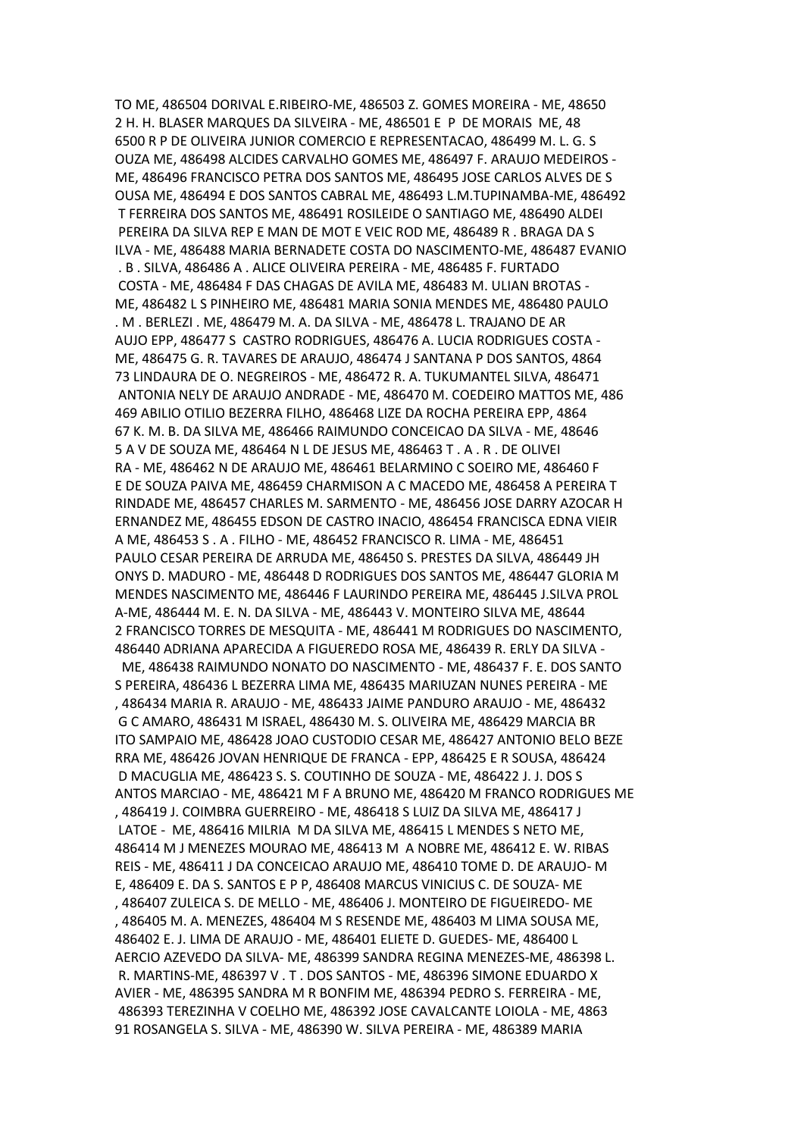TO ME, 486504 DORIVAL E.RIBEIRO-ME, 486503 Z. GOMES MOREIRA - ME, 48650 2 H. H. BLASER MARQUES DA SILVEIRA - ME, 486501 E P DE MORAIS ME, 48 6500 R P DE OLIVEIRA JUNIOR COMERCIO E REPRESENTACAO, 486499 M. L. G. S OUZA ME, 486498 ALCIDES CARVALHO GOMES ME, 486497 F. ARAUJO MEDEIROS - ME, 486496 FRANCISCO PETRA DOS SANTOS ME, 486495 JOSE CARLOS ALVES DE S OUSA ME, 486494 E DOS SANTOS CABRAL ME, 486493 L.M.TUPINAMBA-ME, 486492 T FERREIRA DOS SANTOS ME, 486491 ROSILEIDE O SANTIAGO ME, 486490 ALDEI PEREIRA DA SILVA REP E MAN DE MOT E VEIC ROD ME, 486489 R . BRAGA DA S ILVA - ME, 486488 MARIA BERNADETE COSTA DO NASCIMENTO-ME, 486487 EVANIO . B . SILVA, 486486 A . ALICE OLIVEIRA PEREIRA - ME, 486485 F. FURTADO COSTA - ME, 486484 F DAS CHAGAS DE AVILA ME, 486483 M. ULIAN BROTAS - ME, 486482 L S PINHEIRO ME, 486481 MARIA SONIA MENDES ME, 486480 PAULO . M . BERLEZI . ME, 486479 M. A. DA SILVA - ME, 486478 L. TRAJANO DE AR AUJO EPP, 486477 S CASTRO RODRIGUES, 486476 A. LUCIA RODRIGUES COSTA - ME, 486475 G. R. TAVARES DE ARAUJO, 486474 J SANTANA P DOS SANTOS, 4864 73 LINDAURA DE O. NEGREIROS - ME, 486472 R. A. TUKUMANTEL SILVA, 486471 ANTONIA NELY DE ARAUJO ANDRADE - ME, 486470 M. COEDEIRO MATTOS ME, 486 469 ABILIO OTILIO BEZERRA FILHO, 486468 LIZE DA ROCHA PEREIRA EPP, 4864 67 K. M. B. DA SILVA ME, 486466 RAIMUNDO CONCEICAO DA SILVA - ME, 48646 5 A V DE SOUZA ME, 486464 N L DE JESUS ME, 486463 T . A . R . DE OLIVEI RA - ME, 486462 N DE ARAUJO ME, 486461 BELARMINO C SOEIRO ME, 486460 F E DE SOUZA PAIVA ME, 486459 CHARMISON A C MACEDO ME, 486458 A PEREIRA T RINDADE ME, 486457 CHARLES M. SARMENTO - ME, 486456 JOSE DARRY AZOCAR H ERNANDEZ ME, 486455 EDSON DE CASTRO INACIO, 486454 FRANCISCA EDNA VIEIR A ME, 486453 S . A . FILHO - ME, 486452 FRANCISCO R. LIMA - ME, 486451 PAULO CESAR PEREIRA DE ARRUDA ME, 486450 S. PRESTES DA SILVA, 486449 JH ONYS D. MADURO - ME, 486448 D RODRIGUES DOS SANTOS ME, 486447 GLORIA M MENDES NASCIMENTO ME, 486446 F LAURINDO PEREIRA ME, 486445 J.SILVA PROL A-ME, 486444 M. E. N. DA SILVA - ME, 486443 V. MONTEIRO SILVA ME, 48644 2 FRANCISCO TORRES DE MESQUITA - ME, 486441 M RODRIGUES DO NASCIMENTO, 486440 ADRIANA APARECIDA A FIGUEREDO ROSA ME, 486439 R. ERLY DA SILVA - ME, 486438 RAIMUNDO NONATO DO NASCIMENTO - ME, 486437 F. E. DOS SANTO S PEREIRA, 486436 L BEZERRA LIMA ME, 486435 MARIUZAN NUNES PEREIRA - ME , 486434 MARIA R. ARAUJO - ME, 486433 JAIME PANDURO ARAUJO - ME, 486432 G C AMARO, 486431 M ISRAEL, 486430 M. S. OLIVEIRA ME, 486429 MARCIA BR ITO SAMPAIO ME, 486428 JOAO CUSTODIO CESAR ME, 486427 ANTONIO BELO BEZE RRA ME, 486426 JOVAN HENRIQUE DE FRANCA - EPP, 486425 E R SOUSA, 486424 D MACUGLIA ME, 486423 S. S. COUTINHO DE SOUZA - ME, 486422 J. J. DOS S ANTOS MARCIAO - ME, 486421 M F A BRUNO ME, 486420 M FRANCO RODRIGUES ME , 486419 J. COIMBRA GUERREIRO - ME, 486418 S LUIZ DA SILVA ME, 486417 J LATOE - ME, 486416 MILRIA M DA SILVA ME, 486415 L MENDES S NETO ME, 486414 M J MENEZES MOURAO ME, 486413 M A NOBRE ME, 486412 E. W. RIBAS REIS - ME, 486411 J DA CONCEICAO ARAUJO ME, 486410 TOME D. DE ARAUJO- M E, 486409 E. DA S. SANTOS E P P, 486408 MARCUS VINICIUS C. DE SOUZA- ME , 486407 ZULEICA S. DE MELLO - ME, 486406 J. MONTEIRO DE FIGUEIREDO- ME , 486405 M. A. MENEZES, 486404 M S RESENDE ME, 486403 M LIMA SOUSA ME, 486402 E. J. LIMA DE ARAUJO - ME, 486401 ELIETE D. GUEDES- ME, 486400 L AERCIO AZEVEDO DA SILVA- ME, 486399 SANDRA REGINA MENEZES-ME, 486398 L. R. MARTINS-ME, 486397 V . T . DOS SANTOS - ME, 486396 SIMONE EDUARDO X AVIER - ME, 486395 SANDRA M R BONFIM ME, 486394 PEDRO S. FERREIRA - ME, 486393 TEREZINHA V COELHO ME, 486392 JOSE CAVALCANTE LOIOLA - ME, 4863 91 ROSANGELA S. SILVA - ME, 486390 W. SILVA PEREIRA - ME, 486389 MARIA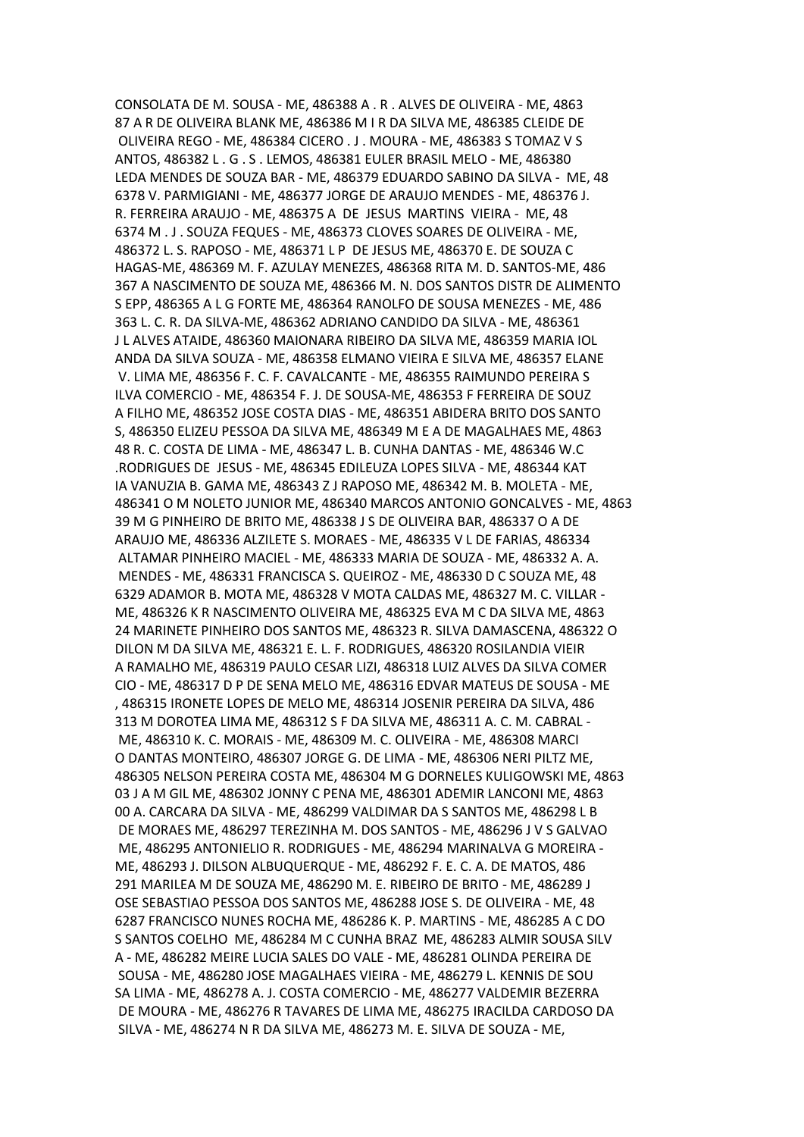CONSOLATA DE M. SOUSA - ME, 486388 A . R . ALVES DE OLIVEIRA - ME, 4863 87 A R DE OLIVEIRA BLANK ME, 486386 M I R DA SILVA ME, 486385 CLEIDE DE OLIVEIRA REGO - ME, 486384 CICERO . J . MOURA - ME, 486383 S TOMAZ V S ANTOS, 486382 L . G . S . LEMOS, 486381 EULER BRASIL MELO - ME, 486380 LEDA MENDES DE SOUZA BAR - ME, 486379 EDUARDO SABINO DA SILVA - ME, 48 6378 V. PARMIGIANI - ME, 486377 JORGE DE ARAUJO MENDES - ME, 486376 J. R. FERREIRA ARAUJO - ME, 486375 A DE JESUS MARTINS VIEIRA - ME, 48 6374 M . J . SOUZA FEQUES - ME, 486373 CLOVES SOARES DE OLIVEIRA - ME, 486372 L. S. RAPOSO - ME, 486371 L P DE JESUS ME, 486370 E. DE SOUZA C HAGAS-ME, 486369 M. F. AZULAY MENEZES, 486368 RITA M. D. SANTOS-ME, 486 367 A NASCIMENTO DE SOUZA ME, 486366 M. N. DOS SANTOS DISTR DE ALIMENTO S EPP, 486365 A L G FORTE ME, 486364 RANOLFO DE SOUSA MENEZES - ME, 486 363 L. C. R. DA SILVA-ME, 486362 ADRIANO CANDIDO DA SILVA - ME, 486361 J L ALVES ATAIDE, 486360 MAIONARA RIBEIRO DA SILVA ME, 486359 MARIA IOL ANDA DA SILVA SOUZA - ME, 486358 ELMANO VIEIRA E SILVA ME, 486357 ELANE V. LIMA ME, 486356 F. C. F. CAVALCANTE - ME, 486355 RAIMUNDO PEREIRA S ILVA COMERCIO - ME, 486354 F. J. DE SOUSA-ME, 486353 F FERREIRA DE SOUZ A FILHO ME, 486352 JOSE COSTA DIAS - ME, 486351 ABIDERA BRITO DOS SANTO S, 486350 ELIZEU PESSOA DA SILVA ME, 486349 M E A DE MAGALHAES ME, 4863 48 R. C. COSTA DE LIMA - ME, 486347 L. B. CUNHA DANTAS - ME, 486346 W.C .RODRIGUES DE JESUS - ME, 486345 EDILEUZA LOPES SILVA - ME, 486344 KAT IA VANUZIA B. GAMA ME, 486343 Z J RAPOSO ME, 486342 M. B. MOLETA - ME, 486341 O M NOLETO JUNIOR ME, 486340 MARCOS ANTONIO GONCALVES - ME, 4863 39 M G PINHEIRO DE BRITO ME, 486338 J S DE OLIVEIRA BAR, 486337 O A DE ARAUJO ME, 486336 ALZILETE S. MORAES - ME, 486335 V L DE FARIAS, 486334 ALTAMAR PINHEIRO MACIEL - ME, 486333 MARIA DE SOUZA - ME, 486332 A. A. MENDES - ME, 486331 FRANCISCA S. QUEIROZ - ME, 486330 D C SOUZA ME, 48 6329 ADAMOR B. MOTA ME, 486328 V MOTA CALDAS ME, 486327 M. C. VILLAR - ME, 486326 K R NASCIMENTO OLIVEIRA ME, 486325 EVA M C DA SILVA ME, 4863 24 MARINETE PINHEIRO DOS SANTOS ME, 486323 R. SILVA DAMASCENA, 486322 O DILON M DA SILVA ME, 486321 E. L. F. RODRIGUES, 486320 ROSILANDIA VIEIR A RAMALHO ME, 486319 PAULO CESAR LIZI, 486318 LUIZ ALVES DA SILVA COMER CIO - ME, 486317 D P DE SENA MELO ME, 486316 EDVAR MATEUS DE SOUSA - ME , 486315 IRONETE LOPES DE MELO ME, 486314 JOSENIR PEREIRA DA SILVA, 486 313 M DOROTEA LIMA ME, 486312 S F DA SILVA ME, 486311 A. C. M. CABRAL - ME, 486310 K. C. MORAIS - ME, 486309 M. C. OLIVEIRA - ME, 486308 MARCI O DANTAS MONTEIRO, 486307 JORGE G. DE LIMA - ME, 486306 NERI PILTZ ME, 486305 NELSON PEREIRA COSTA ME, 486304 M G DORNELES KULIGOWSKI ME, 4863 03 J A M GIL ME, 486302 JONNY C PENA ME, 486301 ADEMIR LANCONI ME, 4863 00 A. CARCARA DA SILVA - ME, 486299 VALDIMAR DA S SANTOS ME, 486298 L B DE MORAES ME, 486297 TEREZINHA M. DOS SANTOS - ME, 486296 J V S GALVAO ME, 486295 ANTONIELIO R. RODRIGUES - ME, 486294 MARINALVA G MOREIRA - ME, 486293 J. DILSON ALBUQUERQUE - ME, 486292 F. E. C. A. DE MATOS, 486 291 MARILEA M DE SOUZA ME, 486290 M. E. RIBEIRO DE BRITO - ME, 486289 J OSE SEBASTIAO PESSOA DOS SANTOS ME, 486288 JOSE S. DE OLIVEIRA - ME, 48 6287 FRANCISCO NUNES ROCHA ME, 486286 K. P. MARTINS - ME, 486285 A C DO S SANTOS COELHO ME, 486284 M C CUNHA BRAZ ME, 486283 ALMIR SOUSA SILV A - ME, 486282 MEIRE LUCIA SALES DO VALE - ME, 486281 OLINDA PEREIRA DE SOUSA - ME, 486280 JOSE MAGALHAES VIEIRA - ME, 486279 L. KENNIS DE SOU SA LIMA - ME, 486278 A. J. COSTA COMERCIO - ME, 486277 VALDEMIR BEZERRA DE MOURA - ME, 486276 R TAVARES DE LIMA ME, 486275 IRACILDA CARDOSO DA SILVA - ME, 486274 N R DA SILVA ME, 486273 M. E. SILVA DE SOUZA - ME,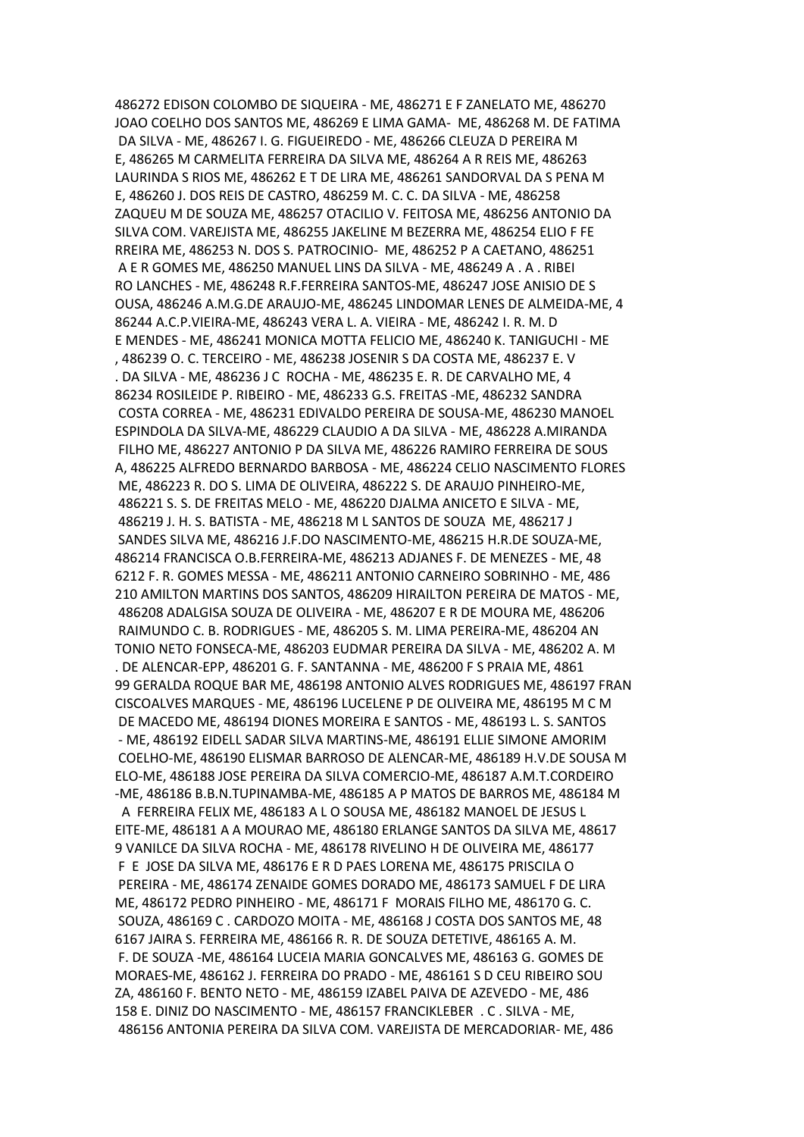486272 EDISON COLOMBO DE SIQUEIRA - ME, 486271 E F ZANELATO ME, 486270 JOAO COELHO DOS SANTOS ME, 486269 E LIMA GAMA- ME, 486268 M. DE FATIMA DA SILVA - ME, 486267 I. G. FIGUEIREDO - ME, 486266 CLEUZA D PEREIRA M E, 486265 M CARMELITA FERREIRA DA SILVA ME, 486264 A R REIS ME, 486263 LAURINDA S RIOS ME, 486262 E T DE LIRA ME, 486261 SANDORVAL DA S PENA M E, 486260 J. DOS REIS DE CASTRO, 486259 M. C. C. DA SILVA - ME, 486258 ZAQUEU M DE SOUZA ME, 486257 OTACILIO V. FEITOSA ME, 486256 ANTONIO DA SILVA COM. VAREJISTA ME, 486255 JAKELINE M BEZERRA ME, 486254 ELIO F FE RREIRA ME, 486253 N. DOS S. PATROCINIO- ME, 486252 P A CAETANO, 486251 A E R GOMES ME, 486250 MANUEL LINS DA SILVA - ME, 486249 A . A . RIBEI RO LANCHES - ME, 486248 R.F.FERREIRA SANTOS-ME, 486247 JOSE ANISIO DE S OUSA, 486246 A.M.G.DE ARAUJO-ME, 486245 LINDOMAR LENES DE ALMEIDA-ME, 4 86244 A.C.P.VIEIRA-ME, 486243 VERA L. A. VIEIRA - ME, 486242 I. R. M. D E MENDES - ME, 486241 MONICA MOTTA FELICIO ME, 486240 K. TANIGUCHI - ME , 486239 O. C. TERCEIRO - ME, 486238 JOSENIR S DA COSTA ME, 486237 E. V . DA SILVA - ME, 486236 J C ROCHA - ME, 486235 E. R. DE CARVALHO ME, 4 86234 ROSILEIDE P. RIBEIRO - ME, 486233 G.S. FREITAS -ME, 486232 SANDRA COSTA CORREA - ME, 486231 EDIVALDO PEREIRA DE SOUSA-ME, 486230 MANOEL ESPINDOLA DA SILVA-ME, 486229 CLAUDIO A DA SILVA - ME, 486228 A.MIRANDA FILHO ME, 486227 ANTONIO P DA SILVA ME, 486226 RAMIRO FERREIRA DE SOUS A, 486225 ALFREDO BERNARDO BARBOSA - ME, 486224 CELIO NASCIMENTO FLORES ME, 486223 R. DO S. LIMA DE OLIVEIRA, 486222 S. DE ARAUJO PINHEIRO-ME, 486221 S. S. DE FREITAS MELO - ME, 486220 DJALMA ANICETO E SILVA - ME, 486219 J. H. S. BATISTA - ME, 486218 M L SANTOS DE SOUZA ME, 486217 J SANDES SILVA ME, 486216 J.F.DO NASCIMENTO-ME, 486215 H.R.DE SOUZA-ME, 486214 FRANCISCA O.B.FERREIRA-ME, 486213 ADJANES F. DE MENEZES - ME, 48 6212 F. R. GOMES MESSA - ME, 486211 ANTONIO CARNEIRO SOBRINHO - ME, 486 210 AMILTON MARTINS DOS SANTOS, 486209 HIRAILTON PEREIRA DE MATOS - ME, 486208 ADALGISA SOUZA DE OLIVEIRA - ME, 486207 E R DE MOURA ME, 486206 RAIMUNDO C. B. RODRIGUES - ME, 486205 S. M. LIMA PEREIRA-ME, 486204 AN TONIO NETO FONSECA-ME, 486203 EUDMAR PEREIRA DA SILVA - ME, 486202 A. M . DE ALENCAR-EPP, 486201 G. F. SANTANNA - ME, 486200 F S PRAIA ME, 4861 99 GERALDA ROQUE BAR ME, 486198 ANTONIO ALVES RODRIGUES ME, 486197 FRAN CISCOALVES MARQUES - ME, 486196 LUCELENE P DE OLIVEIRA ME, 486195 M C M DE MACEDO ME, 486194 DIONES MOREIRA E SANTOS - ME, 486193 L. S. SANTOS - ME, 486192 EIDELL SADAR SILVA MARTINS-ME, 486191 ELLIE SIMONE AMORIM COELHO-ME, 486190 ELISMAR BARROSO DE ALENCAR-ME, 486189 H.V.DE SOUSA M ELO-ME, 486188 JOSE PEREIRA DA SILVA COMERCIO-ME, 486187 A.M.T.CORDEIRO -ME, 486186 B.B.N.TUPINAMBA-ME, 486185 A P MATOS DE BARROS ME, 486184 M A FERREIRA FELIX ME, 486183 A L O SOUSA ME, 486182 MANOEL DE JESUS L EITE-ME, 486181 A A MOURAO ME, 486180 ERLANGE SANTOS DA SILVA ME, 48617 9 VANILCE DA SILVA ROCHA - ME, 486178 RIVELINO H DE OLIVEIRA ME, 486177 F E JOSE DA SILVA ME, 486176 E R D PAES LORENA ME, 486175 PRISCILA O PEREIRA - ME, 486174 ZENAIDE GOMES DORADO ME, 486173 SAMUEL F DE LIRA ME, 486172 PEDRO PINHEIRO - ME, 486171 F MORAIS FILHO ME, 486170 G. C. SOUZA, 486169 C . CARDOZO MOITA - ME, 486168 J COSTA DOS SANTOS ME, 48 6167 JAIRA S. FERREIRA ME, 486166 R. R. DE SOUZA DETETIVE, 486165 A. M. F. DE SOUZA -ME, 486164 LUCEIA MARIA GONCALVES ME, 486163 G. GOMES DE MORAES-ME, 486162 J. FERREIRA DO PRADO - ME, 486161 S D CEU RIBEIRO SOU ZA, 486160 F. BENTO NETO - ME, 486159 IZABEL PAIVA DE AZEVEDO - ME, 486 158 E. DINIZ DO NASCIMENTO - ME, 486157 FRANCIKLEBER . C . SILVA - ME, 486156 ANTONIA PEREIRA DA SILVA COM. VAREJISTA DE MERCADORIAR- ME, 486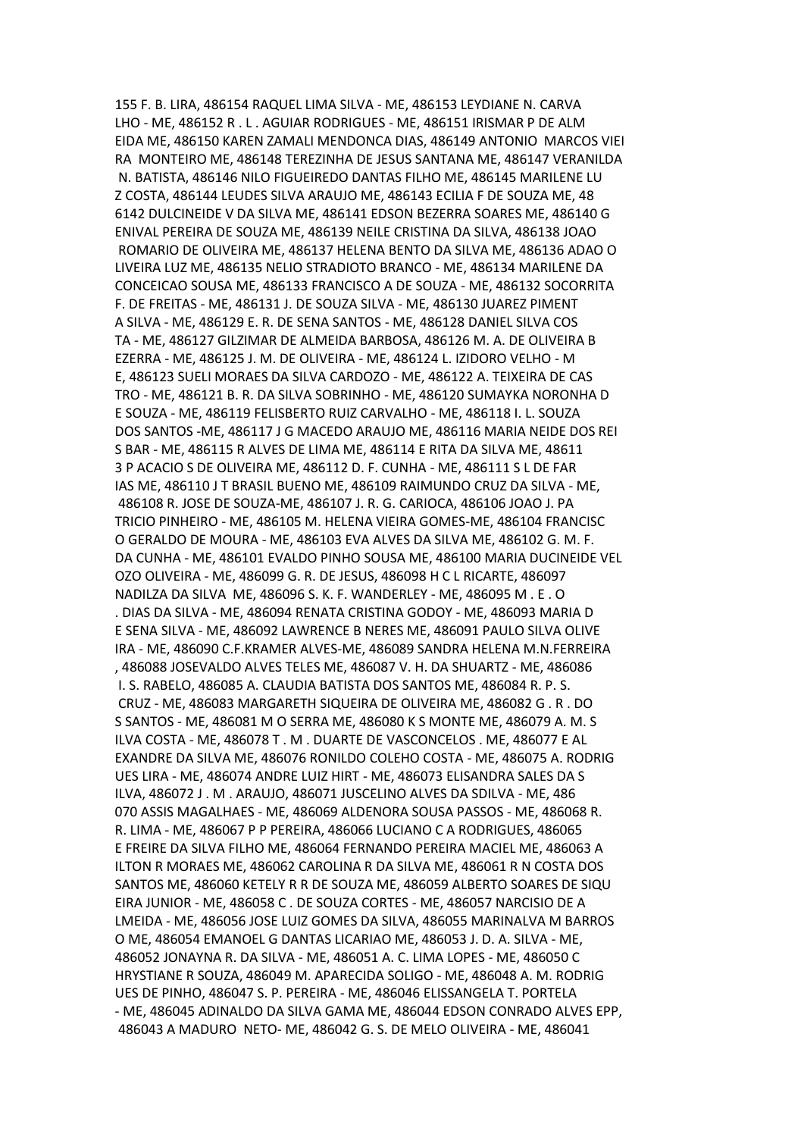155 F. B. LIRA, 486154 RAQUEL LIMA SILVA - ME, 486153 LEYDIANE N. CARVA LHO - ME, 486152 R . L . AGUIAR RODRIGUES - ME, 486151 IRISMAR P DE ALM EIDA ME, 486150 KAREN ZAMALI MENDONCA DIAS, 486149 ANTONIO MARCOS VIEI RA MONTEIRO ME, 486148 TEREZINHA DE JESUS SANTANA ME, 486147 VERANILDA N. BATISTA, 486146 NILO FIGUEIREDO DANTAS FILHO ME, 486145 MARILENE LU Z COSTA, 486144 LEUDES SILVA ARAUJO ME, 486143 ECILIA F DE SOUZA ME, 48 6142 DULCINEIDE V DA SILVA ME, 486141 EDSON BEZERRA SOARES ME, 486140 G ENIVAL PEREIRA DE SOUZA ME, 486139 NEILE CRISTINA DA SILVA, 486138 JOAO ROMARIO DE OLIVEIRA ME, 486137 HELENA BENTO DA SILVA ME, 486136 ADAO O LIVEIRA LUZ ME, 486135 NELIO STRADIOTO BRANCO - ME, 486134 MARILENE DA CONCEICAO SOUSA ME, 486133 FRANCISCO A DE SOUZA - ME, 486132 SOCORRITA F. DE FREITAS - ME, 486131 J. DE SOUZA SILVA - ME, 486130 JUAREZ PIMENT A SILVA - ME, 486129 E. R. DE SENA SANTOS - ME, 486128 DANIEL SILVA COS TA - ME, 486127 GILZIMAR DE ALMEIDA BARBOSA, 486126 M. A. DE OLIVEIRA B EZERRA - ME, 486125 J. M. DE OLIVEIRA - ME, 486124 L. IZIDORO VELHO - M E, 486123 SUELI MORAES DA SILVA CARDOZO - ME, 486122 A. TEIXEIRA DE CAS TRO - ME, 486121 B. R. DA SILVA SOBRINHO - ME, 486120 SUMAYKA NORONHA D E SOUZA - ME, 486119 FELISBERTO RUIZ CARVALHO - ME, 486118 I. L. SOUZA DOS SANTOS -ME, 486117 J G MACEDO ARAUJO ME, 486116 MARIA NEIDE DOS REI S BAR - ME, 486115 R ALVES DE LIMA ME, 486114 E RITA DA SILVA ME, 48611 3 P ACACIO S DE OLIVEIRA ME, 486112 D. F. CUNHA - ME, 486111 S L DE FAR IAS ME, 486110 J T BRASIL BUENO ME, 486109 RAIMUNDO CRUZ DA SILVA - ME, 486108 R. JOSE DE SOUZA-ME, 486107 J. R. G. CARIOCA, 486106 JOAO J. PA TRICIO PINHEIRO - ME, 486105 M. HELENA VIEIRA GOMES-ME, 486104 FRANCISC O GERALDO DE MOURA - ME, 486103 EVA ALVES DA SILVA ME, 486102 G. M. F. DA CUNHA - ME, 486101 EVALDO PINHO SOUSA ME, 486100 MARIA DUCINEIDE VEL OZO OLIVEIRA - ME, 486099 G. R. DE JESUS, 486098 H C L RICARTE, 486097 NADILZA DA SILVA ME, 486096 S. K. F. WANDERLEY - ME, 486095 M . E . O . DIAS DA SILVA - ME, 486094 RENATA CRISTINA GODOY - ME, 486093 MARIA D E SENA SILVA - ME, 486092 LAWRENCE B NERES ME, 486091 PAULO SILVA OLIVE IRA - ME, 486090 C.F.KRAMER ALVES-ME, 486089 SANDRA HELENA M.N.FERREIRA , 486088 JOSEVALDO ALVES TELES ME, 486087 V. H. DA SHUARTZ - ME, 486086 I. S. RABELO, 486085 A. CLAUDIA BATISTA DOS SANTOS ME, 486084 R. P. S. CRUZ - ME, 486083 MARGARETH SIQUEIRA DE OLIVEIRA ME, 486082 G . R . DO S SANTOS - ME, 486081 M O SERRA ME, 486080 K S MONTE ME, 486079 A. M. S ILVA COSTA - ME, 486078 T . M . DUARTE DE VASCONCELOS . ME, 486077 E AL EXANDRE DA SILVA ME, 486076 RONILDO COLEHO COSTA - ME, 486075 A. RODRIG UES LIRA - ME, 486074 ANDRE LUIZ HIRT - ME, 486073 ELISANDRA SALES DA S ILVA, 486072 J . M . ARAUJO, 486071 JUSCELINO ALVES DA SDILVA - ME, 486 070 ASSIS MAGALHAES - ME, 486069 ALDENORA SOUSA PASSOS - ME, 486068 R. R. LIMA - ME, 486067 P P PEREIRA, 486066 LUCIANO C A RODRIGUES, 486065 E FREIRE DA SILVA FILHO ME, 486064 FERNANDO PEREIRA MACIEL ME, 486063 A ILTON R MORAES ME, 486062 CAROLINA R DA SILVA ME, 486061 R N COSTA DOS SANTOS ME, 486060 KETELY R R DE SOUZA ME, 486059 ALBERTO SOARES DE SIQU EIRA JUNIOR - ME, 486058 C . DE SOUZA CORTES - ME, 486057 NARCISIO DE A LMEIDA - ME, 486056 JOSE LUIZ GOMES DA SILVA, 486055 MARINALVA M BARROS O ME, 486054 EMANOEL G DANTAS LICARIAO ME, 486053 J. D. A. SILVA - ME, 486052 JONAYNA R. DA SILVA - ME, 486051 A. C. LIMA LOPES - ME, 486050 C HRYSTIANE R SOUZA, 486049 M. APARECIDA SOLIGO - ME, 486048 A. M. RODRIG UES DE PINHO, 486047 S. P. PEREIRA - ME, 486046 ELISSANGELA T. PORTELA - ME, 486045 ADINALDO DA SILVA GAMA ME, 486044 EDSON CONRADO ALVES EPP, 486043 A MADURO NETO- ME, 486042 G. S. DE MELO OLIVEIRA - ME, 486041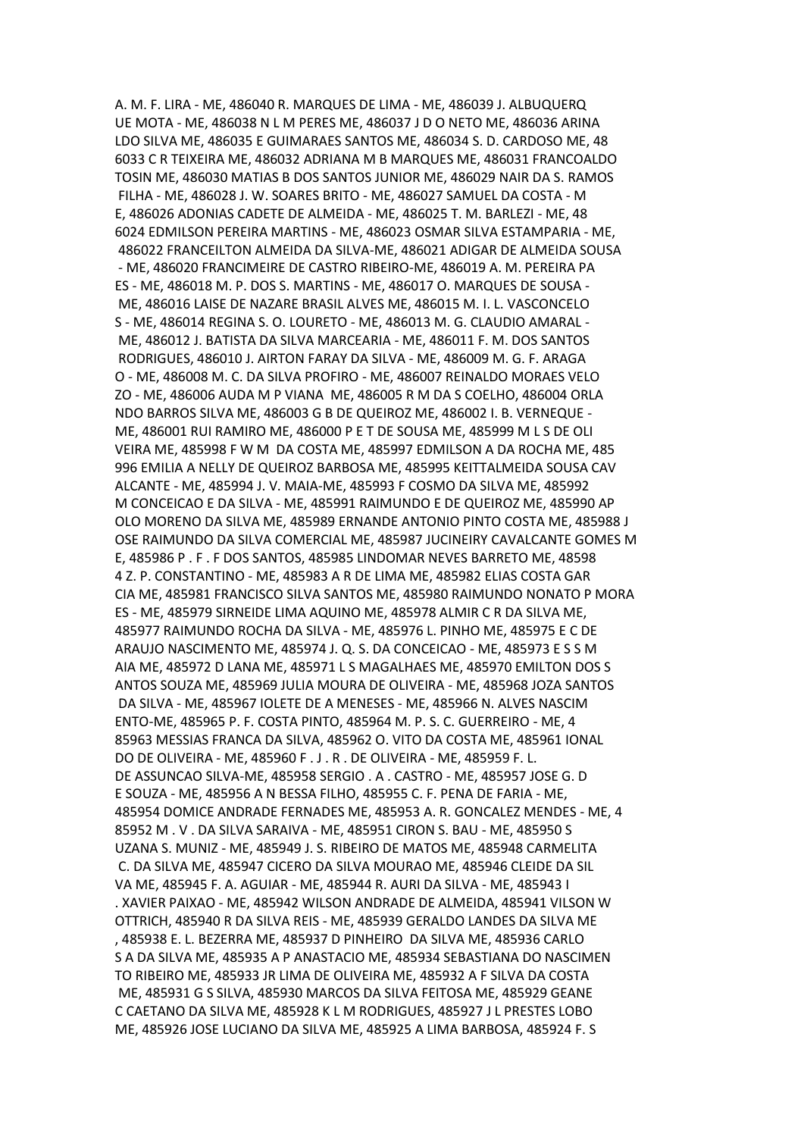A. M. F. LIRA - ME, 486040 R. MARQUES DE LIMA - ME, 486039 J. ALBUQUERQ UE MOTA - ME, 486038 N L M PERES ME, 486037 J D O NETO ME, 486036 ARINA LDO SILVA ME, 486035 E GUIMARAES SANTOS ME, 486034 S. D. CARDOSO ME, 48 6033 C R TEIXEIRA ME, 486032 ADRIANA M B MARQUES ME, 486031 FRANCOALDO TOSIN ME, 486030 MATIAS B DOS SANTOS JUNIOR ME, 486029 NAIR DA S. RAMOS FILHA - ME, 486028 J. W. SOARES BRITO - ME, 486027 SAMUEL DA COSTA - M E, 486026 ADONIAS CADETE DE ALMEIDA - ME, 486025 T. M. BARLEZI - ME, 48 6024 EDMILSON PEREIRA MARTINS - ME, 486023 OSMAR SILVA ESTAMPARIA - ME, 486022 FRANCEILTON ALMEIDA DA SILVA-ME, 486021 ADIGAR DE ALMEIDA SOUSA - ME, 486020 FRANCIMEIRE DE CASTRO RIBEIRO-ME, 486019 A. M. PEREIRA PA ES - ME, 486018 M. P. DOS S. MARTINS - ME, 486017 O. MARQUES DE SOUSA - ME, 486016 LAISE DE NAZARE BRASIL ALVES ME, 486015 M. I. L. VASCONCELO S - ME, 486014 REGINA S. O. LOURETO - ME, 486013 M. G. CLAUDIO AMARAL - ME, 486012 J. BATISTA DA SILVA MARCEARIA - ME, 486011 F. M. DOS SANTOS RODRIGUES, 486010 J. AIRTON FARAY DA SILVA - ME, 486009 M. G. F. ARAGA O - ME, 486008 M. C. DA SILVA PROFIRO - ME, 486007 REINALDO MORAES VELO ZO - ME, 486006 AUDA M P VIANA ME, 486005 R M DA S COELHO, 486004 ORLA NDO BARROS SILVA ME, 486003 G B DE QUEIROZ ME, 486002 I. B. VERNEQUE - ME, 486001 RUI RAMIRO ME, 486000 P E T DE SOUSA ME, 485999 M L S DE OLI VEIRA ME, 485998 F W M DA COSTA ME, 485997 EDMILSON A DA ROCHA ME, 485 996 EMILIA A NELLY DE QUEIROZ BARBOSA ME, 485995 KEITTALMEIDA SOUSA CAV ALCANTE - ME, 485994 J. V. MAIA-ME, 485993 F COSMO DA SILVA ME, 485992 M CONCEICAO E DA SILVA - ME, 485991 RAIMUNDO E DE QUEIROZ ME, 485990 AP OLO MORENO DA SILVA ME, 485989 ERNANDE ANTONIO PINTO COSTA ME, 485988 J OSE RAIMUNDO DA SILVA COMERCIAL ME, 485987 JUCINEIRY CAVALCANTE GOMES M E, 485986 P . F . F DOS SANTOS, 485985 LINDOMAR NEVES BARRETO ME, 48598 4 Z. P. CONSTANTINO - ME, 485983 A R DE LIMA ME, 485982 ELIAS COSTA GAR CIA ME, 485981 FRANCISCO SILVA SANTOS ME, 485980 RAIMUNDO NONATO P MORA ES - ME, 485979 SIRNEIDE LIMA AQUINO ME, 485978 ALMIR C R DA SILVA ME, 485977 RAIMUNDO ROCHA DA SILVA - ME, 485976 L. PINHO ME, 485975 E C DE ARAUJO NASCIMENTO ME, 485974 J. Q. S. DA CONCEICAO - ME, 485973 E S S M AIA ME, 485972 D LANA ME, 485971 L S MAGALHAES ME, 485970 EMILTON DOS S ANTOS SOUZA ME, 485969 JULIA MOURA DE OLIVEIRA - ME, 485968 JOZA SANTOS DA SILVA - ME, 485967 IOLETE DE A MENESES - ME, 485966 N. ALVES NASCIM ENTO-ME, 485965 P. F. COSTA PINTO, 485964 M. P. S. C. GUERREIRO - ME, 4 85963 MESSIAS FRANCA DA SILVA, 485962 O. VITO DA COSTA ME, 485961 IONAL DO DE OLIVEIRA - ME, 485960 F . J . R . DE OLIVEIRA - ME, 485959 F. L. DE ASSUNCAO SILVA-ME, 485958 SERGIO . A . CASTRO - ME, 485957 JOSE G. D E SOUZA - ME, 485956 A N BESSA FILHO, 485955 C. F. PENA DE FARIA - ME, 485954 DOMICE ANDRADE FERNADES ME, 485953 A. R. GONCALEZ MENDES - ME, 4 85952 M . V . DA SILVA SARAIVA - ME, 485951 CIRON S. BAU - ME, 485950 S UZANA S. MUNIZ - ME, 485949 J. S. RIBEIRO DE MATOS ME, 485948 CARMELITA C. DA SILVA ME, 485947 CICERO DA SILVA MOURAO ME, 485946 CLEIDE DA SIL VA ME, 485945 F. A. AGUIAR - ME, 485944 R. AURI DA SILVA - ME, 485943 I . XAVIER PAIXAO - ME, 485942 WILSON ANDRADE DE ALMEIDA, 485941 VILSON W OTTRICH, 485940 R DA SILVA REIS - ME, 485939 GERALDO LANDES DA SILVA ME , 485938 E. L. BEZERRA ME, 485937 D PINHEIRO DA SILVA ME, 485936 CARLO S A DA SILVA ME, 485935 A P ANASTACIO ME, 485934 SEBASTIANA DO NASCIMEN TO RIBEIRO ME, 485933 JR LIMA DE OLIVEIRA ME, 485932 A F SILVA DA COSTA ME, 485931 G S SILVA, 485930 MARCOS DA SILVA FEITOSA ME, 485929 GEANE C CAETANO DA SILVA ME, 485928 K L M RODRIGUES, 485927 J L PRESTES LOBO ME, 485926 JOSE LUCIANO DA SILVA ME, 485925 A LIMA BARBOSA, 485924 F. S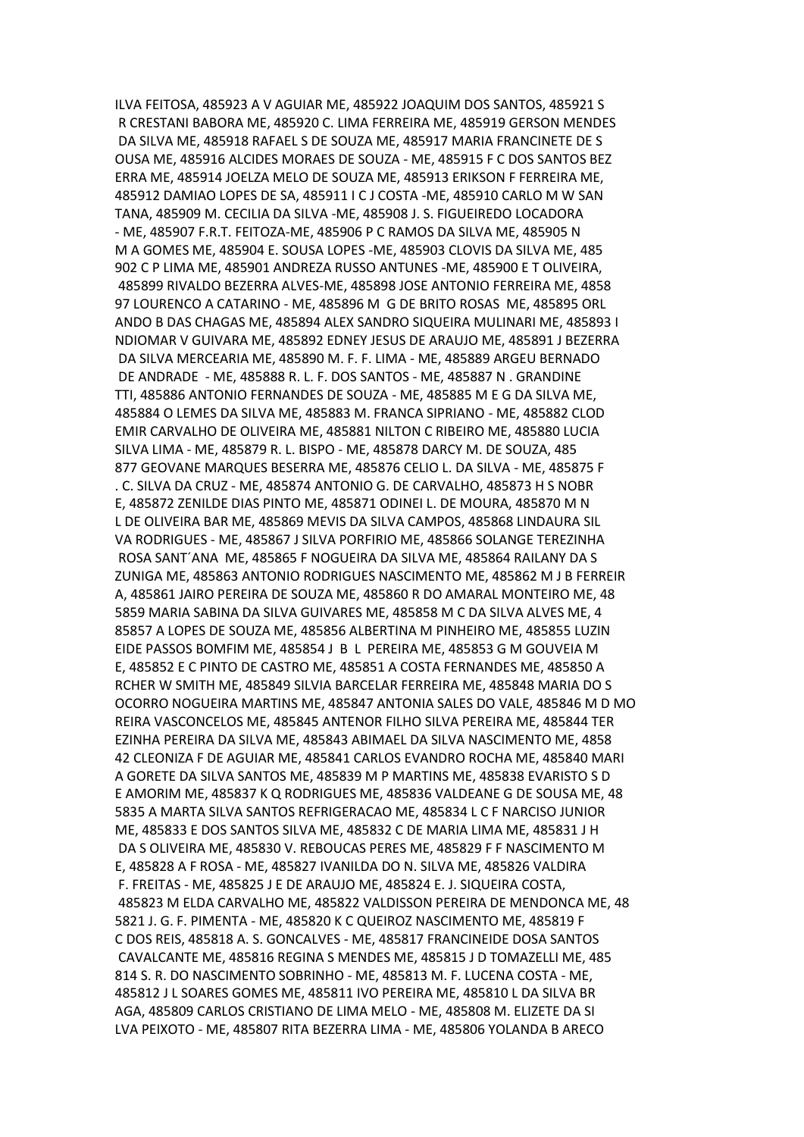ILVA FEITOSA, 485923 A V AGUIAR ME, 485922 JOAQUIM DOS SANTOS, 485921 S R CRESTANI BABORA ME, 485920 C. LIMA FERREIRA ME, 485919 GERSON MENDES DA SILVA ME, 485918 RAFAEL S DE SOUZA ME, 485917 MARIA FRANCINETE DE S OUSA ME, 485916 ALCIDES MORAES DE SOUZA - ME, 485915 F C DOS SANTOS BEZ ERRA ME, 485914 JOELZA MELO DE SOUZA ME, 485913 ERIKSON F FERREIRA ME, 485912 DAMIAO LOPES DE SA, 485911 I C J COSTA -ME, 485910 CARLO M W SAN TANA, 485909 M. CECILIA DA SILVA -ME, 485908 J. S. FIGUEIREDO LOCADORA - ME, 485907 F.R.T. FEITOZA-ME, 485906 P C RAMOS DA SILVA ME, 485905 N M A GOMES ME, 485904 E. SOUSA LOPES -ME, 485903 CLOVIS DA SILVA ME, 485 902 C P LIMA ME, 485901 ANDREZA RUSSO ANTUNES -ME, 485900 E T OLIVEIRA, 485899 RIVALDO BEZERRA ALVES-ME, 485898 JOSE ANTONIO FERREIRA ME, 4858 97 LOURENCO A CATARINO - ME, 485896 M G DE BRITO ROSAS ME, 485895 ORL ANDO B DAS CHAGAS ME, 485894 ALEX SANDRO SIQUEIRA MULINARI ME, 485893 I NDIOMAR V GUIVARA ME, 485892 EDNEY JESUS DE ARAUJO ME, 485891 J BEZERRA DA SILVA MERCEARIA ME, 485890 M. F. F. LIMA - ME, 485889 ARGEU BERNADO DE ANDRADE - ME, 485888 R. L. F. DOS SANTOS - ME, 485887 N . GRANDINE TTI, 485886 ANTONIO FERNANDES DE SOUZA - ME, 485885 M E G DA SILVA ME, 485884 O LEMES DA SILVA ME, 485883 M. FRANCA SIPRIANO - ME, 485882 CLOD EMIR CARVALHO DE OLIVEIRA ME, 485881 NILTON C RIBEIRO ME, 485880 LUCIA SILVA LIMA - ME, 485879 R. L. BISPO - ME, 485878 DARCY M. DE SOUZA, 485 877 GEOVANE MARQUES BESERRA ME, 485876 CELIO L. DA SILVA - ME, 485875 F . C. SILVA DA CRUZ - ME, 485874 ANTONIO G. DE CARVALHO, 485873 H S NOBR E, 485872 ZENILDE DIAS PINTO ME, 485871 ODINEI L. DE MOURA, 485870 M N L DE OLIVEIRA BAR ME, 485869 MEVIS DA SILVA CAMPOS, 485868 LINDAURA SIL VA RODRIGUES - ME, 485867 J SILVA PORFIRIO ME, 485866 SOLANGE TEREZINHA ROSA SANT´ANA ME, 485865 F NOGUEIRA DA SILVA ME, 485864 RAILANY DA S ZUNIGA ME, 485863 ANTONIO RODRIGUES NASCIMENTO ME, 485862 M J B FERREIR A, 485861 JAIRO PEREIRA DE SOUZA ME, 485860 R DO AMARAL MONTEIRO ME, 48 5859 MARIA SABINA DA SILVA GUIVARES ME, 485858 M C DA SILVA ALVES ME, 4 85857 A LOPES DE SOUZA ME, 485856 ALBERTINA M PINHEIRO ME, 485855 LUZIN EIDE PASSOS BOMFIM ME, 485854 J B L PEREIRA ME, 485853 G M GOUVEIA M E, 485852 E C PINTO DE CASTRO ME, 485851 A COSTA FERNANDES ME, 485850 A RCHER W SMITH ME, 485849 SILVIA BARCELAR FERREIRA ME, 485848 MARIA DO S OCORRO NOGUEIRA MARTINS ME, 485847 ANTONIA SALES DO VALE, 485846 M D MO REIRA VASCONCELOS ME, 485845 ANTENOR FILHO SILVA PEREIRA ME, 485844 TER EZINHA PEREIRA DA SILVA ME, 485843 ABIMAEL DA SILVA NASCIMENTO ME, 4858 42 CLEONIZA F DE AGUIAR ME, 485841 CARLOS EVANDRO ROCHA ME, 485840 MARI A GORETE DA SILVA SANTOS ME, 485839 M P MARTINS ME, 485838 EVARISTO S D E AMORIM ME, 485837 K Q RODRIGUES ME, 485836 VALDEANE G DE SOUSA ME, 48 5835 A MARTA SILVA SANTOS REFRIGERACAO ME, 485834 L C F NARCISO JUNIOR ME, 485833 E DOS SANTOS SILVA ME, 485832 C DE MARIA LIMA ME, 485831 J H DA S OLIVEIRA ME, 485830 V. REBOUCAS PERES ME, 485829 F F NASCIMENTO M E, 485828 A F ROSA - ME, 485827 IVANILDA DO N. SILVA ME, 485826 VALDIRA F. FREITAS - ME, 485825 J E DE ARAUJO ME, 485824 E. J. SIQUEIRA COSTA, 485823 M ELDA CARVALHO ME, 485822 VALDISSON PEREIRA DE MENDONCA ME, 48 5821 J. G. F. PIMENTA - ME, 485820 K C QUEIROZ NASCIMENTO ME, 485819 F C DOS REIS, 485818 A. S. GONCALVES - ME, 485817 FRANCINEIDE DOSA SANTOS CAVALCANTE ME, 485816 REGINA S MENDES ME, 485815 J D TOMAZELLI ME, 485 814 S. R. DO NASCIMENTO SOBRINHO - ME, 485813 M. F. LUCENA COSTA - ME, 485812 J L SOARES GOMES ME, 485811 IVO PEREIRA ME, 485810 L DA SILVA BR AGA, 485809 CARLOS CRISTIANO DE LIMA MELO - ME, 485808 M. ELIZETE DA SI LVA PEIXOTO - ME, 485807 RITA BEZERRA LIMA - ME, 485806 YOLANDA B ARECO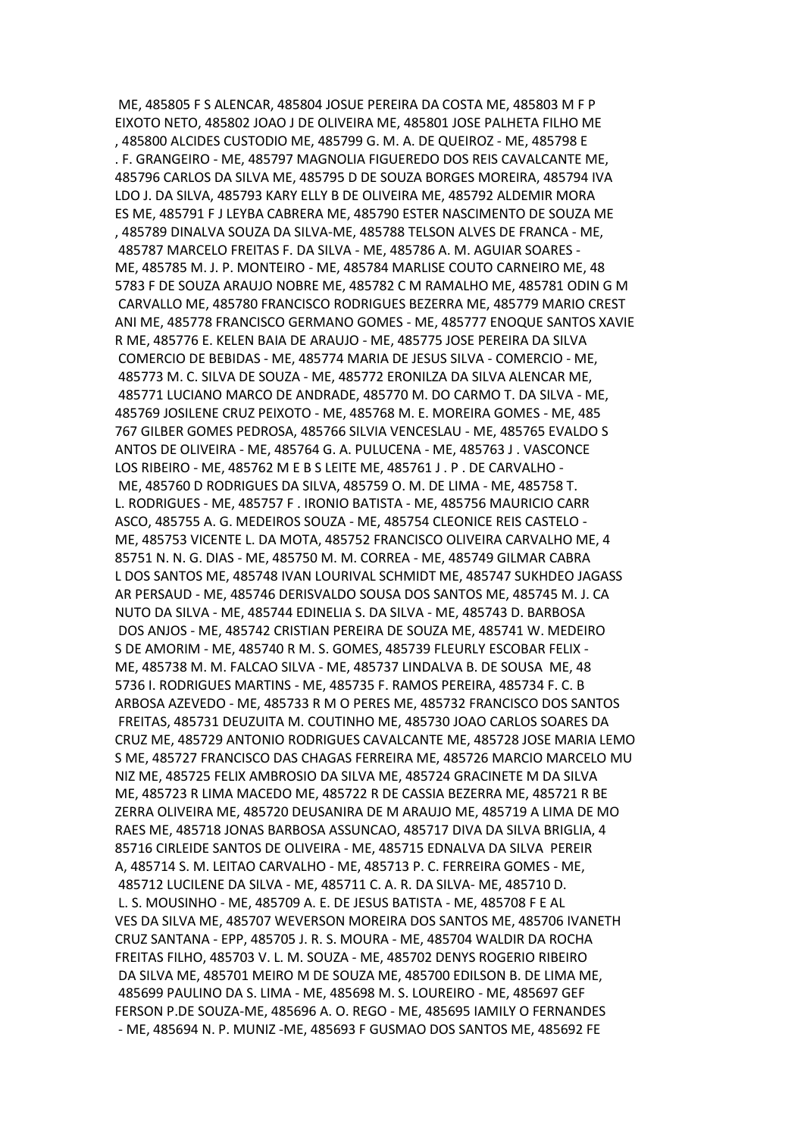ME, 485805 F S ALENCAR, 485804 JOSUE PEREIRA DA COSTA ME, 485803 M F P EIXOTO NETO, 485802 JOAO J DE OLIVEIRA ME, 485801 JOSE PALHETA FILHO ME , 485800 ALCIDES CUSTODIO ME, 485799 G. M. A. DE QUEIROZ - ME, 485798 E . F. GRANGEIRO - ME, 485797 MAGNOLIA FIGUEREDO DOS REIS CAVALCANTE ME, 485796 CARLOS DA SILVA ME, 485795 D DE SOUZA BORGES MOREIRA, 485794 IVA LDO J. DA SILVA, 485793 KARY ELLY B DE OLIVEIRA ME, 485792 ALDEMIR MORA ES ME, 485791 F J LEYBA CABRERA ME, 485790 ESTER NASCIMENTO DE SOUZA ME , 485789 DINALVA SOUZA DA SILVA-ME, 485788 TELSON ALVES DE FRANCA - ME, 485787 MARCELO FREITAS F. DA SILVA - ME, 485786 A. M. AGUIAR SOARES - ME, 485785 M. J. P. MONTEIRO - ME, 485784 MARLISE COUTO CARNEIRO ME, 48 5783 F DE SOUZA ARAUJO NOBRE ME, 485782 C M RAMALHO ME, 485781 ODIN G M CARVALLO ME, 485780 FRANCISCO RODRIGUES BEZERRA ME, 485779 MARIO CREST ANI ME, 485778 FRANCISCO GERMANO GOMES - ME, 485777 ENOQUE SANTOS XAVIE R ME, 485776 E. KELEN BAIA DE ARAUJO - ME, 485775 JOSE PEREIRA DA SILVA COMERCIO DE BEBIDAS - ME, 485774 MARIA DE JESUS SILVA - COMERCIO - ME, 485773 M. C. SILVA DE SOUZA - ME, 485772 ERONILZA DA SILVA ALENCAR ME, 485771 LUCIANO MARCO DE ANDRADE, 485770 M. DO CARMO T. DA SILVA - ME, 485769 JOSILENE CRUZ PEIXOTO - ME, 485768 M. E. MOREIRA GOMES - ME, 485 767 GILBER GOMES PEDROSA, 485766 SILVIA VENCESLAU - ME, 485765 EVALDO S ANTOS DE OLIVEIRA - ME, 485764 G. A. PULUCENA - ME, 485763 J . VASCONCE LOS RIBEIRO - ME, 485762 M E B S LEITE ME, 485761 J . P . DE CARVALHO - ME, 485760 D RODRIGUES DA SILVA, 485759 O. M. DE LIMA - ME, 485758 T. L. RODRIGUES - ME, 485757 F . IRONIO BATISTA - ME, 485756 MAURICIO CARR ASCO, 485755 A. G. MEDEIROS SOUZA - ME, 485754 CLEONICE REIS CASTELO - ME, 485753 VICENTE L. DA MOTA, 485752 FRANCISCO OLIVEIRA CARVALHO ME, 4 85751 N. N. G. DIAS - ME, 485750 M. M. CORREA - ME, 485749 GILMAR CABRA L DOS SANTOS ME, 485748 IVAN LOURIVAL SCHMIDT ME, 485747 SUKHDEO JAGASS AR PERSAUD - ME, 485746 DERISVALDO SOUSA DOS SANTOS ME, 485745 M. J. CA NUTO DA SILVA - ME, 485744 EDINELIA S. DA SILVA - ME, 485743 D. BARBOSA DOS ANJOS - ME, 485742 CRISTIAN PEREIRA DE SOUZA ME, 485741 W. MEDEIRO S DE AMORIM - ME, 485740 R M. S. GOMES, 485739 FLEURLY ESCOBAR FELIX - ME, 485738 M. M. FALCAO SILVA - ME, 485737 LINDALVA B. DE SOUSA ME, 48 5736 I. RODRIGUES MARTINS - ME, 485735 F. RAMOS PEREIRA, 485734 F. C. B ARBOSA AZEVEDO - ME, 485733 R M O PERES ME, 485732 FRANCISCO DOS SANTOS FREITAS, 485731 DEUZUITA M. COUTINHO ME, 485730 JOAO CARLOS SOARES DA CRUZ ME, 485729 ANTONIO RODRIGUES CAVALCANTE ME, 485728 JOSE MARIA LEMO S ME, 485727 FRANCISCO DAS CHAGAS FERREIRA ME, 485726 MARCIO MARCELO MU NIZ ME, 485725 FELIX AMBROSIO DA SILVA ME, 485724 GRACINETE M DA SILVA ME, 485723 R LIMA MACEDO ME, 485722 R DE CASSIA BEZERRA ME, 485721 R BE ZERRA OLIVEIRA ME, 485720 DEUSANIRA DE M ARAUJO ME, 485719 A LIMA DE MO RAES ME, 485718 JONAS BARBOSA ASSUNCAO, 485717 DIVA DA SILVA BRIGLIA, 4 85716 CIRLEIDE SANTOS DE OLIVEIRA - ME, 485715 EDNALVA DA SILVA PEREIR A, 485714 S. M. LEITAO CARVALHO - ME, 485713 P. C. FERREIRA GOMES - ME, 485712 LUCILENE DA SILVA - ME, 485711 C. A. R. DA SILVA- ME, 485710 D. L. S. MOUSINHO - ME, 485709 A. E. DE JESUS BATISTA - ME, 485708 F E AL VES DA SILVA ME, 485707 WEVERSON MOREIRA DOS SANTOS ME, 485706 IVANETH CRUZ SANTANA - EPP, 485705 J. R. S. MOURA - ME, 485704 WALDIR DA ROCHA FREITAS FILHO, 485703 V. L. M. SOUZA - ME, 485702 DENYS ROGERIO RIBEIRO DA SILVA ME, 485701 MEIRO M DE SOUZA ME, 485700 EDILSON B. DE LIMA ME, 485699 PAULINO DA S. LIMA - ME, 485698 M. S. LOUREIRO - ME, 485697 GEF FERSON P.DE SOUZA-ME, 485696 A. O. REGO - ME, 485695 IAMILY O FERNANDES - ME, 485694 N. P. MUNIZ -ME, 485693 F GUSMAO DOS SANTOS ME, 485692 FE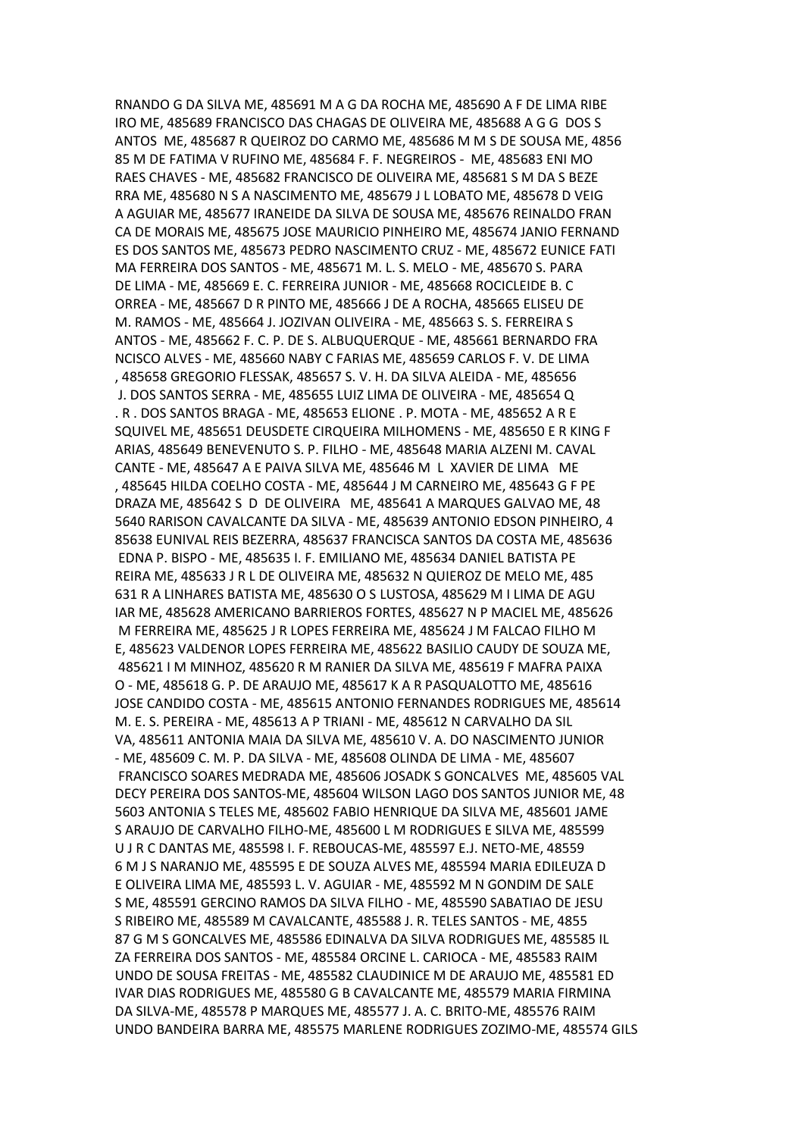RNANDO G DA SILVA ME, 485691 M A G DA ROCHA ME, 485690 A F DE LIMA RIBE IRO ME, 485689 FRANCISCO DAS CHAGAS DE OLIVEIRA ME, 485688 A G G DOS S ANTOS ME, 485687 R QUEIROZ DO CARMO ME, 485686 M M S DE SOUSA ME, 4856 85 M DE FATIMA V RUFINO ME, 485684 F. F. NEGREIROS - ME, 485683 ENI MO RAES CHAVES - ME, 485682 FRANCISCO DE OLIVEIRA ME, 485681 S M DA S BEZE RRA ME, 485680 N S A NASCIMENTO ME, 485679 J L LOBATO ME, 485678 D VEIG A AGUIAR ME, 485677 IRANEIDE DA SILVA DE SOUSA ME, 485676 REINALDO FRAN CA DE MORAIS ME, 485675 JOSE MAURICIO PINHEIRO ME, 485674 JANIO FERNAND ES DOS SANTOS ME, 485673 PEDRO NASCIMENTO CRUZ - ME, 485672 EUNICE FATI MA FERREIRA DOS SANTOS - ME, 485671 M. L. S. MELO - ME, 485670 S. PARA DE LIMA - ME, 485669 E. C. FERREIRA JUNIOR - ME, 485668 ROCICLEIDE B. C ORREA - ME, 485667 D R PINTO ME, 485666 J DE A ROCHA, 485665 ELISEU DE M. RAMOS - ME, 485664 J. JOZIVAN OLIVEIRA - ME, 485663 S. S. FERREIRA S ANTOS - ME, 485662 F. C. P. DE S. ALBUQUERQUE - ME, 485661 BERNARDO FRA NCISCO ALVES - ME, 485660 NABY C FARIAS ME, 485659 CARLOS F. V. DE LIMA , 485658 GREGORIO FLESSAK, 485657 S. V. H. DA SILVA ALEIDA - ME, 485656 J. DOS SANTOS SERRA - ME, 485655 LUIZ LIMA DE OLIVEIRA - ME, 485654 Q . R . DOS SANTOS BRAGA - ME, 485653 ELIONE . P. MOTA - ME, 485652 A R E SQUIVEL ME, 485651 DEUSDETE CIRQUEIRA MILHOMENS - ME, 485650 E R KING F ARIAS, 485649 BENEVENUTO S. P. FILHO - ME, 485648 MARIA ALZENI M. CAVAL CANTE - ME, 485647 A E PAIVA SILVA ME, 485646 M L XAVIER DE LIMA ME , 485645 HILDA COELHO COSTA - ME, 485644 J M CARNEIRO ME, 485643 G F PE DRAZA ME, 485642 S D DE OLIVEIRA ME, 485641 A MARQUES GALVAO ME, 48 5640 RARISON CAVALCANTE DA SILVA - ME, 485639 ANTONIO EDSON PINHEIRO, 4 85638 EUNIVAL REIS BEZERRA, 485637 FRANCISCA SANTOS DA COSTA ME, 485636 EDNA P. BISPO - ME, 485635 I. F. EMILIANO ME, 485634 DANIEL BATISTA PE REIRA ME, 485633 J R L DE OLIVEIRA ME, 485632 N QUIEROZ DE MELO ME, 485 631 R A LINHARES BATISTA ME, 485630 O S LUSTOSA, 485629 M I LIMA DE AGU IAR ME, 485628 AMERICANO BARRIEROS FORTES, 485627 N P MACIEL ME, 485626 M FERREIRA ME, 485625 J R LOPES FERREIRA ME, 485624 J M FALCAO FILHO M E, 485623 VALDENOR LOPES FERREIRA ME, 485622 BASILIO CAUDY DE SOUZA ME, 485621 I M MINHOZ, 485620 R M RANIER DA SILVA ME, 485619 F MAFRA PAIXA O - ME, 485618 G. P. DE ARAUJO ME, 485617 K A R PASQUALOTTO ME, 485616 JOSE CANDIDO COSTA - ME, 485615 ANTONIO FERNANDES RODRIGUES ME, 485614 M. E. S. PEREIRA - ME, 485613 A P TRIANI - ME, 485612 N CARVALHO DA SIL VA, 485611 ANTONIA MAIA DA SILVA ME, 485610 V. A. DO NASCIMENTO JUNIOR - ME, 485609 C. M. P. DA SILVA - ME, 485608 OLINDA DE LIMA - ME, 485607 FRANCISCO SOARES MEDRADA ME, 485606 JOSADK S GONCALVES ME, 485605 VAL DECY PEREIRA DOS SANTOS-ME, 485604 WILSON LAGO DOS SANTOS JUNIOR ME, 48 5603 ANTONIA S TELES ME, 485602 FABIO HENRIQUE DA SILVA ME, 485601 JAME S ARAUJO DE CARVALHO FILHO-ME, 485600 L M RODRIGUES E SILVA ME, 485599 U J R C DANTAS ME, 485598 I. F. REBOUCAS-ME, 485597 E.J. NETO-ME, 48559 6 M J S NARANJO ME, 485595 E DE SOUZA ALVES ME, 485594 MARIA EDILEUZA D E OLIVEIRA LIMA ME, 485593 L. V. AGUIAR - ME, 485592 M N GONDIM DE SALE S ME, 485591 GERCINO RAMOS DA SILVA FILHO - ME, 485590 SABATIAO DE JESU S RIBEIRO ME, 485589 M CAVALCANTE, 485588 J. R. TELES SANTOS - ME, 4855 87 G M S GONCALVES ME, 485586 EDINALVA DA SILVA RODRIGUES ME, 485585 IL ZA FERREIRA DOS SANTOS - ME, 485584 ORCINE L. CARIOCA - ME, 485583 RAIM UNDO DE SOUSA FREITAS - ME, 485582 CLAUDINICE M DE ARAUJO ME, 485581 ED IVAR DIAS RODRIGUES ME, 485580 G B CAVALCANTE ME, 485579 MARIA FIRMINA DA SILVA-ME, 485578 P MARQUES ME, 485577 J. A. C. BRITO-ME, 485576 RAIM UNDO BANDEIRA BARRA ME, 485575 MARLENE RODRIGUES ZOZIMO-ME, 485574 GILS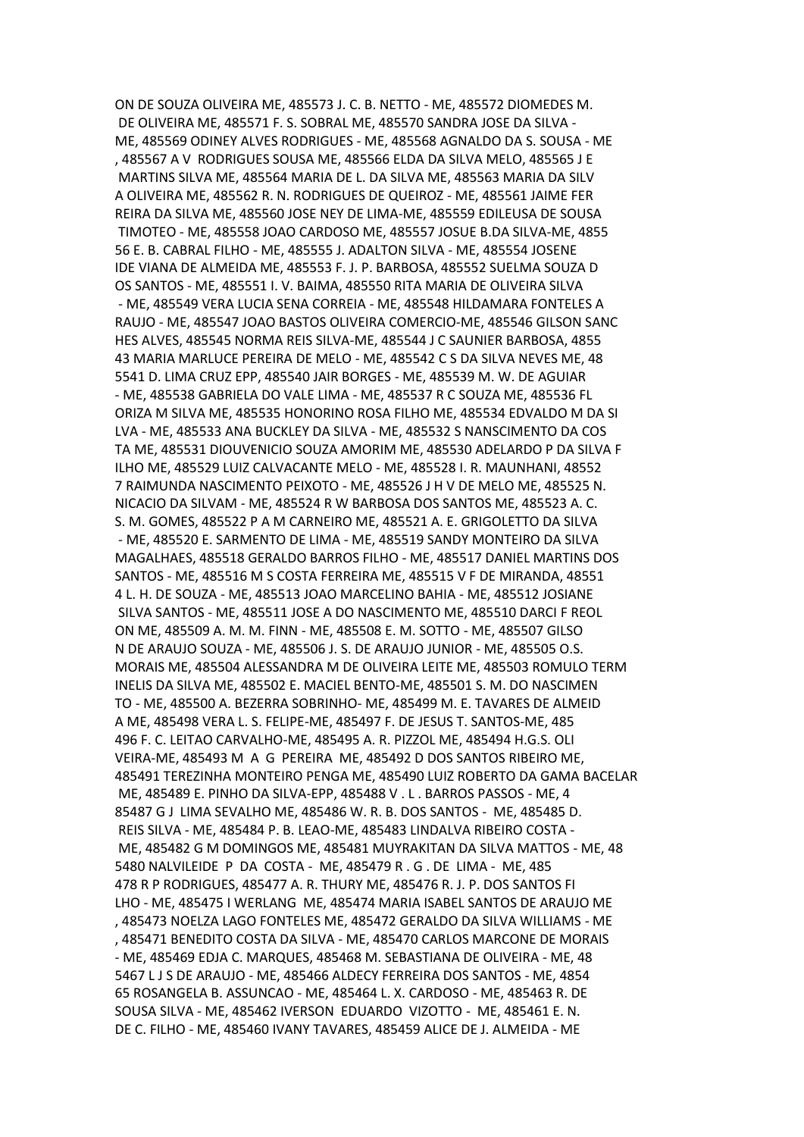ON DE SOUZA OLIVEIRA ME, 485573 J. C. B. NETTO - ME, 485572 DIOMEDES M. DE OLIVEIRA ME, 485571 F. S. SOBRAL ME, 485570 SANDRA JOSE DA SILVA - ME, 485569 ODINEY ALVES RODRIGUES - ME, 485568 AGNALDO DA S. SOUSA - ME , 485567 A V RODRIGUES SOUSA ME, 485566 ELDA DA SILVA MELO, 485565 J E MARTINS SILVA ME, 485564 MARIA DE L. DA SILVA ME, 485563 MARIA DA SILV A OLIVEIRA ME, 485562 R. N. RODRIGUES DE QUEIROZ - ME, 485561 JAIME FER REIRA DA SILVA ME, 485560 JOSE NEY DE LIMA-ME, 485559 EDILEUSA DE SOUSA TIMOTEO - ME, 485558 JOAO CARDOSO ME, 485557 JOSUE B.DA SILVA-ME, 4855 56 E. B. CABRAL FILHO - ME, 485555 J. ADALTON SILVA - ME, 485554 JOSENE IDE VIANA DE ALMEIDA ME, 485553 F. J. P. BARBOSA, 485552 SUELMA SOUZA D OS SANTOS - ME, 485551 I. V. BAIMA, 485550 RITA MARIA DE OLIVEIRA SILVA - ME, 485549 VERA LUCIA SENA CORREIA - ME, 485548 HILDAMARA FONTELES A RAUJO - ME, 485547 JOAO BASTOS OLIVEIRA COMERCIO-ME, 485546 GILSON SANC HES ALVES, 485545 NORMA REIS SILVA-ME, 485544 J C SAUNIER BARBOSA, 4855 43 MARIA MARLUCE PEREIRA DE MELO - ME, 485542 C S DA SILVA NEVES ME, 48 5541 D. LIMA CRUZ EPP, 485540 JAIR BORGES - ME, 485539 M. W. DE AGUIAR - ME, 485538 GABRIELA DO VALE LIMA - ME, 485537 R C SOUZA ME, 485536 FL ORIZA M SILVA ME, 485535 HONORINO ROSA FILHO ME, 485534 EDVALDO M DA SI LVA - ME, 485533 ANA BUCKLEY DA SILVA - ME, 485532 S NANSCIMENTO DA COS TA ME, 485531 DIOUVENICIO SOUZA AMORIM ME, 485530 ADELARDO P DA SILVA F ILHO ME, 485529 LUIZ CALVACANTE MELO - ME, 485528 I. R. MAUNHANI, 48552 7 RAIMUNDA NASCIMENTO PEIXOTO - ME, 485526 J H V DE MELO ME, 485525 N. NICACIO DA SILVAM - ME, 485524 R W BARBOSA DOS SANTOS ME, 485523 A. C. S. M. GOMES, 485522 P A M CARNEIRO ME, 485521 A. E. GRIGOLETTO DA SILVA - ME, 485520 E. SARMENTO DE LIMA - ME, 485519 SANDY MONTEIRO DA SILVA MAGALHAES, 485518 GERALDO BARROS FILHO - ME, 485517 DANIEL MARTINS DOS SANTOS - ME, 485516 M S COSTA FERREIRA ME, 485515 V F DE MIRANDA, 48551 4 L. H. DE SOUZA - ME, 485513 JOAO MARCELINO BAHIA - ME, 485512 JOSIANE SILVA SANTOS - ME, 485511 JOSE A DO NASCIMENTO ME, 485510 DARCI F REOL ON ME, 485509 A. M. M. FINN - ME, 485508 E. M. SOTTO - ME, 485507 GILSO N DE ARAUJO SOUZA - ME, 485506 J. S. DE ARAUJO JUNIOR - ME, 485505 O.S. MORAIS ME, 485504 ALESSANDRA M DE OLIVEIRA LEITE ME, 485503 ROMULO TERM INELIS DA SILVA ME, 485502 E. MACIEL BENTO-ME, 485501 S. M. DO NASCIMEN TO - ME, 485500 A. BEZERRA SOBRINHO- ME, 485499 M. E. TAVARES DE ALMEID A ME, 485498 VERA L. S. FELIPE-ME, 485497 F. DE JESUS T. SANTOS-ME, 485 496 F. C. LEITAO CARVALHO-ME, 485495 A. R. PIZZOL ME, 485494 H.G.S. OLI VEIRA-ME, 485493 M A G PEREIRA ME, 485492 D DOS SANTOS RIBEIRO ME, 485491 TEREZINHA MONTEIRO PENGA ME, 485490 LUIZ ROBERTO DA GAMA BACELAR ME, 485489 E. PINHO DA SILVA-EPP, 485488 V . L . BARROS PASSOS - ME, 4 85487 G J LIMA SEVALHO ME, 485486 W. R. B. DOS SANTOS - ME, 485485 D. REIS SILVA - ME, 485484 P. B. LEAO-ME, 485483 LINDALVA RIBEIRO COSTA - ME, 485482 G M DOMINGOS ME, 485481 MUYRAKITAN DA SILVA MATTOS - ME, 48 5480 NALVILEIDE P DA COSTA - ME, 485479 R . G . DE LIMA - ME, 485 478 R P RODRIGUES, 485477 A. R. THURY ME, 485476 R. J. P. DOS SANTOS FI LHO - ME, 485475 I WERLANG ME, 485474 MARIA ISABEL SANTOS DE ARAUJO ME , 485473 NOELZA LAGO FONTELES ME, 485472 GERALDO DA SILVA WILLIAMS - ME , 485471 BENEDITO COSTA DA SILVA - ME, 485470 CARLOS MARCONE DE MORAIS - ME, 485469 EDJA C. MARQUES, 485468 M. SEBASTIANA DE OLIVEIRA - ME, 48 5467 L J S DE ARAUJO - ME, 485466 ALDECY FERREIRA DOS SANTOS - ME, 4854 65 ROSANGELA B. ASSUNCAO - ME, 485464 L. X. CARDOSO - ME, 485463 R. DE SOUSA SILVA - ME, 485462 IVERSON EDUARDO VIZOTTO - ME, 485461 E. N. DE C. FILHO - ME, 485460 IVANY TAVARES, 485459 ALICE DE J. ALMEIDA - ME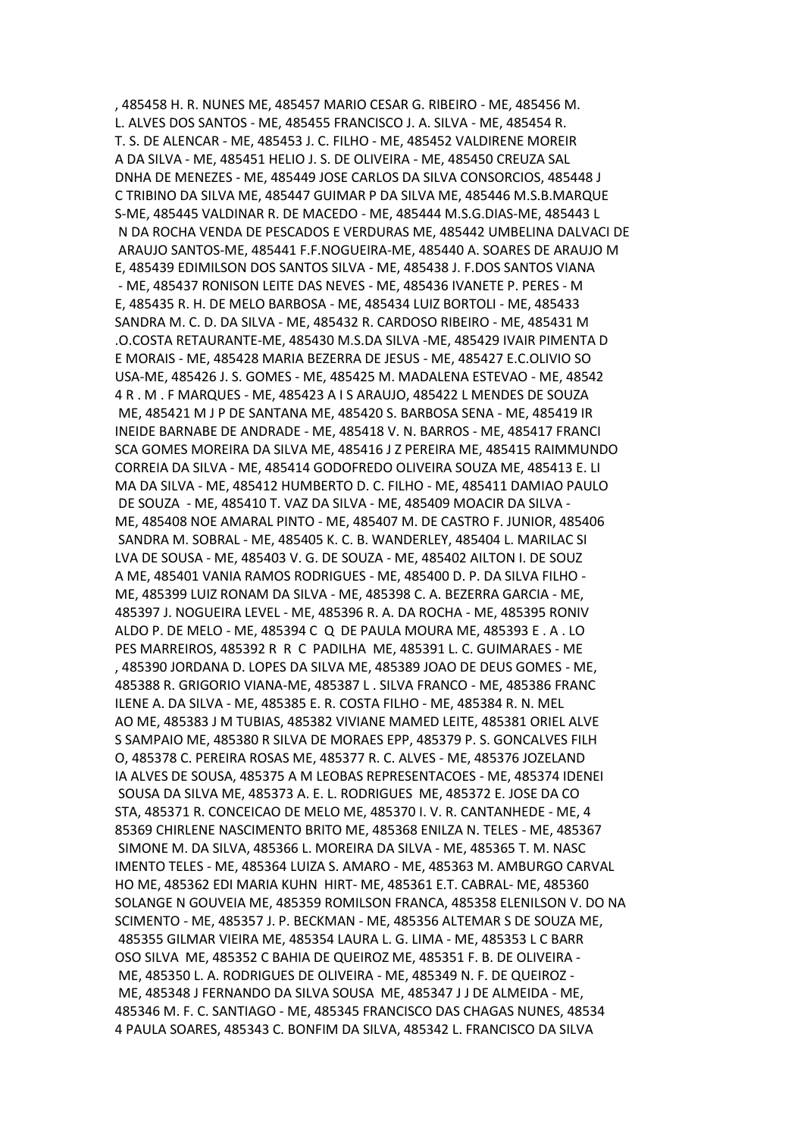, 485458 H. R. NUNES ME, 485457 MARIO CESAR G. RIBEIRO - ME, 485456 M. L. ALVES DOS SANTOS - ME, 485455 FRANCISCO J. A. SILVA - ME, 485454 R. T. S. DE ALENCAR - ME, 485453 J. C. FILHO - ME, 485452 VALDIRENE MOREIR A DA SILVA - ME, 485451 HELIO J. S. DE OLIVEIRA - ME, 485450 CREUZA SAL DNHA DE MENEZES - ME, 485449 JOSE CARLOS DA SILVA CONSORCIOS, 485448 J C TRIBINO DA SILVA ME, 485447 GUIMAR P DA SILVA ME, 485446 M.S.B.MARQUE S-ME, 485445 VALDINAR R. DE MACEDO - ME, 485444 M.S.G.DIAS-ME, 485443 L N DA ROCHA VENDA DE PESCADOS E VERDURAS ME, 485442 UMBELINA DALVACI DE ARAUJO SANTOS-ME, 485441 F.F.NOGUEIRA-ME, 485440 A. SOARES DE ARAUJO M E, 485439 EDIMILSON DOS SANTOS SILVA - ME, 485438 J. F.DOS SANTOS VIANA - ME, 485437 RONISON LEITE DAS NEVES - ME, 485436 IVANETE P. PERES - M E, 485435 R. H. DE MELO BARBOSA - ME, 485434 LUIZ BORTOLI - ME, 485433 SANDRA M. C. D. DA SILVA - ME, 485432 R. CARDOSO RIBEIRO - ME, 485431 M .O.COSTA RETAURANTE-ME, 485430 M.S.DA SILVA -ME, 485429 IVAIR PIMENTA D E MORAIS - ME, 485428 MARIA BEZERRA DE JESUS - ME, 485427 E.C.OLIVIO SO USA-ME, 485426 J. S. GOMES - ME, 485425 M. MADALENA ESTEVAO - ME, 48542 4 R . M . F MARQUES - ME, 485423 A I S ARAUJO, 485422 L MENDES DE SOUZA ME, 485421 M J P DE SANTANA ME, 485420 S. BARBOSA SENA - ME, 485419 IR INEIDE BARNABE DE ANDRADE - ME, 485418 V. N. BARROS - ME, 485417 FRANCI SCA GOMES MOREIRA DA SILVA ME, 485416 J Z PEREIRA ME, 485415 RAIMMUNDO CORREIA DA SILVA - ME, 485414 GODOFREDO OLIVEIRA SOUZA ME, 485413 E. LI MA DA SILVA - ME, 485412 HUMBERTO D. C. FILHO - ME, 485411 DAMIAO PAULO DE SOUZA - ME, 485410 T. VAZ DA SILVA - ME, 485409 MOACIR DA SILVA - ME, 485408 NOE AMARAL PINTO - ME, 485407 M. DE CASTRO F. JUNIOR, 485406 SANDRA M. SOBRAL - ME, 485405 K. C. B. WANDERLEY, 485404 L. MARILAC SI LVA DE SOUSA - ME, 485403 V. G. DE SOUZA - ME, 485402 AILTON I. DE SOUZ A ME, 485401 VANIA RAMOS RODRIGUES - ME, 485400 D. P. DA SILVA FILHO - ME, 485399 LUIZ RONAM DA SILVA - ME, 485398 C. A. BEZERRA GARCIA - ME, 485397 J. NOGUEIRA LEVEL - ME, 485396 R. A. DA ROCHA - ME, 485395 RONIV ALDO P. DE MELO - ME, 485394 C Q DE PAULA MOURA ME, 485393 E . A . LO PES MARREIROS, 485392 R R C PADILHA ME, 485391 L. C. GUIMARAES - ME , 485390 JORDANA D. LOPES DA SILVA ME, 485389 JOAO DE DEUS GOMES - ME, 485388 R. GRIGORIO VIANA-ME, 485387 L . SILVA FRANCO - ME, 485386 FRANC ILENE A. DA SILVA - ME, 485385 E. R. COSTA FILHO - ME, 485384 R. N. MEL AO ME, 485383 J M TUBIAS, 485382 VIVIANE MAMED LEITE, 485381 ORIEL ALVE S SAMPAIO ME, 485380 R SILVA DE MORAES EPP, 485379 P. S. GONCALVES FILH O, 485378 C. PEREIRA ROSAS ME, 485377 R. C. ALVES - ME, 485376 JOZELAND IA ALVES DE SOUSA, 485375 A M LEOBAS REPRESENTACOES - ME, 485374 IDENEI SOUSA DA SILVA ME, 485373 A. E. L. RODRIGUES ME, 485372 E. JOSE DA CO STA, 485371 R. CONCEICAO DE MELO ME, 485370 I. V. R. CANTANHEDE - ME, 4 85369 CHIRLENE NASCIMENTO BRITO ME, 485368 ENILZA N. TELES - ME, 485367 SIMONE M. DA SILVA, 485366 L. MOREIRA DA SILVA - ME, 485365 T. M. NASC IMENTO TELES - ME, 485364 LUIZA S. AMARO - ME, 485363 M. AMBURGO CARVAL HO ME, 485362 EDI MARIA KUHN HIRT- ME, 485361 E.T. CABRAL- ME, 485360 SOLANGE N GOUVEIA ME, 485359 ROMILSON FRANCA, 485358 ELENILSON V. DO NA SCIMENTO - ME, 485357 J. P. BECKMAN - ME, 485356 ALTEMAR S DE SOUZA ME, 485355 GILMAR VIEIRA ME, 485354 LAURA L. G. LIMA - ME, 485353 L C BARR OSO SILVA ME, 485352 C BAHIA DE QUEIROZ ME, 485351 F. B. DE OLIVEIRA - ME, 485350 L. A. RODRIGUES DE OLIVEIRA - ME, 485349 N. F. DE QUEIROZ - ME, 485348 J FERNANDO DA SILVA SOUSA ME, 485347 J J DE ALMEIDA - ME, 485346 M. F. C. SANTIAGO - ME, 485345 FRANCISCO DAS CHAGAS NUNES, 48534 4 PAULA SOARES, 485343 C. BONFIM DA SILVA, 485342 L. FRANCISCO DA SILVA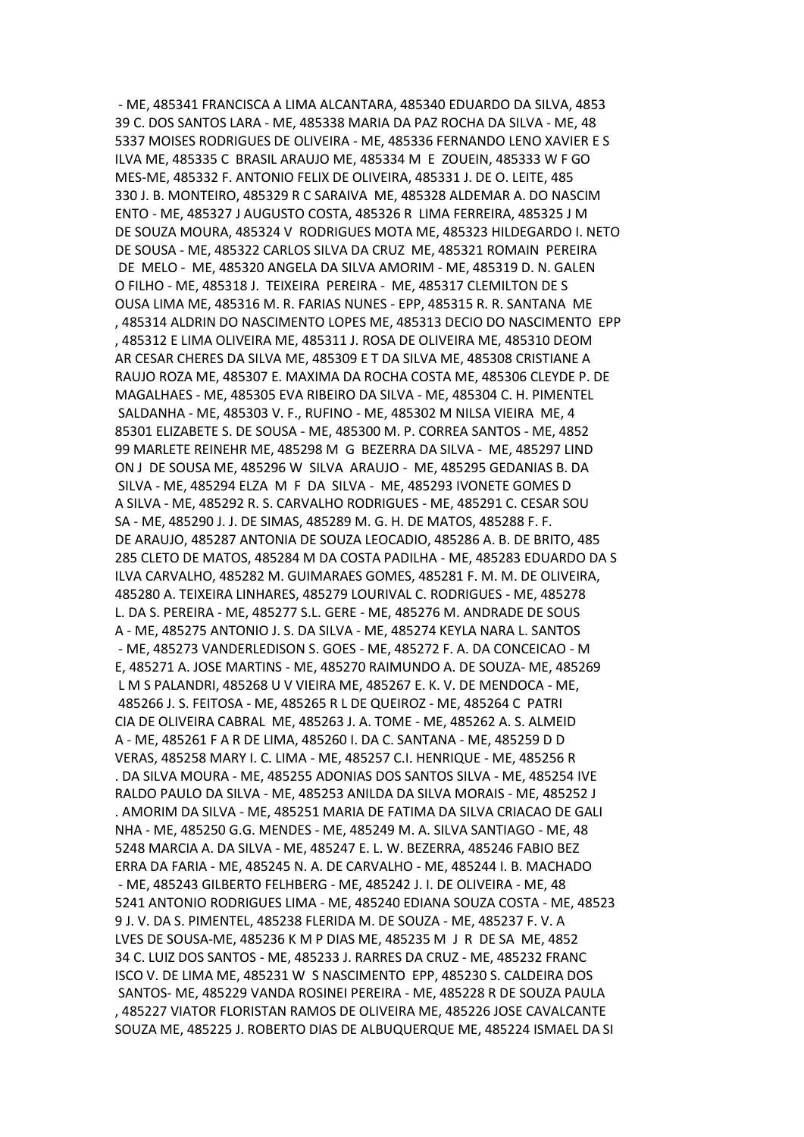- ME, 485341 FRANCISCA A LIMA ALCANTARA, 485340 EDUARDO DA SILVA, 4853 39 C. DOS SANTOS LARA - ME, 485338 MARIA DA PAZ ROCHA DA SILVA - ME, 48 5337 MOISES RODRIGUES DE OLIVEIRA - ME, 485336 FERNANDO LENO XAVIER E S ILVA ME, 485335 C BRASIL ARAUJO ME, 485334 M E ZOUEIN, 485333 W F GO MES-ME, 485332 F. ANTONIO FELIX DE OLIVEIRA, 485331 J. DE O. LEITE, 485 330 J. B. MONTEIRO, 485329 R C SARAIVA ME, 485328 ALDEMAR A. DO NASCIM ENTO - ME, 485327 J AUGUSTO COSTA, 485326 R LIMA FERREIRA, 485325 J M DE SOUZA MOURA, 485324 V RODRIGUES MOTA ME, 485323 HILDEGARDO I. NETO DE SOUSA - ME, 485322 CARLOS SILVA DA CRUZ ME, 485321 ROMAIN PEREIRA DE MELO - ME, 485320 ANGELA DA SILVA AMORIM - ME, 485319 D. N. GALEN O FILHO - ME, 485318 J. TEIXEIRA PEREIRA - ME, 485317 CLEMILTON DE S OUSA LIMA ME, 485316 M. R. FARIAS NUNES - EPP, 485315 R. R. SANTANA ME , 485314 ALDRIN DO NASCIMENTO LOPES ME, 485313 DECIO DO NASCIMENTO EPP , 485312 E LIMA OLIVEIRA ME, 485311 J. ROSA DE OLIVEIRA ME, 485310 DEOM AR CESAR CHERES DA SILVA ME, 485309 E T DA SILVA ME, 485308 CRISTIANE A RAUJO ROZA ME, 485307 E. MAXIMA DA ROCHA COSTA ME, 485306 CLEYDE P. DE MAGALHAES - ME, 485305 EVA RIBEIRO DA SILVA - ME, 485304 C. H. PIMENTEL SALDANHA - ME, 485303 V. F., RUFINO - ME, 485302 M NILSA VIEIRA ME, 4 85301 ELIZABETE S. DE SOUSA - ME, 485300 M. P. CORREA SANTOS - ME, 4852 99 MARLETE REINEHR ME, 485298 M G BEZERRA DA SILVA - ME, 485297 LIND ON J DE SOUSA ME, 485296 W SILVA ARAUJO - ME, 485295 GEDANIAS B. DA SILVA - ME, 485294 ELZA M F DA SILVA - ME, 485293 IVONETE GOMES D A SILVA - ME, 485292 R. S. CARVALHO RODRIGUES - ME, 485291 C. CESAR SOU SA - ME, 485290 J. J. DE SIMAS, 485289 M. G. H. DE MATOS, 485288 F. F. DE ARAUJO, 485287 ANTONIA DE SOUZA LEOCADIO, 485286 A. B. DE BRITO, 485 285 CLETO DE MATOS, 485284 M DA COSTA PADILHA - ME, 485283 EDUARDO DA S ILVA CARVALHO, 485282 M. GUIMARAES GOMES, 485281 F. M. M. DE OLIVEIRA, 485280 A. TEIXEIRA LINHARES, 485279 LOURIVAL C. RODRIGUES - ME, 485278 L. DA S. PEREIRA - ME, 485277 S.L. GERE - ME, 485276 M. ANDRADE DE SOUS A - ME, 485275 ANTONIO J. S. DA SILVA - ME, 485274 KEYLA NARA L. SANTOS - ME, 485273 VANDERLEDISON S. GOES - ME, 485272 F. A. DA CONCEICAO - M E, 485271 A. JOSE MARTINS - ME, 485270 RAIMUNDO A. DE SOUZA- ME, 485269 L M S PALANDRI, 485268 U V VIEIRA ME, 485267 E. K. V. DE MENDOCA - ME, 485266 J. S. FEITOSA - ME, 485265 R L DE QUEIROZ - ME, 485264 C PATRI CIA DE OLIVEIRA CABRAL ME, 485263 J. A. TOME - ME, 485262 A. S. ALMEID A - ME, 485261 F A R DE LIMA, 485260 I. DA C. SANTANA - ME, 485259 D D VERAS, 485258 MARY I. C. LIMA - ME, 485257 C.I. HENRIQUE - ME, 485256 R . DA SILVA MOURA - ME, 485255 ADONIAS DOS SANTOS SILVA - ME, 485254 IVE RALDO PAULO DA SILVA - ME, 485253 ANILDA DA SILVA MORAIS - ME, 485252 J . AMORIM DA SILVA - ME, 485251 MARIA DE FATIMA DA SILVA CRIACAO DE GALI NHA - ME, 485250 G.G. MENDES - ME, 485249 M. A. SILVA SANTIAGO - ME, 48 5248 MARCIA A. DA SILVA - ME, 485247 E. L. W. BEZERRA, 485246 FABIO BEZ ERRA DA FARIA - ME, 485245 N. A. DE CARVALHO - ME, 485244 I. B. MACHADO - ME, 485243 GILBERTO FELHBERG - ME, 485242 J. I. DE OLIVEIRA - ME, 48 5241 ANTONIO RODRIGUES LIMA - ME, 485240 EDIANA SOUZA COSTA - ME, 48523 9 J. V. DA S. PIMENTEL, 485238 FLERIDA M. DE SOUZA - ME, 485237 F. V. A LVES DE SOUSA-ME, 485236 K M P DIAS ME, 485235 M J R DE SA ME, 4852 34 C. LUIZ DOS SANTOS - ME, 485233 J. RARRES DA CRUZ - ME, 485232 FRANC ISCO V. DE LIMA ME, 485231 W S NASCIMENTO EPP, 485230 S. CALDEIRA DOS SANTOS- ME, 485229 VANDA ROSINEI PEREIRA - ME, 485228 R DE SOUZA PAULA , 485227 VIATOR FLORISTAN RAMOS DE OLIVEIRA ME, 485226 JOSE CAVALCANTE SOUZA ME, 485225 J. ROBERTO DIAS DE ALBUQUERQUE ME, 485224 ISMAEL DA SI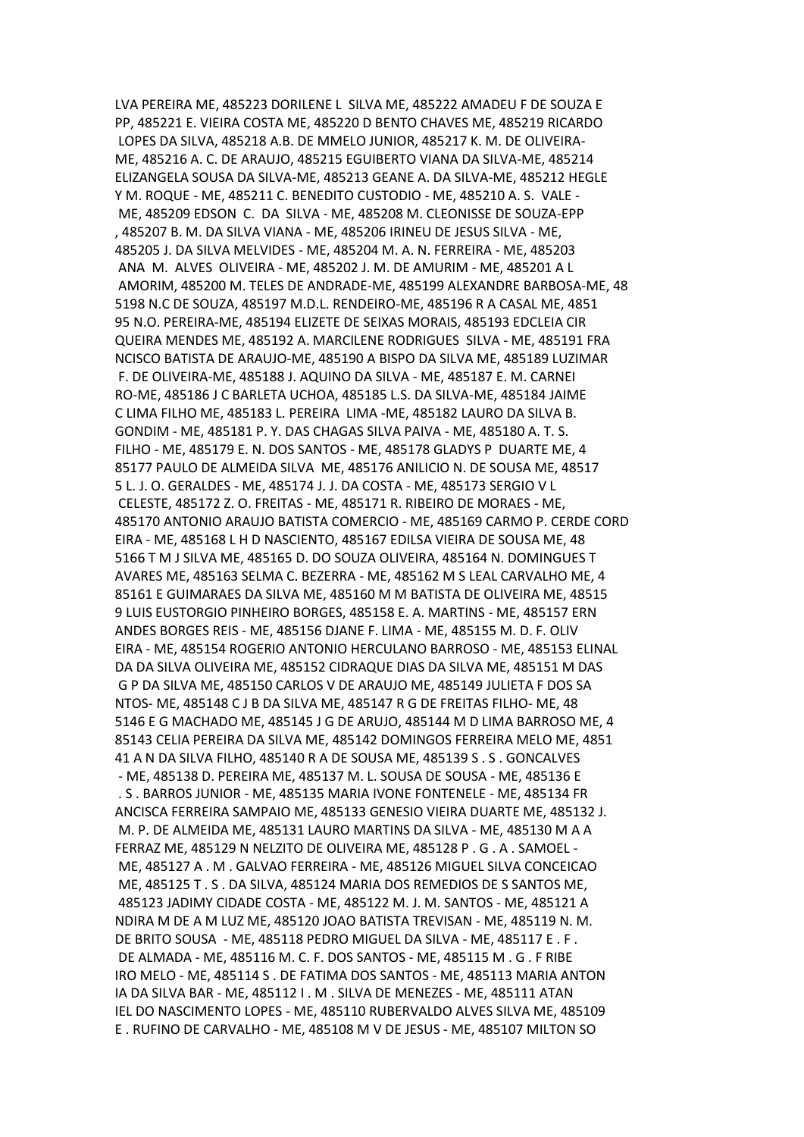LVA PEREIRA ME, 485223 DORILENE L SILVA ME, 485222 AMADEU F DE SOUZA E PP, 485221 E. VIEIRA COSTA ME, 485220 D BENTO CHAVES ME, 485219 RICARDO LOPES DA SILVA, 485218 A.B. DE MMELO JUNIOR, 485217 K. M. DE OLIVEIRA-ME, 485216 A. C. DE ARAUJO, 485215 EGUIBERTO VIANA DA SILVA-ME, 485214 ELIZANGELA SOUSA DA SILVA-ME, 485213 GEANE A. DA SILVA-ME, 485212 HEGLE Y M. ROQUE - ME, 485211 C. BENEDITO CUSTODIO - ME, 485210 A. S. VALE - ME, 485209 EDSON C. DA SILVA - ME, 485208 M. CLEONISSE DE SOUZA-EPP , 485207 B. M. DA SILVA VIANA - ME, 485206 IRINEU DE JESUS SILVA - ME, 485205 J. DA SILVA MELVIDES - ME, 485204 M. A. N. FERREIRA - ME, 485203 ANA M. ALVES OLIVEIRA - ME, 485202 J. M. DE AMURIM - ME, 485201 A L AMORIM, 485200 M. TELES DE ANDRADE-ME, 485199 ALEXANDRE BARBOSA-ME, 48 5198 N.C DE SOUZA, 485197 M.D.L. RENDEIRO-ME, 485196 R A CASAL ME, 4851 95 N.O. PEREIRA-ME, 485194 ELIZETE DE SEIXAS MORAIS, 485193 EDCLEIA CIR QUEIRA MENDES ME, 485192 A. MARCILENE RODRIGUES SILVA - ME, 485191 FRA NCISCO BATISTA DE ARAUJO-ME, 485190 A BISPO DA SILVA ME, 485189 LUZIMAR F. DE OLIVEIRA-ME, 485188 J. AQUINO DA SILVA - ME, 485187 E. M. CARNEI RO-ME, 485186 J C BARLETA UCHOA, 485185 L.S. DA SILVA-ME, 485184 JAIME C LIMA FILHO ME, 485183 L. PEREIRA LIMA -ME, 485182 LAURO DA SILVA B. GONDIM - ME, 485181 P. Y. DAS CHAGAS SILVA PAIVA - ME, 485180 A. T. S. FILHO - ME, 485179 E. N. DOS SANTOS - ME, 485178 GLADYS P DUARTE ME, 4 85177 PAULO DE ALMEIDA SILVA ME, 485176 ANILICIO N. DE SOUSA ME, 48517 5 L. J. O. GERALDES - ME, 485174 J. J. DA COSTA - ME, 485173 SERGIO V L CELESTE, 485172 Z. O. FREITAS - ME, 485171 R. RIBEIRO DE MORAES - ME, 485170 ANTONIO ARAUJO BATISTA COMERCIO - ME, 485169 CARMO P. CERDE CORD EIRA - ME, 485168 L H D NASCIENTO, 485167 EDILSA VIEIRA DE SOUSA ME, 48 5166 T M J SILVA ME, 485165 D. DO SOUZA OLIVEIRA, 485164 N. DOMINGUES T AVARES ME, 485163 SELMA C. BEZERRA - ME, 485162 M S LEAL CARVALHO ME, 4 85161 E GUIMARAES DA SILVA ME, 485160 M M BATISTA DE OLIVEIRA ME, 48515 9 LUIS EUSTORGIO PINHEIRO BORGES, 485158 E. A. MARTINS - ME, 485157 ERN ANDES BORGES REIS - ME, 485156 DJANE F. LIMA - ME, 485155 M. D. F. OLIV EIRA - ME, 485154 ROGERIO ANTONIO HERCULANO BARROSO - ME, 485153 ELINAL DA DA SILVA OLIVEIRA ME, 485152 CIDRAQUE DIAS DA SILVA ME, 485151 M DAS G P DA SILVA ME, 485150 CARLOS V DE ARAUJO ME, 485149 JULIETA F DOS SA NTOS- ME, 485148 C J B DA SILVA ME, 485147 R G DE FREITAS FILHO- ME, 48 5146 E G MACHADO ME, 485145 J G DE ARUJO, 485144 M D LIMA BARROSO ME, 4 85143 CELIA PEREIRA DA SILVA ME, 485142 DOMINGOS FERREIRA MELO ME, 4851 41 A N DA SILVA FILHO, 485140 R A DE SOUSA ME, 485139 S . S . GONCALVES - ME, 485138 D. PEREIRA ME, 485137 M. L. SOUSA DE SOUSA - ME, 485136 E . S . BARROS JUNIOR - ME, 485135 MARIA IVONE FONTENELE - ME, 485134 FR ANCISCA FERREIRA SAMPAIO ME, 485133 GENESIO VIEIRA DUARTE ME, 485132 J. M. P. DE ALMEIDA ME, 485131 LAURO MARTINS DA SILVA - ME, 485130 M A A FERRAZ ME, 485129 N NELZITO DE OLIVEIRA ME, 485128 P . G . A . SAMOEL - ME, 485127 A . M . GALVAO FERREIRA - ME, 485126 MIGUEL SILVA CONCEICAO ME, 485125 T . S . DA SILVA, 485124 MARIA DOS REMEDIOS DE S SANTOS ME, 485123 JADIMY CIDADE COSTA - ME, 485122 M. J. M. SANTOS - ME, 485121 A NDIRA M DE A M LUZ ME, 485120 JOAO BATISTA TREVISAN - ME, 485119 N. M. DE BRITO SOUSA - ME, 485118 PEDRO MIGUEL DA SILVA - ME, 485117 E . F . DE ALMADA - ME, 485116 M. C. F. DOS SANTOS - ME, 485115 M . G . F RIBE IRO MELO - ME, 485114 S . DE FATIMA DOS SANTOS - ME, 485113 MARIA ANTON IA DA SILVA BAR - ME, 485112 I . M . SILVA DE MENEZES - ME, 485111 ATAN IEL DO NASCIMENTO LOPES - ME, 485110 RUBERVALDO ALVES SILVA ME, 485109 E . RUFINO DE CARVALHO - ME, 485108 M V DE JESUS - ME, 485107 MILTON SO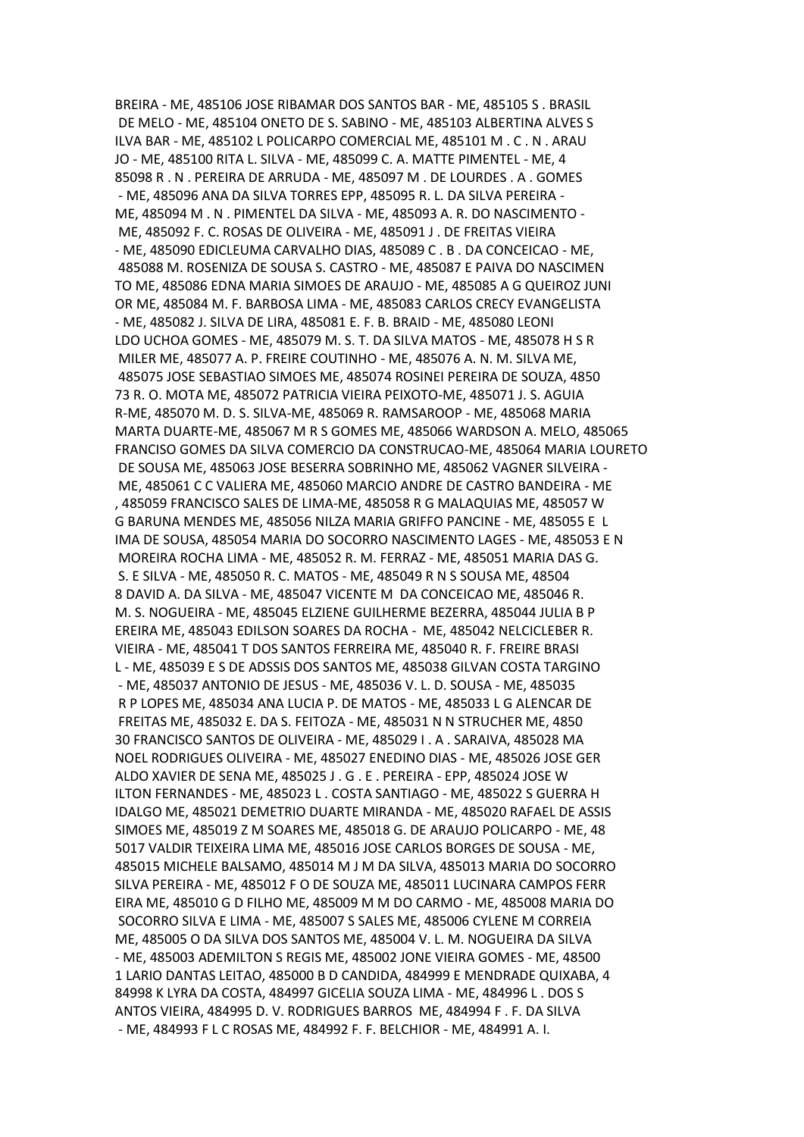BREIRA - ME, 485106 JOSE RIBAMAR DOS SANTOS BAR - ME, 485105 S . BRASIL DE MELO - ME, 485104 ONETO DE S. SABINO - ME, 485103 ALBERTINA ALVES S ILVA BAR - ME, 485102 L POLICARPO COMERCIAL ME, 485101 M . C . N . ARAU JO - ME, 485100 RITA L. SILVA - ME, 485099 C. A. MATTE PIMENTEL - ME, 4 85098 R . N . PEREIRA DE ARRUDA - ME, 485097 M . DE LOURDES . A . GOMES - ME, 485096 ANA DA SILVA TORRES EPP, 485095 R. L. DA SILVA PEREIRA - ME, 485094 M . N . PIMENTEL DA SILVA - ME, 485093 A. R. DO NASCIMENTO - ME, 485092 F. C. ROSAS DE OLIVEIRA - ME, 485091 J . DE FREITAS VIEIRA - ME, 485090 EDICLEUMA CARVALHO DIAS, 485089 C . B . DA CONCEICAO - ME, 485088 M. ROSENIZA DE SOUSA S. CASTRO - ME, 485087 E PAIVA DO NASCIMEN TO ME, 485086 EDNA MARIA SIMOES DE ARAUJO - ME, 485085 A G QUEIROZ JUNI OR ME, 485084 M. F. BARBOSA LIMA - ME, 485083 CARLOS CRECY EVANGELISTA - ME, 485082 J. SILVA DE LIRA, 485081 E. F. B. BRAID - ME, 485080 LEONI LDO UCHOA GOMES - ME, 485079 M. S. T. DA SILVA MATOS - ME, 485078 H S R MILER ME, 485077 A. P. FREIRE COUTINHO - ME, 485076 A. N. M. SILVA ME, 485075 JOSE SEBASTIAO SIMOES ME, 485074 ROSINEI PEREIRA DE SOUZA, 4850 73 R. O. MOTA ME, 485072 PATRICIA VIEIRA PEIXOTO-ME, 485071 J. S. AGUIA R-ME, 485070 M. D. S. SILVA-ME, 485069 R. RAMSAROOP - ME, 485068 MARIA MARTA DUARTE-ME, 485067 M R S GOMES ME, 485066 WARDSON A. MELO, 485065 FRANCISO GOMES DA SILVA COMERCIO DA CONSTRUCAO-ME, 485064 MARIA LOURETO DE SOUSA ME, 485063 JOSE BESERRA SOBRINHO ME, 485062 VAGNER SILVEIRA - ME, 485061 C C VALIERA ME, 485060 MARCIO ANDRE DE CASTRO BANDEIRA - ME , 485059 FRANCISCO SALES DE LIMA-ME, 485058 R G MALAQUIAS ME, 485057 W G BARUNA MENDES ME, 485056 NILZA MARIA GRIFFO PANCINE - ME, 485055 E L IMA DE SOUSA, 485054 MARIA DO SOCORRO NASCIMENTO LAGES - ME, 485053 E N MOREIRA ROCHA LIMA - ME, 485052 R. M. FERRAZ - ME, 485051 MARIA DAS G. S. E SILVA - ME, 485050 R. C. MATOS - ME, 485049 R N S SOUSA ME, 48504 8 DAVID A. DA SILVA - ME, 485047 VICENTE M DA CONCEICAO ME, 485046 R. M. S. NOGUEIRA - ME, 485045 ELZIENE GUILHERME BEZERRA, 485044 JULIA B P EREIRA ME, 485043 EDILSON SOARES DA ROCHA - ME, 485042 NELCICLEBER R. VIEIRA - ME, 485041 T DOS SANTOS FERREIRA ME, 485040 R. F. FREIRE BRASI L - ME, 485039 E S DE ADSSIS DOS SANTOS ME, 485038 GILVAN COSTA TARGINO - ME, 485037 ANTONIO DE JESUS - ME, 485036 V. L. D. SOUSA - ME, 485035 R P LOPES ME, 485034 ANA LUCIA P. DE MATOS - ME, 485033 L G ALENCAR DE FREITAS ME, 485032 E. DA S. FEITOZA - ME, 485031 N N STRUCHER ME, 4850 30 FRANCISCO SANTOS DE OLIVEIRA - ME, 485029 I . A . SARAIVA, 485028 MA NOEL RODRIGUES OLIVEIRA - ME, 485027 ENEDINO DIAS - ME, 485026 JOSE GER ALDO XAVIER DE SENA ME, 485025 J . G . E . PEREIRA - EPP, 485024 JOSE W ILTON FERNANDES - ME, 485023 L . COSTA SANTIAGO - ME, 485022 S GUERRA H IDALGO ME, 485021 DEMETRIO DUARTE MIRANDA - ME, 485020 RAFAEL DE ASSIS SIMOES ME, 485019 Z M SOARES ME, 485018 G. DE ARAUJO POLICARPO - ME, 48 5017 VALDIR TEIXEIRA LIMA ME, 485016 JOSE CARLOS BORGES DE SOUSA - ME, 485015 MICHELE BALSAMO, 485014 M J M DA SILVA, 485013 MARIA DO SOCORRO SILVA PEREIRA - ME, 485012 F O DE SOUZA ME, 485011 LUCINARA CAMPOS FERR EIRA ME, 485010 G D FILHO ME, 485009 M M DO CARMO - ME, 485008 MARIA DO SOCORRO SILVA E LIMA - ME, 485007 S SALES ME, 485006 CYLENE M CORREIA ME, 485005 O DA SILVA DOS SANTOS ME, 485004 V. L. M. NOGUEIRA DA SILVA - ME, 485003 ADEMILTON S REGIS ME, 485002 JONE VIEIRA GOMES - ME, 48500 1 LARIO DANTAS LEITAO, 485000 B D CANDIDA, 484999 E MENDRADE QUIXABA, 4 84998 K LYRA DA COSTA, 484997 GICELIA SOUZA LIMA - ME, 484996 L . DOS S ANTOS VIEIRA, 484995 D. V. RODRIGUES BARROS ME, 484994 F . F. DA SILVA - ME, 484993 F L C ROSAS ME, 484992 F. F. BELCHIOR - ME, 484991 A. I.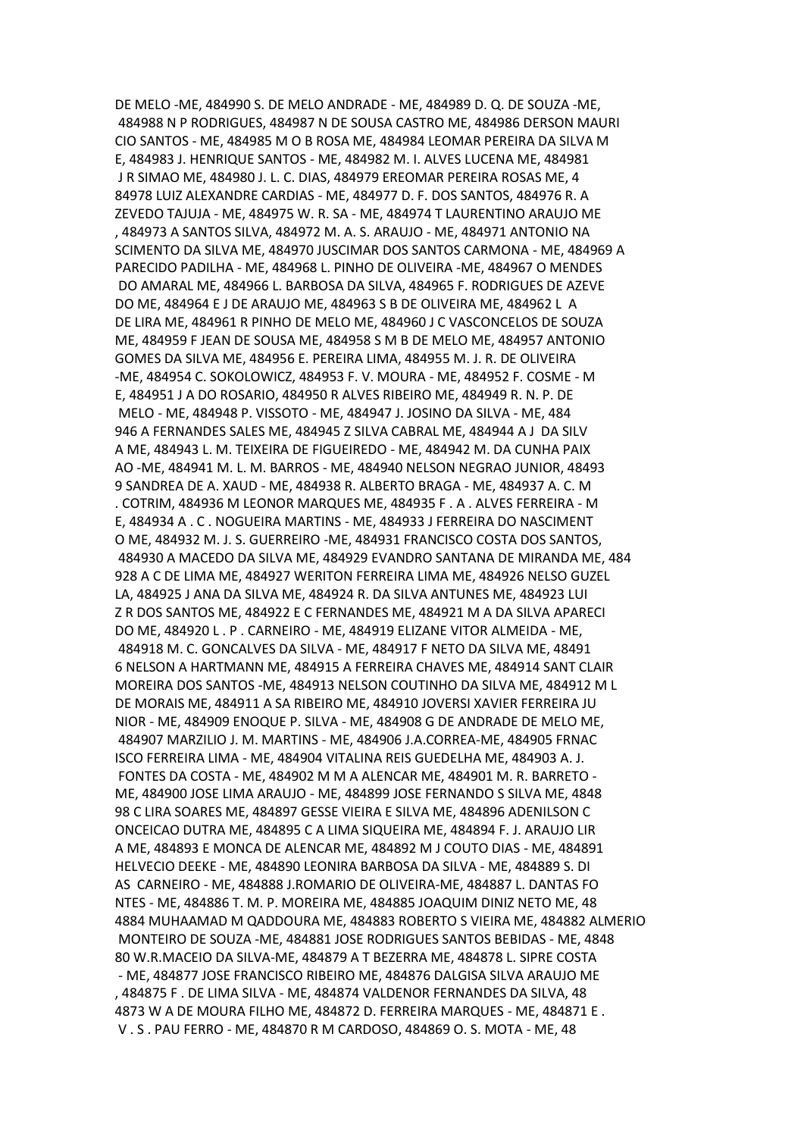DE MELO -ME, 484990 S. DE MELO ANDRADE - ME, 484989 D. Q. DE SOUZA -ME, 484988 N P RODRIGUES, 484987 N DE SOUSA CASTRO ME, 484986 DERSON MAURI CIO SANTOS - ME, 484985 M O B ROSA ME, 484984 LEOMAR PEREIRA DA SILVA M E, 484983 J. HENRIQUE SANTOS - ME, 484982 M. I. ALVES LUCENA ME, 484981 J R SIMAO ME, 484980 J. L. C. DIAS, 484979 EREOMAR PEREIRA ROSAS ME, 4 84978 LUIZ ALEXANDRE CARDIAS - ME, 484977 D. F. DOS SANTOS, 484976 R. A ZEVEDO TAJUJA - ME, 484975 W. R. SA - ME, 484974 T LAURENTINO ARAUJO ME , 484973 A SANTOS SILVA, 484972 M. A. S. ARAUJO - ME, 484971 ANTONIO NA SCIMENTO DA SILVA ME, 484970 JUSCIMAR DOS SANTOS CARMONA - ME, 484969 A PARECIDO PADILHA - ME, 484968 L. PINHO DE OLIVEIRA -ME, 484967 O MENDES DO AMARAL ME, 484966 L. BARBOSA DA SILVA, 484965 F. RODRIGUES DE AZEVE DO ME, 484964 E J DE ARAUJO ME, 484963 S B DE OLIVEIRA ME, 484962 L A DE LIRA ME, 484961 R PINHO DE MELO ME, 484960 J C VASCONCELOS DE SOUZA ME, 484959 F JEAN DE SOUSA ME, 484958 S M B DE MELO ME, 484957 ANTONIO GOMES DA SILVA ME, 484956 E. PEREIRA LIMA, 484955 M. J. R. DE OLIVEIRA -ME, 484954 C. SOKOLOWICZ, 484953 F. V. MOURA - ME, 484952 F. COSME - M E, 484951 J A DO ROSARIO, 484950 R ALVES RIBEIRO ME, 484949 R. N. P. DE MELO - ME, 484948 P. VISSOTO - ME, 484947 J. JOSINO DA SILVA - ME, 484 946 A FERNANDES SALES ME, 484945 Z SILVA CABRAL ME, 484944 A J DA SILV A ME, 484943 L. M. TEIXEIRA DE FIGUEIREDO - ME, 484942 M. DA CUNHA PAIX AO -ME, 484941 M. L. M. BARROS - ME, 484940 NELSON NEGRAO JUNIOR, 48493 9 SANDREA DE A. XAUD - ME, 484938 R. ALBERTO BRAGA - ME, 484937 A. C. M . COTRIM, 484936 M LEONOR MARQUES ME, 484935 F . A . ALVES FERREIRA - M E, 484934 A . C . NOGUEIRA MARTINS - ME, 484933 J FERREIRA DO NASCIMENT O ME, 484932 M. J. S. GUERREIRO -ME, 484931 FRANCISCO COSTA DOS SANTOS, 484930 A MACEDO DA SILVA ME, 484929 EVANDRO SANTANA DE MIRANDA ME, 484 928 A C DE LIMA ME, 484927 WERITON FERREIRA LIMA ME, 484926 NELSO GUZEL LA, 484925 J ANA DA SILVA ME, 484924 R. DA SILVA ANTUNES ME, 484923 LUI Z R DOS SANTOS ME, 484922 E C FERNANDES ME, 484921 M A DA SILVA APARECI DO ME, 484920 L . P . CARNEIRO - ME, 484919 ELIZANE VITOR ALMEIDA - ME, 484918 M. C. GONCALVES DA SILVA - ME, 484917 F NETO DA SILVA ME, 48491 6 NELSON A HARTMANN ME, 484915 A FERREIRA CHAVES ME, 484914 SANT CLAIR MOREIRA DOS SANTOS -ME, 484913 NELSON COUTINHO DA SILVA ME, 484912 M L DE MORAIS ME, 484911 A SA RIBEIRO ME, 484910 JOVERSI XAVIER FERREIRA JU NIOR - ME, 484909 ENOQUE P. SILVA - ME, 484908 G DE ANDRADE DE MELO ME, 484907 MARZILIO J. M. MARTINS - ME, 484906 J.A.CORREA-ME, 484905 FRNAC ISCO FERREIRA LIMA - ME, 484904 VITALINA REIS GUEDELHA ME, 484903 A. J. FONTES DA COSTA - ME, 484902 M M A ALENCAR ME, 484901 M. R. BARRETO - ME, 484900 JOSE LIMA ARAUJO - ME, 484899 JOSE FERNANDO S SILVA ME, 4848 98 C LIRA SOARES ME, 484897 GESSE VIEIRA E SILVA ME, 484896 ADENILSON C ONCEICAO DUTRA ME, 484895 C A LIMA SIQUEIRA ME, 484894 F. J. ARAUJO LIR A ME, 484893 E MONCA DE ALENCAR ME, 484892 M J COUTO DIAS - ME, 484891 HELVECIO DEEKE - ME, 484890 LEONIRA BARBOSA DA SILVA - ME, 484889 S. DI AS CARNEIRO - ME, 484888 J.ROMARIO DE OLIVEIRA-ME, 484887 L. DANTAS FO NTES - ME, 484886 T. M. P. MOREIRA ME, 484885 JOAQUIM DINIZ NETO ME, 48 4884 MUHAAMAD M QADDOURA ME, 484883 ROBERTO S VIEIRA ME, 484882 ALMERIO MONTEIRO DE SOUZA -ME, 484881 JOSE RODRIGUES SANTOS BEBIDAS - ME, 4848 80 W.R.MACEIO DA SILVA-ME, 484879 A T BEZERRA ME, 484878 L. SIPRE COSTA - ME, 484877 JOSE FRANCISCO RIBEIRO ME, 484876 DALGISA SILVA ARAUJO ME , 484875 F . DE LIMA SILVA - ME, 484874 VALDENOR FERNANDES DA SILVA, 48 4873 W A DE MOURA FILHO ME, 484872 D. FERREIRA MARQUES - ME, 484871 E . V . S . PAU FERRO - ME, 484870 R M CARDOSO, 484869 O. S. MOTA - ME, 48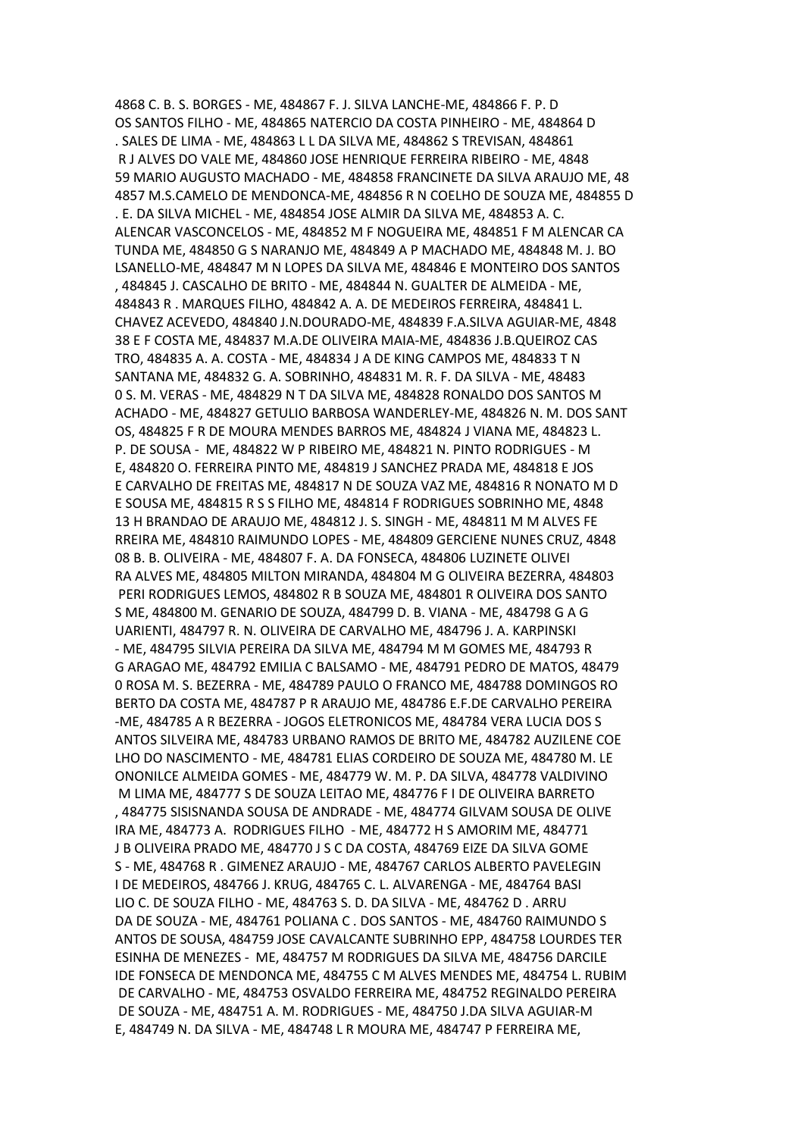4868 C. B. S. BORGES - ME, 484867 F. J. SILVA LANCHE-ME, 484866 F. P. D OS SANTOS FILHO - ME, 484865 NATERCIO DA COSTA PINHEIRO - ME, 484864 D . SALES DE LIMA - ME, 484863 L L DA SILVA ME, 484862 S TREVISAN, 484861 R J ALVES DO VALE ME, 484860 JOSE HENRIQUE FERREIRA RIBEIRO - ME, 4848 59 MARIO AUGUSTO MACHADO - ME, 484858 FRANCINETE DA SILVA ARAUJO ME, 48 4857 M.S.CAMELO DE MENDONCA-ME, 484856 R N COELHO DE SOUZA ME, 484855 D . E. DA SILVA MICHEL - ME, 484854 JOSE ALMIR DA SILVA ME, 484853 A. C. ALENCAR VASCONCELOS - ME, 484852 M F NOGUEIRA ME, 484851 F M ALENCAR CA TUNDA ME, 484850 G S NARANJO ME, 484849 A P MACHADO ME, 484848 M. J. BO LSANELLO-ME, 484847 M N LOPES DA SILVA ME, 484846 E MONTEIRO DOS SANTOS , 484845 J. CASCALHO DE BRITO - ME, 484844 N. GUALTER DE ALMEIDA - ME, 484843 R . MARQUES FILHO, 484842 A. A. DE MEDEIROS FERREIRA, 484841 L. CHAVEZ ACEVEDO, 484840 J.N.DOURADO-ME, 484839 F.A.SILVA AGUIAR-ME, 4848 38 E F COSTA ME, 484837 M.A.DE OLIVEIRA MAIA-ME, 484836 J.B.QUEIROZ CAS TRO, 484835 A. A. COSTA - ME, 484834 J A DE KING CAMPOS ME, 484833 T N SANTANA ME, 484832 G. A. SOBRINHO, 484831 M. R. F. DA SILVA - ME, 48483 0 S. M. VERAS - ME, 484829 N T DA SILVA ME, 484828 RONALDO DOS SANTOS M ACHADO - ME, 484827 GETULIO BARBOSA WANDERLEY-ME, 484826 N. M. DOS SANT OS, 484825 F R DE MOURA MENDES BARROS ME, 484824 J VIANA ME, 484823 L. P. DE SOUSA - ME, 484822 W P RIBEIRO ME, 484821 N. PINTO RODRIGUES - M E, 484820 O. FERREIRA PINTO ME, 484819 J SANCHEZ PRADA ME, 484818 E JOS E CARVALHO DE FREITAS ME, 484817 N DE SOUZA VAZ ME, 484816 R NONATO M D E SOUSA ME, 484815 R S S FILHO ME, 484814 F RODRIGUES SOBRINHO ME, 4848 13 H BRANDAO DE ARAUJO ME, 484812 J. S. SINGH - ME, 484811 M M ALVES FE RREIRA ME, 484810 RAIMUNDO LOPES - ME, 484809 GERCIENE NUNES CRUZ, 4848 08 B. B. OLIVEIRA - ME, 484807 F. A. DA FONSECA, 484806 LUZINETE OLIVEI RA ALVES ME, 484805 MILTON MIRANDA, 484804 M G OLIVEIRA BEZERRA, 484803 PERI RODRIGUES LEMOS, 484802 R B SOUZA ME, 484801 R OLIVEIRA DOS SANTO S ME, 484800 M. GENARIO DE SOUZA, 484799 D. B. VIANA - ME, 484798 G A G UARIENTI, 484797 R. N. OLIVEIRA DE CARVALHO ME, 484796 J. A. KARPINSKI - ME, 484795 SILVIA PEREIRA DA SILVA ME, 484794 M M GOMES ME, 484793 R G ARAGAO ME, 484792 EMILIA C BALSAMO - ME, 484791 PEDRO DE MATOS, 48479 0 ROSA M. S. BEZERRA - ME, 484789 PAULO O FRANCO ME, 484788 DOMINGOS RO BERTO DA COSTA ME, 484787 P R ARAUJO ME, 484786 E.F.DE CARVALHO PEREIRA -ME, 484785 A R BEZERRA - JOGOS ELETRONICOS ME, 484784 VERA LUCIA DOS S ANTOS SILVEIRA ME, 484783 URBANO RAMOS DE BRITO ME, 484782 AUZILENE COE LHO DO NASCIMENTO - ME, 484781 ELIAS CORDEIRO DE SOUZA ME, 484780 M. LE ONONILCE ALMEIDA GOMES - ME, 484779 W. M. P. DA SILVA, 484778 VALDIVINO M LIMA ME, 484777 S DE SOUZA LEITAO ME, 484776 F I DE OLIVEIRA BARRETO , 484775 SISISNANDA SOUSA DE ANDRADE - ME, 484774 GILVAM SOUSA DE OLIVE IRA ME, 484773 A. RODRIGUES FILHO - ME, 484772 H S AMORIM ME, 484771 J B OLIVEIRA PRADO ME, 484770 J S C DA COSTA, 484769 EIZE DA SILVA GOME S - ME, 484768 R . GIMENEZ ARAUJO - ME, 484767 CARLOS ALBERTO PAVELEGIN I DE MEDEIROS, 484766 J. KRUG, 484765 C. L. ALVARENGA - ME, 484764 BASI LIO C. DE SOUZA FILHO - ME, 484763 S. D. DA SILVA - ME, 484762 D . ARRU DA DE SOUZA - ME, 484761 POLIANA C . DOS SANTOS - ME, 484760 RAIMUNDO S ANTOS DE SOUSA, 484759 JOSE CAVALCANTE SUBRINHO EPP, 484758 LOURDES TER ESINHA DE MENEZES - ME, 484757 M RODRIGUES DA SILVA ME, 484756 DARCILE IDE FONSECA DE MENDONCA ME, 484755 C M ALVES MENDES ME, 484754 L. RUBIM DE CARVALHO - ME, 484753 OSVALDO FERREIRA ME, 484752 REGINALDO PEREIRA DE SOUZA - ME, 484751 A. M. RODRIGUES - ME, 484750 J.DA SILVA AGUIAR-M E, 484749 N. DA SILVA - ME, 484748 L R MOURA ME, 484747 P FERREIRA ME,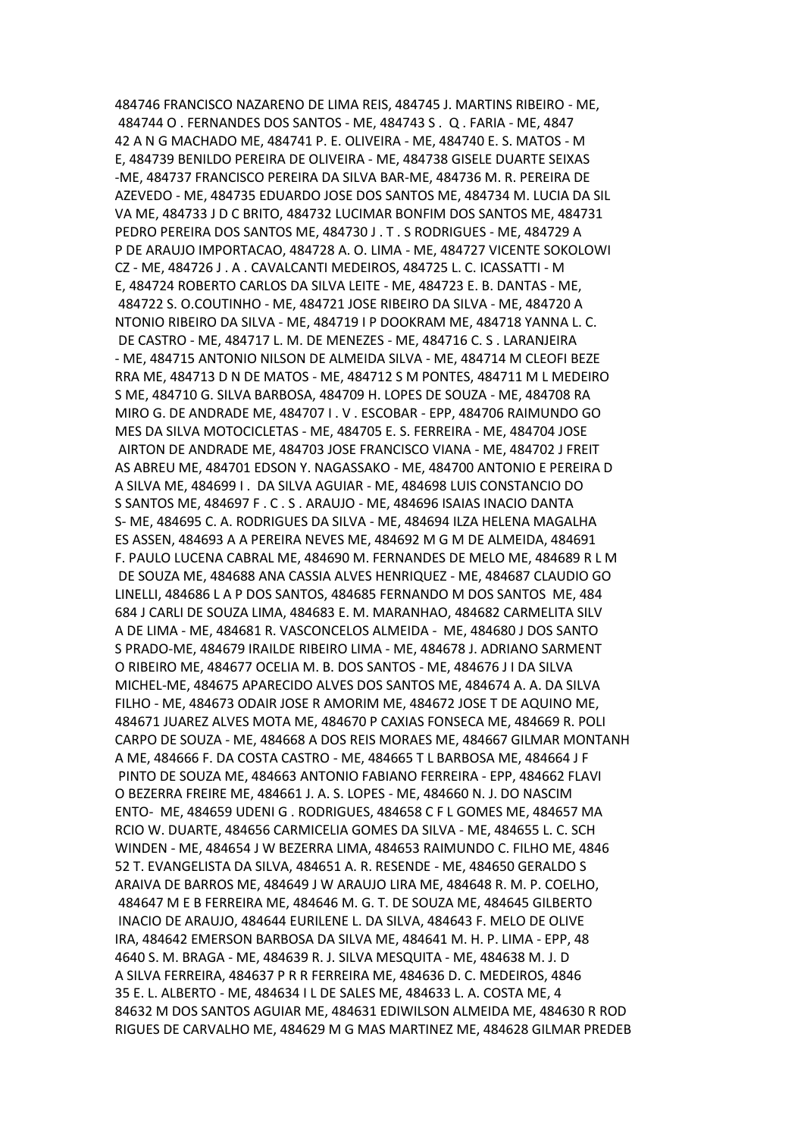484746 FRANCISCO NAZARENO DE LIMA REIS, 484745 J. MARTINS RIBEIRO - ME, 484744 O . FERNANDES DOS SANTOS - ME, 484743 S . Q . FARIA - ME, 4847 42 A N G MACHADO ME, 484741 P. E. OLIVEIRA - ME, 484740 E. S. MATOS - M E, 484739 BENILDO PEREIRA DE OLIVEIRA - ME, 484738 GISELE DUARTE SEIXAS -ME, 484737 FRANCISCO PEREIRA DA SILVA BAR-ME, 484736 M. R. PEREIRA DE AZEVEDO - ME, 484735 EDUARDO JOSE DOS SANTOS ME, 484734 M. LUCIA DA SIL VA ME, 484733 J D C BRITO, 484732 LUCIMAR BONFIM DOS SANTOS ME, 484731 PEDRO PEREIRA DOS SANTOS ME, 484730 J . T . S RODRIGUES - ME, 484729 A P DE ARAUJO IMPORTACAO, 484728 A. O. LIMA - ME, 484727 VICENTE SOKOLOWI CZ - ME, 484726 J . A . CAVALCANTI MEDEIROS, 484725 L. C. ICASSATTI - M E, 484724 ROBERTO CARLOS DA SILVA LEITE - ME, 484723 E. B. DANTAS - ME, 484722 S. O.COUTINHO - ME, 484721 JOSE RIBEIRO DA SILVA - ME, 484720 A NTONIO RIBEIRO DA SILVA - ME, 484719 I P DOOKRAM ME, 484718 YANNA L. C. DE CASTRO - ME, 484717 L. M. DE MENEZES - ME, 484716 C. S . LARANJEIRA - ME, 484715 ANTONIO NILSON DE ALMEIDA SILVA - ME, 484714 M CLEOFI BEZE RRA ME, 484713 D N DE MATOS - ME, 484712 S M PONTES, 484711 M L MEDEIRO S ME, 484710 G. SILVA BARBOSA, 484709 H. LOPES DE SOUZA - ME, 484708 RA MIRO G. DE ANDRADE ME, 484707 I . V . ESCOBAR - EPP, 484706 RAIMUNDO GO MES DA SILVA MOTOCICLETAS - ME, 484705 E. S. FERREIRA - ME, 484704 JOSE AIRTON DE ANDRADE ME, 484703 JOSE FRANCISCO VIANA - ME, 484702 J FREIT AS ABREU ME, 484701 EDSON Y. NAGASSAKO - ME, 484700 ANTONIO E PEREIRA D A SILVA ME, 484699 I . DA SILVA AGUIAR - ME, 484698 LUIS CONSTANCIO DO S SANTOS ME, 484697 F . C . S . ARAUJO - ME, 484696 ISAIAS INACIO DANTA S- ME, 484695 C. A. RODRIGUES DA SILVA - ME, 484694 ILZA HELENA MAGALHA ES ASSEN, 484693 A A PEREIRA NEVES ME, 484692 M G M DE ALMEIDA, 484691 F. PAULO LUCENA CABRAL ME, 484690 M. FERNANDES DE MELO ME, 484689 R L M DE SOUZA ME, 484688 ANA CASSIA ALVES HENRIQUEZ - ME, 484687 CLAUDIO GO LINELLI, 484686 L A P DOS SANTOS, 484685 FERNANDO M DOS SANTOS ME, 484 684 J CARLI DE SOUZA LIMA, 484683 E. M. MARANHAO, 484682 CARMELITA SILV A DE LIMA - ME, 484681 R. VASCONCELOS ALMEIDA - ME, 484680 J DOS SANTO S PRADO-ME, 484679 IRAILDE RIBEIRO LIMA - ME, 484678 J. ADRIANO SARMENT O RIBEIRO ME, 484677 OCELIA M. B. DOS SANTOS - ME, 484676 J I DA SILVA MICHEL-ME, 484675 APARECIDO ALVES DOS SANTOS ME, 484674 A. A. DA SILVA FILHO - ME, 484673 ODAIR JOSE R AMORIM ME, 484672 JOSE T DE AQUINO ME, 484671 JUAREZ ALVES MOTA ME, 484670 P CAXIAS FONSECA ME, 484669 R. POLI CARPO DE SOUZA - ME, 484668 A DOS REIS MORAES ME, 484667 GILMAR MONTANH A ME, 484666 F. DA COSTA CASTRO - ME, 484665 T L BARBOSA ME, 484664 J F PINTO DE SOUZA ME, 484663 ANTONIO FABIANO FERREIRA - EPP, 484662 FLAVI O BEZERRA FREIRE ME, 484661 J. A. S. LOPES - ME, 484660 N. J. DO NASCIM ENTO- ME, 484659 UDENI G . RODRIGUES, 484658 C F L GOMES ME, 484657 MA RCIO W. DUARTE, 484656 CARMICELIA GOMES DA SILVA - ME, 484655 L. C. SCH WINDEN - ME, 484654 J W BEZERRA LIMA, 484653 RAIMUNDO C. FILHO ME, 4846 52 T. EVANGELISTA DA SILVA, 484651 A. R. RESENDE - ME, 484650 GERALDO S ARAIVA DE BARROS ME, 484649 J W ARAUJO LIRA ME, 484648 R. M. P. COELHO, 484647 M E B FERREIRA ME, 484646 M. G. T. DE SOUZA ME, 484645 GILBERTO INACIO DE ARAUJO, 484644 EURILENE L. DA SILVA, 484643 F. MELO DE OLIVE IRA, 484642 EMERSON BARBOSA DA SILVA ME, 484641 M. H. P. LIMA - EPP, 48 4640 S. M. BRAGA - ME, 484639 R. J. SILVA MESQUITA - ME, 484638 M. J. D A SILVA FERREIRA, 484637 P R R FERREIRA ME, 484636 D. C. MEDEIROS, 4846 35 E. L. ALBERTO - ME, 484634 I L DE SALES ME, 484633 L. A. COSTA ME, 4 84632 M DOS SANTOS AGUIAR ME, 484631 EDIWILSON ALMEIDA ME, 484630 R ROD RIGUES DE CARVALHO ME, 484629 M G MAS MARTINEZ ME, 484628 GILMAR PREDEB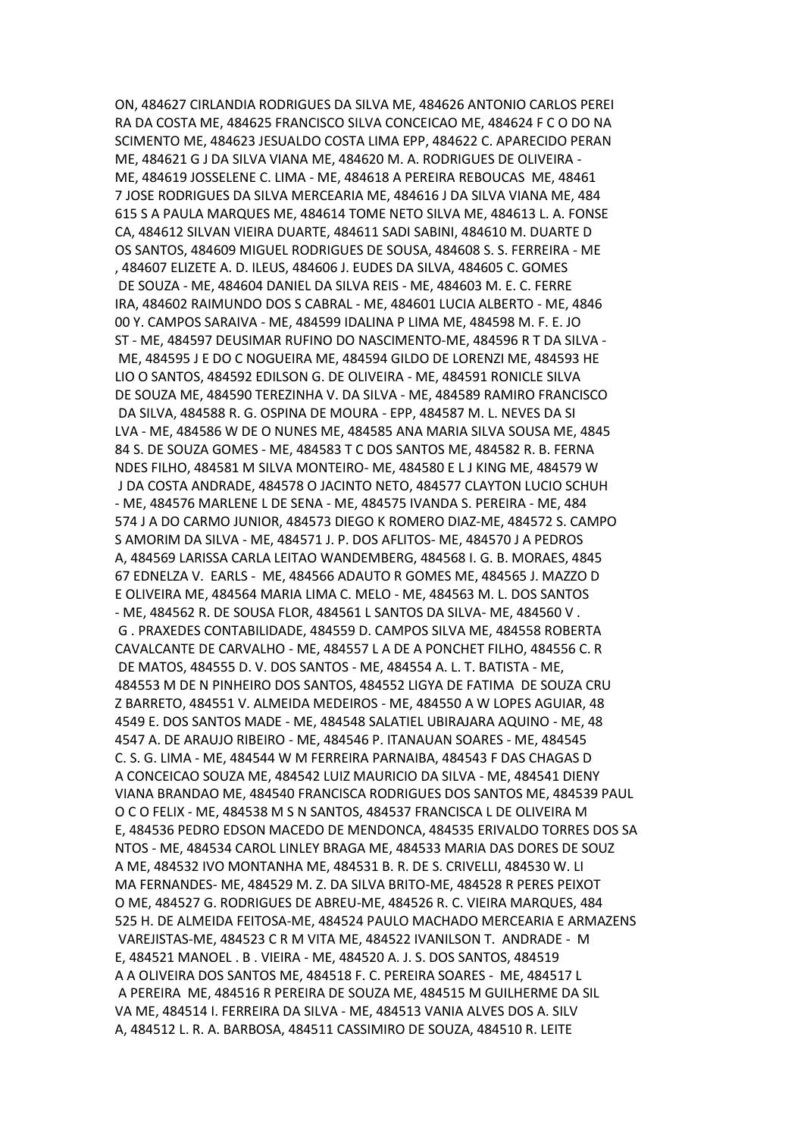ON, 484627 CIRLANDIA RODRIGUES DA SILVA ME, 484626 ANTONIO CARLOS PEREI RA DA COSTA ME, 484625 FRANCISCO SILVA CONCEICAO ME, 484624 F C O DO NA SCIMENTO ME, 484623 JESUALDO COSTA LIMA EPP, 484622 C. APARECIDO PERAN ME, 484621 G J DA SILVA VIANA ME, 484620 M. A. RODRIGUES DE OLIVEIRA - ME, 484619 JOSSELENE C. LIMA - ME, 484618 A PEREIRA REBOUCAS ME, 48461 7 JOSE RODRIGUES DA SILVA MERCEARIA ME, 484616 J DA SILVA VIANA ME, 484 615 S A PAULA MARQUES ME, 484614 TOME NETO SILVA ME, 484613 L. A. FONSE CA, 484612 SILVAN VIEIRA DUARTE, 484611 SADI SABINI, 484610 M. DUARTE D OS SANTOS, 484609 MIGUEL RODRIGUES DE SOUSA, 484608 S. S. FERREIRA - ME , 484607 ELIZETE A. D. ILEUS, 484606 J. EUDES DA SILVA, 484605 C. GOMES DE SOUZA - ME, 484604 DANIEL DA SILVA REIS - ME, 484603 M. E. C. FERRE IRA, 484602 RAIMUNDO DOS S CABRAL - ME, 484601 LUCIA ALBERTO - ME, 4846 00 Y. CAMPOS SARAIVA - ME, 484599 IDALINA P LIMA ME, 484598 M. F. E. JO ST - ME, 484597 DEUSIMAR RUFINO DO NASCIMENTO-ME, 484596 R T DA SILVA - ME, 484595 J E DO C NOGUEIRA ME, 484594 GILDO DE LORENZI ME, 484593 HE LIO O SANTOS, 484592 EDILSON G. DE OLIVEIRA - ME, 484591 RONICLE SILVA DE SOUZA ME, 484590 TEREZINHA V. DA SILVA - ME, 484589 RAMIRO FRANCISCO DA SILVA, 484588 R. G. OSPINA DE MOURA - EPP, 484587 M. L. NEVES DA SI LVA - ME, 484586 W DE O NUNES ME, 484585 ANA MARIA SILVA SOUSA ME, 4845 84 S. DE SOUZA GOMES - ME, 484583 T C DOS SANTOS ME, 484582 R. B. FERNA NDES FILHO, 484581 M SILVA MONTEIRO- ME, 484580 E L J KING ME, 484579 W J DA COSTA ANDRADE, 484578 O JACINTO NETO, 484577 CLAYTON LUCIO SCHUH - ME, 484576 MARLENE L DE SENA - ME, 484575 IVANDA S. PEREIRA - ME, 484 574 J A DO CARMO JUNIOR, 484573 DIEGO K ROMERO DIAZ-ME, 484572 S. CAMPO S AMORIM DA SILVA - ME, 484571 J. P. DOS AFLITOS- ME, 484570 J A PEDROS A, 484569 LARISSA CARLA LEITAO WANDEMBERG, 484568 I. G. B. MORAES, 4845 67 EDNELZA V. EARLS - ME, 484566 ADAUTO R GOMES ME, 484565 J. MAZZO D E OLIVEIRA ME, 484564 MARIA LIMA C. MELO - ME, 484563 M. L. DOS SANTOS - ME, 484562 R. DE SOUSA FLOR, 484561 L SANTOS DA SILVA- ME, 484560 V . G . PRAXEDES CONTABILIDADE, 484559 D. CAMPOS SILVA ME, 484558 ROBERTA CAVALCANTE DE CARVALHO - ME, 484557 L A DE A PONCHET FILHO, 484556 C. R DE MATOS, 484555 D. V. DOS SANTOS - ME, 484554 A. L. T. BATISTA - ME, 484553 M DE N PINHEIRO DOS SANTOS, 484552 LIGYA DE FATIMA DE SOUZA CRU Z BARRETO, 484551 V. ALMEIDA MEDEIROS - ME, 484550 A W LOPES AGUIAR, 48 4549 E. DOS SANTOS MADE - ME, 484548 SALATIEL UBIRAJARA AQUINO - ME, 48 4547 A. DE ARAUJO RIBEIRO - ME, 484546 P. ITANAUAN SOARES - ME, 484545 C. S. G. LIMA - ME, 484544 W M FERREIRA PARNAIBA, 484543 F DAS CHAGAS D A CONCEICAO SOUZA ME, 484542 LUIZ MAURICIO DA SILVA - ME, 484541 DIENY VIANA BRANDAO ME, 484540 FRANCISCA RODRIGUES DOS SANTOS ME, 484539 PAUL O C O FELIX - ME, 484538 M S N SANTOS, 484537 FRANCISCA L DE OLIVEIRA M E, 484536 PEDRO EDSON MACEDO DE MENDONCA, 484535 ERIVALDO TORRES DOS SA NTOS - ME, 484534 CAROL LINLEY BRAGA ME, 484533 MARIA DAS DORES DE SOUZ A ME, 484532 IVO MONTANHA ME, 484531 B. R. DE S. CRIVELLI, 484530 W. LI MA FERNANDES- ME, 484529 M. Z. DA SILVA BRITO-ME, 484528 R PERES PEIXOT O ME, 484527 G. RODRIGUES DE ABREU-ME, 484526 R. C. VIEIRA MARQUES, 484 525 H. DE ALMEIDA FEITOSA-ME, 484524 PAULO MACHADO MERCEARIA E ARMAZENS VAREJISTAS-ME, 484523 C R M VITA ME, 484522 IVANILSON T. ANDRADE - M E, 484521 MANOEL . B . VIEIRA - ME, 484520 A. J. S. DOS SANTOS, 484519 A A OLIVEIRA DOS SANTOS ME, 484518 F. C. PEREIRA SOARES - ME, 484517 L A PEREIRA ME, 484516 R PEREIRA DE SOUZA ME, 484515 M GUILHERME DA SIL VA ME, 484514 I. FERREIRA DA SILVA - ME, 484513 VANIA ALVES DOS A. SILV A, 484512 L. R. A. BARBOSA, 484511 CASSIMIRO DE SOUZA, 484510 R. LEITE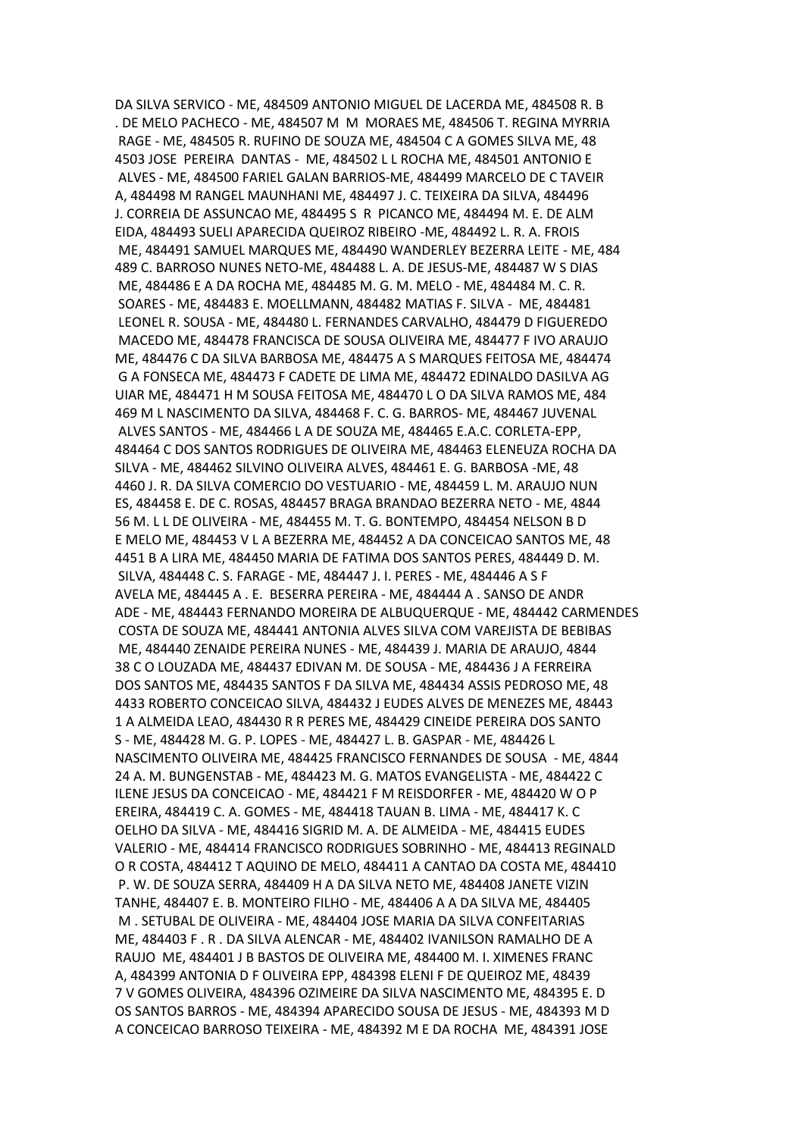DA SILVA SERVICO - ME, 484509 ANTONIO MIGUEL DE LACERDA ME, 484508 R. B . DE MELO PACHECO - ME, 484507 M M MORAES ME, 484506 T. REGINA MYRRIA RAGE - ME, 484505 R. RUFINO DE SOUZA ME, 484504 C A GOMES SILVA ME, 48 4503 JOSE PEREIRA DANTAS - ME, 484502 L L ROCHA ME, 484501 ANTONIO E ALVES - ME, 484500 FARIEL GALAN BARRIOS-ME, 484499 MARCELO DE C TAVEIR A, 484498 M RANGEL MAUNHANI ME, 484497 J. C. TEIXEIRA DA SILVA, 484496 J. CORREIA DE ASSUNCAO ME, 484495 S R PICANCO ME, 484494 M. E. DE ALM EIDA, 484493 SUELI APARECIDA QUEIROZ RIBEIRO -ME, 484492 L. R. A. FROIS ME, 484491 SAMUEL MARQUES ME, 484490 WANDERLEY BEZERRA LEITE - ME, 484 489 C. BARROSO NUNES NETO-ME, 484488 L. A. DE JESUS-ME, 484487 W S DIAS ME, 484486 E A DA ROCHA ME, 484485 M. G. M. MELO - ME, 484484 M. C. R. SOARES - ME, 484483 E. MOELLMANN, 484482 MATIAS F. SILVA - ME, 484481 LEONEL R. SOUSA - ME, 484480 L. FERNANDES CARVALHO, 484479 D FIGUEREDO MACEDO ME, 484478 FRANCISCA DE SOUSA OLIVEIRA ME, 484477 F IVO ARAUJO ME, 484476 C DA SILVA BARBOSA ME, 484475 A S MARQUES FEITOSA ME, 484474 G A FONSECA ME, 484473 F CADETE DE LIMA ME, 484472 EDINALDO DASILVA AG UIAR ME, 484471 H M SOUSA FEITOSA ME, 484470 L O DA SILVA RAMOS ME, 484 469 M L NASCIMENTO DA SILVA, 484468 F. C. G. BARROS- ME, 484467 JUVENAL ALVES SANTOS - ME, 484466 L A DE SOUZA ME, 484465 E.A.C. CORLETA-EPP, 484464 C DOS SANTOS RODRIGUES DE OLIVEIRA ME, 484463 ELENEUZA ROCHA DA SILVA - ME, 484462 SILVINO OLIVEIRA ALVES, 484461 E. G. BARBOSA -ME, 48 4460 J. R. DA SILVA COMERCIO DO VESTUARIO - ME, 484459 L. M. ARAUJO NUN ES, 484458 E. DE C. ROSAS, 484457 BRAGA BRANDAO BEZERRA NETO - ME, 4844 56 M. L L DE OLIVEIRA - ME, 484455 M. T. G. BONTEMPO, 484454 NELSON B D E MELO ME, 484453 V L A BEZERRA ME, 484452 A DA CONCEICAO SANTOS ME, 48 4451 B A LIRA ME, 484450 MARIA DE FATIMA DOS SANTOS PERES, 484449 D. M. SILVA, 484448 C. S. FARAGE - ME, 484447 J. I. PERES - ME, 484446 A S F AVELA ME, 484445 A . E. BESERRA PEREIRA - ME, 484444 A . SANSO DE ANDR ADE - ME, 484443 FERNANDO MOREIRA DE ALBUQUERQUE - ME, 484442 CARMENDES COSTA DE SOUZA ME, 484441 ANTONIA ALVES SILVA COM VAREJISTA DE BEBIBAS ME, 484440 ZENAIDE PEREIRA NUNES - ME, 484439 J. MARIA DE ARAUJO, 4844 38 C O LOUZADA ME, 484437 EDIVAN M. DE SOUSA - ME, 484436 J A FERREIRA DOS SANTOS ME, 484435 SANTOS F DA SILVA ME, 484434 ASSIS PEDROSO ME, 48 4433 ROBERTO CONCEICAO SILVA, 484432 J EUDES ALVES DE MENEZES ME, 48443 1 A ALMEIDA LEAO, 484430 R R PERES ME, 484429 CINEIDE PEREIRA DOS SANTO S - ME, 484428 M. G. P. LOPES - ME, 484427 L. B. GASPAR - ME, 484426 L NASCIMENTO OLIVEIRA ME, 484425 FRANCISCO FERNANDES DE SOUSA - ME, 4844 24 A. M. BUNGENSTAB - ME, 484423 M. G. MATOS EVANGELISTA - ME, 484422 C ILENE JESUS DA CONCEICAO - ME, 484421 F M REISDORFER - ME, 484420 W O P EREIRA, 484419 C. A. GOMES - ME, 484418 TAUAN B. LIMA - ME, 484417 K. C OELHO DA SILVA - ME, 484416 SIGRID M. A. DE ALMEIDA - ME, 484415 EUDES VALERIO - ME, 484414 FRANCISCO RODRIGUES SOBRINHO - ME, 484413 REGINALD O R COSTA, 484412 T AQUINO DE MELO, 484411 A CANTAO DA COSTA ME, 484410 P. W. DE SOUZA SERRA, 484409 H A DA SILVA NETO ME, 484408 JANETE VIZIN TANHE, 484407 E. B. MONTEIRO FILHO - ME, 484406 A A DA SILVA ME, 484405 M . SETUBAL DE OLIVEIRA - ME, 484404 JOSE MARIA DA SILVA CONFEITARIAS ME, 484403 F . R . DA SILVA ALENCAR - ME, 484402 IVANILSON RAMALHO DE A RAUJO ME, 484401 J B BASTOS DE OLIVEIRA ME, 484400 M. I. XIMENES FRANC A, 484399 ANTONIA D F OLIVEIRA EPP, 484398 ELENI F DE QUEIROZ ME, 48439 7 V GOMES OLIVEIRA, 484396 OZIMEIRE DA SILVA NASCIMENTO ME, 484395 E. D OS SANTOS BARROS - ME, 484394 APARECIDO SOUSA DE JESUS - ME, 484393 M D A CONCEICAO BARROSO TEIXEIRA - ME, 484392 M E DA ROCHA ME, 484391 JOSE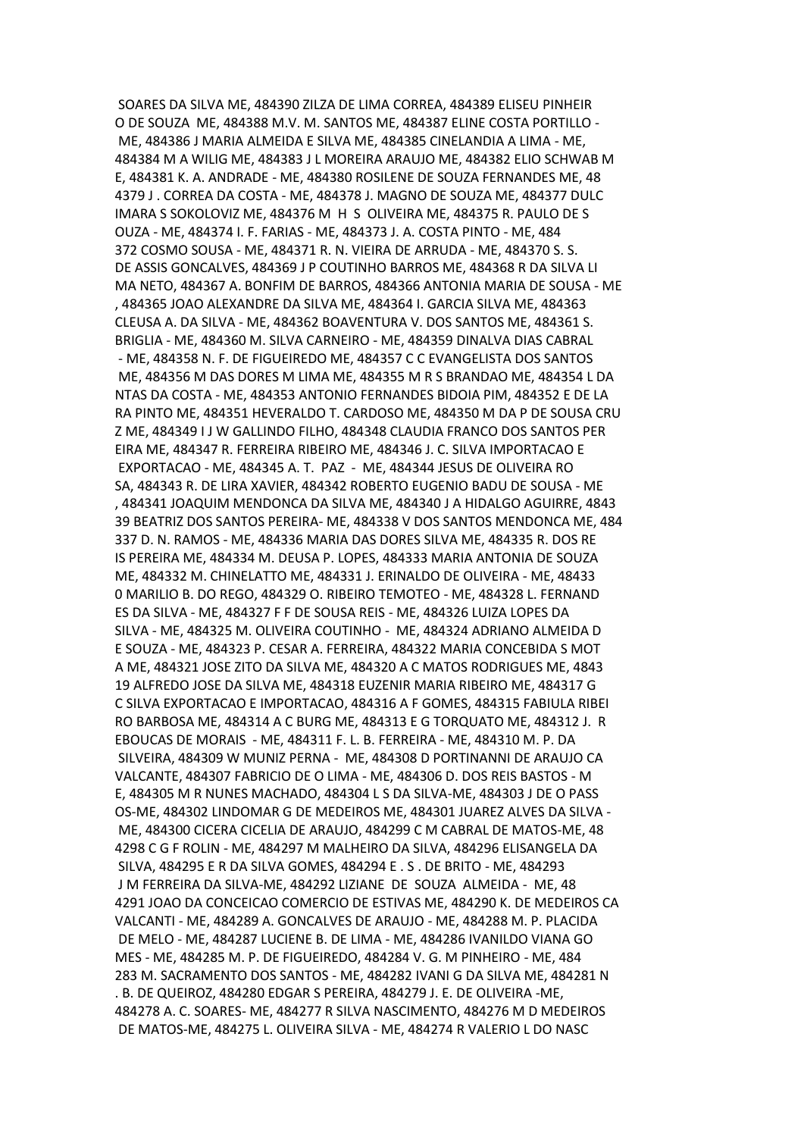SOARES DA SILVA ME, 484390 ZILZA DE LIMA CORREA, 484389 ELISEU PINHEIR O DE SOUZA ME, 484388 M.V. M. SANTOS ME, 484387 ELINE COSTA PORTILLO - ME, 484386 J MARIA ALMEIDA E SILVA ME, 484385 CINELANDIA A LIMA - ME, 484384 M A WILIG ME, 484383 J L MOREIRA ARAUJO ME, 484382 ELIO SCHWAB M E, 484381 K. A. ANDRADE - ME, 484380 ROSILENE DE SOUZA FERNANDES ME, 48 4379 J . CORREA DA COSTA - ME, 484378 J. MAGNO DE SOUZA ME, 484377 DULC IMARA S SOKOLOVIZ ME, 484376 M H S OLIVEIRA ME, 484375 R. PAULO DE S OUZA - ME, 484374 I. F. FARIAS - ME, 484373 J. A. COSTA PINTO - ME, 484 372 COSMO SOUSA - ME, 484371 R. N. VIEIRA DE ARRUDA - ME, 484370 S. S. DE ASSIS GONCALVES, 484369 J P COUTINHO BARROS ME, 484368 R DA SILVA LI MA NETO, 484367 A. BONFIM DE BARROS, 484366 ANTONIA MARIA DE SOUSA - ME , 484365 JOAO ALEXANDRE DA SILVA ME, 484364 I. GARCIA SILVA ME, 484363 CLEUSA A. DA SILVA - ME, 484362 BOAVENTURA V. DOS SANTOS ME, 484361 S. BRIGLIA - ME, 484360 M. SILVA CARNEIRO - ME, 484359 DINALVA DIAS CABRAL - ME, 484358 N. F. DE FIGUEIREDO ME, 484357 C C EVANGELISTA DOS SANTOS ME, 484356 M DAS DORES M LIMA ME, 484355 M R S BRANDAO ME, 484354 L DA NTAS DA COSTA - ME, 484353 ANTONIO FERNANDES BIDOIA PIM, 484352 E DE LA RA PINTO ME, 484351 HEVERALDO T. CARDOSO ME, 484350 M DA P DE SOUSA CRU Z ME, 484349 I J W GALLINDO FILHO, 484348 CLAUDIA FRANCO DOS SANTOS PER EIRA ME, 484347 R. FERREIRA RIBEIRO ME, 484346 J. C. SILVA IMPORTACAO E EXPORTACAO - ME, 484345 A. T. PAZ - ME, 484344 JESUS DE OLIVEIRA RO SA, 484343 R. DE LIRA XAVIER, 484342 ROBERTO EUGENIO BADU DE SOUSA - ME , 484341 JOAQUIM MENDONCA DA SILVA ME, 484340 J A HIDALGO AGUIRRE, 4843 39 BEATRIZ DOS SANTOS PEREIRA- ME, 484338 V DOS SANTOS MENDONCA ME, 484 337 D. N. RAMOS - ME, 484336 MARIA DAS DORES SILVA ME, 484335 R. DOS RE IS PEREIRA ME, 484334 M. DEUSA P. LOPES, 484333 MARIA ANTONIA DE SOUZA ME, 484332 M. CHINELATTO ME, 484331 J. ERINALDO DE OLIVEIRA - ME, 48433 0 MARILIO B. DO REGO, 484329 O. RIBEIRO TEMOTEO - ME, 484328 L. FERNAND ES DA SILVA - ME, 484327 F F DE SOUSA REIS - ME, 484326 LUIZA LOPES DA SILVA - ME, 484325 M. OLIVEIRA COUTINHO - ME, 484324 ADRIANO ALMEIDA D E SOUZA - ME, 484323 P. CESAR A. FERREIRA, 484322 MARIA CONCEBIDA S MOT A ME, 484321 JOSE ZITO DA SILVA ME, 484320 A C MATOS RODRIGUES ME, 4843 19 ALFREDO JOSE DA SILVA ME, 484318 EUZENIR MARIA RIBEIRO ME, 484317 G C SILVA EXPORTACAO E IMPORTACAO, 484316 A F GOMES, 484315 FABIULA RIBEI RO BARBOSA ME, 484314 A C BURG ME, 484313 E G TORQUATO ME, 484312 J. R EBOUCAS DE MORAIS - ME, 484311 F. L. B. FERREIRA - ME, 484310 M. P. DA SILVEIRA, 484309 W MUNIZ PERNA - ME, 484308 D PORTINANNI DE ARAUJO CA VALCANTE, 484307 FABRICIO DE O LIMA - ME, 484306 D. DOS REIS BASTOS - M E, 484305 M R NUNES MACHADO, 484304 L S DA SILVA-ME, 484303 J DE O PASS OS-ME, 484302 LINDOMAR G DE MEDEIROS ME, 484301 JUAREZ ALVES DA SILVA - ME, 484300 CICERA CICELIA DE ARAUJO, 484299 C M CABRAL DE MATOS-ME, 48 4298 C G F ROLIN - ME, 484297 M MALHEIRO DA SILVA, 484296 ELISANGELA DA SILVA, 484295 E R DA SILVA GOMES, 484294 E . S . DE BRITO - ME, 484293 J M FERREIRA DA SILVA-ME, 484292 LIZIANE DE SOUZA ALMEIDA - ME, 48 4291 JOAO DA CONCEICAO COMERCIO DE ESTIVAS ME, 484290 K. DE MEDEIROS CA VALCANTI - ME, 484289 A. GONCALVES DE ARAUJO - ME, 484288 M. P. PLACIDA DE MELO - ME, 484287 LUCIENE B. DE LIMA - ME, 484286 IVANILDO VIANA GO MES - ME, 484285 M. P. DE FIGUEIREDO, 484284 V. G. M PINHEIRO - ME, 484 283 M. SACRAMENTO DOS SANTOS - ME, 484282 IVANI G DA SILVA ME, 484281 N . B. DE QUEIROZ, 484280 EDGAR S PEREIRA, 484279 J. E. DE OLIVEIRA -ME, 484278 A. C. SOARES- ME, 484277 R SILVA NASCIMENTO, 484276 M D MEDEIROS DE MATOS-ME, 484275 L. OLIVEIRA SILVA - ME, 484274 R VALERIO L DO NASC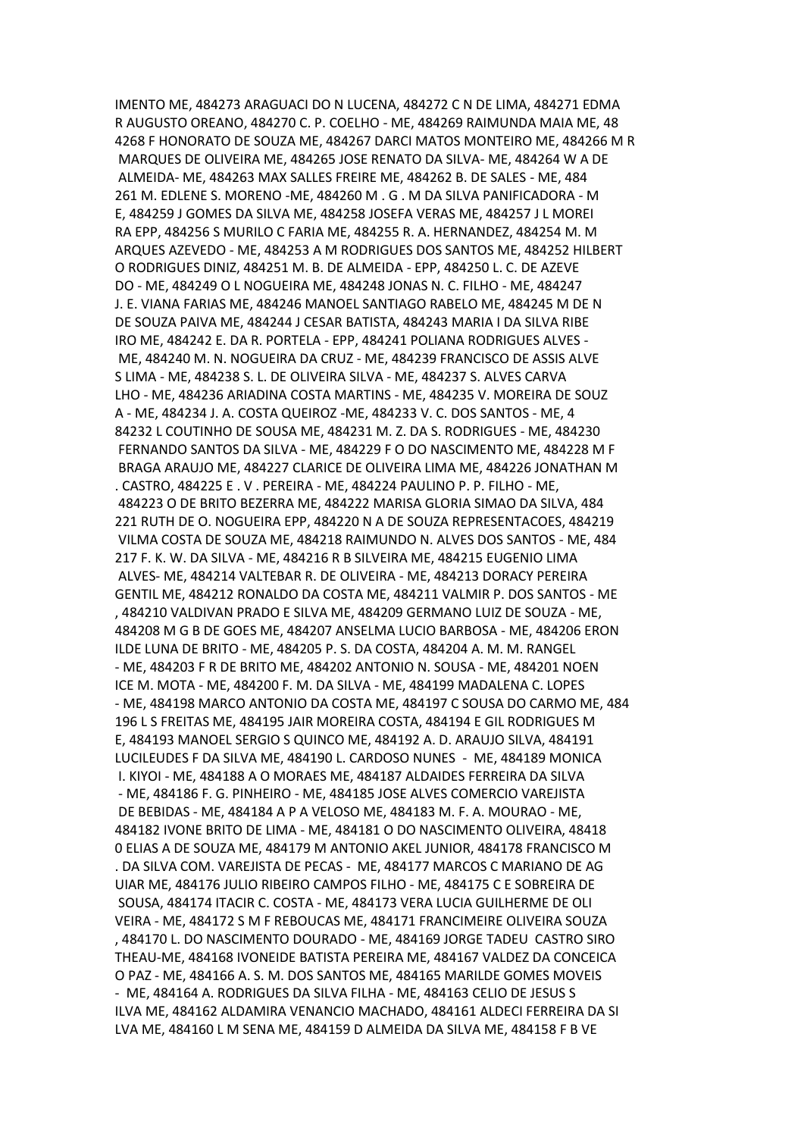IMENTO ME, 484273 ARAGUACI DO N LUCENA, 484272 C N DE LIMA, 484271 EDMA R AUGUSTO OREANO, 484270 C. P. COELHO - ME, 484269 RAIMUNDA MAIA ME, 48 4268 F HONORATO DE SOUZA ME, 484267 DARCI MATOS MONTEIRO ME, 484266 M R MARQUES DE OLIVEIRA ME, 484265 JOSE RENATO DA SILVA- ME, 484264 W A DE ALMEIDA- ME, 484263 MAX SALLES FREIRE ME, 484262 B. DE SALES - ME, 484 261 M. EDLENE S. MORENO -ME, 484260 M . G . M DA SILVA PANIFICADORA - M E, 484259 J GOMES DA SILVA ME, 484258 JOSEFA VERAS ME, 484257 J L MOREI RA EPP, 484256 S MURILO C FARIA ME, 484255 R. A. HERNANDEZ, 484254 M. M ARQUES AZEVEDO - ME, 484253 A M RODRIGUES DOS SANTOS ME, 484252 HILBERT O RODRIGUES DINIZ, 484251 M. B. DE ALMEIDA - EPP, 484250 L. C. DE AZEVE DO - ME, 484249 O L NOGUEIRA ME, 484248 JONAS N. C. FILHO - ME, 484247 J. E. VIANA FARIAS ME, 484246 MANOEL SANTIAGO RABELO ME, 484245 M DE N DE SOUZA PAIVA ME, 484244 J CESAR BATISTA, 484243 MARIA I DA SILVA RIBE IRO ME, 484242 E. DA R. PORTELA - EPP, 484241 POLIANA RODRIGUES ALVES - ME, 484240 M. N. NOGUEIRA DA CRUZ - ME, 484239 FRANCISCO DE ASSIS ALVE S LIMA - ME, 484238 S. L. DE OLIVEIRA SILVA - ME, 484237 S. ALVES CARVA LHO - ME, 484236 ARIADINA COSTA MARTINS - ME, 484235 V. MOREIRA DE SOUZ A - ME, 484234 J. A. COSTA QUEIROZ -ME, 484233 V. C. DOS SANTOS - ME, 4 84232 L COUTINHO DE SOUSA ME, 484231 M. Z. DA S. RODRIGUES - ME, 484230 FERNANDO SANTOS DA SILVA - ME, 484229 F O DO NASCIMENTO ME, 484228 M F BRAGA ARAUJO ME, 484227 CLARICE DE OLIVEIRA LIMA ME, 484226 JONATHAN M . CASTRO, 484225 E . V . PEREIRA - ME, 484224 PAULINO P. P. FILHO - ME, 484223 O DE BRITO BEZERRA ME, 484222 MARISA GLORIA SIMAO DA SILVA, 484 221 RUTH DE O. NOGUEIRA EPP, 484220 N A DE SOUZA REPRESENTACOES, 484219 VILMA COSTA DE SOUZA ME, 484218 RAIMUNDO N. ALVES DOS SANTOS - ME, 484 217 F. K. W. DA SILVA - ME, 484216 R B SILVEIRA ME, 484215 EUGENIO LIMA ALVES- ME, 484214 VALTEBAR R. DE OLIVEIRA - ME, 484213 DORACY PEREIRA GENTIL ME, 484212 RONALDO DA COSTA ME, 484211 VALMIR P. DOS SANTOS - ME , 484210 VALDIVAN PRADO E SILVA ME, 484209 GERMANO LUIZ DE SOUZA - ME, 484208 M G B DE GOES ME, 484207 ANSELMA LUCIO BARBOSA - ME, 484206 ERON ILDE LUNA DE BRITO - ME, 484205 P. S. DA COSTA, 484204 A. M. M. RANGEL - ME, 484203 F R DE BRITO ME, 484202 ANTONIO N. SOUSA - ME, 484201 NOEN ICE M. MOTA - ME, 484200 F. M. DA SILVA - ME, 484199 MADALENA C. LOPES - ME, 484198 MARCO ANTONIO DA COSTA ME, 484197 C SOUSA DO CARMO ME, 484 196 L S FREITAS ME, 484195 JAIR MOREIRA COSTA, 484194 E GIL RODRIGUES M E, 484193 MANOEL SERGIO S QUINCO ME, 484192 A. D. ARAUJO SILVA, 484191 LUCILEUDES F DA SILVA ME, 484190 L. CARDOSO NUNES - ME, 484189 MONICA I. KIYOI - ME, 484188 A O MORAES ME, 484187 ALDAIDES FERREIRA DA SILVA - ME, 484186 F. G. PINHEIRO - ME, 484185 JOSE ALVES COMERCIO VAREJISTA DE BEBIDAS - ME, 484184 A P A VELOSO ME, 484183 M. F. A. MOURAO - ME, 484182 IVONE BRITO DE LIMA - ME, 484181 O DO NASCIMENTO OLIVEIRA, 48418 0 ELIAS A DE SOUZA ME, 484179 M ANTONIO AKEL JUNIOR, 484178 FRANCISCO M . DA SILVA COM. VAREJISTA DE PECAS - ME, 484177 MARCOS C MARIANO DE AG UIAR ME, 484176 JULIO RIBEIRO CAMPOS FILHO - ME, 484175 C E SOBREIRA DE SOUSA, 484174 ITACIR C. COSTA - ME, 484173 VERA LUCIA GUILHERME DE OLI VEIRA - ME, 484172 S M F REBOUCAS ME, 484171 FRANCIMEIRE OLIVEIRA SOUZA , 484170 L. DO NASCIMENTO DOURADO - ME, 484169 JORGE TADEU CASTRO SIRO THEAU-ME, 484168 IVONEIDE BATISTA PEREIRA ME, 484167 VALDEZ DA CONCEICA O PAZ - ME, 484166 A. S. M. DOS SANTOS ME, 484165 MARILDE GOMES MOVEIS - ME, 484164 A. RODRIGUES DA SILVA FILHA - ME, 484163 CELIO DE JESUS S ILVA ME, 484162 ALDAMIRA VENANCIO MACHADO, 484161 ALDECI FERREIRA DA SI LVA ME, 484160 L M SENA ME, 484159 D ALMEIDA DA SILVA ME, 484158 F B VE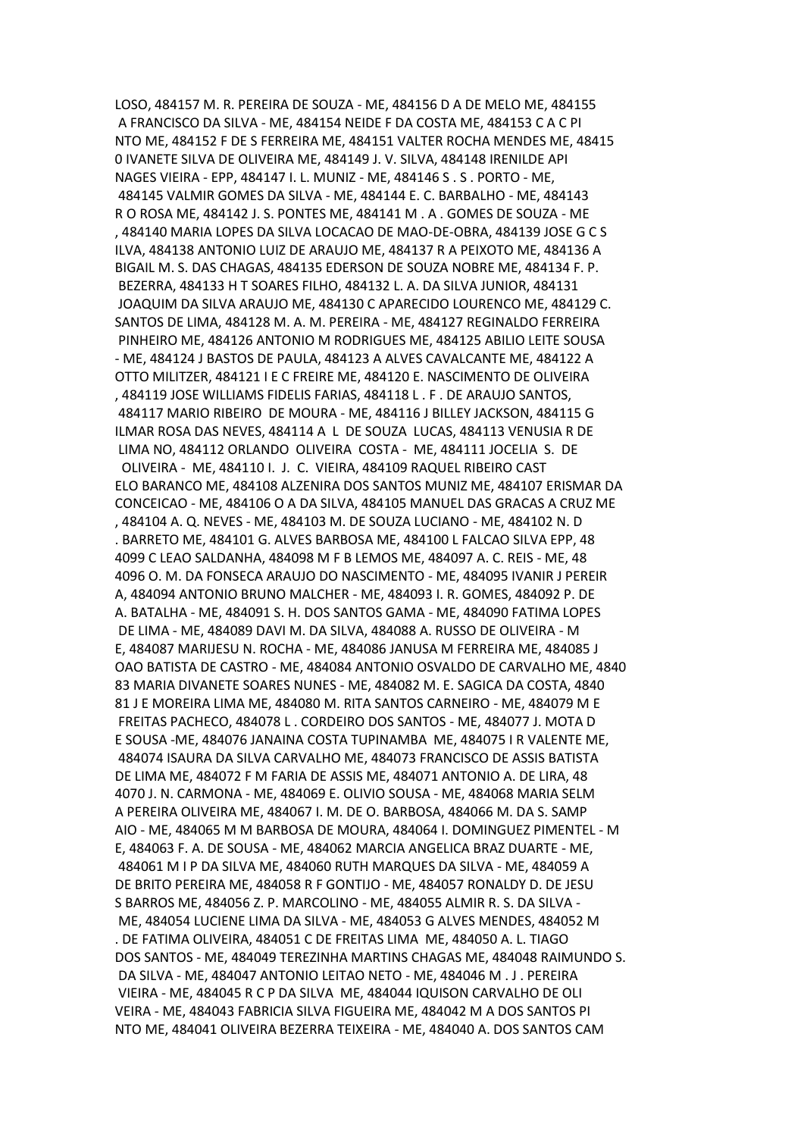LOSO, 484157 M. R. PEREIRA DE SOUZA - ME, 484156 D A DE MELO ME, 484155 A FRANCISCO DA SILVA - ME, 484154 NEIDE F DA COSTA ME, 484153 C A C PI NTO ME, 484152 F DE S FERREIRA ME, 484151 VALTER ROCHA MENDES ME, 48415 0 IVANETE SILVA DE OLIVEIRA ME, 484149 J. V. SILVA, 484148 IRENILDE API NAGES VIEIRA - EPP, 484147 I. L. MUNIZ - ME, 484146 S . S . PORTO - ME, 484145 VALMIR GOMES DA SILVA - ME, 484144 E. C. BARBALHO - ME, 484143 R O ROSA ME, 484142 J. S. PONTES ME, 484141 M . A . GOMES DE SOUZA - ME , 484140 MARIA LOPES DA SILVA LOCACAO DE MAO-DE-OBRA, 484139 JOSE G C S ILVA, 484138 ANTONIO LUIZ DE ARAUJO ME, 484137 R A PEIXOTO ME, 484136 A BIGAIL M. S. DAS CHAGAS, 484135 EDERSON DE SOUZA NOBRE ME, 484134 F. P. BEZERRA, 484133 H T SOARES FILHO, 484132 L. A. DA SILVA JUNIOR, 484131 JOAQUIM DA SILVA ARAUJO ME, 484130 C APARECIDO LOURENCO ME, 484129 C. SANTOS DE LIMA, 484128 M. A. M. PEREIRA - ME, 484127 REGINALDO FERREIRA PINHEIRO ME, 484126 ANTONIO M RODRIGUES ME, 484125 ABILIO LEITE SOUSA - ME, 484124 J BASTOS DE PAULA, 484123 A ALVES CAVALCANTE ME, 484122 A OTTO MILITZER, 484121 I E C FREIRE ME, 484120 E. NASCIMENTO DE OLIVEIRA , 484119 JOSE WILLIAMS FIDELIS FARIAS, 484118 L . F . DE ARAUJO SANTOS, 484117 MARIO RIBEIRO DE MOURA - ME, 484116 J BILLEY JACKSON, 484115 G ILMAR ROSA DAS NEVES, 484114 A L DE SOUZA LUCAS, 484113 VENUSIA R DE LIMA NO, 484112 ORLANDO OLIVEIRA COSTA - ME, 484111 JOCELIA S. DE OLIVEIRA - ME, 484110 I. J. C. VIEIRA, 484109 RAQUEL RIBEIRO CAST ELO BARANCO ME, 484108 ALZENIRA DOS SANTOS MUNIZ ME, 484107 ERISMAR DA CONCEICAO - ME, 484106 O A DA SILVA, 484105 MANUEL DAS GRACAS A CRUZ ME , 484104 A. Q. NEVES - ME, 484103 M. DE SOUZA LUCIANO - ME, 484102 N. D . BARRETO ME, 484101 G. ALVES BARBOSA ME, 484100 L FALCAO SILVA EPP, 48 4099 C LEAO SALDANHA, 484098 M F B LEMOS ME, 484097 A. C. REIS - ME, 48 4096 O. M. DA FONSECA ARAUJO DO NASCIMENTO - ME, 484095 IVANIR J PEREIR A, 484094 ANTONIO BRUNO MALCHER - ME, 484093 I. R. GOMES, 484092 P. DE A. BATALHA - ME, 484091 S. H. DOS SANTOS GAMA - ME, 484090 FATIMA LOPES DE LIMA - ME, 484089 DAVI M. DA SILVA, 484088 A. RUSSO DE OLIVEIRA - M E, 484087 MARIJESU N. ROCHA - ME, 484086 JANUSA M FERREIRA ME, 484085 J OAO BATISTA DE CASTRO - ME, 484084 ANTONIO OSVALDO DE CARVALHO ME, 4840 83 MARIA DIVANETE SOARES NUNES - ME, 484082 M. E. SAGICA DA COSTA, 4840 81 J E MOREIRA LIMA ME, 484080 M. RITA SANTOS CARNEIRO - ME, 484079 M E FREITAS PACHECO, 484078 L . CORDEIRO DOS SANTOS - ME, 484077 J. MOTA D E SOUSA -ME, 484076 JANAINA COSTA TUPINAMBA ME, 484075 I R VALENTE ME, 484074 ISAURA DA SILVA CARVALHO ME, 484073 FRANCISCO DE ASSIS BATISTA DE LIMA ME, 484072 F M FARIA DE ASSIS ME, 484071 ANTONIO A. DE LIRA, 48 4070 J. N. CARMONA - ME, 484069 E. OLIVIO SOUSA - ME, 484068 MARIA SELM A PEREIRA OLIVEIRA ME, 484067 I. M. DE O. BARBOSA, 484066 M. DA S. SAMP AIO - ME, 484065 M M BARBOSA DE MOURA, 484064 I. DOMINGUEZ PIMENTEL - M E, 484063 F. A. DE SOUSA - ME, 484062 MARCIA ANGELICA BRAZ DUARTE - ME, 484061 M I P DA SILVA ME, 484060 RUTH MARQUES DA SILVA - ME, 484059 A DE BRITO PEREIRA ME, 484058 R F GONTIJO - ME, 484057 RONALDY D. DE JESU S BARROS ME, 484056 Z. P. MARCOLINO - ME, 484055 ALMIR R. S. DA SILVA - ME, 484054 LUCIENE LIMA DA SILVA - ME, 484053 G ALVES MENDES, 484052 M . DE FATIMA OLIVEIRA, 484051 C DE FREITAS LIMA ME, 484050 A. L. TIAGO DOS SANTOS - ME, 484049 TEREZINHA MARTINS CHAGAS ME, 484048 RAIMUNDO S. DA SILVA - ME, 484047 ANTONIO LEITAO NETO - ME, 484046 M . J . PEREIRA VIEIRA - ME, 484045 R C P DA SILVA ME, 484044 IQUISON CARVALHO DE OLI VEIRA - ME, 484043 FABRICIA SILVA FIGUEIRA ME, 484042 M A DOS SANTOS PI NTO ME, 484041 OLIVEIRA BEZERRA TEIXEIRA - ME, 484040 A. DOS SANTOS CAM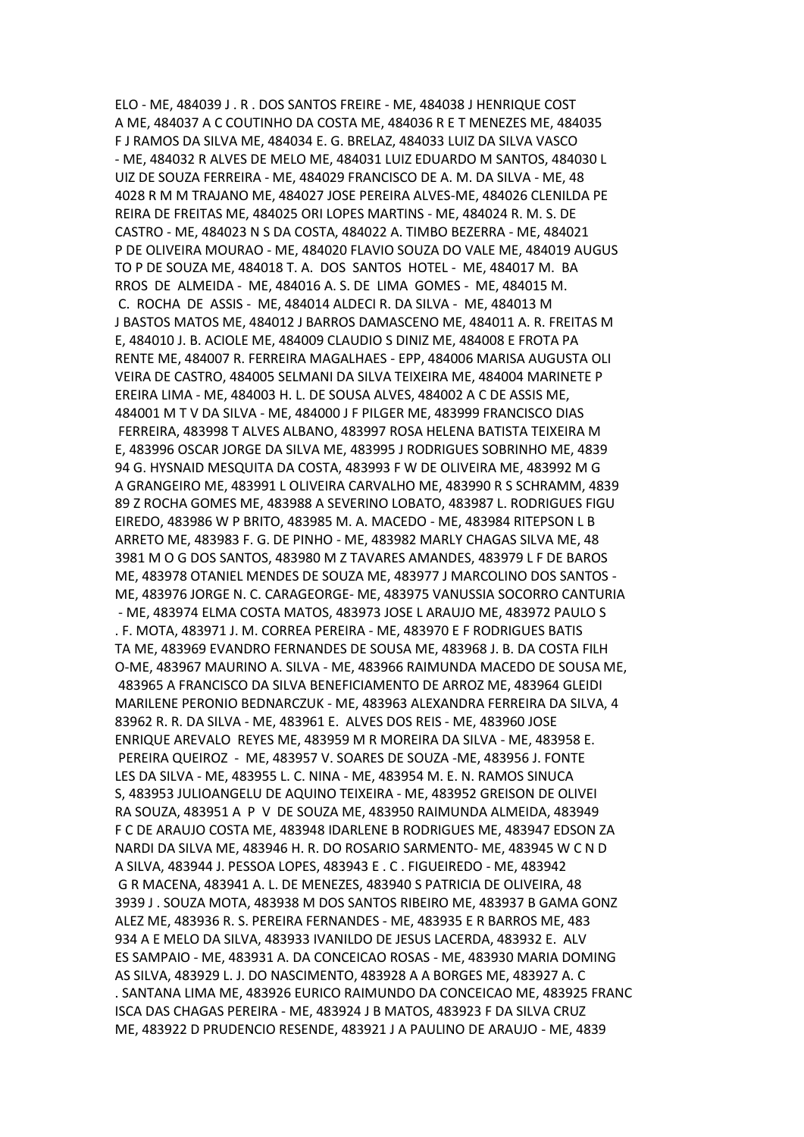ELO - ME, 484039 J . R . DOS SANTOS FREIRE - ME, 484038 J HENRIQUE COST A ME, 484037 A C COUTINHO DA COSTA ME, 484036 R E T MENEZES ME, 484035 F J RAMOS DA SILVA ME, 484034 E. G. BRELAZ, 484033 LUIZ DA SILVA VASCO - ME, 484032 R ALVES DE MELO ME, 484031 LUIZ EDUARDO M SANTOS, 484030 L UIZ DE SOUZA FERREIRA - ME, 484029 FRANCISCO DE A. M. DA SILVA - ME, 48 4028 R M M TRAJANO ME, 484027 JOSE PEREIRA ALVES-ME, 484026 CLENILDA PE REIRA DE FREITAS ME, 484025 ORI LOPES MARTINS - ME, 484024 R. M. S. DE CASTRO - ME, 484023 N S DA COSTA, 484022 A. TIMBO BEZERRA - ME, 484021 P DE OLIVEIRA MOURAO - ME, 484020 FLAVIO SOUZA DO VALE ME, 484019 AUGUS TO P DE SOUZA ME, 484018 T. A. DOS SANTOS HOTEL - ME, 484017 M. BA RROS DE ALMEIDA - ME, 484016 A. S. DE LIMA GOMES - ME, 484015 M. C. ROCHA DE ASSIS - ME, 484014 ALDECI R. DA SILVA - ME, 484013 M J BASTOS MATOS ME, 484012 J BARROS DAMASCENO ME, 484011 A. R. FREITAS M E, 484010 J. B. ACIOLE ME, 484009 CLAUDIO S DINIZ ME, 484008 E FROTA PA RENTE ME, 484007 R. FERREIRA MAGALHAES - EPP, 484006 MARISA AUGUSTA OLI VEIRA DE CASTRO, 484005 SELMANI DA SILVA TEIXEIRA ME, 484004 MARINETE P EREIRA LIMA - ME, 484003 H. L. DE SOUSA ALVES, 484002 A C DE ASSIS ME, 484001 M T V DA SILVA - ME, 484000 J F PILGER ME, 483999 FRANCISCO DIAS FERREIRA, 483998 T ALVES ALBANO, 483997 ROSA HELENA BATISTA TEIXEIRA M E, 483996 OSCAR JORGE DA SILVA ME, 483995 J RODRIGUES SOBRINHO ME, 4839 94 G. HYSNAID MESQUITA DA COSTA, 483993 F W DE OLIVEIRA ME, 483992 M G A GRANGEIRO ME, 483991 L OLIVEIRA CARVALHO ME, 483990 R S SCHRAMM, 4839 89 Z ROCHA GOMES ME, 483988 A SEVERINO LOBATO, 483987 L. RODRIGUES FIGU EIREDO, 483986 W P BRITO, 483985 M. A. MACEDO - ME, 483984 RITEPSON L B ARRETO ME, 483983 F. G. DE PINHO - ME, 483982 MARLY CHAGAS SILVA ME, 48 3981 M O G DOS SANTOS, 483980 M Z TAVARES AMANDES, 483979 L F DE BAROS ME, 483978 OTANIEL MENDES DE SOUZA ME, 483977 J MARCOLINO DOS SANTOS - ME, 483976 JORGE N. C. CARAGEORGE- ME, 483975 VANUSSIA SOCORRO CANTURIA - ME, 483974 ELMA COSTA MATOS, 483973 JOSE L ARAUJO ME, 483972 PAULO S . F. MOTA, 483971 J. M. CORREA PEREIRA - ME, 483970 E F RODRIGUES BATIS TA ME, 483969 EVANDRO FERNANDES DE SOUSA ME, 483968 J. B. DA COSTA FILH O-ME, 483967 MAURINO A. SILVA - ME, 483966 RAIMUNDA MACEDO DE SOUSA ME, 483965 A FRANCISCO DA SILVA BENEFICIAMENTO DE ARROZ ME, 483964 GLEIDI MARILENE PERONIO BEDNARCZUK - ME, 483963 ALEXANDRA FERREIRA DA SILVA, 4 83962 R. R. DA SILVA - ME, 483961 E. ALVES DOS REIS - ME, 483960 JOSE ENRIQUE AREVALO REYES ME, 483959 M R MOREIRA DA SILVA - ME, 483958 E. PEREIRA QUEIROZ - ME, 483957 V. SOARES DE SOUZA -ME, 483956 J. FONTE LES DA SILVA - ME, 483955 L. C. NINA - ME, 483954 M. E. N. RAMOS SINUCA S, 483953 JULIOANGELU DE AQUINO TEIXEIRA - ME, 483952 GREISON DE OLIVEI RA SOUZA, 483951 A P V DE SOUZA ME, 483950 RAIMUNDA ALMEIDA, 483949 F C DE ARAUJO COSTA ME, 483948 IDARLENE B RODRIGUES ME, 483947 EDSON ZA NARDI DA SILVA ME, 483946 H. R. DO ROSARIO SARMENTO- ME, 483945 W C N D A SILVA, 483944 J. PESSOA LOPES, 483943 E . C . FIGUEIREDO - ME, 483942 G R MACENA, 483941 A. L. DE MENEZES, 483940 S PATRICIA DE OLIVEIRA, 48 3939 J . SOUZA MOTA, 483938 M DOS SANTOS RIBEIRO ME, 483937 B GAMA GONZ ALEZ ME, 483936 R. S. PEREIRA FERNANDES - ME, 483935 E R BARROS ME, 483 934 A E MELO DA SILVA, 483933 IVANILDO DE JESUS LACERDA, 483932 E. ALV ES SAMPAIO - ME, 483931 A. DA CONCEICAO ROSAS - ME, 483930 MARIA DOMING AS SILVA, 483929 L. J. DO NASCIMENTO, 483928 A A BORGES ME, 483927 A. C . SANTANA LIMA ME, 483926 EURICO RAIMUNDO DA CONCEICAO ME, 483925 FRANC ISCA DAS CHAGAS PEREIRA - ME, 483924 J B MATOS, 483923 F DA SILVA CRUZ ME, 483922 D PRUDENCIO RESENDE, 483921 J A PAULINO DE ARAUJO - ME, 4839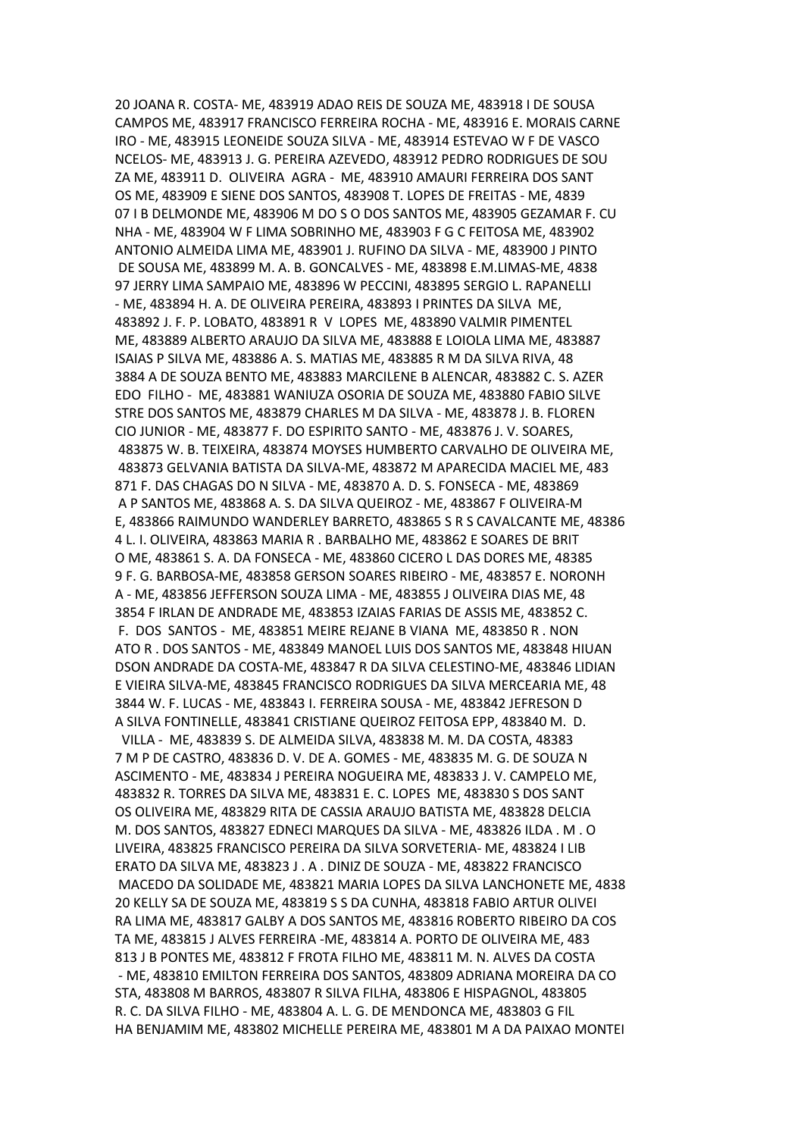20 JOANA R. COSTA- ME, 483919 ADAO REIS DE SOUZA ME, 483918 I DE SOUSA CAMPOS ME, 483917 FRANCISCO FERREIRA ROCHA - ME, 483916 E. MORAIS CARNE IRO - ME, 483915 LEONEIDE SOUZA SILVA - ME, 483914 ESTEVAO W F DE VASCO NCELOS- ME, 483913 J. G. PEREIRA AZEVEDO, 483912 PEDRO RODRIGUES DE SOU ZA ME, 483911 D. OLIVEIRA AGRA - ME, 483910 AMAURI FERREIRA DOS SANT OS ME, 483909 E SIENE DOS SANTOS, 483908 T. LOPES DE FREITAS - ME, 4839 07 I B DELMONDE ME, 483906 M DO S O DOS SANTOS ME, 483905 GEZAMAR F. CU NHA - ME, 483904 W F LIMA SOBRINHO ME, 483903 F G C FEITOSA ME, 483902 ANTONIO ALMEIDA LIMA ME, 483901 J. RUFINO DA SILVA - ME, 483900 J PINTO DE SOUSA ME, 483899 M. A. B. GONCALVES - ME, 483898 E.M.LIMAS-ME, 4838 97 JERRY LIMA SAMPAIO ME, 483896 W PECCINI, 483895 SERGIO L. RAPANELLI - ME, 483894 H. A. DE OLIVEIRA PEREIRA, 483893 I PRINTES DA SILVA ME, 483892 J. F. P. LOBATO, 483891 R V LOPES ME, 483890 VALMIR PIMENTEL ME, 483889 ALBERTO ARAUJO DA SILVA ME, 483888 E LOIOLA LIMA ME, 483887 ISAIAS P SILVA ME, 483886 A. S. MATIAS ME, 483885 R M DA SILVA RIVA, 48 3884 A DE SOUZA BENTO ME, 483883 MARCILENE B ALENCAR, 483882 C. S. AZER EDO FILHO - ME, 483881 WANIUZA OSORIA DE SOUZA ME, 483880 FABIO SILVE STRE DOS SANTOS ME, 483879 CHARLES M DA SILVA - ME, 483878 J. B. FLOREN CIO JUNIOR - ME, 483877 F. DO ESPIRITO SANTO - ME, 483876 J. V. SOARES, 483875 W. B. TEIXEIRA, 483874 MOYSES HUMBERTO CARVALHO DE OLIVEIRA ME, 483873 GELVANIA BATISTA DA SILVA-ME, 483872 M APARECIDA MACIEL ME, 483 871 F. DAS CHAGAS DO N SILVA - ME, 483870 A. D. S. FONSECA - ME, 483869 A P SANTOS ME, 483868 A. S. DA SILVA QUEIROZ - ME, 483867 F OLIVEIRA-M E, 483866 RAIMUNDO WANDERLEY BARRETO, 483865 S R S CAVALCANTE ME, 48386 4 L. I. OLIVEIRA, 483863 MARIA R . BARBALHO ME, 483862 E SOARES DE BRIT O ME, 483861 S. A. DA FONSECA - ME, 483860 CICERO L DAS DORES ME, 48385 9 F. G. BARBOSA-ME, 483858 GERSON SOARES RIBEIRO - ME, 483857 E. NORONH A - ME, 483856 JEFFERSON SOUZA LIMA - ME, 483855 J OLIVEIRA DIAS ME, 48 3854 F IRLAN DE ANDRADE ME, 483853 IZAIAS FARIAS DE ASSIS ME, 483852 C. F. DOS SANTOS - ME, 483851 MEIRE REJANE B VIANA ME, 483850 R . NON ATO R . DOS SANTOS - ME, 483849 MANOEL LUIS DOS SANTOS ME, 483848 HIUAN DSON ANDRADE DA COSTA-ME, 483847 R DA SILVA CELESTINO-ME, 483846 LIDIAN E VIEIRA SILVA-ME, 483845 FRANCISCO RODRIGUES DA SILVA MERCEARIA ME, 48 3844 W. F. LUCAS - ME, 483843 I. FERREIRA SOUSA - ME, 483842 JEFRESON D A SILVA FONTINELLE, 483841 CRISTIANE QUEIROZ FEITOSA EPP, 483840 M. D. VILLA - ME, 483839 S. DE ALMEIDA SILVA, 483838 M. M. DA COSTA, 48383 7 M P DE CASTRO, 483836 D. V. DE A. GOMES - ME, 483835 M. G. DE SOUZA N ASCIMENTO - ME, 483834 J PEREIRA NOGUEIRA ME, 483833 J. V. CAMPELO ME, 483832 R. TORRES DA SILVA ME, 483831 E. C. LOPES ME, 483830 S DOS SANT OS OLIVEIRA ME, 483829 RITA DE CASSIA ARAUJO BATISTA ME, 483828 DELCIA M. DOS SANTOS, 483827 EDNECI MARQUES DA SILVA - ME, 483826 ILDA . M . O LIVEIRA, 483825 FRANCISCO PEREIRA DA SILVA SORVETERIA- ME, 483824 I LIB ERATO DA SILVA ME, 483823 J . A . DINIZ DE SOUZA - ME, 483822 FRANCISCO MACEDO DA SOLIDADE ME, 483821 MARIA LOPES DA SILVA LANCHONETE ME, 4838 20 KELLY SA DE SOUZA ME, 483819 S S DA CUNHA, 483818 FABIO ARTUR OLIVEI RA LIMA ME, 483817 GALBY A DOS SANTOS ME, 483816 ROBERTO RIBEIRO DA COS TA ME, 483815 J ALVES FERREIRA -ME, 483814 A. PORTO DE OLIVEIRA ME, 483 813 J B PONTES ME, 483812 F FROTA FILHO ME, 483811 M. N. ALVES DA COSTA - ME, 483810 EMILTON FERREIRA DOS SANTOS, 483809 ADRIANA MOREIRA DA CO STA, 483808 M BARROS, 483807 R SILVA FILHA, 483806 E HISPAGNOL, 483805 R. C. DA SILVA FILHO - ME, 483804 A. L. G. DE MENDONCA ME, 483803 G FIL HA BENJAMIM ME, 483802 MICHELLE PEREIRA ME, 483801 M A DA PAIXAO MONTEI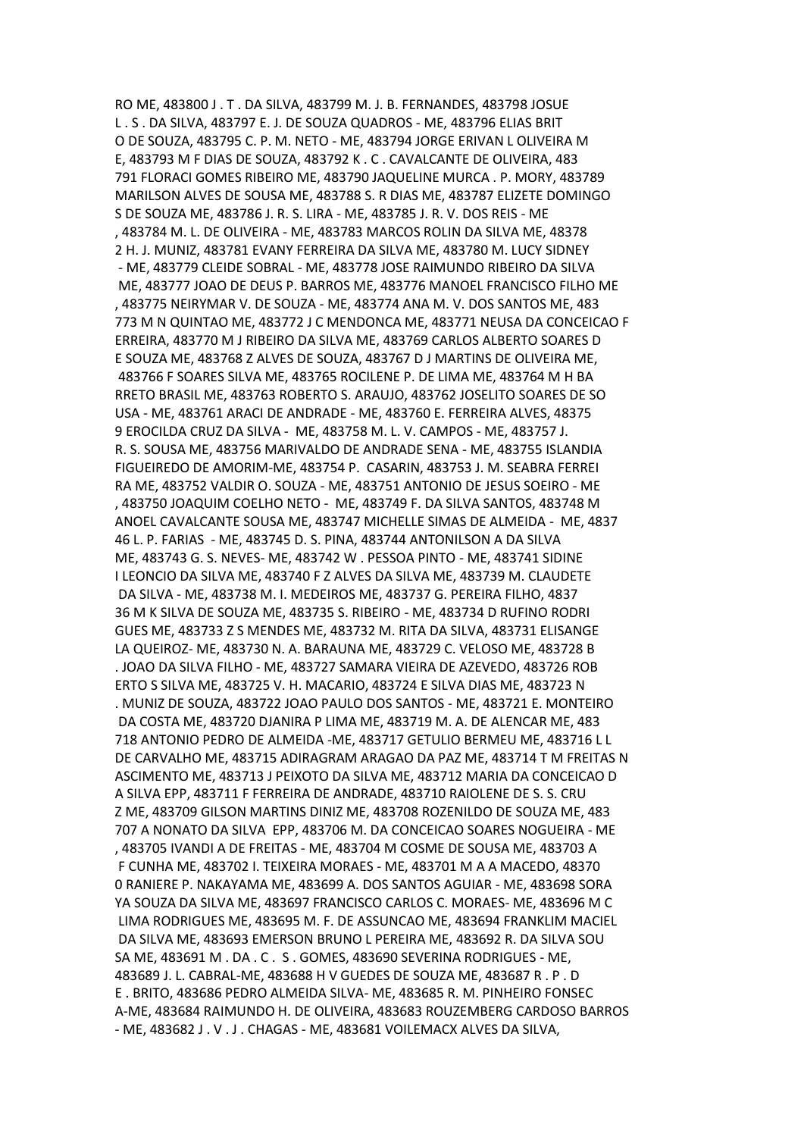RO ME, 483800 J . T . DA SILVA, 483799 M. J. B. FERNANDES, 483798 JOSUE L . S . DA SILVA, 483797 E. J. DE SOUZA QUADROS - ME, 483796 ELIAS BRIT O DE SOUZA, 483795 C. P. M. NETO - ME, 483794 JORGE ERIVAN L OLIVEIRA M E, 483793 M F DIAS DE SOUZA, 483792 K . C . CAVALCANTE DE OLIVEIRA, 483 791 FLORACI GOMES RIBEIRO ME, 483790 JAQUELINE MURCA . P. MORY, 483789 MARILSON ALVES DE SOUSA ME, 483788 S. R DIAS ME, 483787 ELIZETE DOMINGO S DE SOUZA ME, 483786 J. R. S. LIRA - ME, 483785 J. R. V. DOS REIS - ME , 483784 M. L. DE OLIVEIRA - ME, 483783 MARCOS ROLIN DA SILVA ME, 48378 2 H. J. MUNIZ, 483781 EVANY FERREIRA DA SILVA ME, 483780 M. LUCY SIDNEY - ME, 483779 CLEIDE SOBRAL - ME, 483778 JOSE RAIMUNDO RIBEIRO DA SILVA ME, 483777 JOAO DE DEUS P. BARROS ME, 483776 MANOEL FRANCISCO FILHO ME , 483775 NEIRYMAR V. DE SOUZA - ME, 483774 ANA M. V. DOS SANTOS ME, 483 773 M N QUINTAO ME, 483772 J C MENDONCA ME, 483771 NEUSA DA CONCEICAO F ERREIRA, 483770 M J RIBEIRO DA SILVA ME, 483769 CARLOS ALBERTO SOARES D E SOUZA ME, 483768 Z ALVES DE SOUZA, 483767 D J MARTINS DE OLIVEIRA ME, 483766 F SOARES SILVA ME, 483765 ROCILENE P. DE LIMA ME, 483764 M H BA RRETO BRASIL ME, 483763 ROBERTO S. ARAUJO, 483762 JOSELITO SOARES DE SO USA - ME, 483761 ARACI DE ANDRADE - ME, 483760 E. FERREIRA ALVES, 48375 9 EROCILDA CRUZ DA SILVA - ME, 483758 M. L. V. CAMPOS - ME, 483757 J. R. S. SOUSA ME, 483756 MARIVALDO DE ANDRADE SENA - ME, 483755 ISLANDIA FIGUEIREDO DE AMORIM-ME, 483754 P. CASARIN, 483753 J. M. SEABRA FERREI RA ME, 483752 VALDIR O. SOUZA - ME, 483751 ANTONIO DE JESUS SOEIRO - ME , 483750 JOAQUIM COELHO NETO - ME, 483749 F. DA SILVA SANTOS, 483748 M ANOEL CAVALCANTE SOUSA ME, 483747 MICHELLE SIMAS DE ALMEIDA - ME, 4837 46 L. P. FARIAS - ME, 483745 D. S. PINA, 483744 ANTONILSON A DA SILVA ME, 483743 G. S. NEVES- ME, 483742 W . PESSOA PINTO - ME, 483741 SIDINE I LEONCIO DA SILVA ME, 483740 F Z ALVES DA SILVA ME, 483739 M. CLAUDETE DA SILVA - ME, 483738 M. I. MEDEIROS ME, 483737 G. PEREIRA FILHO, 4837 36 M K SILVA DE SOUZA ME, 483735 S. RIBEIRO - ME, 483734 D RUFINO RODRI GUES ME, 483733 Z S MENDES ME, 483732 M. RITA DA SILVA, 483731 ELISANGE LA QUEIROZ- ME, 483730 N. A. BARAUNA ME, 483729 C. VELOSO ME, 483728 B . JOAO DA SILVA FILHO - ME, 483727 SAMARA VIEIRA DE AZEVEDO, 483726 ROB ERTO S SILVA ME, 483725 V. H. MACARIO, 483724 E SILVA DIAS ME, 483723 N . MUNIZ DE SOUZA, 483722 JOAO PAULO DOS SANTOS - ME, 483721 E. MONTEIRO DA COSTA ME, 483720 DJANIRA P LIMA ME, 483719 M. A. DE ALENCAR ME, 483 718 ANTONIO PEDRO DE ALMEIDA -ME, 483717 GETULIO BERMEU ME, 483716 L L DE CARVALHO ME, 483715 ADIRAGRAM ARAGAO DA PAZ ME, 483714 T M FREITAS N ASCIMENTO ME, 483713 J PEIXOTO DA SILVA ME, 483712 MARIA DA CONCEICAO D A SILVA EPP, 483711 F FERREIRA DE ANDRADE, 483710 RAIOLENE DE S. S. CRU Z ME, 483709 GILSON MARTINS DINIZ ME, 483708 ROZENILDO DE SOUZA ME, 483 707 A NONATO DA SILVA EPP, 483706 M. DA CONCEICAO SOARES NOGUEIRA - ME , 483705 IVANDI A DE FREITAS - ME, 483704 M COSME DE SOUSA ME, 483703 A F CUNHA ME, 483702 I. TEIXEIRA MORAES - ME, 483701 M A A MACEDO, 48370 0 RANIERE P. NAKAYAMA ME, 483699 A. DOS SANTOS AGUIAR - ME, 483698 SORA YA SOUZA DA SILVA ME, 483697 FRANCISCO CARLOS C. MORAES- ME, 483696 M C LIMA RODRIGUES ME, 483695 M. F. DE ASSUNCAO ME, 483694 FRANKLIM MACIEL DA SILVA ME, 483693 EMERSON BRUNO L PEREIRA ME, 483692 R. DA SILVA SOU SA ME, 483691 M . DA . C . S . GOMES, 483690 SEVERINA RODRIGUES - ME, 483689 J. L. CABRAL-ME, 483688 H V GUEDES DE SOUZA ME, 483687 R . P . D E . BRITO, 483686 PEDRO ALMEIDA SILVA- ME, 483685 R. M. PINHEIRO FONSEC A-ME, 483684 RAIMUNDO H. DE OLIVEIRA, 483683 ROUZEMBERG CARDOSO BARROS - ME, 483682 J . V . J . CHAGAS - ME, 483681 VOILEMACX ALVES DA SILVA,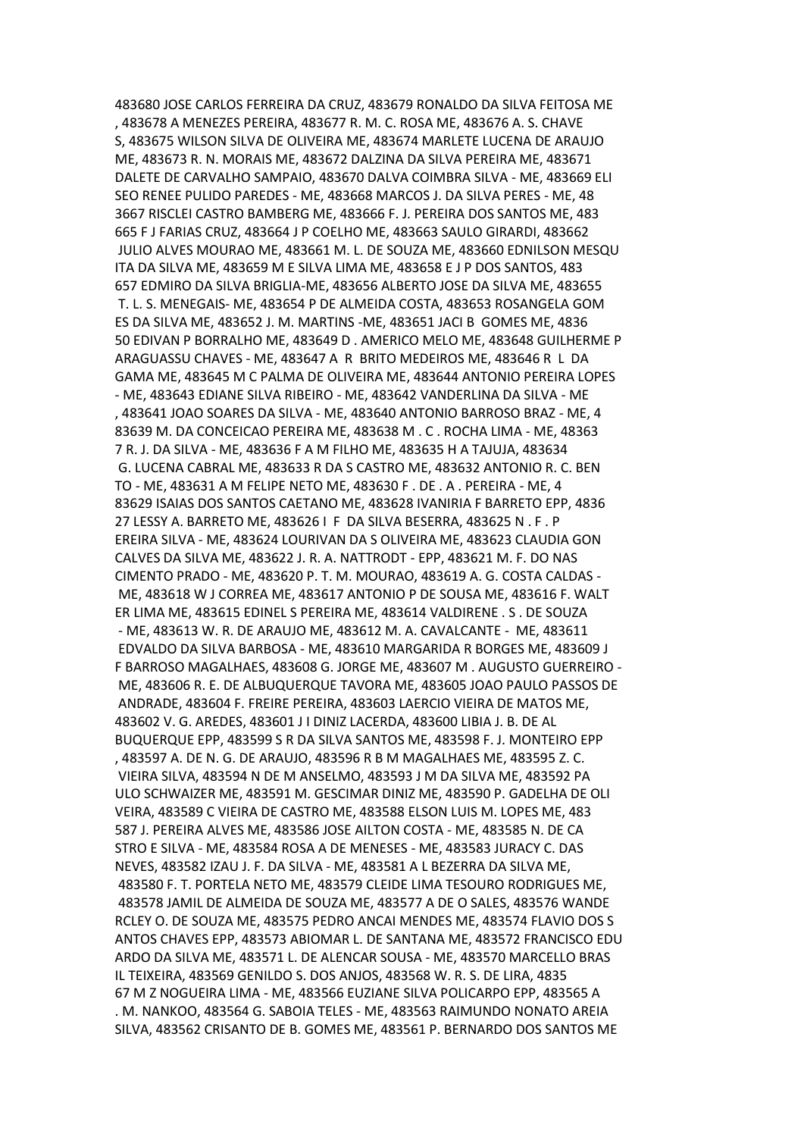483680 JOSE CARLOS FERREIRA DA CRUZ, 483679 RONALDO DA SILVA FEITOSA ME , 483678 A MENEZES PEREIRA, 483677 R. M. C. ROSA ME, 483676 A. S. CHAVE S, 483675 WILSON SILVA DE OLIVEIRA ME, 483674 MARLETE LUCENA DE ARAUJO ME, 483673 R. N. MORAIS ME, 483672 DALZINA DA SILVA PEREIRA ME, 483671 DALETE DE CARVALHO SAMPAIO, 483670 DALVA COIMBRA SILVA - ME, 483669 ELI SEO RENEE PULIDO PAREDES - ME, 483668 MARCOS J. DA SILVA PERES - ME, 48 3667 RISCLEI CASTRO BAMBERG ME, 483666 F. J. PEREIRA DOS SANTOS ME, 483 665 F J FARIAS CRUZ, 483664 J P COELHO ME, 483663 SAULO GIRARDI, 483662 JULIO ALVES MOURAO ME, 483661 M. L. DE SOUZA ME, 483660 EDNILSON MESQU ITA DA SILVA ME, 483659 M E SILVA LIMA ME, 483658 E J P DOS SANTOS, 483 657 EDMIRO DA SILVA BRIGLIA-ME, 483656 ALBERTO JOSE DA SILVA ME, 483655 T. L. S. MENEGAIS- ME, 483654 P DE ALMEIDA COSTA, 483653 ROSANGELA GOM ES DA SILVA ME, 483652 J. M. MARTINS -ME, 483651 JACI B GOMES ME, 4836 50 EDIVAN P BORRALHO ME, 483649 D . AMERICO MELO ME, 483648 GUILHERME P ARAGUASSU CHAVES - ME, 483647 A R BRITO MEDEIROS ME, 483646 R L DA GAMA ME, 483645 M C PALMA DE OLIVEIRA ME, 483644 ANTONIO PEREIRA LOPES - ME, 483643 EDIANE SILVA RIBEIRO - ME, 483642 VANDERLINA DA SILVA - ME , 483641 JOAO SOARES DA SILVA - ME, 483640 ANTONIO BARROSO BRAZ - ME, 4 83639 M. DA CONCEICAO PEREIRA ME, 483638 M . C . ROCHA LIMA - ME, 48363 7 R. J. DA SILVA - ME, 483636 F A M FILHO ME, 483635 H A TAJUJA, 483634 G. LUCENA CABRAL ME, 483633 R DA S CASTRO ME, 483632 ANTONIO R. C. BEN TO - ME, 483631 A M FELIPE NETO ME, 483630 F . DE . A . PEREIRA - ME, 4 83629 ISAIAS DOS SANTOS CAETANO ME, 483628 IVANIRIA F BARRETO EPP, 4836 27 LESSY A. BARRETO ME, 483626 I F DA SILVA BESERRA, 483625 N . F . P EREIRA SILVA - ME, 483624 LOURIVAN DA S OLIVEIRA ME, 483623 CLAUDIA GON CALVES DA SILVA ME, 483622 J. R. A. NATTRODT - EPP, 483621 M. F. DO NAS CIMENTO PRADO - ME, 483620 P. T. M. MOURAO, 483619 A. G. COSTA CALDAS - ME, 483618 W J CORREA ME, 483617 ANTONIO P DE SOUSA ME, 483616 F. WALT ER LIMA ME, 483615 EDINEL S PEREIRA ME, 483614 VALDIRENE . S . DE SOUZA - ME, 483613 W. R. DE ARAUJO ME, 483612 M. A. CAVALCANTE - ME, 483611 EDVALDO DA SILVA BARBOSA - ME, 483610 MARGARIDA R BORGES ME, 483609 J F BARROSO MAGALHAES, 483608 G. JORGE ME, 483607 M . AUGUSTO GUERREIRO - ME, 483606 R. E. DE ALBUQUERQUE TAVORA ME, 483605 JOAO PAULO PASSOS DE ANDRADE, 483604 F. FREIRE PEREIRA, 483603 LAERCIO VIEIRA DE MATOS ME, 483602 V. G. AREDES, 483601 J I DINIZ LACERDA, 483600 LIBIA J. B. DE AL BUQUERQUE EPP, 483599 S R DA SILVA SANTOS ME, 483598 F. J. MONTEIRO EPP , 483597 A. DE N. G. DE ARAUJO, 483596 R B M MAGALHAES ME, 483595 Z. C. VIEIRA SILVA, 483594 N DE M ANSELMO, 483593 J M DA SILVA ME, 483592 PA ULO SCHWAIZER ME, 483591 M. GESCIMAR DINIZ ME, 483590 P. GADELHA DE OLI VEIRA, 483589 C VIEIRA DE CASTRO ME, 483588 ELSON LUIS M. LOPES ME, 483 587 J. PEREIRA ALVES ME, 483586 JOSE AILTON COSTA - ME, 483585 N. DE CA STRO E SILVA - ME, 483584 ROSA A DE MENESES - ME, 483583 JURACY C. DAS NEVES, 483582 IZAU J. F. DA SILVA - ME, 483581 A L BEZERRA DA SILVA ME, 483580 F. T. PORTELA NETO ME, 483579 CLEIDE LIMA TESOURO RODRIGUES ME, 483578 JAMIL DE ALMEIDA DE SOUZA ME, 483577 A DE O SALES, 483576 WANDE RCLEY O. DE SOUZA ME, 483575 PEDRO ANCAI MENDES ME, 483574 FLAVIO DOS S ANTOS CHAVES EPP, 483573 ABIOMAR L. DE SANTANA ME, 483572 FRANCISCO EDU ARDO DA SILVA ME, 483571 L. DE ALENCAR SOUSA - ME, 483570 MARCELLO BRAS IL TEIXEIRA, 483569 GENILDO S. DOS ANJOS, 483568 W. R. S. DE LIRA, 4835 67 M Z NOGUEIRA LIMA - ME, 483566 EUZIANE SILVA POLICARPO EPP, 483565 A . M. NANKOO, 483564 G. SABOIA TELES - ME, 483563 RAIMUNDO NONATO AREIA SILVA, 483562 CRISANTO DE B. GOMES ME, 483561 P. BERNARDO DOS SANTOS ME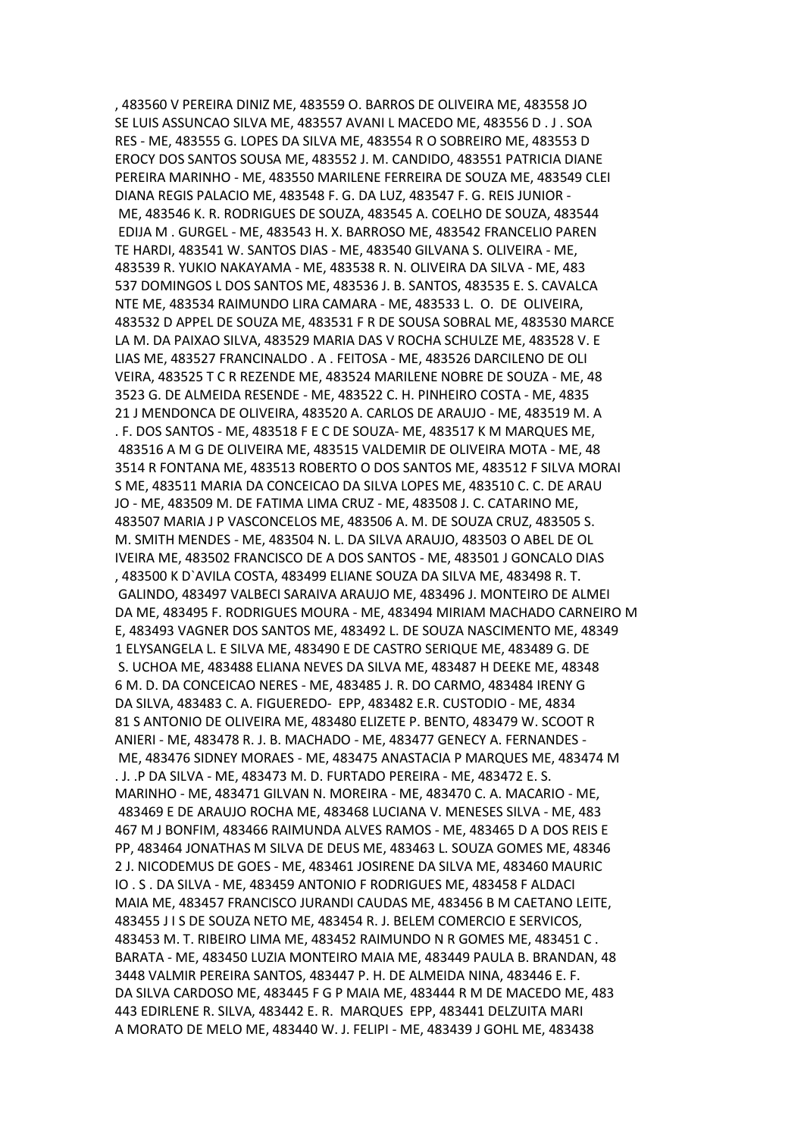, 483560 V PEREIRA DINIZ ME, 483559 O. BARROS DE OLIVEIRA ME, 483558 JO SE LUIS ASSUNCAO SILVA ME, 483557 AVANI L MACEDO ME, 483556 D . J . SOA RES - ME, 483555 G. LOPES DA SILVA ME, 483554 R O SOBREIRO ME, 483553 D EROCY DOS SANTOS SOUSA ME, 483552 J. M. CANDIDO, 483551 PATRICIA DIANE PEREIRA MARINHO - ME, 483550 MARILENE FERREIRA DE SOUZA ME, 483549 CLEI DIANA REGIS PALACIO ME, 483548 F. G. DA LUZ, 483547 F. G. REIS JUNIOR - ME, 483546 K. R. RODRIGUES DE SOUZA, 483545 A. COELHO DE SOUZA, 483544 EDIJA M . GURGEL - ME, 483543 H. X. BARROSO ME, 483542 FRANCELIO PAREN TE HARDI, 483541 W. SANTOS DIAS - ME, 483540 GILVANA S. OLIVEIRA - ME, 483539 R. YUKIO NAKAYAMA - ME, 483538 R. N. OLIVEIRA DA SILVA - ME, 483 537 DOMINGOS L DOS SANTOS ME, 483536 J. B. SANTOS, 483535 E. S. CAVALCA NTE ME, 483534 RAIMUNDO LIRA CAMARA - ME, 483533 L. O. DE OLIVEIRA, 483532 D APPEL DE SOUZA ME, 483531 F R DE SOUSA SOBRAL ME, 483530 MARCE LA M. DA PAIXAO SILVA, 483529 MARIA DAS V ROCHA SCHULZE ME, 483528 V. E LIAS ME, 483527 FRANCINALDO . A . FEITOSA - ME, 483526 DARCILENO DE OLI VEIRA, 483525 T C R REZENDE ME, 483524 MARILENE NOBRE DE SOUZA - ME, 48 3523 G. DE ALMEIDA RESENDE - ME, 483522 C. H. PINHEIRO COSTA - ME, 4835 21 J MENDONCA DE OLIVEIRA, 483520 A. CARLOS DE ARAUJO - ME, 483519 M. A . F. DOS SANTOS - ME, 483518 F E C DE SOUZA- ME, 483517 K M MARQUES ME, 483516 A M G DE OLIVEIRA ME, 483515 VALDEMIR DE OLIVEIRA MOTA - ME, 48 3514 R FONTANA ME, 483513 ROBERTO O DOS SANTOS ME, 483512 F SILVA MORAI S ME, 483511 MARIA DA CONCEICAO DA SILVA LOPES ME, 483510 C. C. DE ARAU JO - ME, 483509 M. DE FATIMA LIMA CRUZ - ME, 483508 J. C. CATARINO ME, 483507 MARIA J P VASCONCELOS ME, 483506 A. M. DE SOUZA CRUZ, 483505 S. M. SMITH MENDES - ME, 483504 N. L. DA SILVA ARAUJO, 483503 O ABEL DE OL IVEIRA ME, 483502 FRANCISCO DE A DOS SANTOS - ME, 483501 J GONCALO DIAS , 483500 K D`AVILA COSTA, 483499 ELIANE SOUZA DA SILVA ME, 483498 R. T. GALINDO, 483497 VALBECI SARAIVA ARAUJO ME, 483496 J. MONTEIRO DE ALMEI DA ME, 483495 F. RODRIGUES MOURA - ME, 483494 MIRIAM MACHADO CARNEIRO M E, 483493 VAGNER DOS SANTOS ME, 483492 L. DE SOUZA NASCIMENTO ME, 48349 1 ELYSANGELA L. E SILVA ME, 483490 E DE CASTRO SERIQUE ME, 483489 G. DE S. UCHOA ME, 483488 ELIANA NEVES DA SILVA ME, 483487 H DEEKE ME, 48348 6 M. D. DA CONCEICAO NERES - ME, 483485 J. R. DO CARMO, 483484 IRENY G DA SILVA, 483483 C. A. FIGUEREDO- EPP, 483482 E.R. CUSTODIO - ME, 4834 81 S ANTONIO DE OLIVEIRA ME, 483480 ELIZETE P. BENTO, 483479 W. SCOOT R ANIERI - ME, 483478 R. J. B. MACHADO - ME, 483477 GENECY A. FERNANDES - ME, 483476 SIDNEY MORAES - ME, 483475 ANASTACIA P MARQUES ME, 483474 M . J. .P DA SILVA - ME, 483473 M. D. FURTADO PEREIRA - ME, 483472 E. S. MARINHO - ME, 483471 GILVAN N. MOREIRA - ME, 483470 C. A. MACARIO - ME, 483469 E DE ARAUJO ROCHA ME, 483468 LUCIANA V. MENESES SILVA - ME, 483 467 M J BONFIM, 483466 RAIMUNDA ALVES RAMOS - ME, 483465 D A DOS REIS E PP, 483464 JONATHAS M SILVA DE DEUS ME, 483463 L. SOUZA GOMES ME, 48346 2 J. NICODEMUS DE GOES - ME, 483461 JOSIRENE DA SILVA ME, 483460 MAURIC IO . S . DA SILVA - ME, 483459 ANTONIO F RODRIGUES ME, 483458 F ALDACI MAIA ME, 483457 FRANCISCO JURANDI CAUDAS ME, 483456 B M CAETANO LEITE, 483455 J I S DE SOUZA NETO ME, 483454 R. J. BELEM COMERCIO E SERVICOS, 483453 M. T. RIBEIRO LIMA ME, 483452 RAIMUNDO N R GOMES ME, 483451 C . BARATA - ME, 483450 LUZIA MONTEIRO MAIA ME, 483449 PAULA B. BRANDAN, 48 3448 VALMIR PEREIRA SANTOS, 483447 P. H. DE ALMEIDA NINA, 483446 E. F. DA SILVA CARDOSO ME, 483445 F G P MAIA ME, 483444 R M DE MACEDO ME, 483 443 EDIRLENE R. SILVA, 483442 E. R. MARQUES EPP, 483441 DELZUITA MARI A MORATO DE MELO ME, 483440 W. J. FELIPI - ME, 483439 J GOHL ME, 483438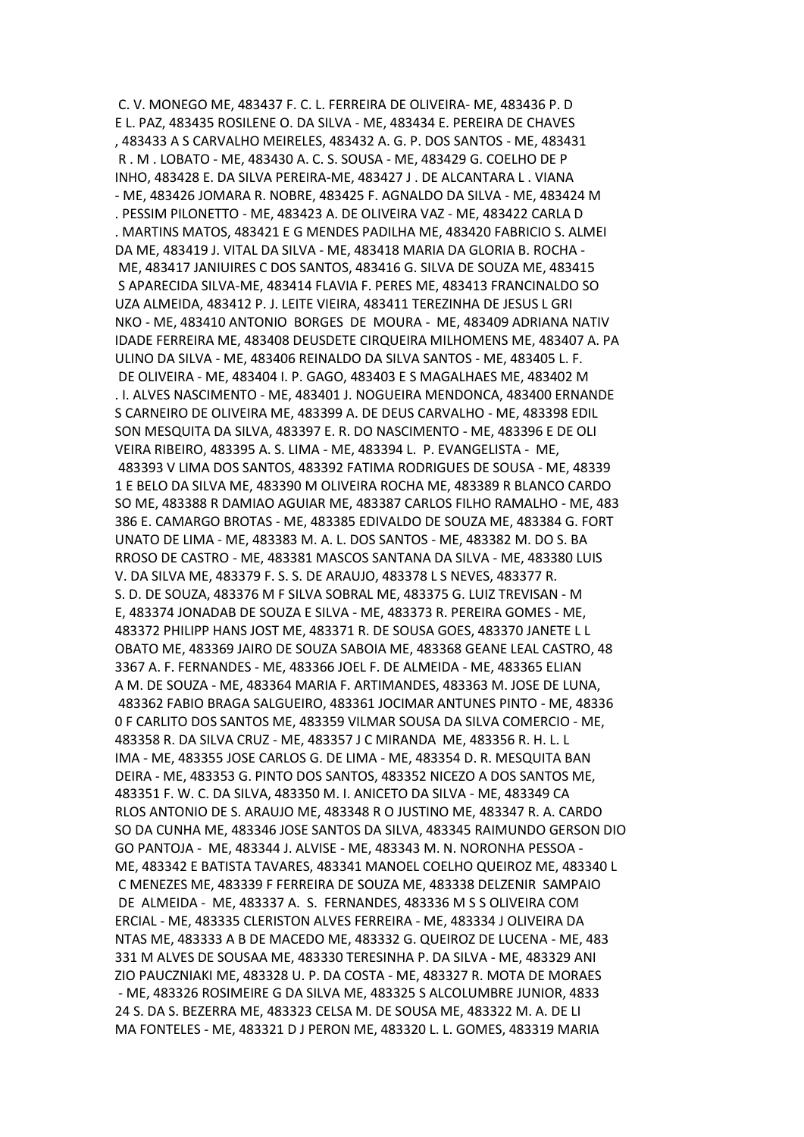C. V. MONEGO ME, 483437 F. C. L. FERREIRA DE OLIVEIRA- ME, 483436 P. D E L. PAZ, 483435 ROSILENE O. DA SILVA - ME, 483434 E. PEREIRA DE CHAVES , 483433 A S CARVALHO MEIRELES, 483432 A. G. P. DOS SANTOS - ME, 483431 R . M . LOBATO - ME, 483430 A. C. S. SOUSA - ME, 483429 G. COELHO DE P INHO, 483428 E. DA SILVA PEREIRA-ME, 483427 J . DE ALCANTARA L . VIANA - ME, 483426 JOMARA R. NOBRE, 483425 F. AGNALDO DA SILVA - ME, 483424 M . PESSIM PILONETTO - ME, 483423 A. DE OLIVEIRA VAZ - ME, 483422 CARLA D . MARTINS MATOS, 483421 E G MENDES PADILHA ME, 483420 FABRICIO S. ALMEI DA ME, 483419 J. VITAL DA SILVA - ME, 483418 MARIA DA GLORIA B. ROCHA -ME, 483417 JANIUIRES C DOS SANTOS, 483416 G. SILVA DE SOUZA ME, 483415 S APARECIDA SILVA-ME, 483414 FLAVIA F. PERES ME, 483413 FRANCINALDO SO UZA ALMEIDA, 483412 P. J. LEITE VIEIRA, 483411 TEREZINHA DE JESUS L GRI NKO - ME, 483410 ANTONIO BORGES DE MOURA - ME, 483409 ADRIANA NATIV IDADE FERREIRA ME, 483408 DEUSDETE CIRQUEIRA MILHOMENS ME, 483407 A. PA ULINO DA SILVA - ME, 483406 REINALDO DA SILVA SANTOS - ME, 483405 L. F. DE OLIVEIRA - ME, 483404 I. P. GAGO, 483403 E S MAGALHAES ME, 483402 M . I. ALVES NASCIMENTO - ME, 483401 J. NOGUEIRA MENDONCA, 483400 ERNANDE S CARNEIRO DE OLIVEIRA ME, 483399 A. DE DEUS CARVALHO - ME, 483398 EDIL SON MESQUITA DA SILVA, 483397 E. R. DO NASCIMENTO - ME, 483396 E DE OLI VEIRA RIBEIRO, 483395 A. S. LIMA - ME, 483394 L. P. EVANGELISTA - ME, 483393 V LIMA DOS SANTOS, 483392 FATIMA RODRIGUES DE SOUSA - ME, 48339 1 E BELO DA SILVA ME, 483390 M OLIVEIRA ROCHA ME, 483389 R BLANCO CARDO SO ME, 483388 R DAMIAO AGUIAR ME, 483387 CARLOS FILHO RAMALHO - ME, 483 386 E. CAMARGO BROTAS - ME, 483385 EDIVALDO DE SOUZA ME, 483384 G. FORT UNATO DE LIMA - ME, 483383 M. A. L. DOS SANTOS - ME, 483382 M. DO S. BA RROSO DE CASTRO - ME, 483381 MASCOS SANTANA DA SILVA - ME, 483380 LUIS V. DA SILVA ME, 483379 F. S. S. DE ARAUJO, 483378 L S NEVES, 483377 R. S. D. DE SOUZA, 483376 M F SILVA SOBRAL ME, 483375 G. LUIZ TREVISAN - M E, 483374 JONADAB DE SOUZA E SILVA - ME, 483373 R. PEREIRA GOMES - ME, 483372 PHILIPP HANS JOST ME, 483371 R. DE SOUSA GOES, 483370 JANETE L L OBATO ME, 483369 JAIRO DE SOUZA SABOIA ME, 483368 GEANE LEAL CASTRO, 48 3367 A. F. FERNANDES - ME, 483366 JOEL F. DE ALMEIDA - ME, 483365 ELIAN A M. DE SOUZA - ME, 483364 MARIA F. ARTIMANDES, 483363 M. JOSE DE LUNA, 483362 FABIO BRAGA SALGUEIRO, 483361 JOCIMAR ANTUNES PINTO - ME, 48336 0 F CARLITO DOS SANTOS ME, 483359 VILMAR SOUSA DA SILVA COMERCIO - ME, 483358 R. DA SILVA CRUZ - ME, 483357 J C MIRANDA ME, 483356 R. H. L. L IMA - ME, 483355 JOSE CARLOS G. DE LIMA - ME, 483354 D. R. MESQUITA BAN DEIRA - ME, 483353 G. PINTO DOS SANTOS, 483352 NICEZO A DOS SANTOS ME, 483351 F. W. C. DA SILVA, 483350 M. I. ANICETO DA SILVA - ME, 483349 CA RLOS ANTONIO DE S. ARAUJO ME, 483348 R O JUSTINO ME, 483347 R. A. CARDO SO DA CUNHA ME, 483346 JOSE SANTOS DA SILVA, 483345 RAIMUNDO GERSON DIO GO PANTOJA - ME, 483344 J. ALVISE - ME, 483343 M. N. NORONHA PESSOA - ME, 483342 E BATISTA TAVARES, 483341 MANOEL COELHO QUEIROZ ME, 483340 L C MENEZES ME, 483339 F FERREIRA DE SOUZA ME, 483338 DELZENIR SAMPAIO DE ALMEIDA - ME, 483337 A. S. FERNANDES, 483336 M S S OLIVEIRA COM ERCIAL - ME, 483335 CLERISTON ALVES FERREIRA - ME, 483334 J OLIVEIRA DA NTAS ME, 483333 A B DE MACEDO ME, 483332 G. QUEIROZ DE LUCENA - ME, 483 331 M ALVES DE SOUSAA ME, 483330 TERESINHA P. DA SILVA - ME, 483329 ANI ZIO PAUCZNIAKI ME, 483328 U. P. DA COSTA - ME, 483327 R. MOTA DE MORAES - ME, 483326 ROSIMEIRE G DA SILVA ME, 483325 S ALCOLUMBRE JUNIOR, 4833 24 S. DA S. BEZERRA ME, 483323 CELSA M. DE SOUSA ME, 483322 M. A. DE LI MA FONTELES - ME, 483321 D J PERON ME, 483320 L. L. GOMES, 483319 MARIA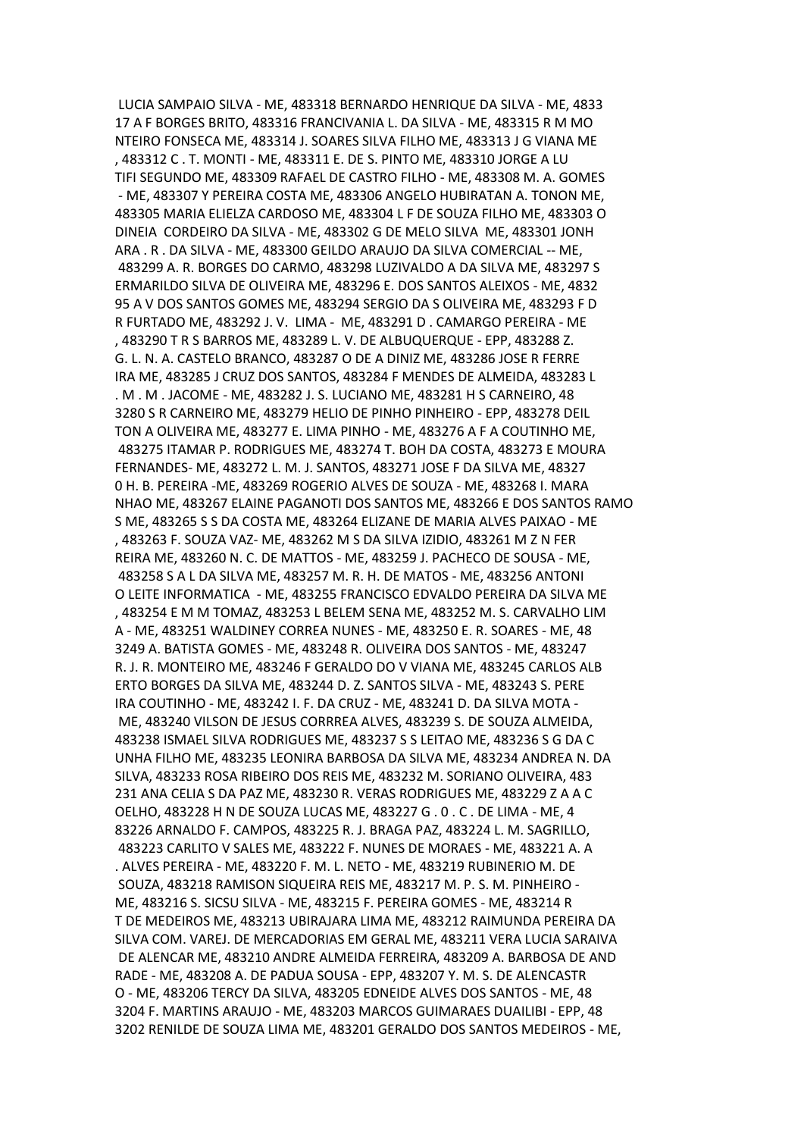LUCIA SAMPAIO SILVA - ME, 483318 BERNARDO HENRIQUE DA SILVA - ME, 4833 17 A F BORGES BRITO, 483316 FRANCIVANIA L. DA SILVA - ME, 483315 R M MO NTEIRO FONSECA ME, 483314 J. SOARES SILVA FILHO ME, 483313 J G VIANA ME , 483312 C . T. MONTI - ME, 483311 E. DE S. PINTO ME, 483310 JORGE A LU TIFI SEGUNDO ME, 483309 RAFAEL DE CASTRO FILHO - ME, 483308 M. A. GOMES - ME, 483307 Y PEREIRA COSTA ME, 483306 ANGELO HUBIRATAN A. TONON ME, 483305 MARIA ELIELZA CARDOSO ME, 483304 L F DE SOUZA FILHO ME, 483303 O DINEIA CORDEIRO DA SILVA - ME, 483302 G DE MELO SILVA ME, 483301 JONH ARA . R . DA SILVA - ME, 483300 GEILDO ARAUJO DA SILVA COMERCIAL -- ME, 483299 A. R. BORGES DO CARMO, 483298 LUZIVALDO A DA SILVA ME, 483297 S ERMARILDO SILVA DE OLIVEIRA ME, 483296 E. DOS SANTOS ALEIXOS - ME, 4832 95 A V DOS SANTOS GOMES ME, 483294 SERGIO DA S OLIVEIRA ME, 483293 F D R FURTADO ME, 483292 J. V. LIMA - ME, 483291 D . CAMARGO PEREIRA - ME , 483290 T R S BARROS ME, 483289 L. V. DE ALBUQUERQUE - EPP, 483288 Z. G. L. N. A. CASTELO BRANCO, 483287 O DE A DINIZ ME, 483286 JOSE R FERRE IRA ME, 483285 J CRUZ DOS SANTOS, 483284 F MENDES DE ALMEIDA, 483283 L . M . M . JACOME - ME, 483282 J. S. LUCIANO ME, 483281 H S CARNEIRO, 48 3280 S R CARNEIRO ME, 483279 HELIO DE PINHO PINHEIRO - EPP, 483278 DEIL TON A OLIVEIRA ME, 483277 E. LIMA PINHO - ME, 483276 A F A COUTINHO ME, 483275 ITAMAR P. RODRIGUES ME, 483274 T. BOH DA COSTA, 483273 E MOURA FERNANDES- ME, 483272 L. M. J. SANTOS, 483271 JOSE F DA SILVA ME, 48327 0 H. B. PEREIRA -ME, 483269 ROGERIO ALVES DE SOUZA - ME, 483268 I. MARA NHAO ME, 483267 ELAINE PAGANOTI DOS SANTOS ME, 483266 E DOS SANTOS RAMO S ME, 483265 S S DA COSTA ME, 483264 ELIZANE DE MARIA ALVES PAIXAO - ME , 483263 F. SOUZA VAZ- ME, 483262 M S DA SILVA IZIDIO, 483261 M Z N FER REIRA ME, 483260 N. C. DE MATTOS - ME, 483259 J. PACHECO DE SOUSA - ME, 483258 S A L DA SILVA ME, 483257 M. R. H. DE MATOS - ME, 483256 ANTONI O LEITE INFORMATICA - ME, 483255 FRANCISCO EDVALDO PEREIRA DA SILVA ME , 483254 E M M TOMAZ, 483253 L BELEM SENA ME, 483252 M. S. CARVALHO LIM A - ME, 483251 WALDINEY CORREA NUNES - ME, 483250 E. R. SOARES - ME, 48 3249 A. BATISTA GOMES - ME, 483248 R. OLIVEIRA DOS SANTOS - ME, 483247 R. J. R. MONTEIRO ME, 483246 F GERALDO DO V VIANA ME, 483245 CARLOS ALB ERTO BORGES DA SILVA ME, 483244 D. Z. SANTOS SILVA - ME, 483243 S. PERE IRA COUTINHO - ME, 483242 I. F. DA CRUZ - ME, 483241 D. DA SILVA MOTA - ME, 483240 VILSON DE JESUS CORRREA ALVES, 483239 S. DE SOUZA ALMEIDA, 483238 ISMAEL SILVA RODRIGUES ME, 483237 S S LEITAO ME, 483236 S G DA C UNHA FILHO ME, 483235 LEONIRA BARBOSA DA SILVA ME, 483234 ANDREA N. DA SILVA, 483233 ROSA RIBEIRO DOS REIS ME, 483232 M. SORIANO OLIVEIRA, 483 231 ANA CELIA S DA PAZ ME, 483230 R. VERAS RODRIGUES ME, 483229 Z A A C OELHO, 483228 H N DE SOUZA LUCAS ME, 483227 G . 0 . C . DE LIMA - ME, 4 83226 ARNALDO F. CAMPOS, 483225 R. J. BRAGA PAZ, 483224 L. M. SAGRILLO, 483223 CARLITO V SALES ME, 483222 F. NUNES DE MORAES - ME, 483221 A. A . ALVES PEREIRA - ME, 483220 F. M. L. NETO - ME, 483219 RUBINERIO M. DE SOUZA, 483218 RAMISON SIQUEIRA REIS ME, 483217 M. P. S. M. PINHEIRO - ME, 483216 S. SICSU SILVA - ME, 483215 F. PEREIRA GOMES - ME, 483214 R T DE MEDEIROS ME, 483213 UBIRAJARA LIMA ME, 483212 RAIMUNDA PEREIRA DA SILVA COM. VAREJ. DE MERCADORIAS EM GERAL ME, 483211 VERA LUCIA SARAIVA DE ALENCAR ME, 483210 ANDRE ALMEIDA FERREIRA, 483209 A. BARBOSA DE AND RADE - ME, 483208 A. DE PADUA SOUSA - EPP, 483207 Y. M. S. DE ALENCASTR O - ME, 483206 TERCY DA SILVA, 483205 EDNEIDE ALVES DOS SANTOS - ME, 48 3204 F. MARTINS ARAUJO - ME, 483203 MARCOS GUIMARAES DUAILIBI - EPP, 48 3202 RENILDE DE SOUZA LIMA ME, 483201 GERALDO DOS SANTOS MEDEIROS - ME,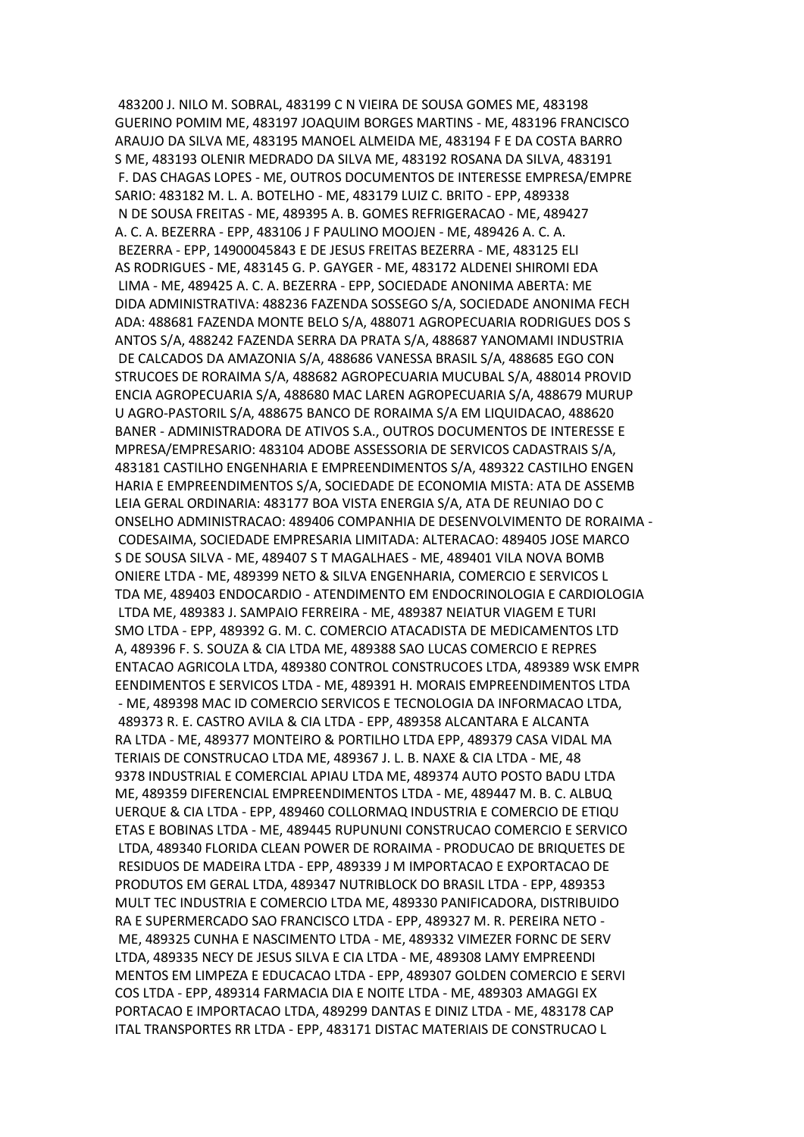483200 J. NILO M. SOBRAL, 483199 C N VIEIRA DE SOUSA GOMES ME, 483198 GUERINO POMIM ME, 483197 JOAQUIM BORGES MARTINS - ME, 483196 FRANCISCO ARAUJO DA SILVA ME, 483195 MANOEL ALMEIDA ME, 483194 F E DA COSTA BARRO S ME, 483193 OLENIR MEDRADO DA SILVA ME, 483192 ROSANA DA SILVA, 483191 F. DAS CHAGAS LOPES - ME, OUTROS DOCUMENTOS DE INTERESSE EMPRESA/EMPRE SARIO: 483182 M. L. A. BOTELHO - ME, 483179 LUIZ C. BRITO - EPP, 489338 N DE SOUSA FREITAS - ME, 489395 A. B. GOMES REFRIGERACAO - ME, 489427 A. C. A. BEZERRA - EPP, 483106 J F PAULINO MOOJEN - ME, 489426 A. C. A. BEZERRA - EPP, 14900045843 E DE JESUS FREITAS BEZERRA - ME, 483125 ELI AS RODRIGUES - ME, 483145 G. P. GAYGER - ME, 483172 ALDENEI SHIROMI EDA LIMA - ME, 489425 A. C. A. BEZERRA - EPP, SOCIEDADE ANONIMA ABERTA: ME DIDA ADMINISTRATIVA: 488236 FAZENDA SOSSEGO S/A, SOCIEDADE ANONIMA FECH ADA: 488681 FAZENDA MONTE BELO S/A, 488071 AGROPECUARIA RODRIGUES DOS S ANTOS S/A, 488242 FAZENDA SERRA DA PRATA S/A, 488687 YANOMAMI INDUSTRIA DE CALCADOS DA AMAZONIA S/A, 488686 VANESSA BRASIL S/A, 488685 EGO CON STRUCOES DE RORAIMA S/A, 488682 AGROPECUARIA MUCUBAL S/A, 488014 PROVID ENCIA AGROPECUARIA S/A, 488680 MAC LAREN AGROPECUARIA S/A, 488679 MURUP U AGRO-PASTORIL S/A, 488675 BANCO DE RORAIMA S/A EM LIQUIDACAO, 488620 BANER - ADMINISTRADORA DE ATIVOS S.A., OUTROS DOCUMENTOS DE INTERESSE E MPRESA/EMPRESARIO: 483104 ADOBE ASSESSORIA DE SERVICOS CADASTRAIS S/A, 483181 CASTILHO ENGENHARIA E EMPREENDIMENTOS S/A, 489322 CASTILHO ENGEN HARIA E EMPREENDIMENTOS S/A, SOCIEDADE DE ECONOMIA MISTA: ATA DE ASSEMB LEIA GERAL ORDINARIA: 483177 BOA VISTA ENERGIA S/A, ATA DE REUNIAO DO C ONSELHO ADMINISTRACAO: 489406 COMPANHIA DE DESENVOLVIMENTO DE RORAIMA - CODESAIMA, SOCIEDADE EMPRESARIA LIMITADA: ALTERACAO: 489405 JOSE MARCO S DE SOUSA SILVA - ME, 489407 S T MAGALHAES - ME, 489401 VILA NOVA BOMB ONIERE LTDA - ME, 489399 NETO & SILVA ENGENHARIA, COMERCIO E SERVICOS L TDA ME, 489403 ENDOCARDIO - ATENDIMENTO EM ENDOCRINOLOGIA E CARDIOLOGIA LTDA ME, 489383 J. SAMPAIO FERREIRA - ME, 489387 NEIATUR VIAGEM E TURI SMO LTDA - EPP, 489392 G. M. C. COMERCIO ATACADISTA DE MEDICAMENTOS LTD A, 489396 F. S. SOUZA & CIA LTDA ME, 489388 SAO LUCAS COMERCIO E REPRES ENTACAO AGRICOLA LTDA, 489380 CONTROL CONSTRUCOES LTDA, 489389 WSK EMPR EENDIMENTOS E SERVICOS LTDA - ME, 489391 H. MORAIS EMPREENDIMENTOS LTDA - ME, 489398 MAC ID COMERCIO SERVICOS E TECNOLOGIA DA INFORMACAO LTDA, 489373 R. E. CASTRO AVILA & CIA LTDA - EPP, 489358 ALCANTARA E ALCANTA RA LTDA - ME, 489377 MONTEIRO & PORTILHO LTDA EPP, 489379 CASA VIDAL MA TERIAIS DE CONSTRUCAO LTDA ME, 489367 J. L. B. NAXE & CIA LTDA - ME, 48 9378 INDUSTRIAL E COMERCIAL APIAU LTDA ME, 489374 AUTO POSTO BADU LTDA ME, 489359 DIFERENCIAL EMPREENDIMENTOS LTDA - ME, 489447 M. B. C. ALBUQ UERQUE & CIA LTDA - EPP, 489460 COLLORMAQ INDUSTRIA E COMERCIO DE ETIQU ETAS E BOBINAS LTDA - ME, 489445 RUPUNUNI CONSTRUCAO COMERCIO E SERVICO LTDA, 489340 FLORIDA CLEAN POWER DE RORAIMA - PRODUCAO DE BRIQUETES DE RESIDUOS DE MADEIRA LTDA - EPP, 489339 J M IMPORTACAO E EXPORTACAO DE PRODUTOS EM GERAL LTDA, 489347 NUTRIBLOCK DO BRASIL LTDA - EPP, 489353 MULT TEC INDUSTRIA E COMERCIO LTDA ME, 489330 PANIFICADORA, DISTRIBUIDO RA E SUPERMERCADO SAO FRANCISCO LTDA - EPP, 489327 M. R. PEREIRA NETO - ME, 489325 CUNHA E NASCIMENTO LTDA - ME, 489332 VIMEZER FORNC DE SERV LTDA, 489335 NECY DE JESUS SILVA E CIA LTDA - ME, 489308 LAMY EMPREENDI MENTOS EM LIMPEZA E EDUCACAO LTDA - EPP, 489307 GOLDEN COMERCIO E SERVI COS LTDA - EPP, 489314 FARMACIA DIA E NOITE LTDA - ME, 489303 AMAGGI EX PORTACAO E IMPORTACAO LTDA, 489299 DANTAS E DINIZ LTDA - ME, 483178 CAP ITAL TRANSPORTES RR LTDA - EPP, 483171 DISTAC MATERIAIS DE CONSTRUCAO L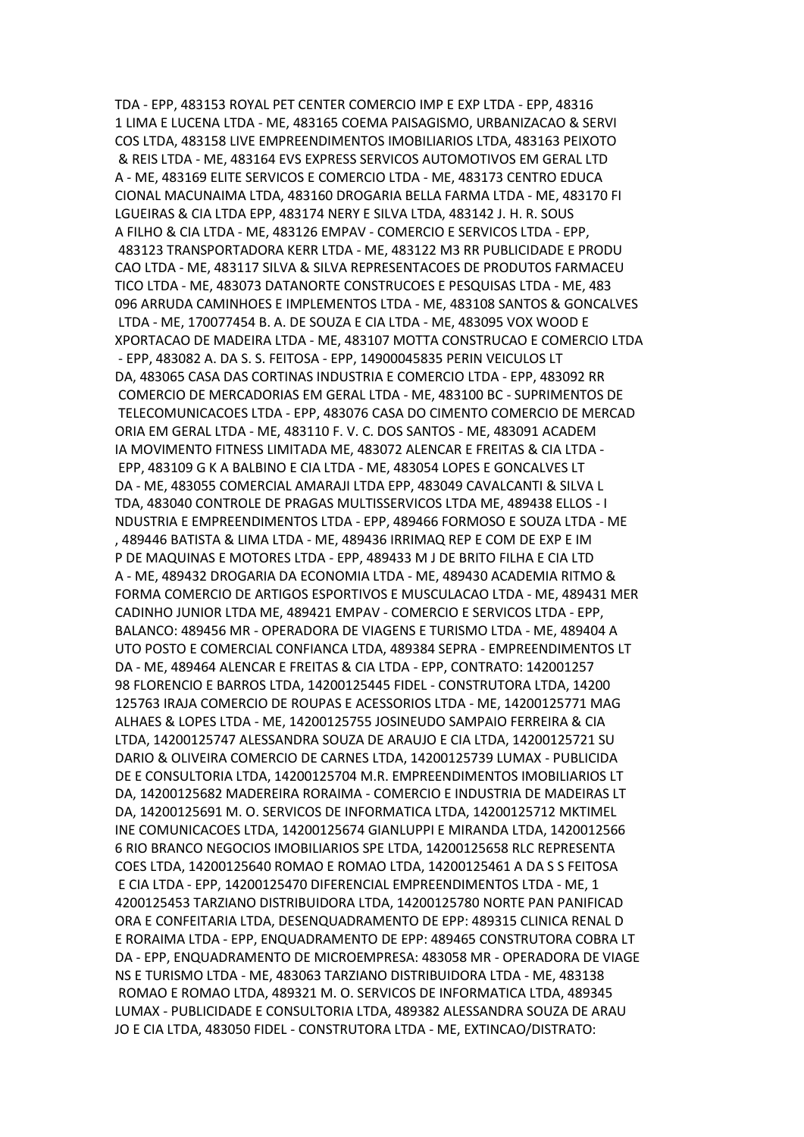TDA - EPP, 483153 ROYAL PET CENTER COMERCIO IMP E EXP LTDA - EPP, 48316 1 LIMA E LUCENA LTDA - ME, 483165 COEMA PAISAGISMO, URBANIZACAO & SERVI COS LTDA, 483158 LIVE EMPREENDIMENTOS IMOBILIARIOS LTDA, 483163 PEIXOTO & REIS LTDA - ME, 483164 EVS EXPRESS SERVICOS AUTOMOTIVOS EM GERAL LTD A - ME, 483169 ELITE SERVICOS E COMERCIO LTDA - ME, 483173 CENTRO EDUCA CIONAL MACUNAIMA LTDA, 483160 DROGARIA BELLA FARMA LTDA - ME, 483170 FI LGUEIRAS & CIA LTDA EPP, 483174 NERY E SILVA LTDA, 483142 J. H. R. SOUS A FILHO & CIA LTDA - ME, 483126 EMPAV - COMERCIO E SERVICOS LTDA - EPP, 483123 TRANSPORTADORA KERR LTDA - ME, 483122 M3 RR PUBLICIDADE E PRODU CAO LTDA - ME, 483117 SILVA & SILVA REPRESENTACOES DE PRODUTOS FARMACEU TICO LTDA - ME, 483073 DATANORTE CONSTRUCOES E PESQUISAS LTDA - ME, 483 096 ARRUDA CAMINHOES E IMPLEMENTOS LTDA - ME, 483108 SANTOS & GONCALVES LTDA - ME, 170077454 B. A. DE SOUZA E CIA LTDA - ME, 483095 VOX WOOD E XPORTACAO DE MADEIRA LTDA - ME, 483107 MOTTA CONSTRUCAO E COMERCIO LTDA - EPP, 483082 A. DA S. S. FEITOSA - EPP, 14900045835 PERIN VEICULOS LT DA, 483065 CASA DAS CORTINAS INDUSTRIA E COMERCIO LTDA - EPP, 483092 RR COMERCIO DE MERCADORIAS EM GERAL LTDA - ME, 483100 BC - SUPRIMENTOS DE TELECOMUNICACOES LTDA - EPP, 483076 CASA DO CIMENTO COMERCIO DE MERCAD ORIA EM GERAL LTDA - ME, 483110 F. V. C. DOS SANTOS - ME, 483091 ACADEM IA MOVIMENTO FITNESS LIMITADA ME, 483072 ALENCAR E FREITAS & CIA LTDA - EPP, 483109 G K A BALBINO E CIA LTDA - ME, 483054 LOPES E GONCALVES LT DA - ME, 483055 COMERCIAL AMARAJI LTDA EPP, 483049 CAVALCANTI & SILVA L TDA, 483040 CONTROLE DE PRAGAS MULTISSERVICOS LTDA ME, 489438 ELLOS - I NDUSTRIA E EMPREENDIMENTOS LTDA - EPP, 489466 FORMOSO E SOUZA LTDA - ME , 489446 BATISTA & LIMA LTDA - ME, 489436 IRRIMAQ REP E COM DE EXP E IM P DE MAQUINAS E MOTORES LTDA - EPP, 489433 M J DE BRITO FILHA E CIA LTD A - ME, 489432 DROGARIA DA ECONOMIA LTDA - ME, 489430 ACADEMIA RITMO & FORMA COMERCIO DE ARTIGOS ESPORTIVOS E MUSCULACAO LTDA - ME, 489431 MER CADINHO JUNIOR LTDA ME, 489421 EMPAV - COMERCIO E SERVICOS LTDA - EPP, BALANCO: 489456 MR - OPERADORA DE VIAGENS E TURISMO LTDA - ME, 489404 A UTO POSTO E COMERCIAL CONFIANCA LTDA, 489384 SEPRA - EMPREENDIMENTOS LT DA - ME, 489464 ALENCAR E FREITAS & CIA LTDA - EPP, CONTRATO: 142001257 98 FLORENCIO E BARROS LTDA, 14200125445 FIDEL - CONSTRUTORA LTDA, 14200 125763 IRAJA COMERCIO DE ROUPAS E ACESSORIOS LTDA - ME, 14200125771 MAG ALHAES & LOPES LTDA - ME, 14200125755 JOSINEUDO SAMPAIO FERREIRA & CIA LTDA, 14200125747 ALESSANDRA SOUZA DE ARAUJO E CIA LTDA, 14200125721 SU DARIO & OLIVEIRA COMERCIO DE CARNES LTDA, 14200125739 LUMAX - PUBLICIDA DE E CONSULTORIA LTDA, 14200125704 M.R. EMPREENDIMENTOS IMOBILIARIOS LT DA, 14200125682 MADEREIRA RORAIMA - COMERCIO E INDUSTRIA DE MADEIRAS LT DA, 14200125691 M. O. SERVICOS DE INFORMATICA LTDA, 14200125712 MKTIMEL INE COMUNICACOES LTDA, 14200125674 GIANLUPPI E MIRANDA LTDA, 1420012566 6 RIO BRANCO NEGOCIOS IMOBILIARIOS SPE LTDA, 14200125658 RLC REPRESENTA COES LTDA, 14200125640 ROMAO E ROMAO LTDA, 14200125461 A DA S S FEITOSA E CIA LTDA - EPP, 14200125470 DIFERENCIAL EMPREENDIMENTOS LTDA - ME, 1 4200125453 TARZIANO DISTRIBUIDORA LTDA, 14200125780 NORTE PAN PANIFICAD ORA E CONFEITARIA LTDA, DESENQUADRAMENTO DE EPP: 489315 CLINICA RENAL D E RORAIMA LTDA - EPP, ENQUADRAMENTO DE EPP: 489465 CONSTRUTORA COBRA LT DA - EPP, ENQUADRAMENTO DE MICROEMPRESA: 483058 MR - OPERADORA DE VIAGE NS E TURISMO LTDA - ME, 483063 TARZIANO DISTRIBUIDORA LTDA - ME, 483138 ROMAO E ROMAO LTDA, 489321 M. O. SERVICOS DE INFORMATICA LTDA, 489345 LUMAX - PUBLICIDADE E CONSULTORIA LTDA, 489382 ALESSANDRA SOUZA DE ARAU JO E CIA LTDA, 483050 FIDEL - CONSTRUTORA LTDA - ME, EXTINCAO/DISTRATO: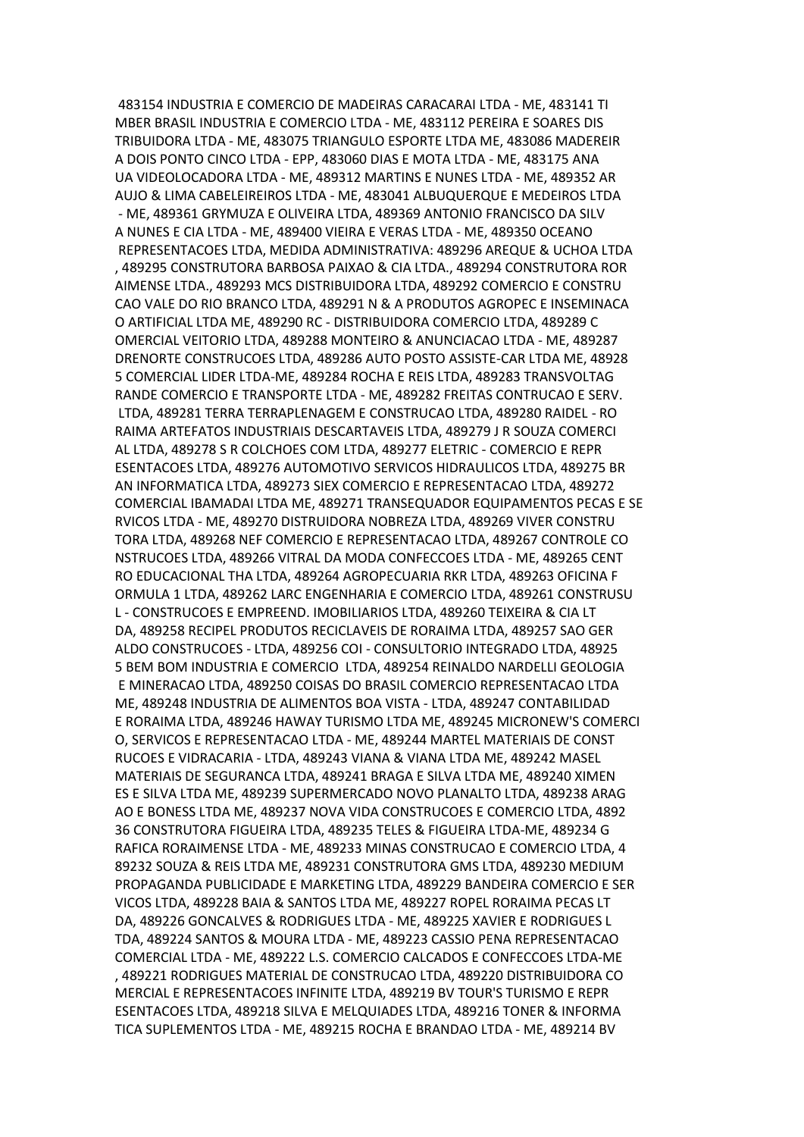483154 INDUSTRIA E COMERCIO DE MADEIRAS CARACARAI LTDA - ME, 483141 TI MBER BRASIL INDUSTRIA E COMERCIO LTDA - ME, 483112 PEREIRA E SOARES DIS TRIBUIDORA LTDA - ME, 483075 TRIANGULO ESPORTE LTDA ME, 483086 MADEREIR A DOIS PONTO CINCO LTDA - EPP, 483060 DIAS E MOTA LTDA - ME, 483175 ANA UA VIDEOLOCADORA LTDA - ME, 489312 MARTINS E NUNES LTDA - ME, 489352 AR AUJO & LIMA CABELEIREIROS LTDA - ME, 483041 ALBUQUERQUE E MEDEIROS LTDA - ME, 489361 GRYMUZA E OLIVEIRA LTDA, 489369 ANTONIO FRANCISCO DA SILV A NUNES E CIA LTDA - ME, 489400 VIEIRA E VERAS LTDA - ME, 489350 OCEANO REPRESENTACOES LTDA, MEDIDA ADMINISTRATIVA: 489296 AREQUE & UCHOA LTDA , 489295 CONSTRUTORA BARBOSA PAIXAO & CIA LTDA., 489294 CONSTRUTORA ROR AIMENSE LTDA., 489293 MCS DISTRIBUIDORA LTDA, 489292 COMERCIO E CONSTRU CAO VALE DO RIO BRANCO LTDA, 489291 N & A PRODUTOS AGROPEC E INSEMINACA O ARTIFICIAL LTDA ME, 489290 RC - DISTRIBUIDORA COMERCIO LTDA, 489289 C OMERCIAL VEITORIO LTDA, 489288 MONTEIRO & ANUNCIACAO LTDA - ME, 489287 DRENORTE CONSTRUCOES LTDA, 489286 AUTO POSTO ASSISTE-CAR LTDA ME, 48928 5 COMERCIAL LIDER LTDA-ME, 489284 ROCHA E REIS LTDA, 489283 TRANSVOLTAG RANDE COMERCIO E TRANSPORTE LTDA - ME, 489282 FREITAS CONTRUCAO E SERV. LTDA, 489281 TERRA TERRAPLENAGEM E CONSTRUCAO LTDA, 489280 RAIDEL - RO RAIMA ARTEFATOS INDUSTRIAIS DESCARTAVEIS LTDA, 489279 J R SOUZA COMERCI AL LTDA, 489278 S R COLCHOES COM LTDA, 489277 ELETRIC - COMERCIO E REPR ESENTACOES LTDA, 489276 AUTOMOTIVO SERVICOS HIDRAULICOS LTDA, 489275 BR AN INFORMATICA LTDA, 489273 SIEX COMERCIO E REPRESENTACAO LTDA, 489272 COMERCIAL IBAMADAI LTDA ME, 489271 TRANSEQUADOR EQUIPAMENTOS PECAS E SE RVICOS LTDA - ME, 489270 DISTRUIDORA NOBREZA LTDA, 489269 VIVER CONSTRU TORA LTDA, 489268 NEF COMERCIO E REPRESENTACAO LTDA, 489267 CONTROLE CO NSTRUCOES LTDA, 489266 VITRAL DA MODA CONFECCOES LTDA - ME, 489265 CENT RO EDUCACIONAL THA LTDA, 489264 AGROPECUARIA RKR LTDA, 489263 OFICINA F ORMULA 1 LTDA, 489262 LARC ENGENHARIA E COMERCIO LTDA, 489261 CONSTRUSU L - CONSTRUCOES E EMPREEND. IMOBILIARIOS LTDA, 489260 TEIXEIRA & CIA LT DA, 489258 RECIPEL PRODUTOS RECICLAVEIS DE RORAIMA LTDA, 489257 SAO GER ALDO CONSTRUCOES - LTDA, 489256 COI - CONSULTORIO INTEGRADO LTDA, 48925 5 BEM BOM INDUSTRIA E COMERCIO LTDA, 489254 REINALDO NARDELLI GEOLOGIA E MINERACAO LTDA, 489250 COISAS DO BRASIL COMERCIO REPRESENTACAO LTDA ME, 489248 INDUSTRIA DE ALIMENTOS BOA VISTA - LTDA, 489247 CONTABILIDAD E RORAIMA LTDA, 489246 HAWAY TURISMO LTDA ME, 489245 MICRONEW'S COMERCI O, SERVICOS E REPRESENTACAO LTDA - ME, 489244 MARTEL MATERIAIS DE CONST RUCOES E VIDRACARIA - LTDA, 489243 VIANA & VIANA LTDA ME, 489242 MASEL MATERIAIS DE SEGURANCA LTDA, 489241 BRAGA E SILVA LTDA ME, 489240 XIMEN ES E SILVA LTDA ME, 489239 SUPERMERCADO NOVO PLANALTO LTDA, 489238 ARAG AO E BONESS LTDA ME, 489237 NOVA VIDA CONSTRUCOES E COMERCIO LTDA, 4892 36 CONSTRUTORA FIGUEIRA LTDA, 489235 TELES & FIGUEIRA LTDA-ME, 489234 G RAFICA RORAIMENSE LTDA - ME, 489233 MINAS CONSTRUCAO E COMERCIO LTDA, 4 89232 SOUZA & REIS LTDA ME, 489231 CONSTRUTORA GMS LTDA, 489230 MEDIUM PROPAGANDA PUBLICIDADE E MARKETING LTDA, 489229 BANDEIRA COMERCIO E SER VICOS LTDA, 489228 BAIA & SANTOS LTDA ME, 489227 ROPEL RORAIMA PECAS LT DA, 489226 GONCALVES & RODRIGUES LTDA - ME, 489225 XAVIER E RODRIGUES L TDA, 489224 SANTOS & MOURA LTDA - ME, 489223 CASSIO PENA REPRESENTACAO COMERCIAL LTDA - ME, 489222 L.S. COMERCIO CALCADOS E CONFECCOES LTDA-ME , 489221 RODRIGUES MATERIAL DE CONSTRUCAO LTDA, 489220 DISTRIBUIDORA CO MERCIAL E REPRESENTACOES INFINITE LTDA, 489219 BV TOUR'S TURISMO E REPR ESENTACOES LTDA, 489218 SILVA E MELQUIADES LTDA, 489216 TONER & INFORMA TICA SUPLEMENTOS LTDA - ME, 489215 ROCHA E BRANDAO LTDA - ME, 489214 BV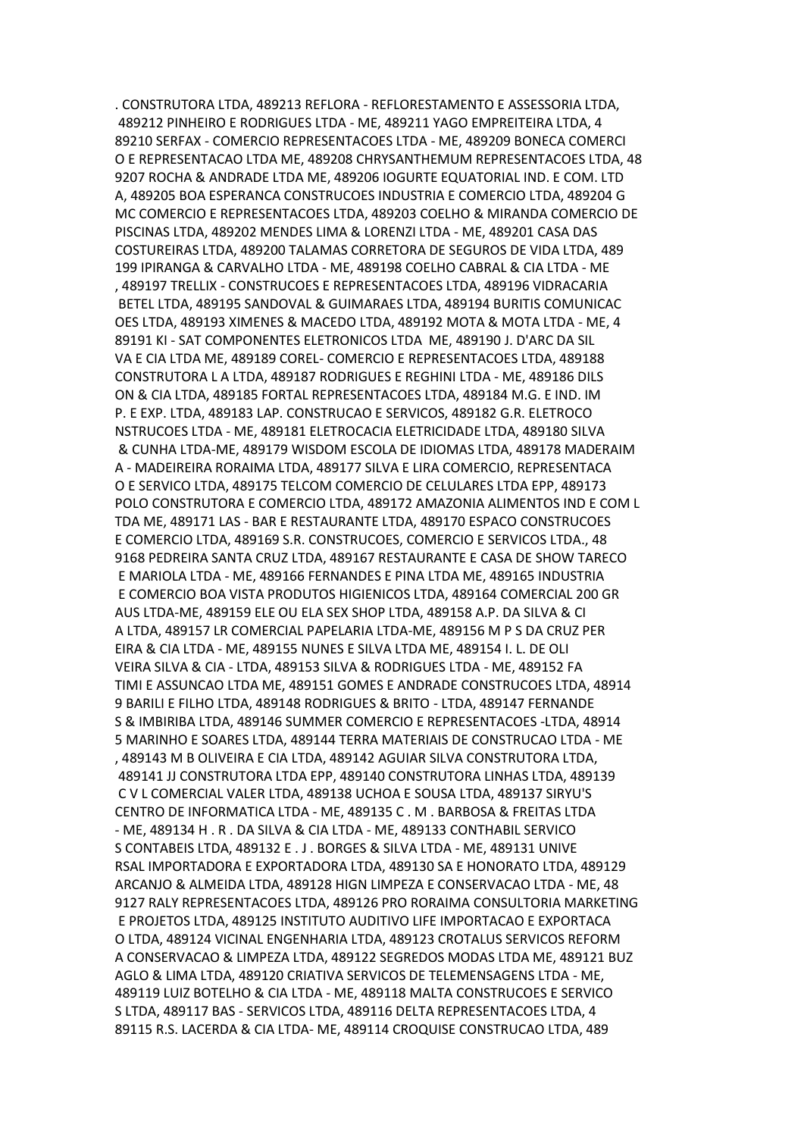. CONSTRUTORA LTDA, 489213 REFLORA - REFLORESTAMENTO E ASSESSORIA LTDA, 489212 PINHEIRO E RODRIGUES LTDA - ME, 489211 YAGO EMPREITEIRA LTDA, 4 89210 SERFAX - COMERCIO REPRESENTACOES LTDA - ME, 489209 BONECA COMERCI O E REPRESENTACAO LTDA ME, 489208 CHRYSANTHEMUM REPRESENTACOES LTDA, 48 9207 ROCHA & ANDRADE LTDA ME, 489206 IOGURTE EQUATORIAL IND. E COM. LTD A, 489205 BOA ESPERANCA CONSTRUCOES INDUSTRIA E COMERCIO LTDA, 489204 G MC COMERCIO E REPRESENTACOES LTDA, 489203 COELHO & MIRANDA COMERCIO DE PISCINAS LTDA, 489202 MENDES LIMA & LORENZI LTDA - ME, 489201 CASA DAS COSTUREIRAS LTDA, 489200 TALAMAS CORRETORA DE SEGUROS DE VIDA LTDA, 489 199 IPIRANGA & CARVALHO LTDA - ME, 489198 COELHO CABRAL & CIA LTDA - ME , 489197 TRELLIX - CONSTRUCOES E REPRESENTACOES LTDA, 489196 VIDRACARIA BETEL LTDA, 489195 SANDOVAL & GUIMARAES LTDA, 489194 BURITIS COMUNICAC OES LTDA, 489193 XIMENES & MACEDO LTDA, 489192 MOTA & MOTA LTDA - ME, 4 89191 KI - SAT COMPONENTES ELETRONICOS LTDA ME, 489190 J. D'ARC DA SIL VA E CIA LTDA ME, 489189 COREL- COMERCIO E REPRESENTACOES LTDA, 489188 CONSTRUTORA L A LTDA, 489187 RODRIGUES E REGHINI LTDA - ME, 489186 DILS ON & CIA LTDA, 489185 FORTAL REPRESENTACOES LTDA, 489184 M.G. E IND. IM P. E EXP. LTDA, 489183 LAP. CONSTRUCAO E SERVICOS, 489182 G.R. ELETROCO NSTRUCOES LTDA - ME, 489181 ELETROCACIA ELETRICIDADE LTDA, 489180 SILVA & CUNHA LTDA-ME, 489179 WISDOM ESCOLA DE IDIOMAS LTDA, 489178 MADERAIM A - MADEIREIRA RORAIMA LTDA, 489177 SILVA E LIRA COMERCIO, REPRESENTACA O E SERVICO LTDA, 489175 TELCOM COMERCIO DE CELULARES LTDA EPP, 489173 POLO CONSTRUTORA E COMERCIO LTDA, 489172 AMAZONIA ALIMENTOS IND E COM L TDA ME, 489171 LAS - BAR E RESTAURANTE LTDA, 489170 ESPACO CONSTRUCOES E COMERCIO LTDA, 489169 S.R. CONSTRUCOES, COMERCIO E SERVICOS LTDA., 48 9168 PEDREIRA SANTA CRUZ LTDA, 489167 RESTAURANTE E CASA DE SHOW TARECO E MARIOLA LTDA - ME, 489166 FERNANDES E PINA LTDA ME, 489165 INDUSTRIA E COMERCIO BOA VISTA PRODUTOS HIGIENICOS LTDA, 489164 COMERCIAL 200 GR AUS LTDA-ME, 489159 ELE OU ELA SEX SHOP LTDA, 489158 A.P. DA SILVA & CI A LTDA, 489157 LR COMERCIAL PAPELARIA LTDA-ME, 489156 M P S DA CRUZ PER EIRA & CIA LTDA - ME, 489155 NUNES E SILVA LTDA ME, 489154 I. L. DE OLI VEIRA SILVA & CIA - LTDA, 489153 SILVA & RODRIGUES LTDA - ME, 489152 FA TIMI E ASSUNCAO LTDA ME, 489151 GOMES E ANDRADE CONSTRUCOES LTDA, 48914 9 BARILI E FILHO LTDA, 489148 RODRIGUES & BRITO - LTDA, 489147 FERNANDE S & IMBIRIBA LTDA, 489146 SUMMER COMERCIO E REPRESENTACOES -LTDA, 48914 5 MARINHO E SOARES LTDA, 489144 TERRA MATERIAIS DE CONSTRUCAO LTDA - ME , 489143 M B OLIVEIRA E CIA LTDA, 489142 AGUIAR SILVA CONSTRUTORA LTDA, 489141 JJ CONSTRUTORA LTDA EPP, 489140 CONSTRUTORA LINHAS LTDA, 489139 C V L COMERCIAL VALER LTDA, 489138 UCHOA E SOUSA LTDA, 489137 SIRYU'S CENTRO DE INFORMATICA LTDA - ME, 489135 C . M . BARBOSA & FREITAS LTDA - ME, 489134 H . R . DA SILVA & CIA LTDA - ME, 489133 CONTHABIL SERVICO S CONTABEIS LTDA, 489132 E . J . BORGES & SILVA LTDA - ME, 489131 UNIVE RSAL IMPORTADORA E EXPORTADORA LTDA, 489130 SA E HONORATO LTDA, 489129 ARCANJO & ALMEIDA LTDA, 489128 HIGN LIMPEZA E CONSERVACAO LTDA - ME, 48 9127 RALY REPRESENTACOES LTDA, 489126 PRO RORAIMA CONSULTORIA MARKETING E PROJETOS LTDA, 489125 INSTITUTO AUDITIVO LIFE IMPORTACAO E EXPORTACA O LTDA, 489124 VICINAL ENGENHARIA LTDA, 489123 CROTALUS SERVICOS REFORM A CONSERVACAO & LIMPEZA LTDA, 489122 SEGREDOS MODAS LTDA ME, 489121 BUZ AGLO & LIMA LTDA, 489120 CRIATIVA SERVICOS DE TELEMENSAGENS LTDA - ME, 489119 LUIZ BOTELHO & CIA LTDA - ME, 489118 MALTA CONSTRUCOES E SERVICO S LTDA, 489117 BAS - SERVICOS LTDA, 489116 DELTA REPRESENTACOES LTDA, 4 89115 R.S. LACERDA & CIA LTDA- ME, 489114 CROQUISE CONSTRUCAO LTDA, 489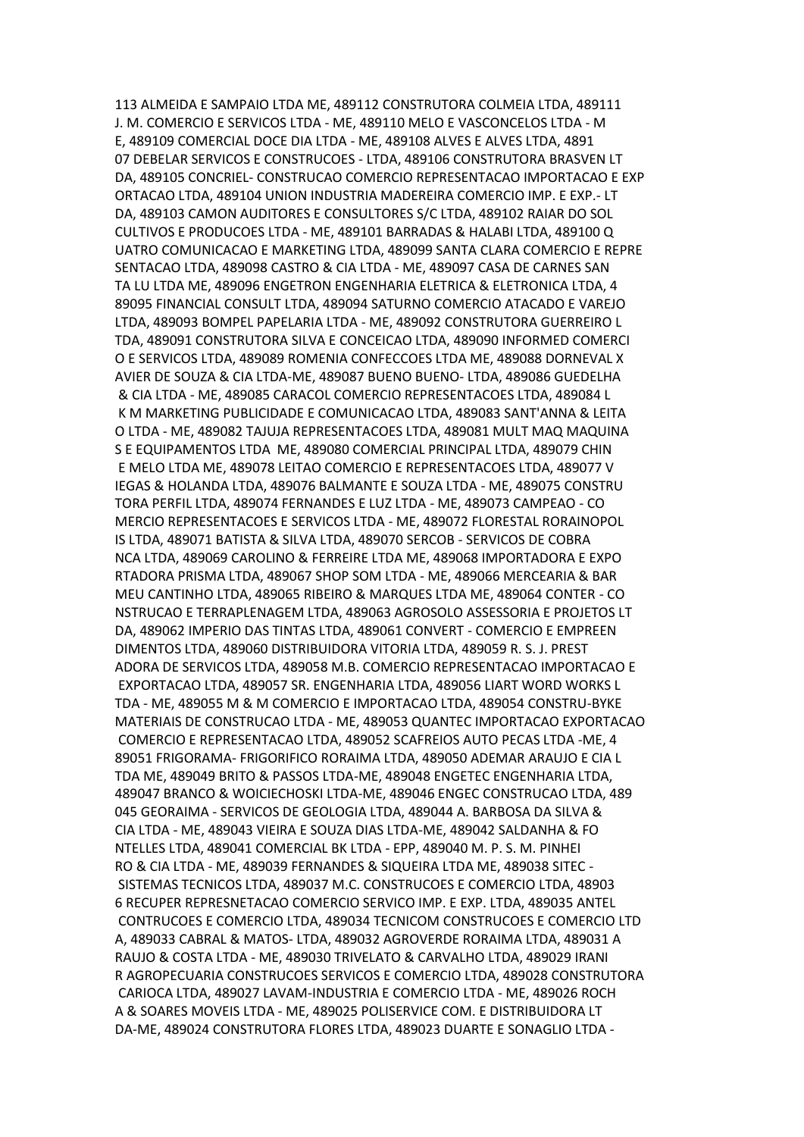113 ALMEIDA E SAMPAIO LTDA ME, 489112 CONSTRUTORA COLMEIA LTDA, 489111 J. M. COMERCIO E SERVICOS LTDA - ME, 489110 MELO E VASCONCELOS LTDA - M E, 489109 COMERCIAL DOCE DIA LTDA - ME, 489108 ALVES E ALVES LTDA, 4891 07 DEBELAR SERVICOS E CONSTRUCOES - LTDA, 489106 CONSTRUTORA BRASVEN LT DA, 489105 CONCRIEL- CONSTRUCAO COMERCIO REPRESENTACAO IMPORTACAO E EXP ORTACAO LTDA, 489104 UNION INDUSTRIA MADEREIRA COMERCIO IMP. E EXP.- LT DA, 489103 CAMON AUDITORES E CONSULTORES S/C LTDA, 489102 RAIAR DO SOL CULTIVOS E PRODUCOES LTDA - ME, 489101 BARRADAS & HALABI LTDA, 489100 Q UATRO COMUNICACAO E MARKETING LTDA, 489099 SANTA CLARA COMERCIO E REPRE SENTACAO LTDA, 489098 CASTRO & CIA LTDA - ME, 489097 CASA DE CARNES SAN TA LU LTDA ME, 489096 ENGETRON ENGENHARIA ELETRICA & ELETRONICA LTDA, 4 89095 FINANCIAL CONSULT LTDA, 489094 SATURNO COMERCIO ATACADO E VAREJO LTDA, 489093 BOMPEL PAPELARIA LTDA - ME, 489092 CONSTRUTORA GUERREIRO L TDA, 489091 CONSTRUTORA SILVA E CONCEICAO LTDA, 489090 INFORMED COMERCI O E SERVICOS LTDA, 489089 ROMENIA CONFECCOES LTDA ME, 489088 DORNEVAL X AVIER DE SOUZA & CIA LTDA-ME, 489087 BUENO BUENO- LTDA, 489086 GUEDELHA & CIA LTDA - ME, 489085 CARACOL COMERCIO REPRESENTACOES LTDA, 489084 L K M MARKETING PUBLICIDADE E COMUNICACAO LTDA, 489083 SANT'ANNA & LEITA O LTDA - ME, 489082 TAJUJA REPRESENTACOES LTDA, 489081 MULT MAQ MAQUINA S E EQUIPAMENTOS LTDA ME, 489080 COMERCIAL PRINCIPAL LTDA, 489079 CHIN E MELO LTDA ME, 489078 LEITAO COMERCIO E REPRESENTACOES LTDA, 489077 V IEGAS & HOLANDA LTDA, 489076 BALMANTE E SOUZA LTDA - ME, 489075 CONSTRU TORA PERFIL LTDA, 489074 FERNANDES E LUZ LTDA - ME, 489073 CAMPEAO - CO MERCIO REPRESENTACOES E SERVICOS LTDA - ME, 489072 FLORESTAL RORAINOPOL IS LTDA, 489071 BATISTA & SILVA LTDA, 489070 SERCOB - SERVICOS DE COBRA NCA LTDA, 489069 CAROLINO & FERREIRE LTDA ME, 489068 IMPORTADORA E EXPO RTADORA PRISMA LTDA, 489067 SHOP SOM LTDA - ME, 489066 MERCEARIA & BAR MEU CANTINHO LTDA, 489065 RIBEIRO & MARQUES LTDA ME, 489064 CONTER - CO NSTRUCAO E TERRAPLENAGEM LTDA, 489063 AGROSOLO ASSESSORIA E PROJETOS LT DA, 489062 IMPERIO DAS TINTAS LTDA, 489061 CONVERT - COMERCIO E EMPREEN DIMENTOS LTDA, 489060 DISTRIBUIDORA VITORIA LTDA, 489059 R. S. J. PREST ADORA DE SERVICOS LTDA, 489058 M.B. COMERCIO REPRESENTACAO IMPORTACAO E EXPORTACAO LTDA, 489057 SR. ENGENHARIA LTDA, 489056 LIART WORD WORKS L TDA - ME, 489055 M & M COMERCIO E IMPORTACAO LTDA, 489054 CONSTRU-BYKE MATERIAIS DE CONSTRUCAO LTDA - ME, 489053 QUANTEC IMPORTACAO EXPORTACAO COMERCIO E REPRESENTACAO LTDA, 489052 SCAFREIOS AUTO PECAS LTDA -ME, 4 89051 FRIGORAMA- FRIGORIFICO RORAIMA LTDA, 489050 ADEMAR ARAUJO E CIA L TDA ME, 489049 BRITO & PASSOS LTDA-ME, 489048 ENGETEC ENGENHARIA LTDA, 489047 BRANCO & WOICIECHOSKI LTDA-ME, 489046 ENGEC CONSTRUCAO LTDA, 489 045 GEORAIMA - SERVICOS DE GEOLOGIA LTDA, 489044 A. BARBOSA DA SILVA & CIA LTDA - ME, 489043 VIEIRA E SOUZA DIAS LTDA-ME, 489042 SALDANHA & FO NTELLES LTDA, 489041 COMERCIAL BK LTDA - EPP, 489040 M. P. S. M. PINHEI RO & CIA LTDA - ME, 489039 FERNANDES & SIQUEIRA LTDA ME, 489038 SITEC - SISTEMAS TECNICOS LTDA, 489037 M.C. CONSTRUCOES E COMERCIO LTDA, 48903 6 RECUPER REPRESNETACAO COMERCIO SERVICO IMP. E EXP. LTDA, 489035 ANTEL CONTRUCOES E COMERCIO LTDA, 489034 TECNICOM CONSTRUCOES E COMERCIO LTD A, 489033 CABRAL & MATOS- LTDA, 489032 AGROVERDE RORAIMA LTDA, 489031 A RAUJO & COSTA LTDA - ME, 489030 TRIVELATO & CARVALHO LTDA, 489029 IRANI R AGROPECUARIA CONSTRUCOES SERVICOS E COMERCIO LTDA, 489028 CONSTRUTORA CARIOCA LTDA, 489027 LAVAM-INDUSTRIA E COMERCIO LTDA - ME, 489026 ROCH A & SOARES MOVEIS LTDA - ME, 489025 POLISERVICE COM. E DISTRIBUIDORA LT DA-ME, 489024 CONSTRUTORA FLORES LTDA, 489023 DUARTE E SONAGLIO LTDA -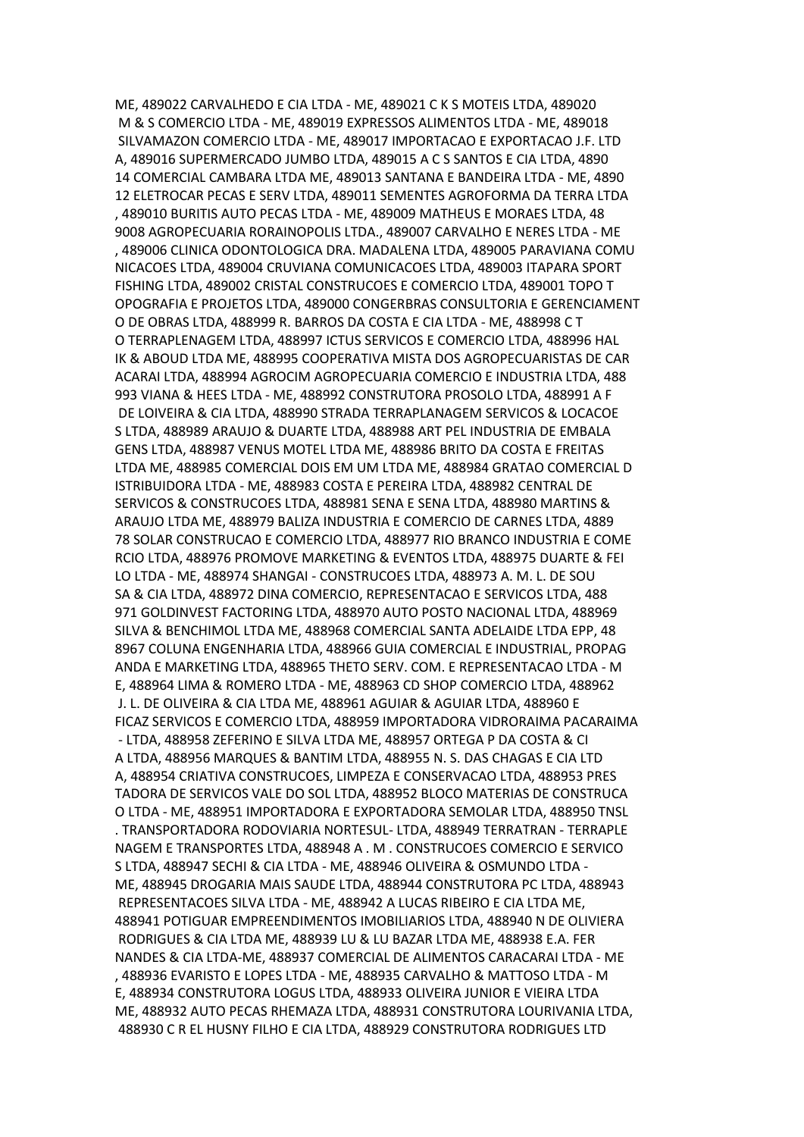ME, 489022 CARVALHEDO E CIA LTDA - ME, 489021 C K S MOTEIS LTDA, 489020 M & S COMERCIO LTDA - ME, 489019 EXPRESSOS ALIMENTOS LTDA - ME, 489018 SILVAMAZON COMERCIO LTDA - ME, 489017 IMPORTACAO E EXPORTACAO J.F. LTD A, 489016 SUPERMERCADO JUMBO LTDA, 489015 A C S SANTOS E CIA LTDA, 4890 14 COMERCIAL CAMBARA LTDA ME, 489013 SANTANA E BANDEIRA LTDA - ME, 4890 12 ELETROCAR PECAS E SERV LTDA, 489011 SEMENTES AGROFORMA DA TERRA LTDA , 489010 BURITIS AUTO PECAS LTDA - ME, 489009 MATHEUS E MORAES LTDA, 48 9008 AGROPECUARIA RORAINOPOLIS LTDA., 489007 CARVALHO E NERES LTDA - ME , 489006 CLINICA ODONTOLOGICA DRA. MADALENA LTDA, 489005 PARAVIANA COMU NICACOES LTDA, 489004 CRUVIANA COMUNICACOES LTDA, 489003 ITAPARA SPORT FISHING LTDA, 489002 CRISTAL CONSTRUCOES E COMERCIO LTDA, 489001 TOPO T OPOGRAFIA E PROJETOS LTDA, 489000 CONGERBRAS CONSULTORIA E GERENCIAMENT O DE OBRAS LTDA, 488999 R. BARROS DA COSTA E CIA LTDA - ME, 488998 C T O TERRAPLENAGEM LTDA, 488997 ICTUS SERVICOS E COMERCIO LTDA, 488996 HAL IK & ABOUD LTDA ME, 488995 COOPERATIVA MISTA DOS AGROPECUARISTAS DE CAR ACARAI LTDA, 488994 AGROCIM AGROPECUARIA COMERCIO E INDUSTRIA LTDA, 488 993 VIANA & HEES LTDA - ME, 488992 CONSTRUTORA PROSOLO LTDA, 488991 A F DE LOIVEIRA & CIA LTDA, 488990 STRADA TERRAPLANAGEM SERVICOS & LOCACOE S LTDA, 488989 ARAUJO & DUARTE LTDA, 488988 ART PEL INDUSTRIA DE EMBALA GENS LTDA, 488987 VENUS MOTEL LTDA ME, 488986 BRITO DA COSTA E FREITAS LTDA ME, 488985 COMERCIAL DOIS EM UM LTDA ME, 488984 GRATAO COMERCIAL D ISTRIBUIDORA LTDA - ME, 488983 COSTA E PEREIRA LTDA, 488982 CENTRAL DE SERVICOS & CONSTRUCOES LTDA, 488981 SENA E SENA LTDA, 488980 MARTINS & ARAUJO LTDA ME, 488979 BALIZA INDUSTRIA E COMERCIO DE CARNES LTDA, 4889 78 SOLAR CONSTRUCAO E COMERCIO LTDA, 488977 RIO BRANCO INDUSTRIA E COME RCIO LTDA, 488976 PROMOVE MARKETING & EVENTOS LTDA, 488975 DUARTE & FEI LO LTDA - ME, 488974 SHANGAI - CONSTRUCOES LTDA, 488973 A. M. L. DE SOU SA & CIA LTDA, 488972 DINA COMERCIO, REPRESENTACAO E SERVICOS LTDA, 488 971 GOLDINVEST FACTORING LTDA, 488970 AUTO POSTO NACIONAL LTDA, 488969 SILVA & BENCHIMOL LTDA ME, 488968 COMERCIAL SANTA ADELAIDE LTDA EPP, 48 8967 COLUNA ENGENHARIA LTDA, 488966 GUIA COMERCIAL E INDUSTRIAL, PROPAG ANDA E MARKETING LTDA, 488965 THETO SERV. COM. E REPRESENTACAO LTDA - M E, 488964 LIMA & ROMERO LTDA - ME, 488963 CD SHOP COMERCIO LTDA, 488962 J. L. DE OLIVEIRA & CIA LTDA ME, 488961 AGUIAR & AGUIAR LTDA, 488960 E FICAZ SERVICOS E COMERCIO LTDA, 488959 IMPORTADORA VIDRORAIMA PACARAIMA - LTDA, 488958 ZEFERINO E SILVA LTDA ME, 488957 ORTEGA P DA COSTA & CI A LTDA, 488956 MARQUES & BANTIM LTDA, 488955 N. S. DAS CHAGAS E CIA LTD A, 488954 CRIATIVA CONSTRUCOES, LIMPEZA E CONSERVACAO LTDA, 488953 PRES TADORA DE SERVICOS VALE DO SOL LTDA, 488952 BLOCO MATERIAS DE CONSTRUCA O LTDA - ME, 488951 IMPORTADORA E EXPORTADORA SEMOLAR LTDA, 488950 TNSL . TRANSPORTADORA RODOVIARIA NORTESUL- LTDA, 488949 TERRATRAN - TERRAPLE NAGEM E TRANSPORTES LTDA, 488948 A . M . CONSTRUCOES COMERCIO E SERVICO S LTDA, 488947 SECHI & CIA LTDA - ME, 488946 OLIVEIRA & OSMUNDO LTDA - ME, 488945 DROGARIA MAIS SAUDE LTDA, 488944 CONSTRUTORA PC LTDA, 488943 REPRESENTACOES SILVA LTDA - ME, 488942 A LUCAS RIBEIRO E CIA LTDA ME, 488941 POTIGUAR EMPREENDIMENTOS IMOBILIARIOS LTDA, 488940 N DE OLIVIERA RODRIGUES & CIA LTDA ME, 488939 LU & LU BAZAR LTDA ME, 488938 E.A. FER NANDES & CIA LTDA-ME, 488937 COMERCIAL DE ALIMENTOS CARACARAI LTDA - ME , 488936 EVARISTO E LOPES LTDA - ME, 488935 CARVALHO & MATTOSO LTDA - M E, 488934 CONSTRUTORA LOGUS LTDA, 488933 OLIVEIRA JUNIOR E VIEIRA LTDA ME, 488932 AUTO PECAS RHEMAZA LTDA, 488931 CONSTRUTORA LOURIVANIA LTDA, 488930 C R EL HUSNY FILHO E CIA LTDA, 488929 CONSTRUTORA RODRIGUES LTD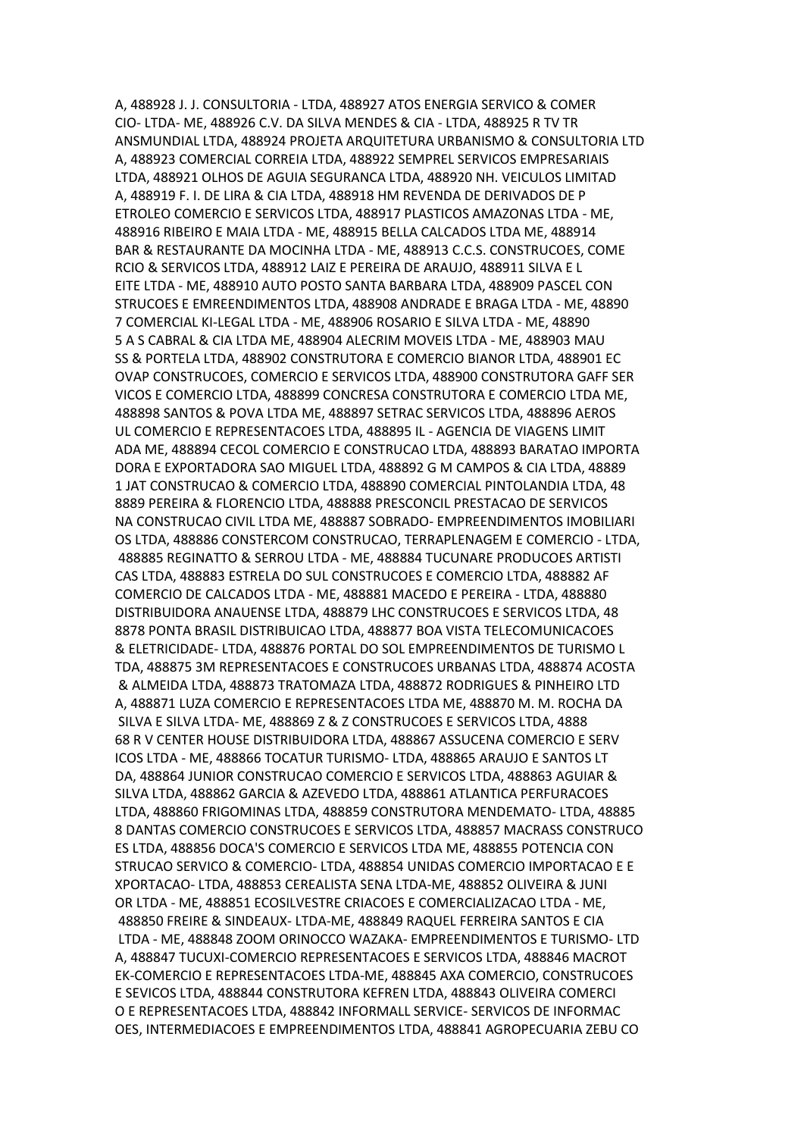A, 488928 J. J. CONSULTORIA - LTDA, 488927 ATOS ENERGIA SERVICO & COMER CIO- LTDA- ME, 488926 C.V. DA SILVA MENDES & CIA - LTDA, 488925 R TV TR ANSMUNDIAL LTDA, 488924 PROJETA ARQUITETURA URBANISMO & CONSULTORIA LTD A, 488923 COMERCIAL CORREIA LTDA, 488922 SEMPREL SERVICOS EMPRESARIAIS LTDA, 488921 OLHOS DE AGUIA SEGURANCA LTDA, 488920 NH. VEICULOS LIMITAD A, 488919 F. I. DE LIRA & CIA LTDA, 488918 HM REVENDA DE DERIVADOS DE P ETROLEO COMERCIO E SERVICOS LTDA, 488917 PLASTICOS AMAZONAS LTDA - ME, 488916 RIBEIRO E MAIA LTDA - ME, 488915 BELLA CALCADOS LTDA ME, 488914 BAR & RESTAURANTE DA MOCINHA LTDA - ME, 488913 C.C.S. CONSTRUCOES, COME RCIO & SERVICOS LTDA, 488912 LAIZ E PEREIRA DE ARAUJO, 488911 SILVA E L EITE LTDA - ME, 488910 AUTO POSTO SANTA BARBARA LTDA, 488909 PASCEL CON STRUCOES E EMREENDIMENTOS LTDA, 488908 ANDRADE E BRAGA LTDA - ME, 48890 7 COMERCIAL KI-LEGAL LTDA - ME, 488906 ROSARIO E SILVA LTDA - ME, 48890 5 A S CABRAL & CIA LTDA ME, 488904 ALECRIM MOVEIS LTDA - ME, 488903 MAU SS & PORTELA LTDA, 488902 CONSTRUTORA E COMERCIO BIANOR LTDA, 488901 EC OVAP CONSTRUCOES, COMERCIO E SERVICOS LTDA, 488900 CONSTRUTORA GAFF SER VICOS E COMERCIO LTDA, 488899 CONCRESA CONSTRUTORA E COMERCIO LTDA ME, 488898 SANTOS & POVA LTDA ME, 488897 SETRAC SERVICOS LTDA, 488896 AEROS UL COMERCIO E REPRESENTACOES LTDA, 488895 IL - AGENCIA DE VIAGENS LIMIT ADA ME, 488894 CECOL COMERCIO E CONSTRUCAO LTDA, 488893 BARATAO IMPORTA DORA E EXPORTADORA SAO MIGUEL LTDA, 488892 G M CAMPOS & CIA LTDA, 48889 1 JAT CONSTRUCAO & COMERCIO LTDA, 488890 COMERCIAL PINTOLANDIA LTDA, 48 8889 PEREIRA & FLORENCIO LTDA, 488888 PRESCONCIL PRESTACAO DE SERVICOS NA CONSTRUCAO CIVIL LTDA ME, 488887 SOBRADO- EMPREENDIMENTOS IMOBILIARI OS LTDA, 488886 CONSTERCOM CONSTRUCAO, TERRAPLENAGEM E COMERCIO - LTDA, 488885 REGINATTO & SERROU LTDA - ME, 488884 TUCUNARE PRODUCOES ARTISTI CAS LTDA, 488883 ESTRELA DO SUL CONSTRUCOES E COMERCIO LTDA, 488882 AF COMERCIO DE CALCADOS LTDA - ME, 488881 MACEDO E PEREIRA - LTDA, 488880 DISTRIBUIDORA ANAUENSE LTDA, 488879 LHC CONSTRUCOES E SERVICOS LTDA, 48 8878 PONTA BRASIL DISTRIBUICAO LTDA, 488877 BOA VISTA TELECOMUNICACOES & ELETRICIDADE- LTDA, 488876 PORTAL DO SOL EMPREENDIMENTOS DE TURISMO L TDA, 488875 3M REPRESENTACOES E CONSTRUCOES URBANAS LTDA, 488874 ACOSTA & ALMEIDA LTDA, 488873 TRATOMAZA LTDA, 488872 RODRIGUES & PINHEIRO LTD A, 488871 LUZA COMERCIO E REPRESENTACOES LTDA ME, 488870 M. M. ROCHA DA SILVA E SILVA LTDA- ME, 488869 Z & Z CONSTRUCOES E SERVICOS LTDA, 4888 68 R V CENTER HOUSE DISTRIBUIDORA LTDA, 488867 ASSUCENA COMERCIO E SERV ICOS LTDA - ME, 488866 TOCATUR TURISMO- LTDA, 488865 ARAUJO E SANTOS LT DA, 488864 JUNIOR CONSTRUCAO COMERCIO E SERVICOS LTDA, 488863 AGUIAR & SILVA LTDA, 488862 GARCIA & AZEVEDO LTDA, 488861 ATLANTICA PERFURACOES LTDA, 488860 FRIGOMINAS LTDA, 488859 CONSTRUTORA MENDEMATO- LTDA, 48885 8 DANTAS COMERCIO CONSTRUCOES E SERVICOS LTDA, 488857 MACRASS CONSTRUCO ES LTDA, 488856 DOCA'S COMERCIO E SERVICOS LTDA ME, 488855 POTENCIA CON STRUCAO SERVICO & COMERCIO- LTDA, 488854 UNIDAS COMERCIO IMPORTACAO E E XPORTACAO- LTDA, 488853 CEREALISTA SENA LTDA-ME, 488852 OLIVEIRA & JUNI OR LTDA - ME, 488851 ECOSILVESTRE CRIACOES E COMERCIALIZACAO LTDA - ME, 488850 FREIRE & SINDEAUX- LTDA-ME, 488849 RAQUEL FERREIRA SANTOS E CIA LTDA - ME, 488848 ZOOM ORINOCCO WAZAKA- EMPREENDIMENTOS E TURISMO- LTD A, 488847 TUCUXI-COMERCIO REPRESENTACOES E SERVICOS LTDA, 488846 MACROT EK-COMERCIO E REPRESENTACOES LTDA-ME, 488845 AXA COMERCIO, CONSTRUCOES E SEVICOS LTDA, 488844 CONSTRUTORA KEFREN LTDA, 488843 OLIVEIRA COMERCI O E REPRESENTACOES LTDA, 488842 INFORMALL SERVICE- SERVICOS DE INFORMAC OES, INTERMEDIACOES E EMPREENDIMENTOS LTDA, 488841 AGROPECUARIA ZEBU CO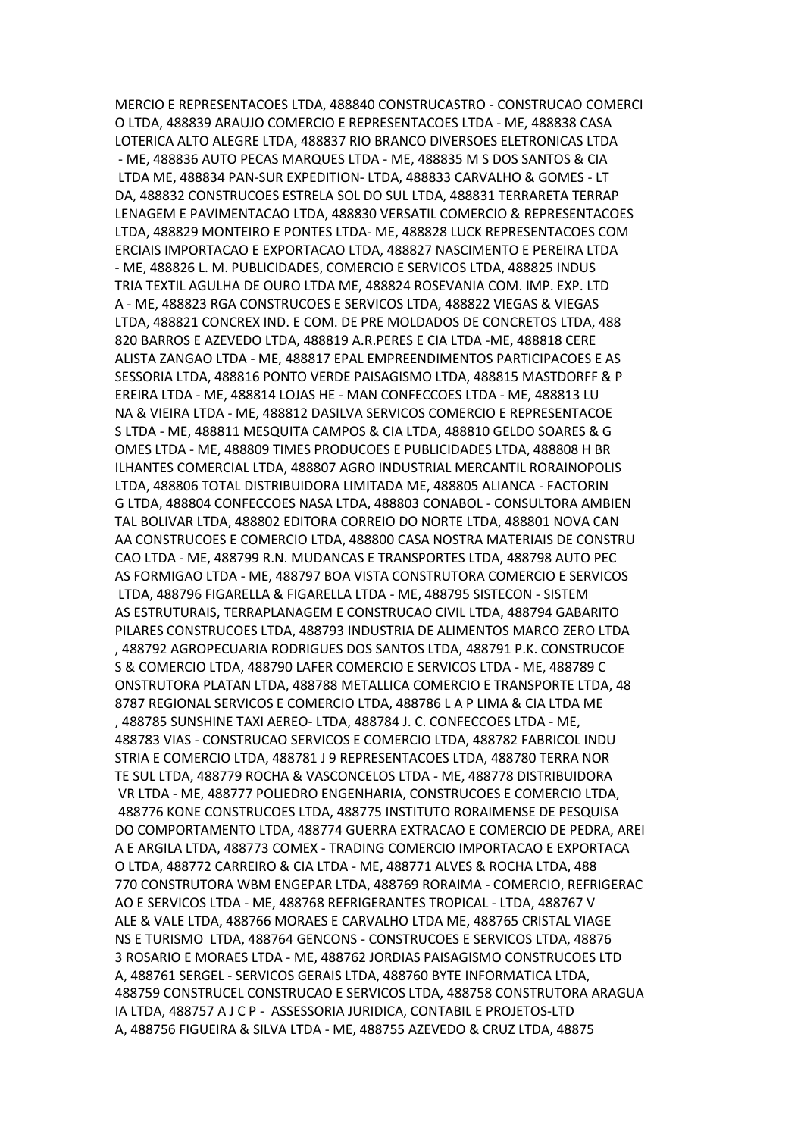MERCIO E REPRESENTACOES LTDA, 488840 CONSTRUCASTRO - CONSTRUCAO COMERCI O LTDA, 488839 ARAUJO COMERCIO E REPRESENTACOES LTDA - ME, 488838 CASA LOTERICA ALTO ALEGRE LTDA, 488837 RIO BRANCO DIVERSOES ELETRONICAS LTDA - ME, 488836 AUTO PECAS MARQUES LTDA - ME, 488835 M S DOS SANTOS & CIA LTDA ME, 488834 PAN-SUR EXPEDITION- LTDA, 488833 CARVALHO & GOMES - LT DA, 488832 CONSTRUCOES ESTRELA SOL DO SUL LTDA, 488831 TERRARETA TERRAP LENAGEM E PAVIMENTACAO LTDA, 488830 VERSATIL COMERCIO & REPRESENTACOES LTDA, 488829 MONTEIRO E PONTES LTDA- ME, 488828 LUCK REPRESENTACOES COM ERCIAIS IMPORTACAO E EXPORTACAO LTDA, 488827 NASCIMENTO E PEREIRA LTDA - ME, 488826 L. M. PUBLICIDADES, COMERCIO E SERVICOS LTDA, 488825 INDUS TRIA TEXTIL AGULHA DE OURO LTDA ME, 488824 ROSEVANIA COM. IMP. EXP. LTD A - ME, 488823 RGA CONSTRUCOES E SERVICOS LTDA, 488822 VIEGAS & VIEGAS LTDA, 488821 CONCREX IND. E COM. DE PRE MOLDADOS DE CONCRETOS LTDA, 488 820 BARROS E AZEVEDO LTDA, 488819 A.R.PERES E CIA LTDA -ME, 488818 CERE ALISTA ZANGAO LTDA - ME, 488817 EPAL EMPREENDIMENTOS PARTICIPACOES E AS SESSORIA LTDA, 488816 PONTO VERDE PAISAGISMO LTDA, 488815 MASTDORFF & P EREIRA LTDA - ME, 488814 LOJAS HE - MAN CONFECCOES LTDA - ME, 488813 LU NA & VIEIRA LTDA - ME, 488812 DASILVA SERVICOS COMERCIO E REPRESENTACOE S LTDA - ME, 488811 MESQUITA CAMPOS & CIA LTDA, 488810 GELDO SOARES & G OMES LTDA - ME, 488809 TIMES PRODUCOES E PUBLICIDADES LTDA, 488808 H BR ILHANTES COMERCIAL LTDA, 488807 AGRO INDUSTRIAL MERCANTIL RORAINOPOLIS LTDA, 488806 TOTAL DISTRIBUIDORA LIMITADA ME, 488805 ALIANCA - FACTORIN G LTDA, 488804 CONFECCOES NASA LTDA, 488803 CONABOL - CONSULTORA AMBIEN TAL BOLIVAR LTDA, 488802 EDITORA CORREIO DO NORTE LTDA, 488801 NOVA CAN AA CONSTRUCOES E COMERCIO LTDA, 488800 CASA NOSTRA MATERIAIS DE CONSTRU CAO LTDA - ME, 488799 R.N. MUDANCAS E TRANSPORTES LTDA, 488798 AUTO PEC AS FORMIGAO LTDA - ME, 488797 BOA VISTA CONSTRUTORA COMERCIO E SERVICOS LTDA, 488796 FIGARELLA & FIGARELLA LTDA - ME, 488795 SISTECON - SISTEM AS ESTRUTURAIS, TERRAPLANAGEM E CONSTRUCAO CIVIL LTDA, 488794 GABARITO PILARES CONSTRUCOES LTDA, 488793 INDUSTRIA DE ALIMENTOS MARCO ZERO LTDA , 488792 AGROPECUARIA RODRIGUES DOS SANTOS LTDA, 488791 P.K. CONSTRUCOE S & COMERCIO LTDA, 488790 LAFER COMERCIO E SERVICOS LTDA - ME, 488789 C ONSTRUTORA PLATAN LTDA, 488788 METALLICA COMERCIO E TRANSPORTE LTDA, 48 8787 REGIONAL SERVICOS E COMERCIO LTDA, 488786 L A P LIMA & CIA LTDA ME , 488785 SUNSHINE TAXI AEREO- LTDA, 488784 J. C. CONFECCOES LTDA - ME, 488783 VIAS - CONSTRUCAO SERVICOS E COMERCIO LTDA, 488782 FABRICOL INDU STRIA E COMERCIO LTDA, 488781 J 9 REPRESENTACOES LTDA, 488780 TERRA NOR TE SUL LTDA, 488779 ROCHA & VASCONCELOS LTDA - ME, 488778 DISTRIBUIDORA VR LTDA - ME, 488777 POLIEDRO ENGENHARIA, CONSTRUCOES E COMERCIO LTDA, 488776 KONE CONSTRUCOES LTDA, 488775 INSTITUTO RORAIMENSE DE PESQUISA DO COMPORTAMENTO LTDA, 488774 GUERRA EXTRACAO E COMERCIO DE PEDRA, AREI A E ARGILA LTDA, 488773 COMEX - TRADING COMERCIO IMPORTACAO E EXPORTACA O LTDA, 488772 CARREIRO & CIA LTDA - ME, 488771 ALVES & ROCHA LTDA, 488 770 CONSTRUTORA WBM ENGEPAR LTDA, 488769 RORAIMA - COMERCIO, REFRIGERAC AO E SERVICOS LTDA - ME, 488768 REFRIGERANTES TROPICAL - LTDA, 488767 V ALE & VALE LTDA, 488766 MORAES E CARVALHO LTDA ME, 488765 CRISTAL VIAGE NS E TURISMO LTDA, 488764 GENCONS - CONSTRUCOES E SERVICOS LTDA, 48876 3 ROSARIO E MORAES LTDA - ME, 488762 JORDIAS PAISAGISMO CONSTRUCOES LTD A, 488761 SERGEL - SERVICOS GERAIS LTDA, 488760 BYTE INFORMATICA LTDA, 488759 CONSTRUCEL CONSTRUCAO E SERVICOS LTDA, 488758 CONSTRUTORA ARAGUA IA LTDA, 488757 A J C P - ASSESSORIA JURIDICA, CONTABIL E PROJETOS-LTD A, 488756 FIGUEIRA & SILVA LTDA - ME, 488755 AZEVEDO & CRUZ LTDA, 48875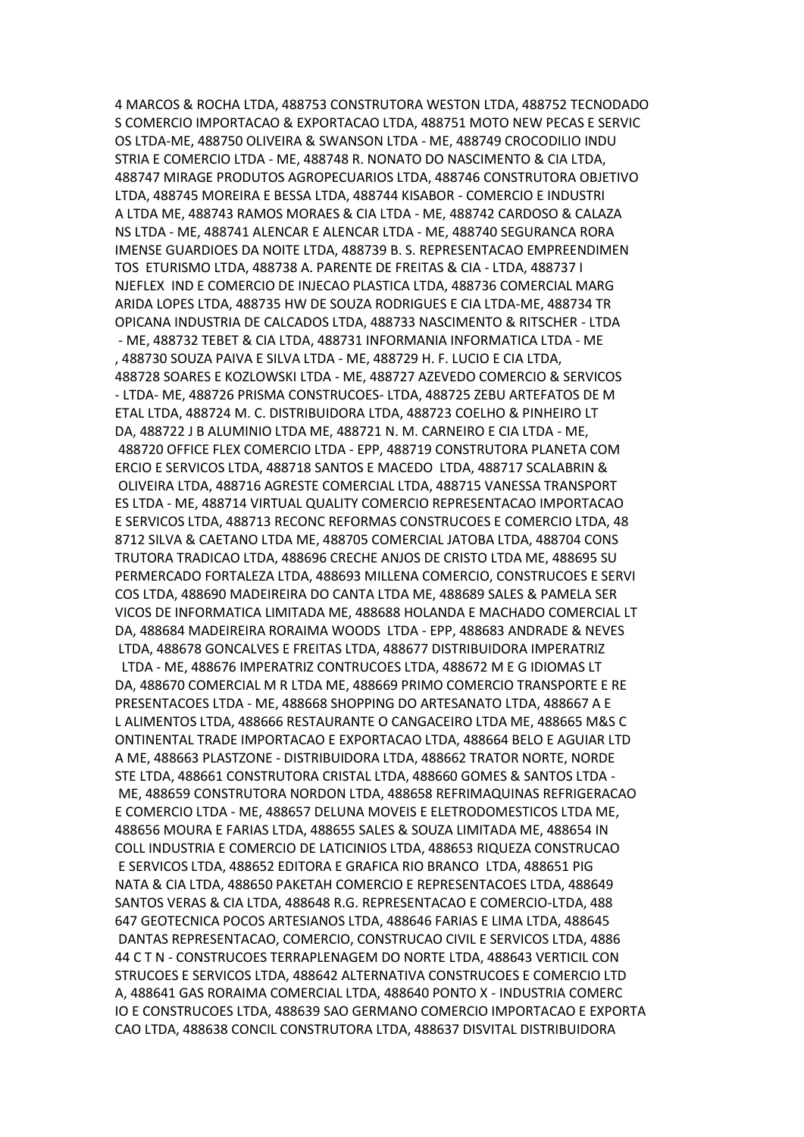4 MARCOS & ROCHA LTDA, 488753 CONSTRUTORA WESTON LTDA, 488752 TECNODADO S COMERCIO IMPORTACAO & EXPORTACAO LTDA, 488751 MOTO NEW PECAS E SERVIC OS LTDA-ME, 488750 OLIVEIRA & SWANSON LTDA - ME, 488749 CROCODILIO INDU STRIA E COMERCIO LTDA - ME, 488748 R. NONATO DO NASCIMENTO & CIA LTDA, 488747 MIRAGE PRODUTOS AGROPECUARIOS LTDA, 488746 CONSTRUTORA OBJETIVO LTDA, 488745 MOREIRA E BESSA LTDA, 488744 KISABOR - COMERCIO E INDUSTRI A LTDA ME, 488743 RAMOS MORAES & CIA LTDA - ME, 488742 CARDOSO & CALAZA NS LTDA - ME, 488741 ALENCAR E ALENCAR LTDA - ME, 488740 SEGURANCA RORA IMENSE GUARDIOES DA NOITE LTDA, 488739 B. S. REPRESENTACAO EMPREENDIMEN TOS ETURISMO LTDA, 488738 A. PARENTE DE FREITAS & CIA - LTDA, 488737 I NJEFLEX IND E COMERCIO DE INJECAO PLASTICA LTDA, 488736 COMERCIAL MARG ARIDA LOPES LTDA, 488735 HW DE SOUZA RODRIGUES E CIA LTDA-ME, 488734 TR OPICANA INDUSTRIA DE CALCADOS LTDA, 488733 NASCIMENTO & RITSCHER - LTDA - ME, 488732 TEBET & CIA LTDA, 488731 INFORMANIA INFORMATICA LTDA - ME , 488730 SOUZA PAIVA E SILVA LTDA - ME, 488729 H. F. LUCIO E CIA LTDA, 488728 SOARES E KOZLOWSKI LTDA - ME, 488727 AZEVEDO COMERCIO & SERVICOS - LTDA- ME, 488726 PRISMA CONSTRUCOES- LTDA, 488725 ZEBU ARTEFATOS DE M ETAL LTDA, 488724 M. C. DISTRIBUIDORA LTDA, 488723 COELHO & PINHEIRO LT DA, 488722 J B ALUMINIO LTDA ME, 488721 N. M. CARNEIRO E CIA LTDA - ME, 488720 OFFICE FLEX COMERCIO LTDA - EPP, 488719 CONSTRUTORA PLANETA COM ERCIO E SERVICOS LTDA, 488718 SANTOS E MACEDO LTDA, 488717 SCALABRIN & OLIVEIRA LTDA, 488716 AGRESTE COMERCIAL LTDA, 488715 VANESSA TRANSPORT ES LTDA - ME, 488714 VIRTUAL QUALITY COMERCIO REPRESENTACAO IMPORTACAO E SERVICOS LTDA, 488713 RECONC REFORMAS CONSTRUCOES E COMERCIO LTDA, 48 8712 SILVA & CAETANO LTDA ME, 488705 COMERCIAL JATOBA LTDA, 488704 CONS TRUTORA TRADICAO LTDA, 488696 CRECHE ANJOS DE CRISTO LTDA ME, 488695 SU PERMERCADO FORTALEZA LTDA, 488693 MILLENA COMERCIO, CONSTRUCOES E SERVI COS LTDA, 488690 MADEIREIRA DO CANTA LTDA ME, 488689 SALES & PAMELA SER VICOS DE INFORMATICA LIMITADA ME, 488688 HOLANDA E MACHADO COMERCIAL LT DA, 488684 MADEIREIRA RORAIMA WOODS LTDA - EPP, 488683 ANDRADE & NEVES LTDA, 488678 GONCALVES E FREITAS LTDA, 488677 DISTRIBUIDORA IMPERATRIZ LTDA - ME, 488676 IMPERATRIZ CONTRUCOES LTDA, 488672 M E G IDIOMAS LT DA, 488670 COMERCIAL M R LTDA ME, 488669 PRIMO COMERCIO TRANSPORTE E RE PRESENTACOES LTDA - ME, 488668 SHOPPING DO ARTESANATO LTDA, 488667 A E L ALIMENTOS LTDA, 488666 RESTAURANTE O CANGACEIRO LTDA ME, 488665 M&S C ONTINENTAL TRADE IMPORTACAO E EXPORTACAO LTDA, 488664 BELO E AGUIAR LTD A ME, 488663 PLASTZONE - DISTRIBUIDORA LTDA, 488662 TRATOR NORTE, NORDE STE LTDA, 488661 CONSTRUTORA CRISTAL LTDA, 488660 GOMES & SANTOS LTDA - ME, 488659 CONSTRUTORA NORDON LTDA, 488658 REFRIMAQUINAS REFRIGERACAO E COMERCIO LTDA - ME, 488657 DELUNA MOVEIS E ELETRODOMESTICOS LTDA ME, 488656 MOURA E FARIAS LTDA, 488655 SALES & SOUZA LIMITADA ME, 488654 IN COLL INDUSTRIA E COMERCIO DE LATICINIOS LTDA, 488653 RIQUEZA CONSTRUCAO E SERVICOS LTDA, 488652 EDITORA E GRAFICA RIO BRANCO LTDA, 488651 PIG NATA & CIA LTDA, 488650 PAKETAH COMERCIO E REPRESENTACOES LTDA, 488649 SANTOS VERAS & CIA LTDA, 488648 R.G. REPRESENTACAO E COMERCIO-LTDA, 488 647 GEOTECNICA POCOS ARTESIANOS LTDA, 488646 FARIAS E LIMA LTDA, 488645 DANTAS REPRESENTACAO, COMERCIO, CONSTRUCAO CIVIL E SERVICOS LTDA, 4886 44 C T N - CONSTRUCOES TERRAPLENAGEM DO NORTE LTDA, 488643 VERTICIL CON STRUCOES E SERVICOS LTDA, 488642 ALTERNATIVA CONSTRUCOES E COMERCIO LTD A, 488641 GAS RORAIMA COMERCIAL LTDA, 488640 PONTO X - INDUSTRIA COMERC IO E CONSTRUCOES LTDA, 488639 SAO GERMANO COMERCIO IMPORTACAO E EXPORTA CAO LTDA, 488638 CONCIL CONSTRUTORA LTDA, 488637 DISVITAL DISTRIBUIDORA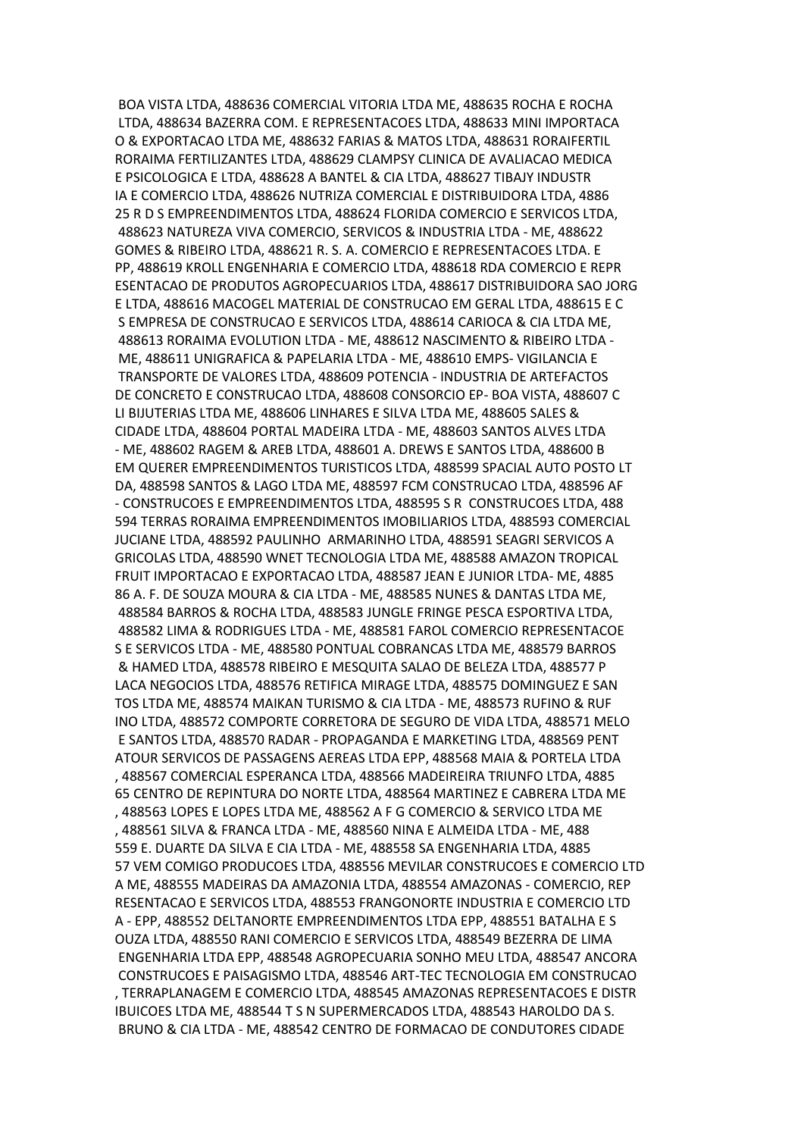BOA VISTA LTDA, 488636 COMERCIAL VITORIA LTDA ME, 488635 ROCHA E ROCHA LTDA, 488634 BAZERRA COM. E REPRESENTACOES LTDA, 488633 MINI IMPORTACA O & EXPORTACAO LTDA ME, 488632 FARIAS & MATOS LTDA, 488631 RORAIFERTIL RORAIMA FERTILIZANTES LTDA, 488629 CLAMPSY CLINICA DE AVALIACAO MEDICA E PSICOLOGICA E LTDA, 488628 A BANTEL & CIA LTDA, 488627 TIBAJY INDUSTR IA E COMERCIO LTDA, 488626 NUTRIZA COMERCIAL E DISTRIBUIDORA LTDA, 4886 25 R D S EMPREENDIMENTOS LTDA, 488624 FLORIDA COMERCIO E SERVICOS LTDA, 488623 NATUREZA VIVA COMERCIO, SERVICOS & INDUSTRIA LTDA - ME, 488622 GOMES & RIBEIRO LTDA, 488621 R. S. A. COMERCIO E REPRESENTACOES LTDA. E PP, 488619 KROLL ENGENHARIA E COMERCIO LTDA, 488618 RDA COMERCIO E REPR ESENTACAO DE PRODUTOS AGROPECUARIOS LTDA, 488617 DISTRIBUIDORA SAO JORG E LTDA, 488616 MACOGEL MATERIAL DE CONSTRUCAO EM GERAL LTDA, 488615 E C S EMPRESA DE CONSTRUCAO E SERVICOS LTDA, 488614 CARIOCA & CIA LTDA ME, 488613 RORAIMA EVOLUTION LTDA - ME, 488612 NASCIMENTO & RIBEIRO LTDA - ME, 488611 UNIGRAFICA & PAPELARIA LTDA - ME, 488610 EMPS- VIGILANCIA E TRANSPORTE DE VALORES LTDA, 488609 POTENCIA - INDUSTRIA DE ARTEFACTOS DE CONCRETO E CONSTRUCAO LTDA, 488608 CONSORCIO EP- BOA VISTA, 488607 C LI BIJUTERIAS LTDA ME, 488606 LINHARES E SILVA LTDA ME, 488605 SALES & CIDADE LTDA, 488604 PORTAL MADEIRA LTDA - ME, 488603 SANTOS ALVES LTDA - ME, 488602 RAGEM & AREB LTDA, 488601 A. DREWS E SANTOS LTDA, 488600 B EM QUERER EMPREENDIMENTOS TURISTICOS LTDA, 488599 SPACIAL AUTO POSTO LT DA, 488598 SANTOS & LAGO LTDA ME, 488597 FCM CONSTRUCAO LTDA, 488596 AF - CONSTRUCOES E EMPREENDIMENTOS LTDA, 488595 S R CONSTRUCOES LTDA, 488 594 TERRAS RORAIMA EMPREENDIMENTOS IMOBILIARIOS LTDA, 488593 COMERCIAL JUCIANE LTDA, 488592 PAULINHO ARMARINHO LTDA, 488591 SEAGRI SERVICOS A GRICOLAS LTDA, 488590 WNET TECNOLOGIA LTDA ME, 488588 AMAZON TROPICAL FRUIT IMPORTACAO E EXPORTACAO LTDA, 488587 JEAN E JUNIOR LTDA- ME, 4885 86 A. F. DE SOUZA MOURA & CIA LTDA - ME, 488585 NUNES & DANTAS LTDA ME, 488584 BARROS & ROCHA LTDA, 488583 JUNGLE FRINGE PESCA ESPORTIVA LTDA, 488582 LIMA & RODRIGUES LTDA - ME, 488581 FAROL COMERCIO REPRESENTACOE S E SERVICOS LTDA - ME, 488580 PONTUAL COBRANCAS LTDA ME, 488579 BARROS & HAMED LTDA, 488578 RIBEIRO E MESQUITA SALAO DE BELEZA LTDA, 488577 P LACA NEGOCIOS LTDA, 488576 RETIFICA MIRAGE LTDA, 488575 DOMINGUEZ E SAN TOS LTDA ME, 488574 MAIKAN TURISMO & CIA LTDA - ME, 488573 RUFINO & RUF INO LTDA, 488572 COMPORTE CORRETORA DE SEGURO DE VIDA LTDA, 488571 MELO E SANTOS LTDA, 488570 RADAR - PROPAGANDA E MARKETING LTDA, 488569 PENT ATOUR SERVICOS DE PASSAGENS AEREAS LTDA EPP, 488568 MAIA & PORTELA LTDA , 488567 COMERCIAL ESPERANCA LTDA, 488566 MADEIREIRA TRIUNFO LTDA, 4885 65 CENTRO DE REPINTURA DO NORTE LTDA, 488564 MARTINEZ E CABRERA LTDA ME , 488563 LOPES E LOPES LTDA ME, 488562 A F G COMERCIO & SERVICO LTDA ME , 488561 SILVA & FRANCA LTDA - ME, 488560 NINA E ALMEIDA LTDA - ME, 488 559 E. DUARTE DA SILVA E CIA LTDA - ME, 488558 SA ENGENHARIA LTDA, 4885 57 VEM COMIGO PRODUCOES LTDA, 488556 MEVILAR CONSTRUCOES E COMERCIO LTD A ME, 488555 MADEIRAS DA AMAZONIA LTDA, 488554 AMAZONAS - COMERCIO, REP RESENTACAO E SERVICOS LTDA, 488553 FRANGONORTE INDUSTRIA E COMERCIO LTD A - EPP, 488552 DELTANORTE EMPREENDIMENTOS LTDA EPP, 488551 BATALHA E S OUZA LTDA, 488550 RANI COMERCIO E SERVICOS LTDA, 488549 BEZERRA DE LIMA ENGENHARIA LTDA EPP, 488548 AGROPECUARIA SONHO MEU LTDA, 488547 ANCORA CONSTRUCOES E PAISAGISMO LTDA, 488546 ART-TEC TECNOLOGIA EM CONSTRUCAO , TERRAPLANAGEM E COMERCIO LTDA, 488545 AMAZONAS REPRESENTACOES E DISTR IBUICOES LTDA ME, 488544 T S N SUPERMERCADOS LTDA, 488543 HAROLDO DA S. BRUNO & CIA LTDA - ME, 488542 CENTRO DE FORMACAO DE CONDUTORES CIDADE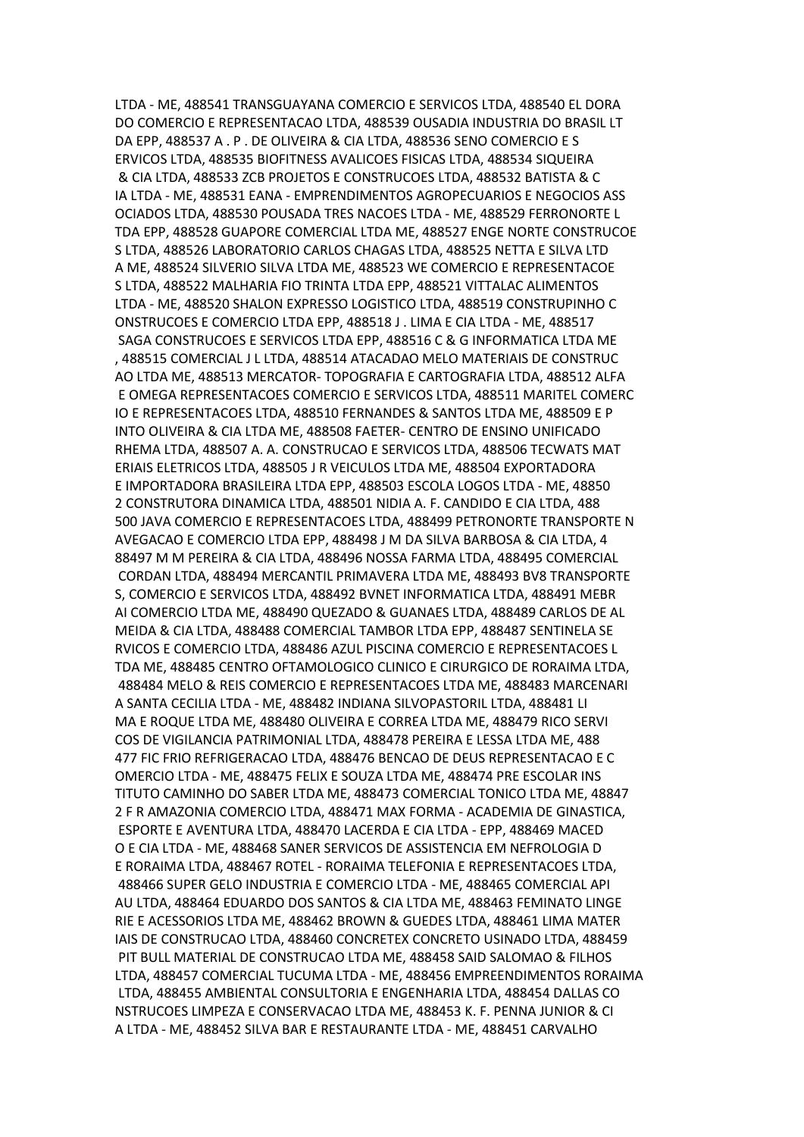LTDA - ME, 488541 TRANSGUAYANA COMERCIO E SERVICOS LTDA, 488540 EL DORA DO COMERCIO E REPRESENTACAO LTDA, 488539 OUSADIA INDUSTRIA DO BRASIL LT DA EPP, 488537 A . P . DE OLIVEIRA & CIA LTDA, 488536 SENO COMERCIO E S ERVICOS LTDA, 488535 BIOFITNESS AVALICOES FISICAS LTDA, 488534 SIQUEIRA & CIA LTDA, 488533 ZCB PROJETOS E CONSTRUCOES LTDA, 488532 BATISTA & C IA LTDA - ME, 488531 EANA - EMPRENDIMENTOS AGROPECUARIOS E NEGOCIOS ASS OCIADOS LTDA, 488530 POUSADA TRES NACOES LTDA - ME, 488529 FERRONORTE L TDA EPP, 488528 GUAPORE COMERCIAL LTDA ME, 488527 ENGE NORTE CONSTRUCOE S LTDA, 488526 LABORATORIO CARLOS CHAGAS LTDA, 488525 NETTA E SILVA LTD A ME, 488524 SILVERIO SILVA LTDA ME, 488523 WE COMERCIO E REPRESENTACOE S LTDA, 488522 MALHARIA FIO TRINTA LTDA EPP, 488521 VITTALAC ALIMENTOS LTDA - ME, 488520 SHALON EXPRESSO LOGISTICO LTDA, 488519 CONSTRUPINHO C ONSTRUCOES E COMERCIO LTDA EPP, 488518 J . LIMA E CIA LTDA - ME, 488517 SAGA CONSTRUCOES E SERVICOS LTDA EPP, 488516 C & G INFORMATICA LTDA ME , 488515 COMERCIAL J L LTDA, 488514 ATACADAO MELO MATERIAIS DE CONSTRUC AO LTDA ME, 488513 MERCATOR- TOPOGRAFIA E CARTOGRAFIA LTDA, 488512 ALFA E OMEGA REPRESENTACOES COMERCIO E SERVICOS LTDA, 488511 MARITEL COMERC IO E REPRESENTACOES LTDA, 488510 FERNANDES & SANTOS LTDA ME, 488509 E P INTO OLIVEIRA & CIA LTDA ME, 488508 FAETER- CENTRO DE ENSINO UNIFICADO RHEMA LTDA, 488507 A. A. CONSTRUCAO E SERVICOS LTDA, 488506 TECWATS MAT ERIAIS ELETRICOS LTDA, 488505 J R VEICULOS LTDA ME, 488504 EXPORTADORA E IMPORTADORA BRASILEIRA LTDA EPP, 488503 ESCOLA LOGOS LTDA - ME, 48850 2 CONSTRUTORA DINAMICA LTDA, 488501 NIDIA A. F. CANDIDO E CIA LTDA, 488 500 JAVA COMERCIO E REPRESENTACOES LTDA, 488499 PETRONORTE TRANSPORTE N AVEGACAO E COMERCIO LTDA EPP, 488498 J M DA SILVA BARBOSA & CIA LTDA, 4 88497 M M PEREIRA & CIA LTDA, 488496 NOSSA FARMA LTDA, 488495 COMERCIAL CORDAN LTDA, 488494 MERCANTIL PRIMAVERA LTDA ME, 488493 BV8 TRANSPORTE S, COMERCIO E SERVICOS LTDA, 488492 BVNET INFORMATICA LTDA, 488491 MEBR AI COMERCIO LTDA ME, 488490 QUEZADO & GUANAES LTDA, 488489 CARLOS DE AL MEIDA & CIA LTDA, 488488 COMERCIAL TAMBOR LTDA EPP, 488487 SENTINELA SE RVICOS E COMERCIO LTDA, 488486 AZUL PISCINA COMERCIO E REPRESENTACOES L TDA ME, 488485 CENTRO OFTAMOLOGICO CLINICO E CIRURGICO DE RORAIMA LTDA, 488484 MELO & REIS COMERCIO E REPRESENTACOES LTDA ME, 488483 MARCENARI A SANTA CECILIA LTDA - ME, 488482 INDIANA SILVOPASTORIL LTDA, 488481 LI MA E ROQUE LTDA ME, 488480 OLIVEIRA E CORREA LTDA ME, 488479 RICO SERVI COS DE VIGILANCIA PATRIMONIAL LTDA, 488478 PEREIRA E LESSA LTDA ME, 488 477 FIC FRIO REFRIGERACAO LTDA, 488476 BENCAO DE DEUS REPRESENTACAO E C OMERCIO LTDA - ME, 488475 FELIX E SOUZA LTDA ME, 488474 PRE ESCOLAR INS TITUTO CAMINHO DO SABER LTDA ME, 488473 COMERCIAL TONICO LTDA ME, 48847 2 F R AMAZONIA COMERCIO LTDA, 488471 MAX FORMA - ACADEMIA DE GINASTICA, ESPORTE E AVENTURA LTDA, 488470 LACERDA E CIA LTDA - EPP, 488469 MACED O E CIA LTDA - ME, 488468 SANER SERVICOS DE ASSISTENCIA EM NEFROLOGIA D E RORAIMA LTDA, 488467 ROTEL - RORAIMA TELEFONIA E REPRESENTACOES LTDA, 488466 SUPER GELO INDUSTRIA E COMERCIO LTDA - ME, 488465 COMERCIAL API AU LTDA, 488464 EDUARDO DOS SANTOS & CIA LTDA ME, 488463 FEMINATO LINGE RIE E ACESSORIOS LTDA ME, 488462 BROWN & GUEDES LTDA, 488461 LIMA MATER IAIS DE CONSTRUCAO LTDA, 488460 CONCRETEX CONCRETO USINADO LTDA, 488459 PIT BULL MATERIAL DE CONSTRUCAO LTDA ME, 488458 SAID SALOMAO & FILHOS LTDA, 488457 COMERCIAL TUCUMA LTDA - ME, 488456 EMPREENDIMENTOS RORAIMA LTDA, 488455 AMBIENTAL CONSULTORIA E ENGENHARIA LTDA, 488454 DALLAS CO NSTRUCOES LIMPEZA E CONSERVACAO LTDA ME, 488453 K. F. PENNA JUNIOR & CI A LTDA - ME, 488452 SILVA BAR E RESTAURANTE LTDA - ME, 488451 CARVALHO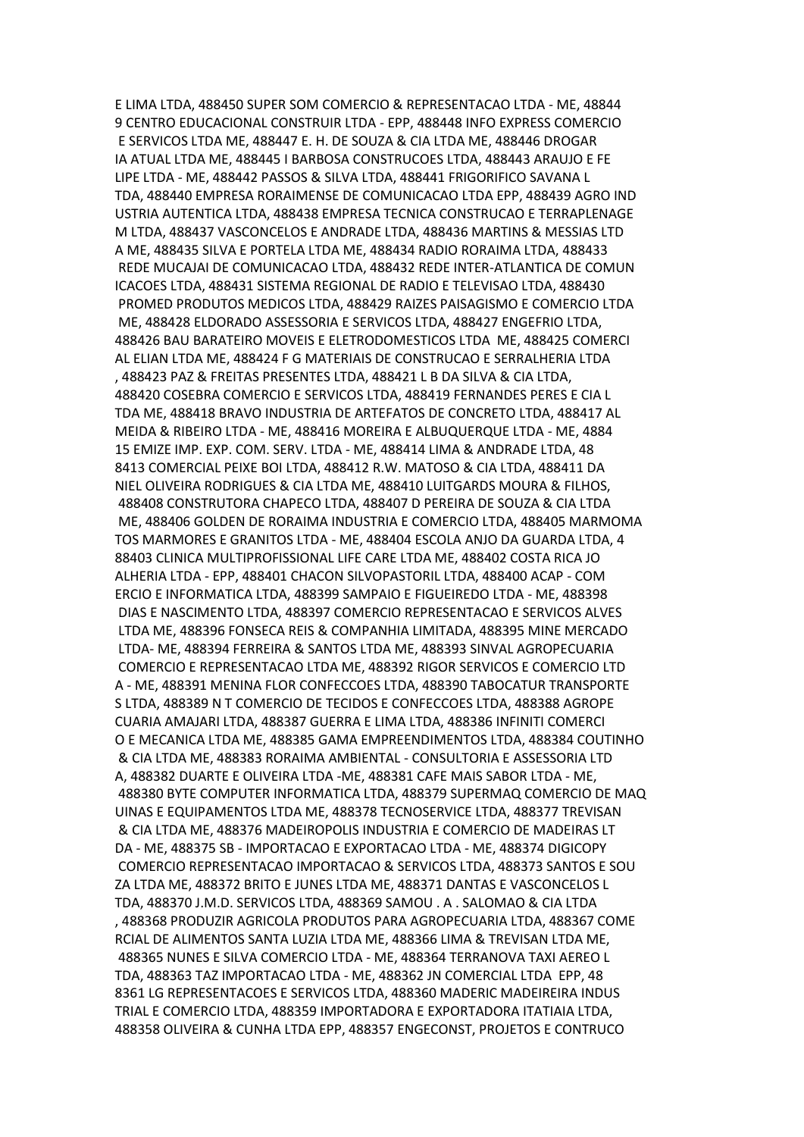E LIMA LTDA, 488450 SUPER SOM COMERCIO & REPRESENTACAO LTDA - ME, 48844 9 CENTRO EDUCACIONAL CONSTRUIR LTDA - EPP, 488448 INFO EXPRESS COMERCIO E SERVICOS LTDA ME, 488447 E. H. DE SOUZA & CIA LTDA ME, 488446 DROGAR IA ATUAL LTDA ME, 488445 I BARBOSA CONSTRUCOES LTDA, 488443 ARAUJO E FE LIPE LTDA - ME, 488442 PASSOS & SILVA LTDA, 488441 FRIGORIFICO SAVANA L TDA, 488440 EMPRESA RORAIMENSE DE COMUNICACAO LTDA EPP, 488439 AGRO IND USTRIA AUTENTICA LTDA, 488438 EMPRESA TECNICA CONSTRUCAO E TERRAPLENAGE M LTDA, 488437 VASCONCELOS E ANDRADE LTDA, 488436 MARTINS & MESSIAS LTD A ME, 488435 SILVA E PORTELA LTDA ME, 488434 RADIO RORAIMA LTDA, 488433 REDE MUCAJAI DE COMUNICACAO LTDA, 488432 REDE INTER-ATLANTICA DE COMUN ICACOES LTDA, 488431 SISTEMA REGIONAL DE RADIO E TELEVISAO LTDA, 488430 PROMED PRODUTOS MEDICOS LTDA, 488429 RAIZES PAISAGISMO E COMERCIO LTDA ME, 488428 ELDORADO ASSESSORIA E SERVICOS LTDA, 488427 ENGEFRIO LTDA, 488426 BAU BARATEIRO MOVEIS E ELETRODOMESTICOS LTDA ME, 488425 COMERCI AL ELIAN LTDA ME, 488424 F G MATERIAIS DE CONSTRUCAO E SERRALHERIA LTDA , 488423 PAZ & FREITAS PRESENTES LTDA, 488421 L B DA SILVA & CIA LTDA, 488420 COSEBRA COMERCIO E SERVICOS LTDA, 488419 FERNANDES PERES E CIA L TDA ME, 488418 BRAVO INDUSTRIA DE ARTEFATOS DE CONCRETO LTDA, 488417 AL MEIDA & RIBEIRO LTDA - ME, 488416 MOREIRA E ALBUQUERQUE LTDA - ME, 4884 15 EMIZE IMP. EXP. COM. SERV. LTDA - ME, 488414 LIMA & ANDRADE LTDA, 48 8413 COMERCIAL PEIXE BOI LTDA, 488412 R.W. MATOSO & CIA LTDA, 488411 DA NIEL OLIVEIRA RODRIGUES & CIA LTDA ME, 488410 LUITGARDS MOURA & FILHOS, 488408 CONSTRUTORA CHAPECO LTDA, 488407 D PEREIRA DE SOUZA & CIA LTDA ME, 488406 GOLDEN DE RORAIMA INDUSTRIA E COMERCIO LTDA, 488405 MARMOMA TOS MARMORES E GRANITOS LTDA - ME, 488404 ESCOLA ANJO DA GUARDA LTDA, 4 88403 CLINICA MULTIPROFISSIONAL LIFE CARE LTDA ME, 488402 COSTA RICA JO ALHERIA LTDA - EPP, 488401 CHACON SILVOPASTORIL LTDA, 488400 ACAP - COM ERCIO E INFORMATICA LTDA, 488399 SAMPAIO E FIGUEIREDO LTDA - ME, 488398 DIAS E NASCIMENTO LTDA, 488397 COMERCIO REPRESENTACAO E SERVICOS ALVES LTDA ME, 488396 FONSECA REIS & COMPANHIA LIMITADA, 488395 MINE MERCADO LTDA- ME, 488394 FERREIRA & SANTOS LTDA ME, 488393 SINVAL AGROPECUARIA COMERCIO E REPRESENTACAO LTDA ME, 488392 RIGOR SERVICOS E COMERCIO LTD A - ME, 488391 MENINA FLOR CONFECCOES LTDA, 488390 TABOCATUR TRANSPORTE S LTDA, 488389 N T COMERCIO DE TECIDOS E CONFECCOES LTDA, 488388 AGROPE CUARIA AMAJARI LTDA, 488387 GUERRA E LIMA LTDA, 488386 INFINITI COMERCI O E MECANICA LTDA ME, 488385 GAMA EMPREENDIMENTOS LTDA, 488384 COUTINHO & CIA LTDA ME, 488383 RORAIMA AMBIENTAL - CONSULTORIA E ASSESSORIA LTD A, 488382 DUARTE E OLIVEIRA LTDA -ME, 488381 CAFE MAIS SABOR LTDA - ME, 488380 BYTE COMPUTER INFORMATICA LTDA, 488379 SUPERMAQ COMERCIO DE MAQ UINAS E EQUIPAMENTOS LTDA ME, 488378 TECNOSERVICE LTDA, 488377 TREVISAN & CIA LTDA ME, 488376 MADEIROPOLIS INDUSTRIA E COMERCIO DE MADEIRAS LT DA - ME, 488375 SB - IMPORTACAO E EXPORTACAO LTDA - ME, 488374 DIGICOPY COMERCIO REPRESENTACAO IMPORTACAO & SERVICOS LTDA, 488373 SANTOS E SOU ZA LTDA ME, 488372 BRITO E JUNES LTDA ME, 488371 DANTAS E VASCONCELOS L TDA, 488370 J.M.D. SERVICOS LTDA, 488369 SAMOU . A . SALOMAO & CIA LTDA , 488368 PRODUZIR AGRICOLA PRODUTOS PARA AGROPECUARIA LTDA, 488367 COME RCIAL DE ALIMENTOS SANTA LUZIA LTDA ME, 488366 LIMA & TREVISAN LTDA ME, 488365 NUNES E SILVA COMERCIO LTDA - ME, 488364 TERRANOVA TAXI AEREO L TDA, 488363 TAZ IMPORTACAO LTDA - ME, 488362 JN COMERCIAL LTDA EPP, 48 8361 LG REPRESENTACOES E SERVICOS LTDA, 488360 MADERIC MADEIREIRA INDUS TRIAL E COMERCIO LTDA, 488359 IMPORTADORA E EXPORTADORA ITATIAIA LTDA, 488358 OLIVEIRA & CUNHA LTDA EPP, 488357 ENGECONST, PROJETOS E CONTRUCO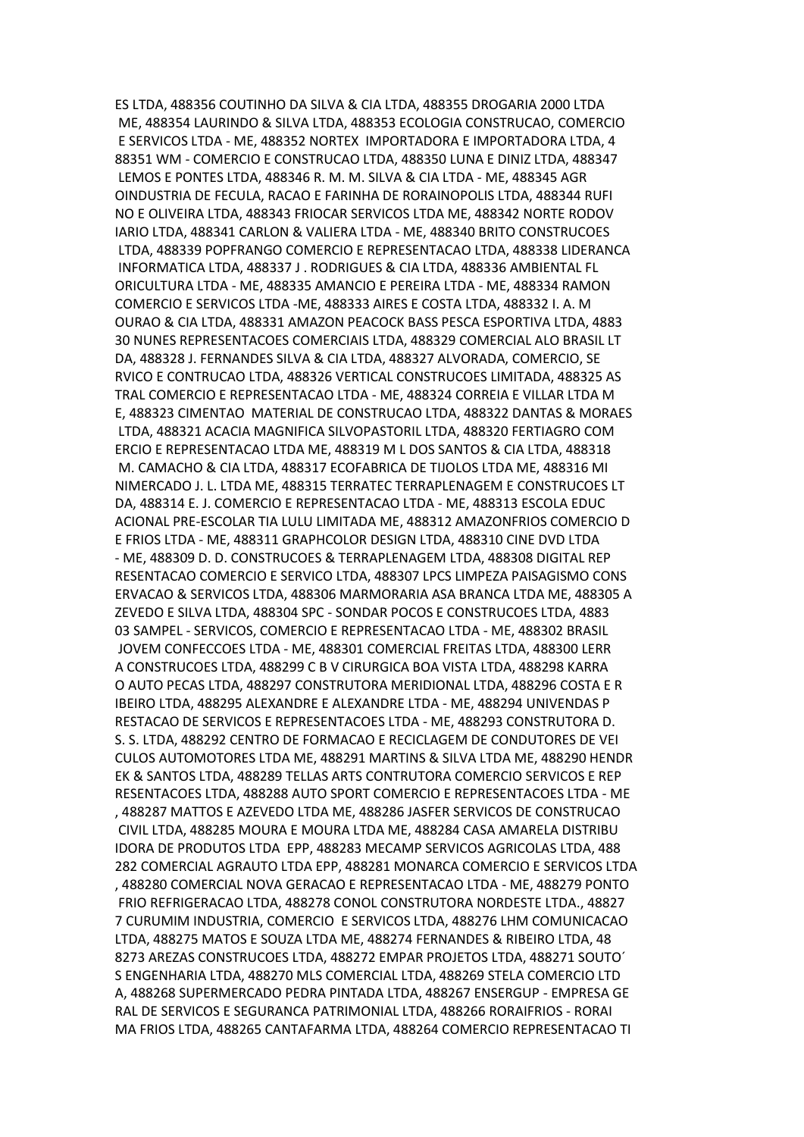ES LTDA, 488356 COUTINHO DA SILVA & CIA LTDA, 488355 DROGARIA 2000 LTDA ME, 488354 LAURINDO & SILVA LTDA, 488353 ECOLOGIA CONSTRUCAO, COMERCIO E SERVICOS LTDA - ME, 488352 NORTEX IMPORTADORA E IMPORTADORA LTDA, 4 88351 WM - COMERCIO E CONSTRUCAO LTDA, 488350 LUNA E DINIZ LTDA, 488347 LEMOS E PONTES LTDA, 488346 R. M. M. SILVA & CIA LTDA - ME, 488345 AGR OINDUSTRIA DE FECULA, RACAO E FARINHA DE RORAINOPOLIS LTDA, 488344 RUFI NO E OLIVEIRA LTDA, 488343 FRIOCAR SERVICOS LTDA ME, 488342 NORTE RODOV IARIO LTDA, 488341 CARLON & VALIERA LTDA - ME, 488340 BRITO CONSTRUCOES LTDA, 488339 POPFRANGO COMERCIO E REPRESENTACAO LTDA, 488338 LIDERANCA INFORMATICA LTDA, 488337 J . RODRIGUES & CIA LTDA, 488336 AMBIENTAL FL ORICULTURA LTDA - ME, 488335 AMANCIO E PEREIRA LTDA - ME, 488334 RAMON COMERCIO E SERVICOS LTDA -ME, 488333 AIRES E COSTA LTDA, 488332 I. A. M OURAO & CIA LTDA, 488331 AMAZON PEACOCK BASS PESCA ESPORTIVA LTDA, 4883 30 NUNES REPRESENTACOES COMERCIAIS LTDA, 488329 COMERCIAL ALO BRASIL LT DA, 488328 J. FERNANDES SILVA & CIA LTDA, 488327 ALVORADA, COMERCIO, SE RVICO E CONTRUCAO LTDA, 488326 VERTICAL CONSTRUCOES LIMITADA, 488325 AS TRAL COMERCIO E REPRESENTACAO LTDA - ME, 488324 CORREIA E VILLAR LTDA M E, 488323 CIMENTAO MATERIAL DE CONSTRUCAO LTDA, 488322 DANTAS & MORAES LTDA, 488321 ACACIA MAGNIFICA SILVOPASTORIL LTDA, 488320 FERTIAGRO COM ERCIO E REPRESENTACAO LTDA ME, 488319 M L DOS SANTOS & CIA LTDA, 488318 M. CAMACHO & CIA LTDA, 488317 ECOFABRICA DE TIJOLOS LTDA ME, 488316 MI NIMERCADO J. L. LTDA ME, 488315 TERRATEC TERRAPLENAGEM E CONSTRUCOES LT DA, 488314 E. J. COMERCIO E REPRESENTACAO LTDA - ME, 488313 ESCOLA EDUC ACIONAL PRE-ESCOLAR TIA LULU LIMITADA ME, 488312 AMAZONFRIOS COMERCIO D E FRIOS LTDA - ME, 488311 GRAPHCOLOR DESIGN LTDA, 488310 CINE DVD LTDA - ME, 488309 D. D. CONSTRUCOES & TERRAPLENAGEM LTDA, 488308 DIGITAL REP RESENTACAO COMERCIO E SERVICO LTDA, 488307 LPCS LIMPEZA PAISAGISMO CONS ERVACAO & SERVICOS LTDA, 488306 MARMORARIA ASA BRANCA LTDA ME, 488305 A ZEVEDO E SILVA LTDA, 488304 SPC - SONDAR POCOS E CONSTRUCOES LTDA, 4883 03 SAMPEL - SERVICOS, COMERCIO E REPRESENTACAO LTDA - ME, 488302 BRASIL JOVEM CONFECCOES LTDA - ME, 488301 COMERCIAL FREITAS LTDA, 488300 LERR A CONSTRUCOES LTDA, 488299 C B V CIRURGICA BOA VISTA LTDA, 488298 KARRA O AUTO PECAS LTDA, 488297 CONSTRUTORA MERIDIONAL LTDA, 488296 COSTA E R IBEIRO LTDA, 488295 ALEXANDRE E ALEXANDRE LTDA - ME, 488294 UNIVENDAS P RESTACAO DE SERVICOS E REPRESENTACOES LTDA - ME, 488293 CONSTRUTORA D. S. S. LTDA, 488292 CENTRO DE FORMACAO E RECICLAGEM DE CONDUTORES DE VEI CULOS AUTOMOTORES LTDA ME, 488291 MARTINS & SILVA LTDA ME, 488290 HENDR EK & SANTOS LTDA, 488289 TELLAS ARTS CONTRUTORA COMERCIO SERVICOS E REP RESENTACOES LTDA, 488288 AUTO SPORT COMERCIO E REPRESENTACOES LTDA - ME , 488287 MATTOS E AZEVEDO LTDA ME, 488286 JASFER SERVICOS DE CONSTRUCAO CIVIL LTDA, 488285 MOURA E MOURA LTDA ME, 488284 CASA AMARELA DISTRIBU IDORA DE PRODUTOS LTDA EPP, 488283 MECAMP SERVICOS AGRICOLAS LTDA, 488 282 COMERCIAL AGRAUTO LTDA EPP, 488281 MONARCA COMERCIO E SERVICOS LTDA , 488280 COMERCIAL NOVA GERACAO E REPRESENTACAO LTDA - ME, 488279 PONTO FRIO REFRIGERACAO LTDA, 488278 CONOL CONSTRUTORA NORDESTE LTDA., 48827 7 CURUMIM INDUSTRIA, COMERCIO E SERVICOS LTDA, 488276 LHM COMUNICACAO LTDA, 488275 MATOS E SOUZA LTDA ME, 488274 FERNANDES & RIBEIRO LTDA, 48 8273 AREZAS CONSTRUCOES LTDA, 488272 EMPAR PROJETOS LTDA, 488271 SOUTO´ S ENGENHARIA LTDA, 488270 MLS COMERCIAL LTDA, 488269 STELA COMERCIO LTD A, 488268 SUPERMERCADO PEDRA PINTADA LTDA, 488267 ENSERGUP - EMPRESA GE RAL DE SERVICOS E SEGURANCA PATRIMONIAL LTDA, 488266 RORAIFRIOS - RORAI MA FRIOS LTDA, 488265 CANTAFARMA LTDA, 488264 COMERCIO REPRESENTACAO TI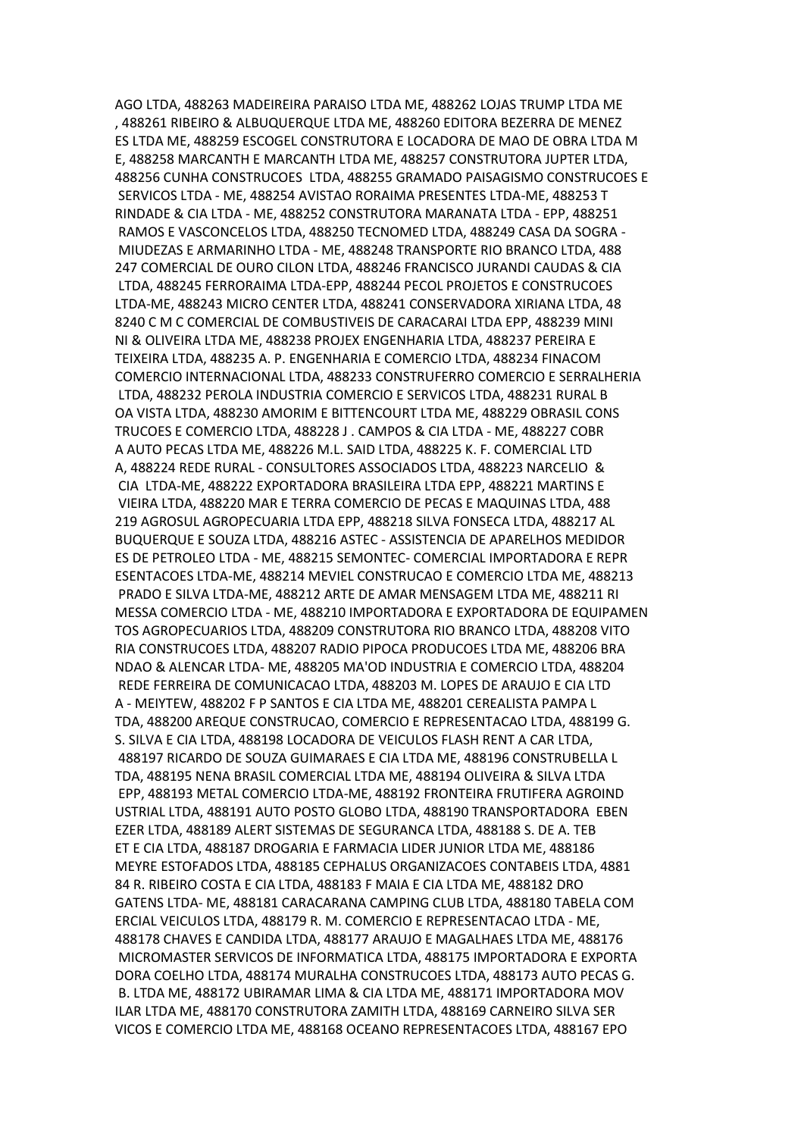AGO LTDA, 488263 MADEIREIRA PARAISO LTDA ME, 488262 LOJAS TRUMP LTDA ME , 488261 RIBEIRO & ALBUQUERQUE LTDA ME, 488260 EDITORA BEZERRA DE MENEZ ES LTDA ME, 488259 ESCOGEL CONSTRUTORA E LOCADORA DE MAO DE OBRA LTDA M E, 488258 MARCANTH E MARCANTH LTDA ME, 488257 CONSTRUTORA JUPTER LTDA, 488256 CUNHA CONSTRUCOES LTDA, 488255 GRAMADO PAISAGISMO CONSTRUCOES E SERVICOS LTDA - ME, 488254 AVISTAO RORAIMA PRESENTES LTDA-ME, 488253 T RINDADE & CIA LTDA - ME, 488252 CONSTRUTORA MARANATA LTDA - EPP, 488251 RAMOS E VASCONCELOS LTDA, 488250 TECNOMED LTDA, 488249 CASA DA SOGRA - MIUDEZAS E ARMARINHO LTDA - ME, 488248 TRANSPORTE RIO BRANCO LTDA, 488 247 COMERCIAL DE OURO CILON LTDA, 488246 FRANCISCO JURANDI CAUDAS & CIA LTDA, 488245 FERRORAIMA LTDA-EPP, 488244 PECOL PROJETOS E CONSTRUCOES LTDA-ME, 488243 MICRO CENTER LTDA, 488241 CONSERVADORA XIRIANA LTDA, 48 8240 C M C COMERCIAL DE COMBUSTIVEIS DE CARACARAI LTDA EPP, 488239 MINI NI & OLIVEIRA LTDA ME, 488238 PROJEX ENGENHARIA LTDA, 488237 PEREIRA E TEIXEIRA LTDA, 488235 A. P. ENGENHARIA E COMERCIO LTDA, 488234 FINACOM COMERCIO INTERNACIONAL LTDA, 488233 CONSTRUFERRO COMERCIO E SERRALHERIA LTDA, 488232 PEROLA INDUSTRIA COMERCIO E SERVICOS LTDA, 488231 RURAL B OA VISTA LTDA, 488230 AMORIM E BITTENCOURT LTDA ME, 488229 OBRASIL CONS TRUCOES E COMERCIO LTDA, 488228 J . CAMPOS & CIA LTDA - ME, 488227 COBR A AUTO PECAS LTDA ME, 488226 M.L. SAID LTDA, 488225 K. F. COMERCIAL LTD A, 488224 REDE RURAL - CONSULTORES ASSOCIADOS LTDA, 488223 NARCELIO & CIA LTDA-ME, 488222 EXPORTADORA BRASILEIRA LTDA EPP, 488221 MARTINS E VIEIRA LTDA, 488220 MAR E TERRA COMERCIO DE PECAS E MAQUINAS LTDA, 488 219 AGROSUL AGROPECUARIA LTDA EPP, 488218 SILVA FONSECA LTDA, 488217 AL BUQUERQUE E SOUZA LTDA, 488216 ASTEC - ASSISTENCIA DE APARELHOS MEDIDOR ES DE PETROLEO LTDA - ME, 488215 SEMONTEC- COMERCIAL IMPORTADORA E REPR ESENTACOES LTDA-ME, 488214 MEVIEL CONSTRUCAO E COMERCIO LTDA ME, 488213 PRADO E SILVA LTDA-ME, 488212 ARTE DE AMAR MENSAGEM LTDA ME, 488211 RI MESSA COMERCIO LTDA - ME, 488210 IMPORTADORA E EXPORTADORA DE EQUIPAMEN TOS AGROPECUARIOS LTDA, 488209 CONSTRUTORA RIO BRANCO LTDA, 488208 VITO RIA CONSTRUCOES LTDA, 488207 RADIO PIPOCA PRODUCOES LTDA ME, 488206 BRA NDAO & ALENCAR LTDA- ME, 488205 MA'OD INDUSTRIA E COMERCIO LTDA, 488204 REDE FERREIRA DE COMUNICACAO LTDA, 488203 M. LOPES DE ARAUJO E CIA LTD A - MEIYTEW, 488202 F P SANTOS E CIA LTDA ME, 488201 CEREALISTA PAMPA L TDA, 488200 AREQUE CONSTRUCAO, COMERCIO E REPRESENTACAO LTDA, 488199 G. S. SILVA E CIA LTDA, 488198 LOCADORA DE VEICULOS FLASH RENT A CAR LTDA, 488197 RICARDO DE SOUZA GUIMARAES E CIA LTDA ME, 488196 CONSTRUBELLA L TDA, 488195 NENA BRASIL COMERCIAL LTDA ME, 488194 OLIVEIRA & SILVA LTDA EPP, 488193 METAL COMERCIO LTDA-ME, 488192 FRONTEIRA FRUTIFERA AGROIND USTRIAL LTDA, 488191 AUTO POSTO GLOBO LTDA, 488190 TRANSPORTADORA EBEN EZER LTDA, 488189 ALERT SISTEMAS DE SEGURANCA LTDA, 488188 S. DE A. TEB ET E CIA LTDA, 488187 DROGARIA E FARMACIA LIDER JUNIOR LTDA ME, 488186 MEYRE ESTOFADOS LTDA, 488185 CEPHALUS ORGANIZACOES CONTABEIS LTDA, 4881 84 R. RIBEIRO COSTA E CIA LTDA, 488183 F MAIA E CIA LTDA ME, 488182 DRO GATENS LTDA- ME, 488181 CARACARANA CAMPING CLUB LTDA, 488180 TABELA COM ERCIAL VEICULOS LTDA, 488179 R. M. COMERCIO E REPRESENTACAO LTDA - ME, 488178 CHAVES E CANDIDA LTDA, 488177 ARAUJO E MAGALHAES LTDA ME, 488176 MICROMASTER SERVICOS DE INFORMATICA LTDA, 488175 IMPORTADORA E EXPORTA DORA COELHO LTDA, 488174 MURALHA CONSTRUCOES LTDA, 488173 AUTO PECAS G. B. LTDA ME, 488172 UBIRAMAR LIMA & CIA LTDA ME, 488171 IMPORTADORA MOV ILAR LTDA ME, 488170 CONSTRUTORA ZAMITH LTDA, 488169 CARNEIRO SILVA SER VICOS E COMERCIO LTDA ME, 488168 OCEANO REPRESENTACOES LTDA, 488167 EPO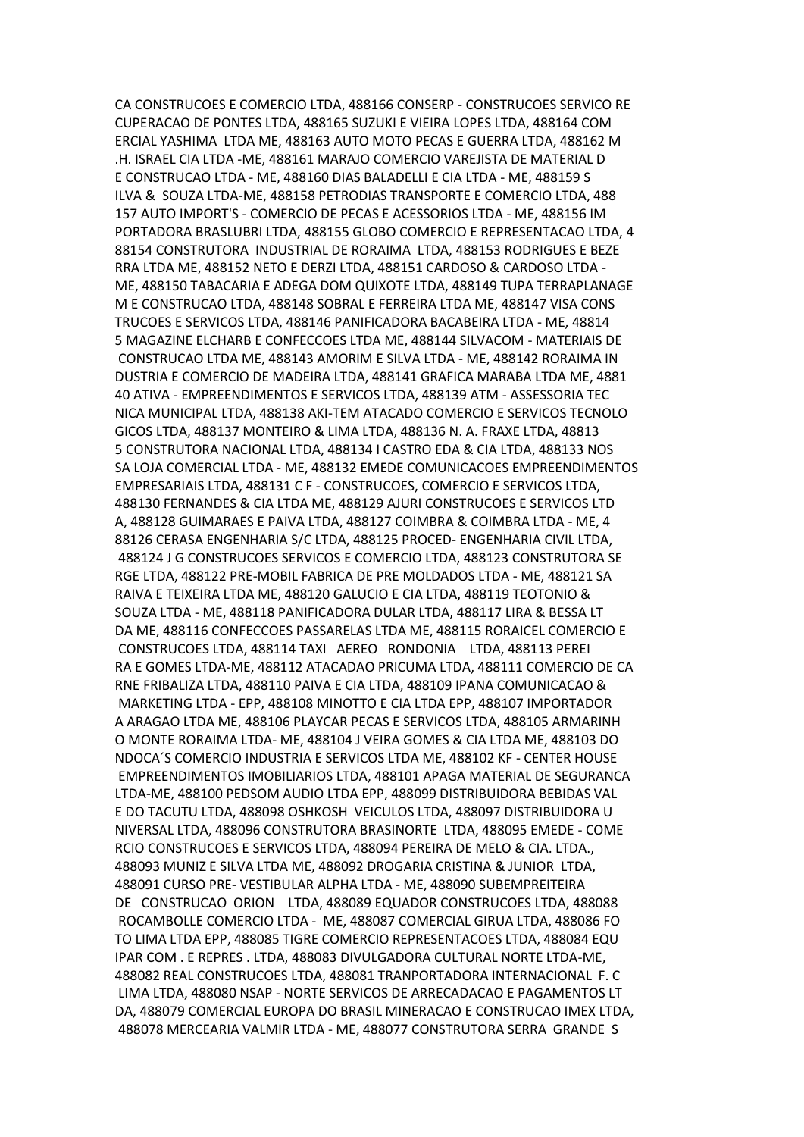CA CONSTRUCOES E COMERCIO LTDA, 488166 CONSERP - CONSTRUCOES SERVICO RE CUPERACAO DE PONTES LTDA, 488165 SUZUKI E VIEIRA LOPES LTDA, 488164 COM ERCIAL YASHIMA LTDA ME, 488163 AUTO MOTO PECAS E GUERRA LTDA, 488162 M .H. ISRAEL CIA LTDA -ME, 488161 MARAJO COMERCIO VAREJISTA DE MATERIAL D E CONSTRUCAO LTDA - ME, 488160 DIAS BALADELLI E CIA LTDA - ME, 488159 S ILVA & SOUZA LTDA-ME, 488158 PETRODIAS TRANSPORTE E COMERCIO LTDA, 488 157 AUTO IMPORT'S - COMERCIO DE PECAS E ACESSORIOS LTDA - ME, 488156 IM PORTADORA BRASLUBRI LTDA, 488155 GLOBO COMERCIO E REPRESENTACAO LTDA, 4 88154 CONSTRUTORA INDUSTRIAL DE RORAIMA LTDA, 488153 RODRIGUES E BEZE RRA LTDA ME, 488152 NETO E DERZI LTDA, 488151 CARDOSO & CARDOSO LTDA - ME, 488150 TABACARIA E ADEGA DOM QUIXOTE LTDA, 488149 TUPA TERRAPLANAGE M E CONSTRUCAO LTDA, 488148 SOBRAL E FERREIRA LTDA ME, 488147 VISA CONS TRUCOES E SERVICOS LTDA, 488146 PANIFICADORA BACABEIRA LTDA - ME, 48814 5 MAGAZINE ELCHARB E CONFECCOES LTDA ME, 488144 SILVACOM - MATERIAIS DE CONSTRUCAO LTDA ME, 488143 AMORIM E SILVA LTDA - ME, 488142 RORAIMA IN DUSTRIA E COMERCIO DE MADEIRA LTDA, 488141 GRAFICA MARABA LTDA ME, 4881 40 ATIVA - EMPREENDIMENTOS E SERVICOS LTDA, 488139 ATM - ASSESSORIA TEC NICA MUNICIPAL LTDA, 488138 AKI-TEM ATACADO COMERCIO E SERVICOS TECNOLO GICOS LTDA, 488137 MONTEIRO & LIMA LTDA, 488136 N. A. FRAXE LTDA, 48813 5 CONSTRUTORA NACIONAL LTDA, 488134 I CASTRO EDA & CIA LTDA, 488133 NOS SA LOJA COMERCIAL LTDA - ME, 488132 EMEDE COMUNICACOES EMPREENDIMENTOS EMPRESARIAIS LTDA, 488131 C F - CONSTRUCOES, COMERCIO E SERVICOS LTDA, 488130 FERNANDES & CIA LTDA ME, 488129 AJURI CONSTRUCOES E SERVICOS LTD A, 488128 GUIMARAES E PAIVA LTDA, 488127 COIMBRA & COIMBRA LTDA - ME, 4 88126 CERASA ENGENHARIA S/C LTDA, 488125 PROCED- ENGENHARIA CIVIL LTDA, 488124 J G CONSTRUCOES SERVICOS E COMERCIO LTDA, 488123 CONSTRUTORA SE RGE LTDA, 488122 PRE-MOBIL FABRICA DE PRE MOLDADOS LTDA - ME, 488121 SA RAIVA E TEIXEIRA LTDA ME, 488120 GALUCIO E CIA LTDA, 488119 TEOTONIO & SOUZA LTDA - ME, 488118 PANIFICADORA DULAR LTDA, 488117 LIRA & BESSA LT DA ME, 488116 CONFECCOES PASSARELAS LTDA ME, 488115 RORAICEL COMERCIO E CONSTRUCOES LTDA, 488114 TAXI AEREO RONDONIA LTDA, 488113 PEREI RA E GOMES LTDA-ME, 488112 ATACADAO PRICUMA LTDA, 488111 COMERCIO DE CA RNE FRIBALIZA LTDA, 488110 PAIVA E CIA LTDA, 488109 IPANA COMUNICACAO & MARKETING LTDA - EPP, 488108 MINOTTO E CIA LTDA EPP, 488107 IMPORTADOR A ARAGAO LTDA ME, 488106 PLAYCAR PECAS E SERVICOS LTDA, 488105 ARMARINH O MONTE RORAIMA LTDA- ME, 488104 J VEIRA GOMES & CIA LTDA ME, 488103 DO NDOCA´S COMERCIO INDUSTRIA E SERVICOS LTDA ME, 488102 KF - CENTER HOUSE EMPREENDIMENTOS IMOBILIARIOS LTDA, 488101 APAGA MATERIAL DE SEGURANCA LTDA-ME, 488100 PEDSOM AUDIO LTDA EPP, 488099 DISTRIBUIDORA BEBIDAS VAL E DO TACUTU LTDA, 488098 OSHKOSH VEICULOS LTDA, 488097 DISTRIBUIDORA U NIVERSAL LTDA, 488096 CONSTRUTORA BRASINORTE LTDA, 488095 EMEDE - COME RCIO CONSTRUCOES E SERVICOS LTDA, 488094 PEREIRA DE MELO & CIA. LTDA., 488093 MUNIZ E SILVA LTDA ME, 488092 DROGARIA CRISTINA & JUNIOR LTDA, 488091 CURSO PRE- VESTIBULAR ALPHA LTDA - ME, 488090 SUBEMPREITEIRA DE CONSTRUCAO ORION LTDA, 488089 EQUADOR CONSTRUCOES LTDA, 488088 ROCAMBOLLE COMERCIO LTDA - ME, 488087 COMERCIAL GIRUA LTDA, 488086 FO TO LIMA LTDA EPP, 488085 TIGRE COMERCIO REPRESENTACOES LTDA, 488084 EQU IPAR COM . E REPRES . LTDA, 488083 DIVULGADORA CULTURAL NORTE LTDA-ME, 488082 REAL CONSTRUCOES LTDA, 488081 TRANPORTADORA INTERNACIONAL F. C LIMA LTDA, 488080 NSAP - NORTE SERVICOS DE ARRECADACAO E PAGAMENTOS LT DA, 488079 COMERCIAL EUROPA DO BRASIL MINERACAO E CONSTRUCAO IMEX LTDA, 488078 MERCEARIA VALMIR LTDA - ME, 488077 CONSTRUTORA SERRA GRANDE S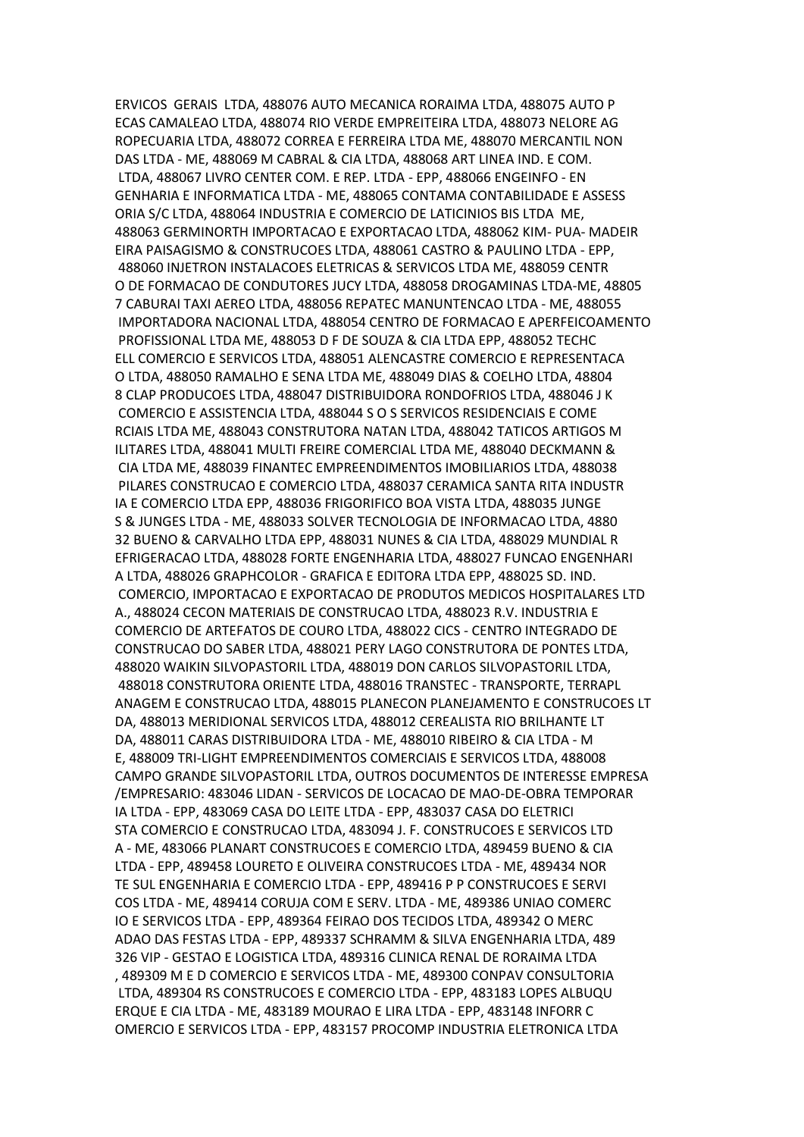ERVICOS GERAIS LTDA, 488076 AUTO MECANICA RORAIMA LTDA, 488075 AUTO P ECAS CAMALEAO LTDA, 488074 RIO VERDE EMPREITEIRA LTDA, 488073 NELORE AG ROPECUARIA LTDA, 488072 CORREA E FERREIRA LTDA ME, 488070 MERCANTIL NON DAS LTDA - ME, 488069 M CABRAL & CIA LTDA, 488068 ART LINEA IND. E COM. LTDA, 488067 LIVRO CENTER COM. E REP. LTDA - EPP, 488066 ENGEINFO - EN GENHARIA E INFORMATICA LTDA - ME, 488065 CONTAMA CONTABILIDADE E ASSESS ORIA S/C LTDA, 488064 INDUSTRIA E COMERCIO DE LATICINIOS BIS LTDA ME, 488063 GERMINORTH IMPORTACAO E EXPORTACAO LTDA, 488062 KIM- PUA- MADEIR EIRA PAISAGISMO & CONSTRUCOES LTDA, 488061 CASTRO & PAULINO LTDA - EPP, 488060 INJETRON INSTALACOES ELETRICAS & SERVICOS LTDA ME, 488059 CENTR O DE FORMACAO DE CONDUTORES JUCY LTDA, 488058 DROGAMINAS LTDA-ME, 48805 7 CABURAI TAXI AEREO LTDA, 488056 REPATEC MANUNTENCAO LTDA - ME, 488055 IMPORTADORA NACIONAL LTDA, 488054 CENTRO DE FORMACAO E APERFEICOAMENTO PROFISSIONAL LTDA ME, 488053 D F DE SOUZA & CIA LTDA EPP, 488052 TECHC ELL COMERCIO E SERVICOS LTDA, 488051 ALENCASTRE COMERCIO E REPRESENTACA O LTDA, 488050 RAMALHO E SENA LTDA ME, 488049 DIAS & COELHO LTDA, 48804 8 CLAP PRODUCOES LTDA, 488047 DISTRIBUIDORA RONDOFRIOS LTDA, 488046 J K COMERCIO E ASSISTENCIA LTDA, 488044 S O S SERVICOS RESIDENCIAIS E COME RCIAIS LTDA ME, 488043 CONSTRUTORA NATAN LTDA, 488042 TATICOS ARTIGOS M ILITARES LTDA, 488041 MULTI FREIRE COMERCIAL LTDA ME, 488040 DECKMANN & CIA LTDA ME, 488039 FINANTEC EMPREENDIMENTOS IMOBILIARIOS LTDA, 488038 PILARES CONSTRUCAO E COMERCIO LTDA, 488037 CERAMICA SANTA RITA INDUSTR IA E COMERCIO LTDA EPP, 488036 FRIGORIFICO BOA VISTA LTDA, 488035 JUNGE S & JUNGES LTDA - ME, 488033 SOLVER TECNOLOGIA DE INFORMACAO LTDA, 4880 32 BUENO & CARVALHO LTDA EPP, 488031 NUNES & CIA LTDA, 488029 MUNDIAL R EFRIGERACAO LTDA, 488028 FORTE ENGENHARIA LTDA, 488027 FUNCAO ENGENHARI A LTDA, 488026 GRAPHCOLOR - GRAFICA E EDITORA LTDA EPP, 488025 SD. IND. COMERCIO, IMPORTACAO E EXPORTACAO DE PRODUTOS MEDICOS HOSPITALARES LTD A., 488024 CECON MATERIAIS DE CONSTRUCAO LTDA, 488023 R.V. INDUSTRIA E COMERCIO DE ARTEFATOS DE COURO LTDA, 488022 CICS - CENTRO INTEGRADO DE CONSTRUCAO DO SABER LTDA, 488021 PERY LAGO CONSTRUTORA DE PONTES LTDA, 488020 WAIKIN SILVOPASTORIL LTDA, 488019 DON CARLOS SILVOPASTORIL LTDA, 488018 CONSTRUTORA ORIENTE LTDA, 488016 TRANSTEC - TRANSPORTE, TERRAPL ANAGEM E CONSTRUCAO LTDA, 488015 PLANECON PLANEJAMENTO E CONSTRUCOES LT DA, 488013 MERIDIONAL SERVICOS LTDA, 488012 CEREALISTA RIO BRILHANTE LT DA, 488011 CARAS DISTRIBUIDORA LTDA - ME, 488010 RIBEIRO & CIA LTDA - M E, 488009 TRI-LIGHT EMPREENDIMENTOS COMERCIAIS E SERVICOS LTDA, 488008 CAMPO GRANDE SILVOPASTORIL LTDA, OUTROS DOCUMENTOS DE INTERESSE EMPRESA /EMPRESARIO: 483046 LIDAN - SERVICOS DE LOCACAO DE MAO-DE-OBRA TEMPORAR IA LTDA - EPP, 483069 CASA DO LEITE LTDA - EPP, 483037 CASA DO ELETRICI STA COMERCIO E CONSTRUCAO LTDA, 483094 J. F. CONSTRUCOES E SERVICOS LTD A - ME, 483066 PLANART CONSTRUCOES E COMERCIO LTDA, 489459 BUENO & CIA LTDA - EPP, 489458 LOURETO E OLIVEIRA CONSTRUCOES LTDA - ME, 489434 NOR TE SUL ENGENHARIA E COMERCIO LTDA - EPP, 489416 P P CONSTRUCOES E SERVI COS LTDA - ME, 489414 CORUJA COM E SERV. LTDA - ME, 489386 UNIAO COMERC IO E SERVICOS LTDA - EPP, 489364 FEIRAO DOS TECIDOS LTDA, 489342 O MERC ADAO DAS FESTAS LTDA - EPP, 489337 SCHRAMM & SILVA ENGENHARIA LTDA, 489 326 VIP - GESTAO E LOGISTICA LTDA, 489316 CLINICA RENAL DE RORAIMA LTDA , 489309 M E D COMERCIO E SERVICOS LTDA - ME, 489300 CONPAV CONSULTORIA LTDA, 489304 RS CONSTRUCOES E COMERCIO LTDA - EPP, 483183 LOPES ALBUQU ERQUE E CIA LTDA - ME, 483189 MOURAO E LIRA LTDA - EPP, 483148 INFORR C OMERCIO E SERVICOS LTDA - EPP, 483157 PROCOMP INDUSTRIA ELETRONICA LTDA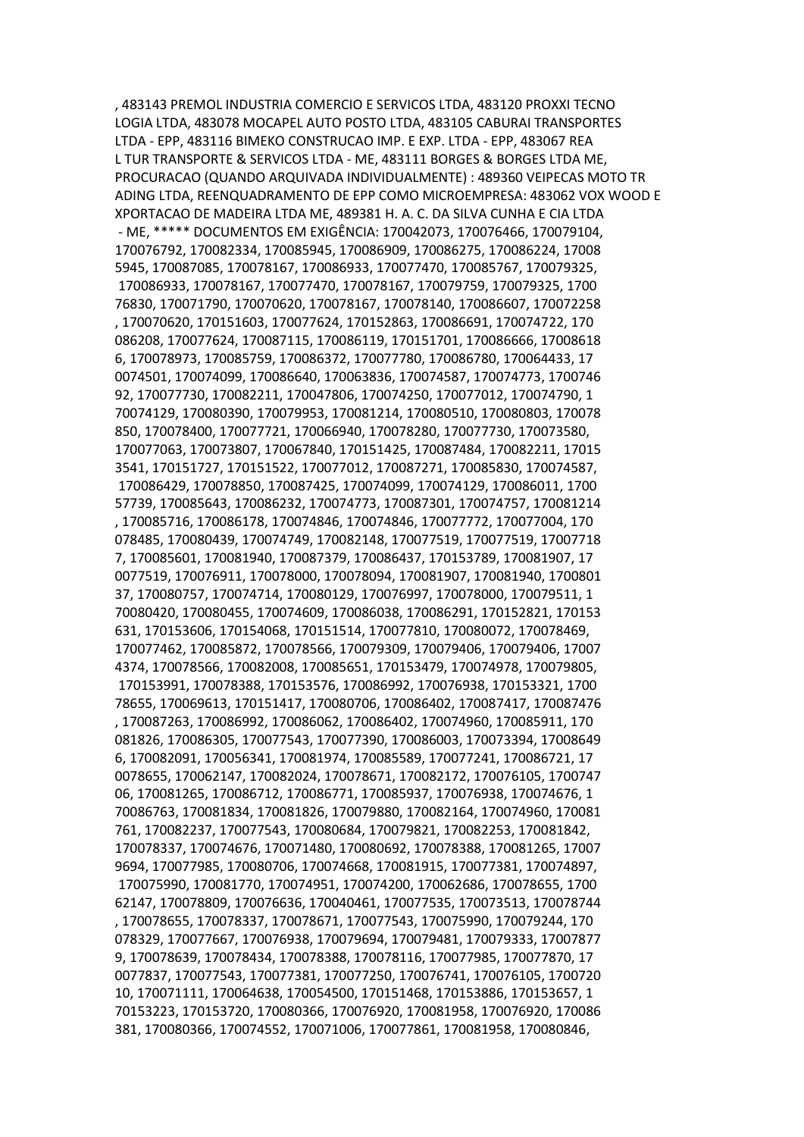, 483143 PREMOL INDUSTRIA COMERCIO E SERVICOS LTDA, 483120 PROXXI TECNO LOGIA LTDA, 483078 MOCAPEL AUTO POSTO LTDA, 483105 CABURAI TRANSPORTES LTDA - EPP, 483116 BIMEKO CONSTRUCAO IMP. E EXP. LTDA - EPP, 483067 REA L TUR TRANSPORTE & SERVICOS LTDA - ME, 483111 BORGES & BORGES LTDA ME, PROCURACAO (QUANDO ARQUIVADA INDIVIDUALMENTE) : 489360 VEIPECAS MOTO TR ADING LTDA, REENQUADRAMENTO DE EPP COMO MICROEMPRESA: 483062 VOX WOOD E XPORTACAO DE MADEIRA LTDA ME, 489381 H. A. C. DA SILVA CUNHA E CIA LTDA - ME, \*\*\*\*\* DOCUMENTOS EM EXIGÊNCIA: 170042073, 170076466, 170079104, 170076792, 170082334, 170085945, 170086909, 170086275, 170086224, 17008 5945, 170087085, 170078167, 170086933, 170077470, 170085767, 170079325, 170086933, 170078167, 170077470, 170078167, 170079759, 170079325, 1700 76830, 170071790, 170070620, 170078167, 170078140, 170086607, 170072258 , 170070620, 170151603, 170077624, 170152863, 170086691, 170074722, 170 086208, 170077624, 170087115, 170086119, 170151701, 170086666, 17008618 6, 170078973, 170085759, 170086372, 170077780, 170086780, 170064433, 17 0074501, 170074099, 170086640, 170063836, 170074587, 170074773, 1700746 92, 170077730, 170082211, 170047806, 170074250, 170077012, 170074790, 1 70074129, 170080390, 170079953, 170081214, 170080510, 170080803, 170078 850, 170078400, 170077721, 170066940, 170078280, 170077730, 170073580, 170077063, 170073807, 170067840, 170151425, 170087484, 170082211, 17015 3541, 170151727, 170151522, 170077012, 170087271, 170085830, 170074587, 170086429, 170078850, 170087425, 170074099, 170074129, 170086011, 1700 57739, 170085643, 170086232, 170074773, 170087301, 170074757, 170081214 , 170085716, 170086178, 170074846, 170074846, 170077772, 170077004, 170 078485, 170080439, 170074749, 170082148, 170077519, 170077519, 17007718 7, 170085601, 170081940, 170087379, 170086437, 170153789, 170081907, 17 0077519, 170076911, 170078000, 170078094, 170081907, 170081940, 1700801 37, 170080757, 170074714, 170080129, 170076997, 170078000, 170079511, 1 70080420, 170080455, 170074609, 170086038, 170086291, 170152821, 170153 631, 170153606, 170154068, 170151514, 170077810, 170080072, 170078469, 170077462, 170085872, 170078566, 170079309, 170079406, 170079406, 17007 4374, 170078566, 170082008, 170085651, 170153479, 170074978, 170079805, 170153991, 170078388, 170153576, 170086992, 170076938, 170153321, 1700 78655, 170069613, 170151417, 170080706, 170086402, 170087417, 170087476 , 170087263, 170086992, 170086062, 170086402, 170074960, 170085911, 170 081826, 170086305, 170077543, 170077390, 170086003, 170073394, 17008649 6, 170082091, 170056341, 170081974, 170085589, 170077241, 170086721, 17 0078655, 170062147, 170082024, 170078671, 170082172, 170076105, 1700747 06, 170081265, 170086712, 170086771, 170085937, 170076938, 170074676, 1 70086763, 170081834, 170081826, 170079880, 170082164, 170074960, 170081 761, 170082237, 170077543, 170080684, 170079821, 170082253, 170081842, 170078337, 170074676, 170071480, 170080692, 170078388, 170081265, 17007 9694, 170077985, 170080706, 170074668, 170081915, 170077381, 170074897, 170075990, 170081770, 170074951, 170074200, 170062686, 170078655, 1700 62147, 170078809, 170076636, 170040461, 170077535, 170073513, 170078744 , 170078655, 170078337, 170078671, 170077543, 170075990, 170079244, 170 078329, 170077667, 170076938, 170079694, 170079481, 170079333, 17007877 9, 170078639, 170078434, 170078388, 170078116, 170077985, 170077870, 17 0077837, 170077543, 170077381, 170077250, 170076741, 170076105, 1700720 10, 170071111, 170064638, 170054500, 170151468, 170153886, 170153657, 1 70153223, 170153720, 170080366, 170076920, 170081958, 170076920, 170086 381, 170080366, 170074552, 170071006, 170077861, 170081958, 170080846,